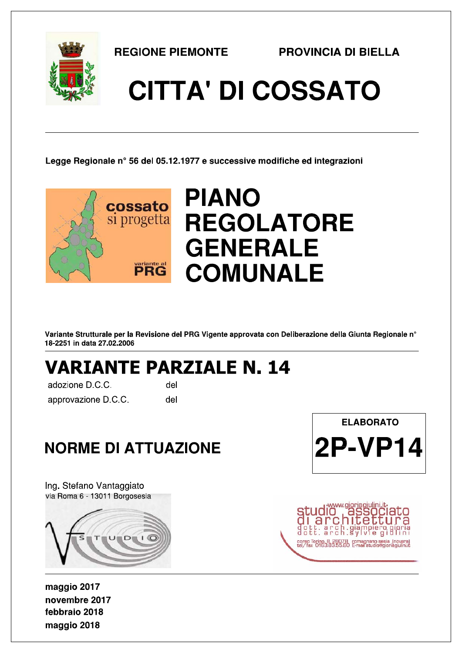

**REGIONE PIEMONTE** 

# **CITTA' DI COSSATO**

Legge Regionale n° 56 del 05.12.1977 e successive modifiche ed integrazioni



Variante Strutturale per la Revisione del PRG Vigente approvata con Deliberazione della Giunta Regionale n° 18-2251 in data 27.02.2006

# **VARIANTE PARZIALE N. 14**

adozione D.C.C. approvazione D.C.C.

del del

## **NORME DI ATTUAZIONE**

Ing. Stefano Vantaggiato via Roma 6 - 13011 Borgosesia



maggio 2017 novembre 2017 febbraio 2018 maggio 2018



corso Torino, 8, 28078 romagnano sesia (novera)<br>tel/fax 0163.83.55.80 E-mail studio@giorianiulini d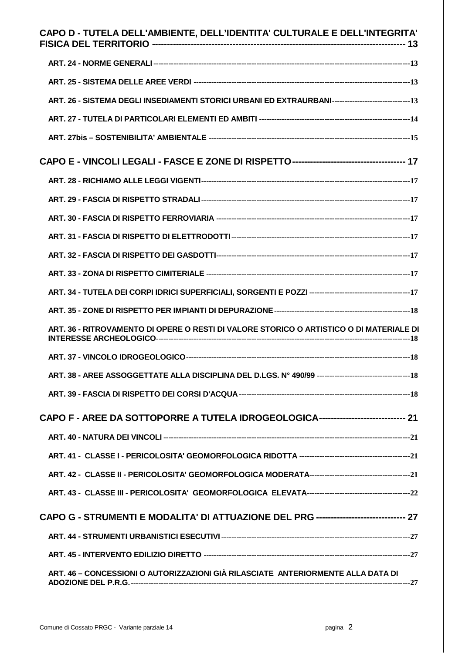| CAPO D - TUTELA DELL'AMBIENTE, DELL'IDENTITA' CULTURALE E DELL'INTEGRITA'                         |
|---------------------------------------------------------------------------------------------------|
|                                                                                                   |
|                                                                                                   |
| ART. 26 - SISTEMA DEGLI INSEDIAMENTI STORICI URBANI ED EXTRAURBANI-----------------------------13 |
|                                                                                                   |
|                                                                                                   |
|                                                                                                   |
|                                                                                                   |
|                                                                                                   |
|                                                                                                   |
|                                                                                                   |
|                                                                                                   |
|                                                                                                   |
|                                                                                                   |
|                                                                                                   |
| ART. 36 - RITROVAMENTO DI OPERE O RESTI DI VALORE STORICO O ARTISTICO O DI MATERIALE DI           |
|                                                                                                   |
|                                                                                                   |
|                                                                                                   |
| CAPO F - AREE DA SOTTOPORRE A TUTELA IDROGEOLOGICA------------------------------ 21               |
|                                                                                                   |
|                                                                                                   |
|                                                                                                   |
|                                                                                                   |
| CAPO G - STRUMENTI E MODALITA' DI ATTUAZIONE DEL PRG ----------------------------- 27             |
|                                                                                                   |
|                                                                                                   |
| ART. 46 - CONCESSIONI O AUTORIZZAZIONI GIÀ RILASCIATE ANTERIORMENTE ALLA DATA DI                  |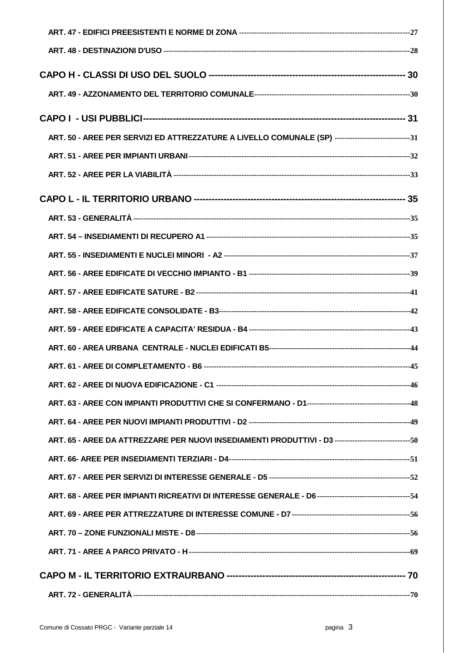| ART. 50 - AREE PER SERVIZI ED ATTREZZATURE A LIVELLO COMUNALE (SP) -----------------------------31 |  |
|----------------------------------------------------------------------------------------------------|--|
|                                                                                                    |  |
|                                                                                                    |  |
|                                                                                                    |  |
|                                                                                                    |  |
|                                                                                                    |  |
|                                                                                                    |  |
|                                                                                                    |  |
|                                                                                                    |  |
|                                                                                                    |  |
|                                                                                                    |  |
|                                                                                                    |  |
|                                                                                                    |  |
|                                                                                                    |  |
|                                                                                                    |  |
|                                                                                                    |  |
| ART. 65 - AREE DA ATTREZZARE PER NUOVI INSEDIAMENTI PRODUTTIVI - D3 ----------------------------50 |  |
|                                                                                                    |  |
|                                                                                                    |  |
|                                                                                                    |  |
|                                                                                                    |  |
|                                                                                                    |  |
|                                                                                                    |  |
|                                                                                                    |  |
|                                                                                                    |  |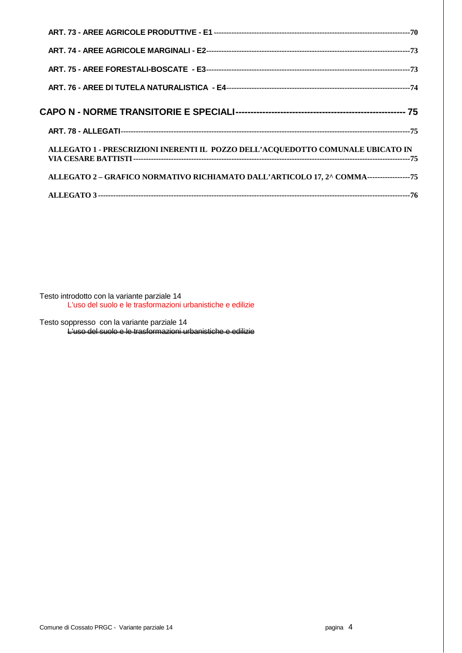| ALLEGATO 1 - PRESCRIZIONI INERENTI IL POZZO DELL'ACQUEDOTTO COMUNALE UBICATO IN          |
|------------------------------------------------------------------------------------------|
| ALLEGATO 2 - GRAFICO NORMATIVO RICHIAMATO DALL'ARTICOLO 17, 2^ COMMA------------------75 |
|                                                                                          |

Testo introdotto con la variante parziale 14 L'uso del suolo e le trasformazioni urbanistiche e edilizie

Testo soppresso con la variante parziale 14 L'uso del suolo e le trasformazioni urbanistiche e edilizie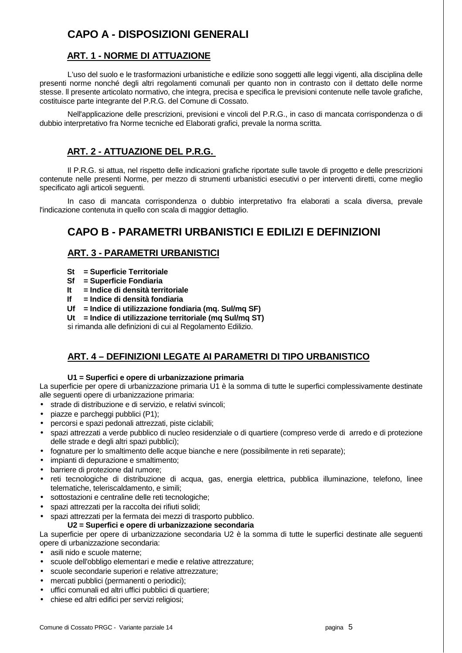## **CAPO A - DISPOSIZIONI GENERALI**

## **ART. 1 - NORME DI ATTUAZIONE**

 L'uso del suolo e le trasformazioni urbanistiche e edilizie sono soggetti alle leggi vigenti, alla disciplina delle presenti norme nonché degli altri regolamenti comunali per quanto non in contrasto con il dettato delle norme stesse. ll presente articolato normativo, che integra, precisa e specifica le previsioni contenute nelle tavole grafiche, costituisce parte integrante del P.R.G. del Comune di Cossato.

 Nell'applicazione delle prescrizioni, previsioni e vincoli del P.R.G., in caso di mancata corrispondenza o di dubbio interpretativo fra Norme tecniche ed Elaborati grafici, prevale la norma scritta.

## **ART. 2 - ATTUAZIONE DEL P.R.G.**

 Il P.R.G. si attua, nel rispetto delle indicazioni grafiche riportate sulle tavole di progetto e delle prescrizioni contenute nelle presenti Norme, per mezzo di strumenti urbanistici esecutivi o per interventi diretti, come meglio specificato agli articoli seguenti.

 In caso di mancata corrispondenza o dubbio interpretativo fra elaborati a scala diversa, prevale l'indicazione contenuta in quello con scala di maggior dettaglio.

## **CAPO B - PARAMETRI URBANISTICI E EDILIZI E DEFINIZIONI**

## **ART. 3 - PARAMETRI URBANISTICI**

- **St = Superficie Territoriale**
- **Sf = Superficie Fondiaria**
- **It = Indice di densità territoriale**
- **If = Indice di densità fondiaria**
- **Uf = Indice di utilizzazione fondiaria (mq. Sul/mq SF)**

**Ut = Indice di utilizzazione territoriale (mq Sul/mq ST)**

si rimanda alle definizioni di cui al Regolamento Edilizio.

## **ART. 4 – DEFINIZIONI LEGATE AI PARAMETRI DI TIPO URBANISTICO**

### **U1 = Superfici e opere di urbanizzazione primaria**

La superficie per opere di urbanizzazione primaria U1 è la somma di tutte le superfici complessivamente destinate alle seguenti opere di urbanizzazione primaria:

• strade di distribuzione e di servizio, e relativi svincoli;

- piazze e parcheggi pubblici (P1);
- percorsi e spazi pedonali attrezzati, piste ciclabili;
- spazi attrezzati a verde pubblico di nucleo residenziale o di quartiere (compreso verde di arredo e di protezione delle strade e degli altri spazi pubblici);
- fognature per lo smaltimento delle acque bianche e nere (possibilmente in reti separate);
- impianti di depurazione e smaltimento;
- barriere di protezione dal rumore;
- reti tecnologiche di distribuzione di acqua, gas, energia elettrica, pubblica illuminazione, telefono, linee telematiche, teleriscaldamento, e simili;
- sottostazioni e centraline delle reti tecnologiche;
- spazi attrezzati per la raccolta dei rifiuti solidi;
- spazi attrezzati per la fermata dei mezzi di trasporto pubblico.
	- **U2 = Superfici e opere di urbanizzazione secondaria**

La superficie per opere di urbanizzazione secondaria U2 è la somma di tutte le superfici destinate alle seguenti opere di urbanizzazione secondaria:

- asili nido e scuole materne;
- scuole dell'obbligo elementari e medie e relative attrezzature;
- scuole secondarie superiori e relative attrezzature;
- mercati pubblici (permanenti o periodici);
- uffici comunali ed altri uffici pubblici di quartiere;
- chiese ed altri edifici per servizi religiosi;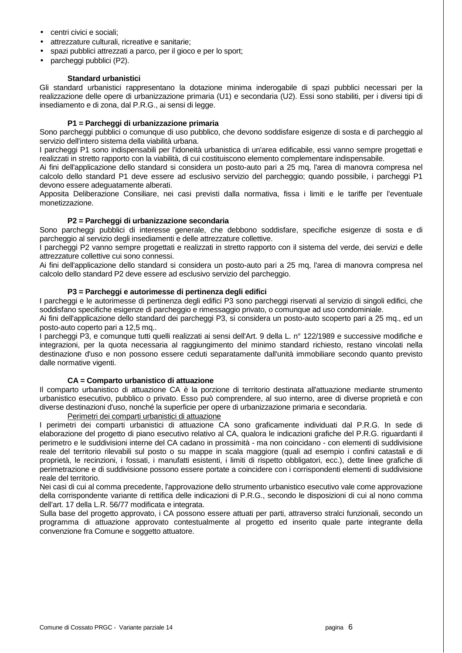- centri civici e sociali;
- attrezzature culturali, ricreative e sanitarie;
- spazi pubblici attrezzati a parco, per il gioco e per lo sport;
- parcheggi pubblici (P2).

#### **Standard urbanistici**

Gli standard urbanistici rappresentano la dotazione minima inderogabile di spazi pubblici necessari per la realizzazione delle opere di urbanizzazione primaria (U1) e secondaria (U2). Essi sono stabiliti, per i diversi tipi di insediamento e di zona, dal P.R.G., ai sensi di legge.

#### **P1 = Parcheggi di urbanizzazione primaria**

Sono parcheggi pubblici o comunque di uso pubblico, che devono soddisfare esigenze di sosta e di parcheggio al servizio dell'intero sistema della viabilità urbana.

I parcheggi P1 sono indispensabili per l'idoneità urbanistica di un'area edificabile, essi vanno sempre progettati e realizzati in stretto rapporto con la viabilità, di cui costituiscono elemento complementare indispensabile.

Ai fini dell'applicazione dello standard si considera un posto-auto pari a 25 mq, l'area di manovra compresa nel calcolo dello standard P1 deve essere ad esclusivo servizio del parcheggio; quando possibile, i parcheggi P1 devono essere adeguatamente alberati.

Apposita Deliberazione Consiliare, nei casi previsti dalla normativa, fissa i limiti e le tariffe per l'eventuale monetizzazione.

#### **P2 = Parcheggi di urbanizzazione secondaria**

Sono parcheggi pubblici di interesse generale, che debbono soddisfare, specifiche esigenze di sosta e di parcheggio al servizio degli insediamenti e delle attrezzature collettive.

I parcheggi P2 vanno sempre progettati e realizzati in stretto rapporto con il sistema del verde, dei servizi e delle attrezzature collettive cui sono connessi.

Ai fini dell'applicazione dello standard si considera un posto-auto pari a 25 mq, l'area di manovra compresa nel calcolo dello standard P2 deve essere ad esclusivo servizio del parcheggio.

#### **P3 = Parcheggi e autorimesse di pertinenza degli edifici**

I parcheggi e le autorimesse di pertinenza degli edifici P3 sono parcheggi riservati al servizio di singoli edifici, che soddisfano specifiche esigenze di parcheggio e rimessaggio privato, o comunque ad uso condominiale.

Ai fini dell'applicazione dello standard dei parcheggi P3, si considera un posto-auto scoperto pari a 25 mq., ed un posto-auto coperto pari a 12,5 mq..

I parcheggi P3, e comunque tutti quelli realizzati ai sensi dell'Art. 9 della L. n° 122/1989 e successive modifiche e integrazioni, per la quota necessaria al raggiungimento del minimo standard richiesto, restano vincolati nella destinazione d'uso e non possono essere ceduti separatamente dall'unità immobiliare secondo quanto previsto dalle normative vigenti.

#### **CA = Comparto urbanistico di attuazione**

Il comparto urbanistico di attuazione CA è la porzione di territorio destinata all'attuazione mediante strumento urbanistico esecutivo, pubblico o privato. Esso può comprendere, al suo interno, aree di diverse proprietà e con diverse destinazioni d'uso, nonché la superficie per opere di urbanizzazione primaria e secondaria.

Perimetri dei comparti urbanistici di attuazione

I perimetri dei comparti urbanistici di attuazione CA sono graficamente individuati dal P.R.G. In sede di elaborazione del progetto di piano esecutivo relativo al CA, qualora le indicazioni grafiche del P.R.G. riguardanti il perimetro e le suddivisioni interne del CA cadano in prossimità - ma non coincidano - con elementi di suddivisione reale del territorio rilevabili sul posto o su mappe in scala maggiore (quali ad esempio i confini catastali e di proprietà, le recinzioni, i fossati, i manufatti esistenti, i limiti di rispetto obbligatori, ecc.), dette linee grafiche di perimetrazione e di suddivisione possono essere portate a coincidere con i corrispondenti elementi di suddivisione reale del territorio.

Nei casi di cui al comma precedente, l'approvazione dello strumento urbanistico esecutivo vale come approvazione della corrispondente variante di rettifica delle indicazioni di P.R.G., secondo le disposizioni di cui al nono comma dell'art. 17 della L.R. 56/77 modificata e integrata.

Sulla base del progetto approvato, i CA possono essere attuati per parti, attraverso stralci funzionali, secondo un programma di attuazione approvato contestualmente al progetto ed inserito quale parte integrante della convenzione fra Comune e soggetto attuatore.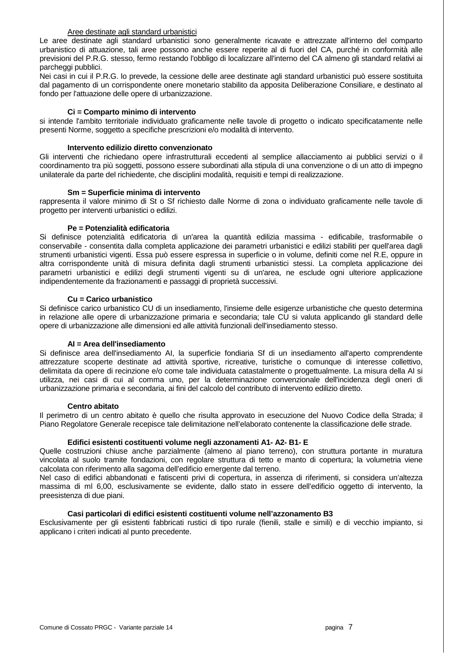#### Aree destinate agli standard urbanistici

Le aree destinate agli standard urbanistici sono generalmente ricavate e attrezzate all'interno del comparto urbanistico di attuazione, tali aree possono anche essere reperite al di fuori del CA, purché in conformità alle previsioni del P.R.G. stesso, fermo restando l'obbligo di localizzare all'interno del CA almeno gli standard relativi ai parcheggi pubblici.

Nei casi in cui il P.R.G. lo prevede, la cessione delle aree destinate agli standard urbanistici può essere sostituita dal pagamento di un corrispondente onere monetario stabilito da apposita Deliberazione Consiliare, e destinato al fondo per l'attuazione delle opere di urbanizzazione.

#### **Ci = Comparto minimo di intervento**

si intende l'ambito territoriale individuato graficamente nelle tavole di progetto o indicato specificatamente nelle presenti Norme, soggetto a specifiche prescrizioni e/o modalità di intervento.

#### **Intervento edilizio diretto convenzionato**

Gli interventi che richiedano opere infrastrutturali eccedenti al semplice allacciamento ai pubblici servizi o il coordinamento tra più soggetti, possono essere subordinati alla stipula di una convenzione o di un atto di impegno unilaterale da parte del richiedente, che disciplini modalità, requisiti e tempi di realizzazione.

#### **Sm = Superficie minima di intervento**

rappresenta il valore minimo di St o Sf richiesto dalle Norme di zona o individuato graficamente nelle tavole di progetto per interventi urbanistici o edilizi.

#### **Pe = Potenzialità edificatoria**

Si definisce potenzialità edificatoria di un'area la quantità edilizia massima - edificabile, trasformabile o conservabile - consentita dalla completa applicazione dei parametri urbanistici e edilizi stabiliti per quell'area dagli strumenti urbanistici vigenti. Essa può essere espressa in superficie o in volume, definiti come nel R.E, oppure in altra corrispondente unità di misura definita dagli strumenti urbanistici stessi. La completa applicazione dei parametri urbanistici e edilizi degli strumenti vigenti su di un'area, ne esclude ogni ulteriore applicazione indipendentemente da frazionamenti e passaggi di proprietà successivi.

#### **Cu = Carico urbanistico**

Si definisce carico urbanistico CU di un insediamento, l'insieme delle esigenze urbanistiche che questo determina in relazione alle opere di urbanizzazione primaria e secondaria; tale CU si valuta applicando gli standard delle opere di urbanizzazione alle dimensioni ed alle attività funzionali dell'insediamento stesso.

#### **AI = Area dell'insediamento**

Si definisce area dell'insediamento AI, la superficie fondiaria Sf di un insediamento all'aperto comprendente attrezzature scoperte destinate ad attività sportive, ricreative, turistiche o comunque di interesse collettivo, delimitata da opere di recinzione e/o come tale individuata catastalmente o progettualmente. La misura della AI si utilizza, nei casi di cui al comma uno, per la determinazione convenzionale dell'incidenza degli oneri di urbanizzazione primaria e secondaria, ai fini del calcolo del contributo di intervento edilizio diretto.

#### **Centro abitato**

Il perimetro di un centro abitato è quello che risulta approvato in esecuzione del Nuovo Codice della Strada; il Piano Regolatore Generale recepisce tale delimitazione nell'elaborato contenente la classificazione delle strade.

#### **Edifici esistenti costituenti volume negli azzonamenti A1- A2- B1- E**

Quelle costruzioni chiuse anche parzialmente (almeno al piano terreno), con struttura portante in muratura vincolata al suolo tramite fondazioni, con regolare struttura di tetto e manto di copertura; la volumetria viene calcolata con riferimento alla sagoma dell'edificio emergente dal terreno.

Nel caso di edifici abbandonati e fatiscenti privi di copertura, in assenza di riferimenti, si considera un'altezza massima di ml 6,00, esclusivamente se evidente, dallo stato in essere dell'edificio oggetto di intervento, la preesistenza di due piani.

#### **Casi particolari di edifici esistenti costituenti volume nell'azzonamento B3**

Esclusivamente per gli esistenti fabbricati rustici di tipo rurale (fienili, stalle e simili) e di vecchio impianto, si applicano i criteri indicati al punto precedente.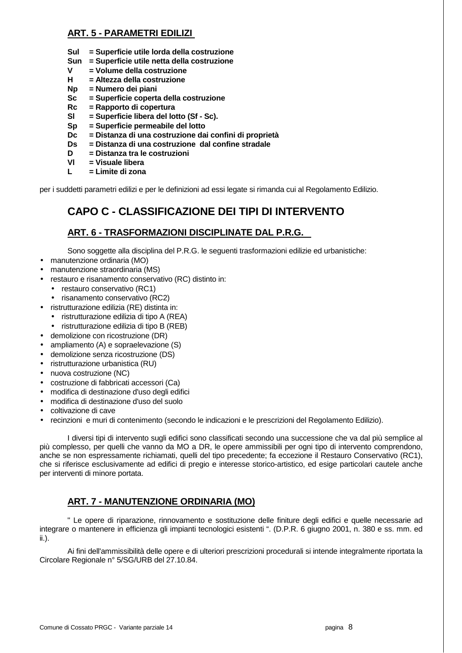## **ART. 5 - PARAMETRI EDILIZI**

- **Sul = Superficie utile lorda della costruzione**
- **Sun = Superficie utile netta della costruzione**
- **V = Volume della costruzione**
- **H = Altezza della costruzione**
- **Np = Numero dei piani**
- **Sc = Superficie coperta della costruzione**
- **Rc = Rapporto di copertura**
- **Sl = Superficie libera del lotto (Sf Sc).**
- **Sp = Superficie permeabile del lotto**
- **Dc = Distanza di una costruzione dai confini di proprietà**
- **Ds = Distanza di una costruzione dal confine stradale**
- **D = Distanza tra le costruzioni**
- **Vl = Visuale libera**
- **L = Limite di zona**

per i suddetti parametri edilizi e per le definizioni ad essi legate si rimanda cui al Regolamento Edilizio.

## **CAPO C - CLASSIFICAZIONE DEI TIPI DI INTERVENTO**

## **ART. 6 - TRASFORMAZIONI DISCIPLINATE DAL P.R.G.**

Sono soggette alla disciplina del P.R.G. le seguenti trasformazioni edilizie ed urbanistiche:

- manutenzione ordinaria (MO)
- manutenzione straordinaria (MS)
- restauro e risanamento conservativo (RC) distinto in:
	- restauro conservativo (RC1)
	- risanamento conservativo (RC2)
- ristrutturazione edilizia (RE) distinta in:
	- ristrutturazione edilizia di tipo A (REA)
	- ristrutturazione edilizia di tipo B (REB)
- demolizione con ricostruzione (DR)
- ampliamento (A) e sopraelevazione (S)
- demolizione senza ricostruzione (DS)
- ristrutturazione urbanistica (RU)
- nuova costruzione (NC)
- costruzione di fabbricati accessori (Ca)
- modifica di destinazione d'uso degli edifici
- modifica di destinazione d'uso del suolo
- coltivazione di cave
- recinzioni e muri di contenimento (secondo le indicazioni e le prescrizioni del Regolamento Edilizio).

 I diversi tipi di intervento sugli edifici sono classificati secondo una successione che va dal più semplice al più complesso, per quelli che vanno da MO a DR, le opere ammissibili per ogni tipo di intervento comprendono, anche se non espressamente richiamati, quelli del tipo precedente; fa eccezione il Restauro Conservativo (RC1), che si riferisce esclusivamente ad edifici di pregio e interesse storico-artistico, ed esige particolari cautele anche per interventi di minore portata.

## **ART. 7 - MANUTENZIONE ORDINARIA (MO)**

 " Le opere di riparazione, rinnovamento e sostituzione delle finiture degli edifici e quelle necessarie ad integrare o mantenere in efficienza gli impianti tecnologici esistenti ". (D.P.R. 6 giugno 2001, n. 380 e ss. mm. ed ii.).

 Ai fini dell'ammissibilità delle opere e di ulteriori prescrizioni procedurali si intende integralmente riportata la Circolare Regionale n° 5/SG/URB del 27.10.84.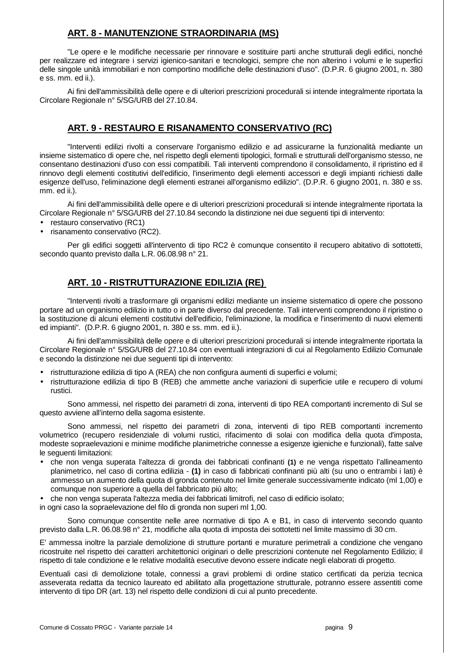## **ART. 8 - MANUTENZIONE STRAORDINARIA (MS)**

 "Le opere e le modifiche necessarie per rinnovare e sostituire parti anche strutturali degli edifici, nonché per realizzare ed integrare i servizi igienico-sanitari e tecnologici, sempre che non alterino i volumi e le superfici delle singole unità immobiliari e non comportino modifiche delle destinazioni d'uso". (D.P.R. 6 giugno 2001, n. 380 e ss. mm. ed ii.).

 Ai fini dell'ammissibilità delle opere e di ulteriori prescrizioni procedurali si intende integralmente riportata la Circolare Regionale n° 5/SG/URB del 27.10.84.

## **ART. 9 - RESTAURO E RISANAMENTO CONSERVATIVO (RC)**

 "Interventi edilizi rivolti a conservare l'organismo edilizio e ad assicurarne la funzionalità mediante un insieme sistematico di opere che, nel rispetto degli elementi tipologici, formali e strutturali dell'organismo stesso, ne consentano destinazioni d'uso con essi compatibili. Tali interventi comprendono il consolidamento, il ripristino ed il rinnovo degli elementi costitutivi dell'edificio, l'inserimento degli elementi accessori e degli impianti richiesti dalle esigenze dell'uso, l'eliminazione degli elementi estranei all'organismo edilizio". (D.P.R. 6 giugno 2001, n. 380 e ss. mm. ed ii.).

 Ai fini dell'ammissibilità delle opere e di ulteriori prescrizioni procedurali si intende integralmente riportata la Circolare Regionale n° 5/SG/URB del 27.10.84 secondo la distinzione nei due seguenti tipi di intervento:

- restauro conservativo (RC1)
- risanamento conservativo (RC2).

Per gli edifici soggetti all'intervento di tipo RC2 è comunque consentito il recupero abitativo di sottotetti, secondo quanto previsto dalla L.R. 06.08.98 n° 21.

## **ART. 10 - RISTRUTTURAZIONE EDILIZIA (RE)**

 "Interventi rivolti a trasformare gli organismi edilizi mediante un insieme sistematico di opere che possono portare ad un organismo edilizio in tutto o in parte diverso dal precedente. Tali interventi comprendono il ripristino o la sostituzione di alcuni elementi costitutivi dell'edificio, l'eliminazione, la modifica e l'inserimento di nuovi elementi ed impianti". (D.P.R. 6 giugno 2001, n. 380 e ss. mm. ed ii.).

 Ai fini dell'ammissibilità delle opere e di ulteriori prescrizioni procedurali si intende integralmente riportata la Circolare Regionale n° 5/SG/URB del 27.10.84 con eventuali integrazioni di cui al Regolamento Edilizio Comunale e secondo la distinzione nei due seguenti tipi di intervento:

- ristrutturazione edilizia di tipo A (REA) che non configura aumenti di superfici e volumi;
- ristrutturazione edilizia di tipo B (REB) che ammette anche variazioni di superficie utile e recupero di volumi rustici.

 Sono ammessi, nel rispetto dei parametri di zona, interventi di tipo REA comportanti incremento di Sul se questo avviene all'interno della sagoma esistente.

Sono ammessi, nel rispetto dei parametri di zona, interventi di tipo REB comportanti incremento volumetrico (recupero residenziale di volumi rustici, rifacimento di solai con modifica della quota d'imposta, modeste sopraelevazioni e minime modifiche planimetriche connesse a esigenze igieniche e funzionali), fatte salve le seguenti limitazioni:

- che non venga superata l'altezza di gronda dei fabbricati confinanti **(1)** e ne venga rispettato l'allineamento planimetrico, nel caso di cortina edilizia - **(1)** in caso di fabbricati confinanti più alti (su uno o entrambi i lati) è ammesso un aumento della quota di gronda contenuto nel limite generale successivamente indicato (ml 1,00) e comunque non superiore a quella del fabbricato più alto;
- che non venga superata l'altezza media dei fabbricati limitrofi, nel caso di edificio isolato;
- in ogni caso la sopraelevazione del filo di gronda non superi ml 1,00.

 Sono comunque consentite nelle aree normative di tipo A e B1, in caso di intervento secondo quanto previsto dalla L.R. 06.08.98 n° 21, modifiche alla quota di imposta dei sottotetti nel limite massimo di 30 cm.

E' ammessa inoltre la parziale demolizione di strutture portanti e murature perimetrali a condizione che vengano ricostruite nel rispetto dei caratteri architettonici originari o delle prescrizioni contenute nel Regolamento Edilizio; il rispetto di tale condizione e le relative modalità esecutive devono essere indicate negli elaborati di progetto.

Eventuali casi di demolizione totale, connessi a gravi problemi di ordine statico certificati da perizia tecnica asseverata redatta da tecnico laureato ed abilitato alla progettazione strutturale, potranno essere assentiti come intervento di tipo DR (art. 13) nel rispetto delle condizioni di cui al punto precedente.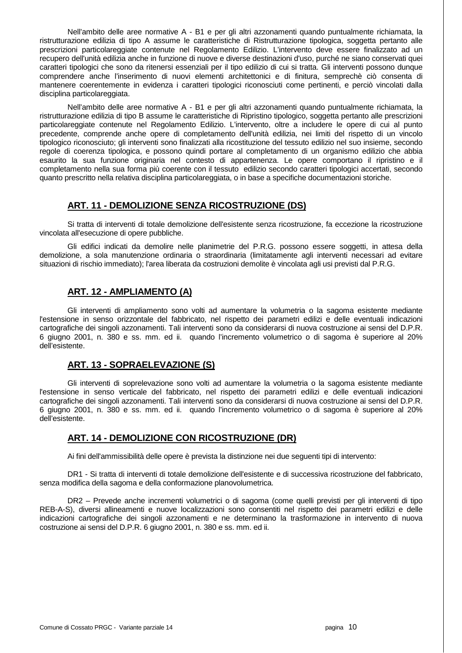Nell'ambito delle aree normative A - B1 e per gli altri azzonamenti quando puntualmente richiamata, la ristrutturazione edilizia di tipo A assume le caratteristiche di Ristrutturazione tipologica, soggetta pertanto alle prescrizioni particolareggiate contenute nel Regolamento Edilizio. L'intervento deve essere finalizzato ad un recupero dell'unità edilizia anche in funzione di nuove e diverse destinazioni d'uso, purché ne siano conservati quei caratteri tipologici che sono da ritenersi essenziali per il tipo edilizio di cui si tratta. Gli interventi possono dunque comprendere anche l'inserimento di nuovi elementi architettonici e di finitura, semprechè ciò consenta di mantenere coerentemente in evidenza i caratteri tipologici riconosciuti come pertinenti, e perciò vincolati dalla disciplina particolareggiata.

 Nell'ambito delle aree normative A - B1 e per gli altri azzonamenti quando puntualmente richiamata, la ristrutturazione edilizia di tipo B assume le caratteristiche di Ripristino tipologico, soggetta pertanto alle prescrizioni particolareggiate contenute nel Regolamento Edilizio. L'intervento, oltre a includere le opere di cui al punto precedente, comprende anche opere di completamento dell'unità edilizia, nei limiti del rispetto di un vincolo tipologico riconosciuto; gli interventi sono finalizzati alla ricostituzione del tessuto edilizio nel suo insieme, secondo regole di coerenza tipologica, e possono quindi portare al completamento di un organismo edilizio che abbia esaurito la sua funzione originaria nel contesto di appartenenza. Le opere comportano il ripristino e il completamento nella sua forma più coerente con il tessuto edilizio secondo caratteri tipologici accertati, secondo quanto prescritto nella relativa disciplina particolareggiata, o in base a specifiche documentazioni storiche.

## **ART. 11 - DEMOLIZIONE SENZA RICOSTRUZIONE (DS)**

 Si tratta di interventi di totale demolizione dell'esistente senza ricostruzione, fa eccezione la ricostruzione vincolata all'esecuzione di opere pubbliche.

 Gli edifici indicati da demolire nelle planimetrie del P.R.G. possono essere soggetti, in attesa della demolizione, a sola manutenzione ordinaria o straordinaria (limitatamente agli interventi necessari ad evitare situazioni di rischio immediato); l'area liberata da costruzioni demolite è vincolata agli usi previsti dal P.R.G.

## **ART. 12 - AMPLIAMENTO (A)**

 Gli interventi di ampliamento sono volti ad aumentare la volumetria o la sagoma esistente mediante l'estensione in senso orizzontale del fabbricato, nel rispetto dei parametri edilizi e delle eventuali indicazioni cartografiche dei singoli azzonamenti. Tali interventi sono da considerarsi di nuova costruzione ai sensi del D.P.R. 6 giugno 2001, n. 380 e ss. mm. ed ii. quando l'incremento volumetrico o di sagoma è superiore al 20% dell'esistente.

## **ART. 13 - SOPRAELEVAZIONE (S)**

 Gli interventi di soprelevazione sono volti ad aumentare la volumetria o la sagoma esistente mediante l'estensione in senso verticale del fabbricato, nel rispetto dei parametri edilizi e delle eventuali indicazioni cartografiche dei singoli azzonamenti. Tali interventi sono da considerarsi di nuova costruzione ai sensi del D.P.R. 6 giugno 2001, n. 380 e ss. mm. ed ii. quando l'incremento volumetrico o di sagoma è superiore al 20% dell'esistente.

## **ART. 14 - DEMOLIZIONE CON RICOSTRUZIONE (DR)**

Ai fini dell'ammissibilità delle opere è prevista la distinzione nei due seguenti tipi di intervento:

 DR1 - Si tratta di interventi di totale demolizione dell'esistente e di successiva ricostruzione del fabbricato, senza modifica della sagoma e della conformazione planovolumetrica.

 DR2 – Prevede anche incrementi volumetrici o di sagoma (come quelli previsti per gli interventi di tipo REB-A-S), diversi allineamenti e nuove localizzazioni sono consentiti nel rispetto dei parametri edilizi e delle indicazioni cartografiche dei singoli azzonamenti e ne determinano la trasformazione in intervento di nuova costruzione ai sensi del D.P.R. 6 giugno 2001, n. 380 e ss. mm. ed ii.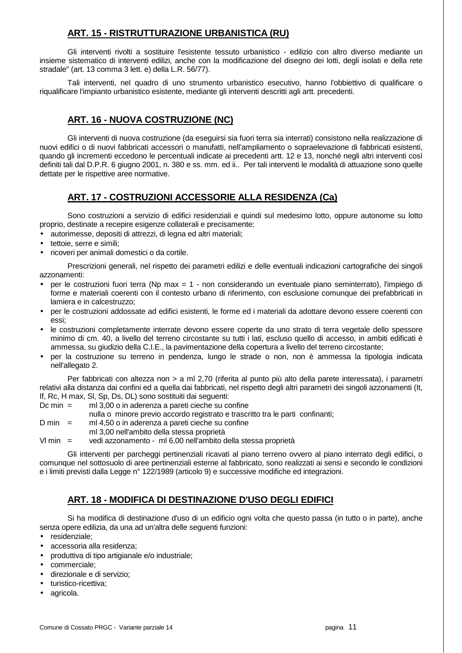## **ART. 15 - RISTRUTTURAZIONE URBANISTICA (RU)**

 Gli interventi rivolti a sostituire l'esistente tessuto urbanistico - edilizio con altro diverso mediante un insieme sistematico di interventi edilizi, anche con la modificazione del disegno dei lotti, degli isolati e della rete stradale" (art. 13 comma 3 lett. e) della L.R. 56/77).

 Tali interventi, nel quadro di uno strumento urbanistico esecutivo, hanno l'obbiettivo di qualificare o riqualificare l'impianto urbanistico esistente, mediante gli interventi descritti agli artt. precedenti.

## **ART. 16 - NUOVA COSTRUZIONE (NC)**

 Gli interventi di nuova costruzione (da eseguirsi sia fuori terra sia interrati) consistono nella realizzazione di nuovi edifici o di nuovi fabbricati accessori o manufatti, nell'ampliamento o sopraelevazione di fabbricati esistenti, quando gli incrementi eccedono le percentuali indicate ai precedenti artt. 12 e 13, nonché negli altri interventi così definiti tali dal D.P.R. 6 giugno 2001, n. 380 e ss. mm. ed ii.. Per tali interventi le modalità di attuazione sono quelle dettate per le rispettive aree normative.

## **ART. 17 - COSTRUZIONI ACCESSORIE ALLA RESIDENZA (Ca)**

 Sono costruzioni a servizio di edifici residenziali e quindi sul medesimo lotto, oppure autonome su lotto proprio, destinate a recepire esigenze collaterali e precisamente:

- autorimesse, depositi di attrezzi, di legna ed altri materiali;
- tettoie, serre e simili;
- ricoveri per animali domestici o da cortile.

 Prescrizioni generali, nel rispetto dei parametri edilizi e delle eventuali indicazioni cartografiche dei singoli azzonamenti:

- per le costruzioni fuori terra (Np max = 1 non considerando un eventuale piano seminterrato), l'impiego di forme e materiali coerenti con il contesto urbano di riferimento, con esclusione comunque dei prefabbricati in lamiera e in calcestruzzo;
- per le costruzioni addossate ad edifici esistenti, le forme ed i materiali da adottare devono essere coerenti con essi;
- le costruzioni completamente interrate devono essere coperte da uno strato di terra vegetale dello spessore minimo di cm. 40, a livello del terreno circostante su tutti i lati, escluso quello di accesso, in ambiti edificati è ammessa, su giudizio della C.I.E., la pavimentazione della copertura a livello del terreno circostante;
- per la costruzione su terreno in pendenza, lungo le strade o non, non è ammessa la tipologia indicata nell'allegato 2.

Per fabbricati con altezza non > a ml 2,70 (riferita al punto più alto della parete interessata), i parametri relativi alla distanza dai confini ed a quella dai fabbricati, nel rispetto degli altri parametri dei singoli azzonamenti (It, If, Rc, H max, Sl, Sp, Ds, DL) sono sostituiti dai seguenti:

Dc min = ml 3,00 o in aderenza a pareti cieche su confine

nulla o minore previo accordo registrato e trascritto tra le parti confinanti;

 $D \text{ min}$  = ml 4,50 o in aderenza a pareti cieche su confine

ml 3,00 nell'ambito della stessa proprietà

Vl min = vedi azzonamento - ml 6,00 nell'ambito della stessa proprietà

 Gli interventi per parcheggi pertinenziali ricavati al piano terreno ovvero al piano interrato degli edifici, o comunque nel sottosuolo di aree pertinenziali esterne al fabbricato, sono realizzati ai sensi e secondo le condizioni e i limiti previsti dalla Legge n° 122/1989 (articolo 9) e successive modifiche ed integrazioni.

## **ART. 18 - MODIFICA DI DESTINAZIONE D'USO DEGLI EDIFICI**

 Si ha modifica di destinazione d'uso di un edificio ogni volta che questo passa (in tutto o in parte), anche senza opere edilizia, da una ad un'altra delle seguenti funzioni:

- residenziale;
- accessoria alla residenza;
- produttiva di tipo artigianale e/o industriale;
- commerciale;
- direzionale e di servizio;
- turistico-ricettiva;
- agricola.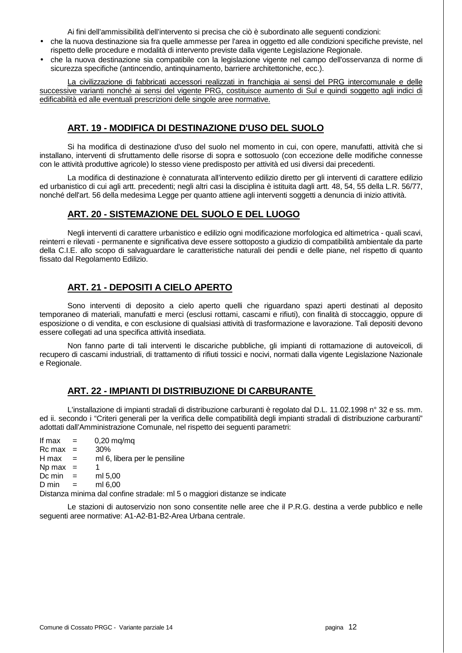Ai fini dell'ammissibilità dell'intervento si precisa che ciò è subordinato alle seguenti condizioni:

- che la nuova destinazione sia fra quelle ammesse per l'area in oggetto ed alle condizioni specifiche previste, nel rispetto delle procedure e modalità di intervento previste dalla vigente Legislazione Regionale.
- che la nuova destinazione sia compatibile con la legislazione vigente nel campo dell'osservanza di norme di sicurezza specifiche (antincendio, antinquinamento, barriere architettoniche, ecc.).

 La civilizzazione di fabbricati accessori realizzati in franchigia ai sensi del PRG intercomunale e delle successive varianti nonché ai sensi del vigente PRG, costituisce aumento di Sul e quindi soggetto agli indici di edificabilità ed alle eventuali prescrizioni delle singole aree normative.

## **ART. 19 - MODIFICA DI DESTINAZIONE D'USO DEL SUOLO**

 Si ha modifica di destinazione d'uso del suolo nel momento in cui, con opere, manufatti, attività che si installano, interventi di sfruttamento delle risorse di sopra e sottosuolo (con eccezione delle modifiche connesse con le attività produttive agricole) lo stesso viene predisposto per attività ed usi diversi dai precedenti.

 La modifica di destinazione è connaturata all'intervento edilizio diretto per gli interventi di carattere edilizio ed urbanistico di cui agli artt. precedenti; negli altri casi la disciplina è istituita dagli artt. 48, 54, 55 della L.R. 56/77, nonché dell'art. 56 della medesima Legge per quanto attiene agli interventi soggetti a denuncia di inizio attività.

## **ART. 20 - SISTEMAZIONE DEL SUOLO E DEL LUOGO**

 Negli interventi di carattere urbanistico e edilizio ogni modificazione morfologica ed altimetrica - quali scavi, reinterri e rilevati - permanente e significativa deve essere sottoposto a giudizio di compatibilità ambientale da parte della C.I.E. allo scopo di salvaguardare le caratteristiche naturali dei pendii e delle piane, nel rispetto di quanto fissato dal Regolamento Edilizio.

## **ART. 21 - DEPOSITI A CIELO APERTO**

 Sono interventi di deposito a cielo aperto quelli che riguardano spazi aperti destinati al deposito temporaneo di materiali, manufatti e merci (esclusi rottami, cascami e rifiuti), con finalità di stoccaggio, oppure di esposizione o di vendita, e con esclusione di qualsiasi attività di trasformazione e lavorazione. Tali depositi devono essere collegati ad una specifica attività insediata.

 Non fanno parte di tali interventi le discariche pubbliche, gli impianti di rottamazione di autoveicoli, di recupero di cascami industriali, di trattamento di rifiuti tossici e nocivi, normati dalla vigente Legislazione Nazionale e Regionale.

## **ART. 22 - IMPIANTI DI DISTRIBUZIONE DI CARBURANTE**

 L'installazione di impianti stradali di distribuzione carburanti è regolato dal D.L. 11.02.1998 n° 32 e ss. mm. ed ii. secondo i "Criteri generali per la verifica delle compatibilità degli impianti stradali di distribuzione carburanti" adottati dall'Amministrazione Comunale, nel rispetto dei seguenti parametri:

If max  $=$  0,20 mg/mg  $Rc$  max = 30%  $H$  max  $=$  ml 6, libera per le pensiline Np  $max = 1$ Dc min  $=$  ml 5.00  $D \text{ min}$  =  $m16.00$ 

Distanza minima dal confine stradale: ml 5 o maggiori distanze se indicate

 Le stazioni di autoservizio non sono consentite nelle aree che il P.R.G. destina a verde pubblico e nelle seguenti aree normative: A1-A2-B1-B2-Area Urbana centrale.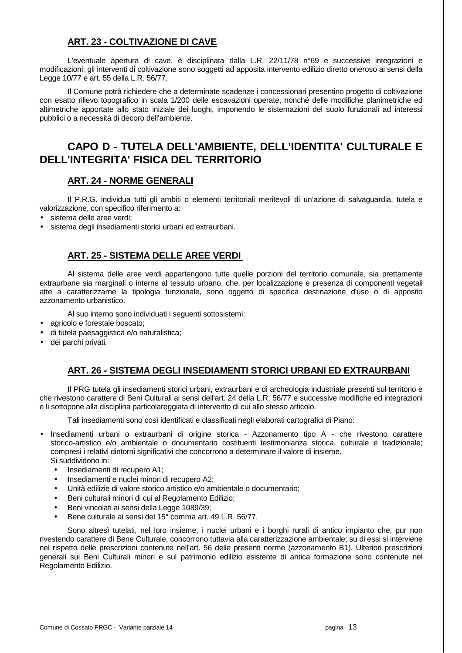## **ART. 23 - COLTIVAZIONE DI CAVE**

 L'eventuale apertura di cave, è disciplinata dalla L.R. 22/11/78 n°69 e successive integrazioni e modificazioni; gli interventi di coltivazione sono soggetti ad apposita intervento edilizio diretto oneroso ai sensi della Legge 10/77 e art. 55 della L.R. 56/77.

 Il Comune potrà richiedere che a determinate scadenze i concessionari presentino progetto di coltivazione con esatto rilievo topografico in scala 1/200 delle escavazioni operate, nonché delle modifiche planimetriche ed altimetriche apportate allo stato iniziale dei luoghi, imponendo le sistemazioni del suolo funzionali ad interessi pubblici o a necessità di decoro dell'ambiente.

## **CAPO D - TUTELA DELL'AMBIENTE, DELL'IDENTITA' CULTURALE E DELL'INTEGRITA' FISICA DEL TERRITORIO**

## **ART. 24 - NORME GENERALI**

 Il P.R.G. individua tutti gli ambiti o elementi territoriali meritevoli di un'azione di salvaguardia, tutela e valorizzazione, con specifico riferimento a:

- sistema delle aree verdi;
- sistema degli insediamenti storici urbani ed extraurbani.

## **ART. 25 - SISTEMA DELLE AREE VERDI**

 Al sistema delle aree verdi appartengono tutte quelle porzioni del territorio comunale, sia prettamente extraurbane sia marginali o interne al tessuto urbano, che, per localizzazione e presenza di componenti vegetali atte a caratterizzarne la tipologia funzionale, sono oggetto di specifica destinazione d'uso o di apposito azzonamento urbanistico.

Al suo interno sono individuati i seguenti sottosistemi:

- agricolo e forestale boscato;
- di tutela paesaggistica e/o naturalistica;
- dei parchi privati.

## **ART. 26 - SISTEMA DEGLI INSEDIAMENTI STORICI URBANI ED EXTRAURBANI**

 Il PRG tutela gli insediamenti storici urbani, extraurbani e di archeologia industriale presenti sul territorio e che rivestono carattere di Beni Culturali ai sensi dell'art. 24 della L.R. 56/77 e successive modifiche ed integrazioni e li sottopone alla disciplina particolareggiata di intervento di cui allo stesso articolo.

Tali insediamenti sono così identificati e classificati negli elaborati cartografici di Piano:

- Insediamenti urbani o extraurbani di origine storica Azzonamento tipo A che rivestono carattere storico-artistico e/o ambientale o documentario costituenti testimonianza storica, culturale e tradizionale; compresi i relativi dintorni significativi che concorrono a determinare il valore di insieme. Si suddividono in:
	- Insediamenti di recupero A1;
	- Insediamenti e nuclei minori di recupero A2;
	- Unità edilizie di valore storico artistico e/o ambientale o documentario;
	- Beni culturali minori di cui al Regolamento Edilizio;
	- Beni vincolati ai sensi della Legge 1089/39;
	- Bene culturale ai sensi del 15° comma art. 49 L.R. 56/77.

 Sono altresì tutelati, nel loro insieme, i nuclei urbani e i borghi rurali di antico impianto che, pur non rivestendo carattere di Bene Culturale, concorrono tuttavia alla caratterizzazione ambientale; su di essi si interviene nel rispetto delle prescrizioni contenute nell'art. 56 delle presenti norme (azzonamento B1). Ulteriori prescrizioni generali sui Beni Culturali minori e sul patrimonio edilizio esistente di antica formazione sono contenute nel Regolamento Edilizio.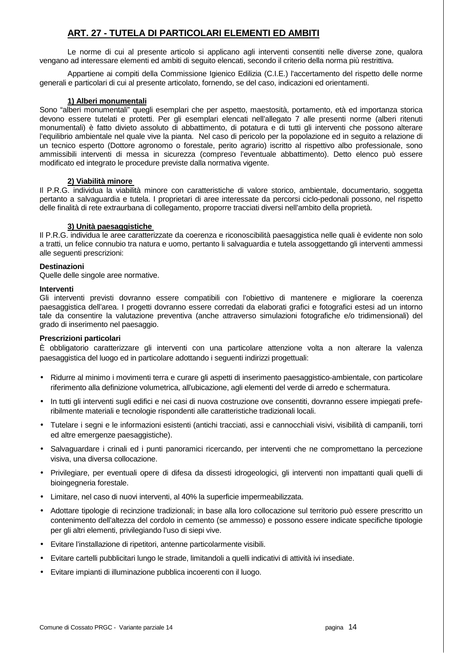## **ART. 27 - TUTELA DI PARTICOLARI ELEMENTI ED AMBITI**

 Le norme di cui al presente articolo si applicano agli interventi consentiti nelle diverse zone, qualora vengano ad interessare elementi ed ambiti di seguito elencati, secondo il criterio della norma più restrittiva.

 Appartiene ai compiti della Commissione Igienico Edilizia (C.I.E.) l'accertamento del rispetto delle norme generali e particolari di cui al presente articolato, fornendo, se del caso, indicazioni ed orientamenti.

### **1) Alberi monumentali**

Sono "alberi monumentali" quegli esemplari che per aspetto, maestosità, portamento, età ed importanza storica devono essere tutelati e protetti. Per gli esemplari elencati nell'allegato 7 alle presenti norme (alberi ritenuti monumentali) è fatto divieto assoluto di abbattimento, di potatura e di tutti gli interventi che possono alterare l'equilibrio ambientale nel quale vive la pianta. Nel caso di pericolo per la popolazione ed in seguito a relazione di un tecnico esperto (Dottore agronomo o forestale, perito agrario) iscritto al rispettivo albo professionale, sono ammissibili interventi di messa in sicurezza (compreso l'eventuale abbattimento). Detto elenco può essere modificato ed integrato le procedure previste dalla normativa vigente.

#### **2) Viabilità minore**

Il P.R.G. individua la viabilità minore con caratteristiche di valore storico, ambientale, documentario, soggetta pertanto a salvaguardia e tutela. I proprietari di aree interessate da percorsi ciclo-pedonali possono, nel rispetto delle finalità di rete extraurbana di collegamento, proporre tracciati diversi nell'ambito della proprietà.

#### **3) Unità paesaggistiche**

Il P.R.G. individua le aree caratterizzate da coerenza e riconoscibilità paesaggistica nelle quali è evidente non solo a tratti, un felice connubio tra natura e uomo, pertanto li salvaguardia e tutela assoggettando gli interventi ammessi alle seguenti prescrizioni:

#### **Destinazioni**

Quelle delle singole aree normative.

#### **Interventi**

Gli interventi previsti dovranno essere compatibili con l'obiettivo di mantenere e migliorare la coerenza paesaggistica dell'area. I progetti dovranno essere corredati da elaborati grafici e fotografici estesi ad un intorno tale da consentire la valutazione preventiva (anche attraverso simulazioni fotografiche e/o tridimensionali) del grado di inserimento nel paesaggio.

#### **Prescrizioni particolari**

È obbligatorio caratterizzare gli interventi con una particolare attenzione volta a non alterare la valenza paesaggistica del luogo ed in particolare adottando i seguenti indirizzi progettuali:

- Ridurre al minimo i movimenti terra e curare gli aspetti di inserimento paesaggistico-ambientale, con particolare riferimento alla definizione volumetrica, all'ubicazione, agli elementi del verde di arredo e schermatura.
- In tutti gli interventi sugli edifici e nei casi di nuova costruzione ove consentiti, dovranno essere impiegati preferibilmente materiali e tecnologie rispondenti alle caratteristiche tradizionali locali.
- Tutelare i segni e le informazioni esistenti (antichi tracciati, assi e cannocchiali visivi, visibilità di campanili, torri ed altre emergenze paesaggistiche).
- Salvaguardare i crinali ed i punti panoramici ricercando, per interventi che ne compromettano la percezione visiva, una diversa collocazione.
- Privilegiare, per eventuali opere di difesa da dissesti idrogeologici, gli interventi non impattanti quali quelli di bioingegneria forestale.
- Limitare, nel caso di nuovi interventi, al 40% la superficie impermeabilizzata.
- Adottare tipologie di recinzione tradizionali; in base alla loro collocazione sul territorio può essere prescritto un contenimento dell'altezza del cordolo in cemento (se ammesso) e possono essere indicate specifiche tipologie per gli altri elementi, privilegiando l'uso di siepi vive.
- Evitare l'installazione di ripetitori, antenne particolarmente visibili.
- Evitare cartelli pubblicitari lungo le strade, limitandoli a quelli indicativi di attività ivi insediate.
- Evitare impianti di illuminazione pubblica incoerenti con il luogo.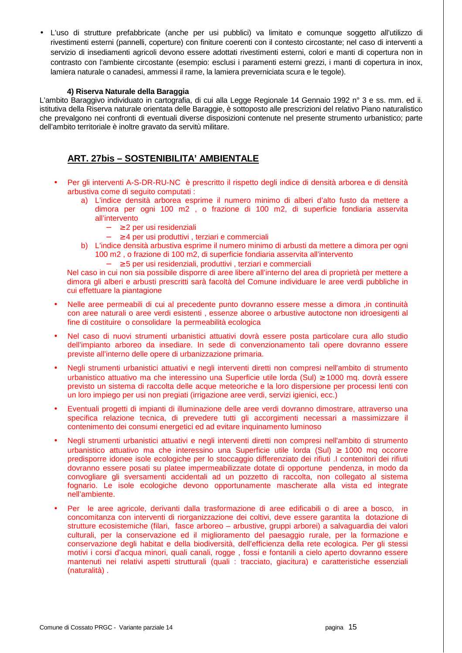• L'uso di strutture prefabbricate (anche per usi pubblici) va limitato e comunque soggetto all'utilizzo di rivestimenti esterni (pannelli, coperture) con finiture coerenti con il contesto circostante; nel caso di interventi a servizio di insediamenti agricoli devono essere adottati rivestimenti esterni, colori e manti di copertura non in contrasto con l'ambiente circostante (esempio: esclusi i paramenti esterni grezzi, i manti di copertura in inox, lamiera naturale o canadesi, ammessi il rame, la lamiera preverniciata scura e le tegole).

#### **4) Riserva Naturale della Baraggia**

L'ambito Baraggivo individuato in cartografia, di cui alla Legge Regionale 14 Gennaio 1992 n° 3 e ss. mm. ed ii. istitutiva della Riserva naturale orientata delle Baraggie, è sottoposto alle prescrizioni del relativo Piano naturalistico che prevalgono nei confronti di eventuali diverse disposizioni contenute nel presente strumento urbanistico; parte dell'ambito territoriale è inoltre gravato da servitù militare.

## **ART. 27bis – SOSTENIBILITA' AMBIENTALE**

- Per gli interventi A-S-DR-RU-NC è prescritto il rispetto degli indice di densità arborea e di densità arbustiva come di seguito computati :
	- a) L'indice densità arborea esprime il numero minimo di alberi d'alto fusto da mettere a dimora per ogni 100 m2 , o frazione di 100 m2, di superficie fondiaria asservita all'intervento
		- − ≥ 2 per usi residenziali
		- − ≥ 4 per usi produttivi , terziari e commerciali
	- b) L'indice densità arbustiva esprime il numero minimo di arbusti da mettere a dimora per ogni 100 m2 , o frazione di 100 m2, di superficie fondiaria asservita all'intervento
		- − ≥ 5 per usi residenziali, produttivi , terziari e commerciali

Nel caso in cui non sia possibile disporre di aree libere all'interno del area di proprietà per mettere a dimora gli alberi e arbusti prescritti sarà facoltà del Comune individuare le aree verdi pubbliche in cui effettuare la piantagione

- Nelle aree permeabili di cui al precedente punto dovranno essere messe a dimora ,in continuità con aree naturali o aree verdi esistenti , essenze aboree o arbustive autoctone non idroesigenti al fine di costituire o consolidare la permeabilità ecologica
- Nel caso di nuovi strumenti urbanistici attuativi dovrà essere posta particolare cura allo studio dell'impianto arboreo da insediare. In sede di convenzionamento tali opere dovranno essere previste all'interno delle opere di urbanizzazione primaria.
- Negli strumenti urbanistici attuativi e negli interventi diretti non compresi nell'ambito di strumento urbanistico attuativo ma che interessino una Superficie utile lorda (Sul) ≥ 1000 mq. dovrà essere previsto un sistema di raccolta delle acque meteoriche e la loro dispersione per processi lenti con un loro impiego per usi non pregiati (irrigazione aree verdi, servizi igienici, ecc.)
- Eventuali progetti di impianti di illuminazione delle aree verdi dovranno dimostrare, attraverso una specifica relazione tecnica, di prevedere tutti gli accorgimenti necessari a massimizzare il contenimento dei consumi energetici ed ad evitare inquinamento luminoso
- Negli strumenti urbanistici attuativi e negli interventi diretti non compresi nell'ambito di strumento urbanistico attuativo ma che interessino una Superficie utile lorda (Sul) ≥ 1000 mq occorre predisporre idonee isole ecologiche per lo stoccaggio differenziato dei rifiuti .I contenitori dei rifiuti dovranno essere posati su platee impermeabilizzate dotate di opportune pendenza, in modo da convogliare gli sversamenti accidentali ad un pozzetto di raccolta, non collegato al sistema fognario. Le isole ecologiche devono opportunamente mascherate alla vista ed integrate nell'ambiente.
- Per le aree agricole, derivanti dalla trasformazione di aree edificabili o di aree a bosco, in concomitanza con interventi di riorganizzazione dei coltivi, deve essere garantita la dotazione di strutture ecosistemiche (filari, fasce arboreo – arbustive, gruppi arborei) a salvaguardia dei valori culturali, per la conservazione ed il miglioramento del paesaggio rurale, per la formazione e conservazione degli habitat e della biodiversità, dell'efficienza della rete ecologica. Per gli stessi motivi i corsi d'acqua minori, quali canali, rogge , fossi e fontanili a cielo aperto dovranno essere mantenuti nei relativi aspetti strutturali (quali : tracciato, giacitura) e caratteristiche essenziali (naturalità) .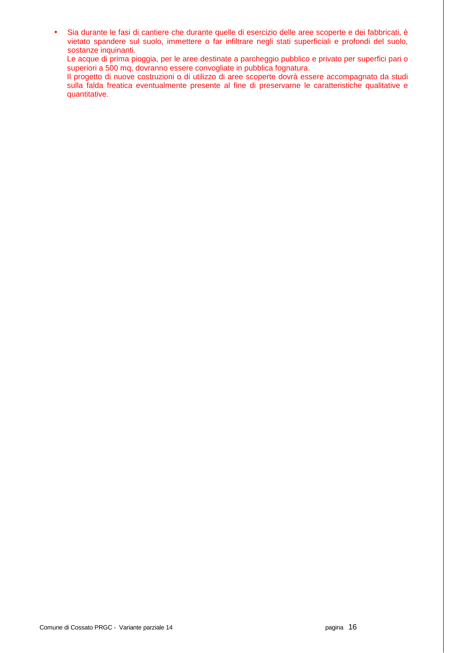• Sia durante le fasi di cantiere che durante quelle di esercizio delle aree scoperte e dei fabbricati, è vietato spandere sul suolo, immettere o far infiltrare negli stati superficiali e profondi del suolo, sostanze inquinanti.

Le acque di prima pioggia, per le aree destinate a parcheggio pubblico e privato per superfici pari o superiori a 500 mq, dovranno essere convogliate in pubblica fognatura.

Il progetto di nuove costruzioni o di utilizzo di aree scoperte dovrà essere accompagnato da studi sulla falda freatica eventualmente presente al fine di preservarne le caratteristiche qualitative e quantitative.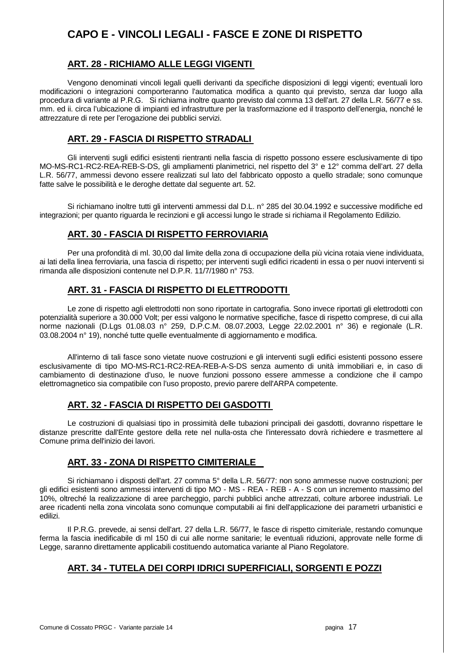## **CAPO E - VINCOLI LEGALI - FASCE E ZONE DI RISPETTO**

## **ART. 28 - RICHIAMO ALLE LEGGI VIGENTI**

 Vengono denominati vincoli legali quelli derivanti da specifiche disposizioni di leggi vigenti; eventuali loro modificazioni o integrazioni comporteranno l'automatica modifica a quanto qui previsto, senza dar luogo alla procedura di variante al P.R.G. Si richiama inoltre quanto previsto dal comma 13 dell'art. 27 della L.R. 56/77 e ss. mm. ed ii. circa l'ubicazione di impianti ed infrastrutture per la trasformazione ed il trasporto dell'energia, nonché le attrezzature di rete per l'erogazione dei pubblici servizi.

## **ART. 29 - FASCIA DI RISPETTO STRADALI**

 Gli interventi sugli edifici esistenti rientranti nella fascia di rispetto possono essere esclusivamente di tipo MO-MS-RC1-RC2-REA-REB-S-DS, gli ampliamenti planimetrici, nel rispetto del 3° e 12° comma dell'art. 27 della L.R. 56/77, ammessi devono essere realizzati sul lato del fabbricato opposto a quello stradale; sono comunque fatte salve le possibilità e le deroghe dettate dal seguente art. 52.

 Si richiamano inoltre tutti gli interventi ammessi dal D.L. n° 285 del 30.04.1992 e successive modifiche ed integrazioni; per quanto riguarda le recinzioni e gli accessi lungo le strade si richiama il Regolamento Edilizio.

## **ART. 30 - FASCIA DI RISPETTO FERROVIARIA**

 Per una profondità di ml. 30,00 dal limite della zona di occupazione della più vicina rotaia viene individuata, ai lati della linea ferroviaria, una fascia di rispetto; per interventi sugli edifici ricadenti in essa o per nuovi interventi si rimanda alle disposizioni contenute nel D.P.R. 11/7/1980 n° 753.

## **ART. 31 - FASCIA DI RISPETTO DI ELETTRODOTTI**

 Le zone di rispetto agli elettrodotti non sono riportate in cartografia. Sono invece riportati gli elettrodotti con potenzialità superiore a 30.000 Volt; per essi valgono le normative specifiche, fasce di rispetto comprese, di cui alla norme nazionali (D.Lgs 01.08.03 n° 259, D.P.C.M. 08.07.2003, Legge 22.02.2001 n° 36) e regionale (L.R. 03.08.2004 n° 19), nonché tutte quelle eventualmente di aggiornamento e modifica.

 All'interno di tali fasce sono vietate nuove costruzioni e gli interventi sugli edifici esistenti possono essere esclusivamente di tipo MO-MS-RC1-RC2-REA-REB-A-S-DS senza aumento di unità immobiliari e, in caso di cambiamento di destinazione d'uso, le nuove funzioni possono essere ammesse a condizione che il campo elettromagnetico sia compatibile con l'uso proposto, previo parere dell'ARPA competente.

## **ART. 32 - FASCIA DI RISPETTO DEI GASDOTTI**

 Le costruzioni di qualsiasi tipo in prossimità delle tubazioni principali dei gasdotti, dovranno rispettare le distanze prescritte dall'Ente gestore della rete nel nulla-osta che l'interessato dovrà richiedere e trasmettere al Comune prima dell'inizio dei lavori.

## **ART. 33 - ZONA DI RISPETTO CIMITERIALE**

 Si richiamano i disposti dell'art. 27 comma 5° della L.R. 56/77: non sono ammesse nuove costruzioni; per gli edifici esistenti sono ammessi interventi di tipo MO - MS - REA - REB - A - S con un incremento massimo del 10%, oltreché la realizzazione di aree parcheggio, parchi pubblici anche attrezzati, colture arboree industriali. Le aree ricadenti nella zona vincolata sono comunque computabili ai fini dell'applicazione dei parametri urbanistici e edilizi.

 Il P.R.G. prevede, ai sensi dell'art. 27 della L.R. 56/77, le fasce di rispetto cimiteriale, restando comunque ferma la fascia inedificabile di ml 150 di cui alle norme sanitarie; le eventuali riduzioni, approvate nelle forme di Legge, saranno direttamente applicabili costituendo automatica variante al Piano Regolatore.

## **ART. 34 - TUTELA DEI CORPI IDRICI SUPERFICIALI, SORGENTI E POZZI**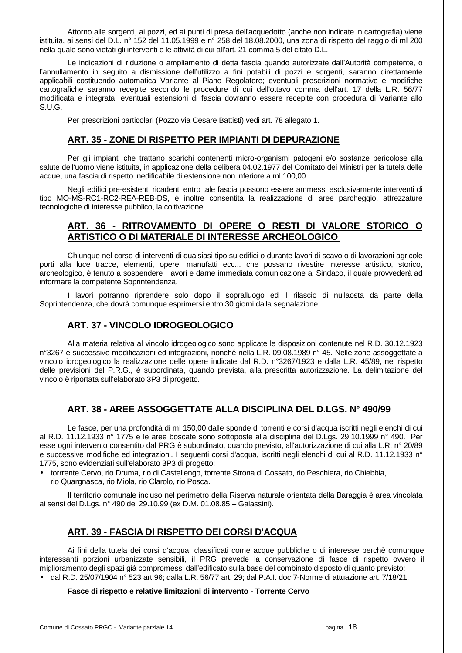Attorno alle sorgenti, ai pozzi, ed ai punti di presa dell'acquedotto (anche non indicate in cartografia) viene istituita, ai sensi del D.L. n° 152 del 11.05.1999 e n° 258 del 18.08.2000, una zona di rispetto del raggio di ml 200 nella quale sono vietati gli interventi e le attività di cui all'art. 21 comma 5 del citato D.L.

 Le indicazioni di riduzione o ampliamento di detta fascia quando autorizzate dall'Autorità competente, o l'annullamento in seguito a dismissione dell'utilizzo a fini potabili di pozzi e sorgenti, saranno direttamente applicabili costituendo automatica Variante al Piano Regolatore; eventuali prescrizioni normative e modifiche cartografiche saranno recepite secondo le procedure di cui dell'ottavo comma dell'art. 17 della L.R. 56/77 modificata e integrata; eventuali estensioni di fascia dovranno essere recepite con procedura di Variante allo S.U.G.

Per prescrizioni particolari (Pozzo via Cesare Battisti) vedi art. 78 allegato 1.

## **ART. 35 - ZONE DI RISPETTO PER IMPIANTI DI DEPURAZIONE**

 Per gli impianti che trattano scarichi contenenti micro-organismi patogeni e/o sostanze pericolose alla salute dell'uomo viene istituita, in applicazione della delibera 04.02.1977 del Comitato dei Ministri per la tutela delle acque, una fascia di rispetto inedificabile di estensione non inferiore a ml 100,00.

 Negli edifici pre-esistenti ricadenti entro tale fascia possono essere ammessi esclusivamente interventi di tipo MO-MS-RC1-RC2-REA-REB-DS, è inoltre consentita la realizzazione di aree parcheggio, attrezzature tecnologiche di interesse pubblico, la coltivazione.

## **ART. 36 - RITROVAMENTO DI OPERE O RESTI DI VALORE STORICO O ARTISTICO O DI MATERIALE DI INTERESSE ARCHEOLOGICO**

 Chiunque nel corso di interventi di qualsiasi tipo su edifici o durante lavori di scavo o di lavorazioni agricole porti alla luce tracce, elementi, opere, manufatti ecc... che possano rivestire interesse artistico, storico, archeologico, è tenuto a sospendere i lavori e darne immediata comunicazione al Sindaco, il quale provvederà ad informare la competente Soprintendenza.

 I lavori potranno riprendere solo dopo il sopralluogo ed il rilascio di nullaosta da parte della Soprintendenza, che dovrà comunque esprimersi entro 30 giorni dalla segnalazione.

## **ART. 37 - VINCOLO IDROGEOLOGICO**

 Alla materia relativa al vincolo idrogeologico sono applicate le disposizioni contenute nel R.D. 30.12.1923 n°3267 e successive modificazioni ed integrazioni, nonché nella L.R. 09.08.1989 n° 45. Nelle zone assoggettate a vincolo idrogeologico la realizzazione delle opere indicate dal R.D. n°3267/1923 e dalla L.R. 45/89, nel rispetto delle previsioni del P.R.G., è subordinata, quando prevista, alla prescritta autorizzazione. La delimitazione del vincolo è riportata sull'elaborato 3P3 di progetto.

## **ART. 38 - AREE ASSOGGETTATE ALLA DISCIPLINA DEL D.LGS. N° 490/99**

 Le fasce, per una profondità di ml 150,00 dalle sponde di torrenti e corsi d'acqua iscritti negli elenchi di cui al R.D. 11.12.1933 n° 1775 e le aree boscate sono sottoposte alla disciplina del D.Lgs. 29.10.1999 n° 490. Per esse ogni intervento consentito dal PRG è subordinato, quando previsto, all'autorizzazione di cui alla L.R. n° 20/89 e successive modifiche ed integrazioni. I seguenti corsi d'acqua, iscritti negli elenchi di cui al R.D. 11.12.1933 n° 1775, sono evidenziati sull'elaborato 3P3 di progetto:

• torrrente Cervo, rio Druma, rio di Castellengo, torrente Strona di Cossato, rio Peschiera, rio Chiebbia, rio Quargnasca, rio Miola, rio Clarolo, rio Posca.

 Il territorio comunale incluso nel perimetro della Riserva naturale orientata della Baraggia è area vincolata ai sensi del D.Lgs. n° 490 del 29.10.99 (ex D.M. 01.08.85 – Galassini).

## **ART. 39 - FASCIA DI RISPETTO DEI CORSI D'ACQUA**

 Ai fini della tutela dei corsi d'acqua, classificati come acque pubbliche o di interesse perchè comunque interessanti porzioni urbanizzate sensibili, il PRG prevede la conservazione di fasce di rispetto ovvero il miglioramento degli spazi già compromessi dall'edificato sulla base del combinato disposto di quanto previsto: • dal R.D. 25/07/1904 n° 523 art.96; dalla L.R. 56/77 art. 29; dal P.A.I. doc.7-Norme di attuazione art. 7/18/21.

#### **Fasce di rispetto e relative limitazioni di intervento - Torrente Cervo**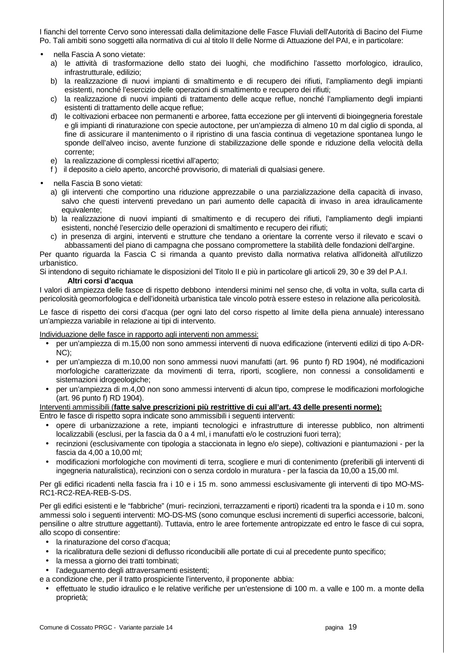I fianchi del torrente Cervo sono interessati dalla delimitazione delle Fasce Fluviali dell'Autorità di Bacino del Fiume Po. Tali ambiti sono soggetti alla normativa di cui al titolo II delle Norme di Attuazione del PAI, e in particolare:

- nella Fascia A sono vietate:
	- a) le attività di trasformazione dello stato dei luoghi, che modifichino l'assetto morfologico, idraulico, infrastrutturale, edilizio;
	- b) la realizzazione di nuovi impianti di smaltimento e di recupero dei rifiuti, l'ampliamento degli impianti esistenti, nonché l'esercizio delle operazioni di smaltimento e recupero dei rifiuti;
	- c) la realizzazione di nuovi impianti di trattamento delle acque reflue, nonché l'ampliamento degli impianti esistenti di trattamento delle acque reflue;
	- d) le coltivazioni erbacee non permanenti e arboree, fatta eccezione per gli interventi di bioingegneria forestale e gli impianti di rinaturazione con specie autoctone, per un'ampiezza di almeno 10 m dal ciglio di sponda, al fine di assicurare il mantenimento o il ripristino di una fascia continua di vegetazione spontanea lungo le sponde dell'alveo inciso, avente funzione di stabilizzazione delle sponde e riduzione della velocità della corrente;
	- e) la realizzazione di complessi ricettivi all'aperto;
	- f ) il deposito a cielo aperto, ancorché provvisorio, di materiali di qualsiasi genere.
- nella Fascia B sono vietati:
	- a) gli interventi che comportino una riduzione apprezzabile o una parzializzazione della capacità di invaso, salvo che questi interventi prevedano un pari aumento delle capacità di invaso in area idraulicamente equivalente;
	- b) la realizzazione di nuovi impianti di smaltimento e di recupero dei rifiuti, l'ampliamento degli impianti esistenti, nonché l'esercizio delle operazioni di smaltimento e recupero dei rifiuti;
	- c) in presenza di argini, interventi e strutture che tendano a orientare la corrente verso il rilevato e scavi o abbassamenti del piano di campagna che possano compromettere la stabilità delle fondazioni dell'argine.

Per quanto riguarda la Fascia C si rimanda a quanto previsto dalla normativa relativa all'idoneità all'utilizzo urbanistico.

Si intendono di seguito richiamate le disposizioni del Titolo II e più in particolare gli articoli 29, 30 e 39 del P.A.I.

#### **Altri corsi d'acqua**

I valori di ampiezza delle fasce di rispetto debbono intendersi minimi nel senso che, di volta in volta, sulla carta di pericolosità geomorfologica e dell'idoneità urbanistica tale vincolo potrà essere esteso in relazione alla pericolosità.

Le fasce di rispetto dei corsi d'acqua (per ogni lato del corso rispetto al limite della piena annuale) interessano un'ampiezza variabile in relazione ai tipi di intervento.

Individuazione delle fasce in rapporto agli interventi non ammessi:

- per un'ampiezza di m.15,00 non sono ammessi interventi di nuova edificazione (interventi edilizi di tipo A-DR-NC);
- per un'ampiezza di m.10,00 non sono ammessi nuovi manufatti (art. 96 punto f) RD 1904), né modificazioni morfologiche caratterizzate da movimenti di terra, riporti, scogliere, non connessi a consolidamenti e sistemazioni idrogeologiche;
- per un'ampiezza di m.4,00 non sono ammessi interventi di alcun tipo, comprese le modificazioni morfologiche (art. 96 punto f) RD 1904).

#### Interventi ammissibili (**fatte salve prescrizioni più restrittive di cui all'art. 43 delle presenti norme):** Entro le fasce di rispetto sopra indicate sono ammissibili i seguenti interventi:

- opere di urbanizzazione a rete, impianti tecnologici e infrastrutture di interesse pubblico, non altrimenti localizzabili (esclusi, per la fascia da 0 a 4 ml, i manufatti e/o le costruzioni fuori terra);
- recinzioni (esclusivamente con tipologia a staccionata in legno e/o siepe), coltivazioni e piantumazioni per la fascia da 4,00 a 10,00 ml;
- modificazioni morfologiche con movimenti di terra, scogliere e muri di contenimento (preferibili gli interventi di ingegneria naturalistica), recinzioni con o senza cordolo in muratura - per la fascia da 10,00 a 15,00 ml.

Per gli edifici ricadenti nella fascia fra i 10 e i 15 m. sono ammessi esclusivamente gli interventi di tipo MO-MS-RC1-RC2-REA-REB-S-DS.

Per gli edifici esistenti e le "fabbriche" (muri- recinzioni, terrazzamenti e riporti) ricadenti tra la sponda e i 10 m. sono ammessi solo i seguenti interventi: MO-DS-MS (sono comunque esclusi incrementi di superfici accessorie, balconi, pensiline o altre strutture aggettanti). Tuttavia, entro le aree fortemente antropizzate ed entro le fasce di cui sopra, allo scopo di consentire:

- la rinaturazione del corso d'acqua;
- la ricalibratura delle sezioni di deflusso riconducibili alle portate di cui al precedente punto specifico;
- la messa a giorno dei tratti tombinati;
- l'adeguamento degli attraversamenti esistenti;

e a condizione che, per il tratto prospiciente l'intervento, il proponente abbia:

• effettuato le studio idraulico e le relative verifiche per un'estensione di 100 m. a valle e 100 m. a monte della proprietà;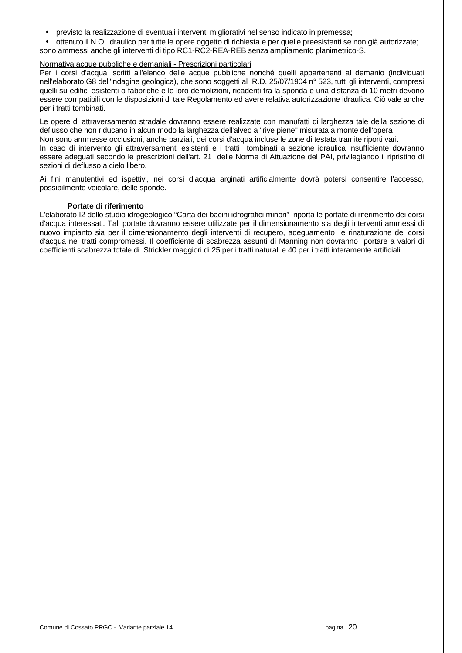- previsto la realizzazione di eventuali interventi migliorativi nel senso indicato in premessa;
- ottenuto il N.O. idraulico per tutte le opere oggetto di richiesta e per quelle preesistenti se non già autorizzate;
- sono ammessi anche gli interventi di tipo RC1-RC2-REA-REB senza ampliamento planimetrico-S.

#### Normativa acque pubbliche e demaniali - Prescrizioni particolari

Per i corsi d'acqua iscritti all'elenco delle acque pubbliche nonché quelli appartenenti al demanio (individuati nell'elaborato G8 dell'indagine geologica), che sono soggetti al R.D. 25/07/1904 n° 523, tutti gli interventi, compresi quelli su edifici esistenti o fabbriche e le loro demolizioni, ricadenti tra la sponda e una distanza di 10 metri devono essere compatibili con le disposizioni di tale Regolamento ed avere relativa autorizzazione idraulica. Ciò vale anche per i tratti tombinati.

Le opere di attraversamento stradale dovranno essere realizzate con manufatti di larghezza tale della sezione di deflusso che non riducano in alcun modo la larghezza dell'alveo a "rive piene" misurata a monte dell'opera Non sono ammesse occlusioni, anche parziali, dei corsi d'acqua incluse le zone di testata tramite riporti vari. In caso di intervento gli attraversamenti esistenti e i tratti tombinati a sezione idraulica insufficiente dovranno essere adeguati secondo le prescrizioni dell'art. 21 delle Norme di Attuazione del PAI, privilegiando il ripristino di sezioni di deflusso a cielo libero.

Ai fini manutentivi ed ispettivi, nei corsi d'acqua arginati artificialmente dovrà potersi consentire l'accesso, possibilmente veicolare, delle sponde.

#### **Portate di riferimento**

L'elaborato I2 dello studio idrogeologico "Carta dei bacini idrografici minori" riporta le portate di riferimento dei corsi d'acqua interessati. Tali portate dovranno essere utilizzate per il dimensionamento sia degli interventi ammessi di nuovo impianto sia per il dimensionamento degli interventi di recupero, adeguamento e rinaturazione dei corsi d'acqua nei tratti compromessi. Il coefficiente di scabrezza assunti di Manning non dovranno portare a valori di coefficienti scabrezza totale di Strickler maggiori di 25 per i tratti naturali e 40 per i tratti interamente artificiali.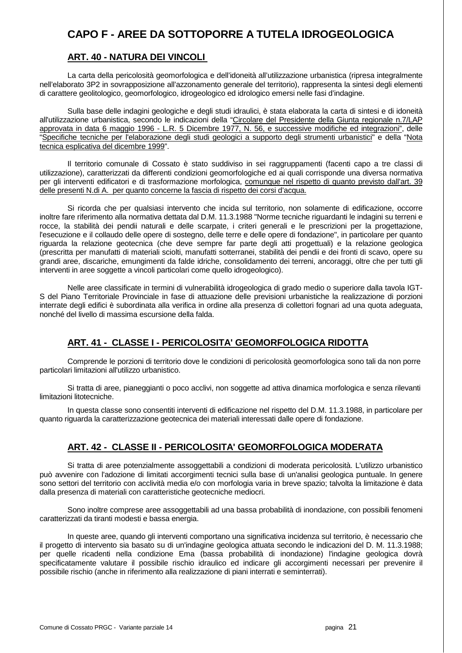## **CAPO F - AREE DA SOTTOPORRE A TUTELA IDROGEOLOGICA**

## **ART. 40 - NATURA DEI VINCOLI**

 La carta della pericolosità geomorfologica e dell'idoneità all'utilizzazione urbanistica (ripresa integralmente nell'elaborato 3P2 in sovrapposizione all'azzonamento generale del territorio), rappresenta la sintesi degli elementi di carattere geolitologico, geomorfologico, idrogeologico ed idrologico emersi nelle fasi d'indagine.

 Sulla base delle indagini geologiche e degli studi idraulici, è stata elaborata la carta di sintesi e di idoneità all'utilizzazione urbanistica, secondo le indicazioni della "Circolare del Presidente della Giunta regionale n.7/LAP approvata in data 6 maggio 1996 - L.R. 5 Dicembre 1977, N. 56, e successive modifiche ed integrazioni", delle "Specifiche tecniche per l'elaborazione degli studi geologici a supporto degli strumenti urbanistici" e della "Nota tecnica esplicativa del dicembre 1999".

 Il territorio comunale di Cossato è stato suddiviso in sei raggruppamenti (facenti capo a tre classi di utilizzazione), caratterizzati da differenti condizioni geomorfologiche ed ai quali corrisponde una diversa normativa per gli interventi edificatori e di trasformazione morfologica, comunque nel rispetto di quanto previsto dall'art. 39 delle presenti N.di A. per quanto concerne la fascia di rispetto dei corsi d'acqua.

 Si ricorda che per qualsiasi intervento che incida sul territorio, non solamente di edificazione, occorre inoltre fare riferimento alla normativa dettata dal D.M. 11.3.1988 "Norme tecniche riguardanti le indagini su terreni e rocce, la stabilità dei pendii naturali e delle scarpate, i criteri generali e le prescrizioni per la progettazione, l'esecuzione e il collaudo delle opere di sostegno, delle terre e delle opere di fondazione", in particolare per quanto riguarda la relazione geotecnica (che deve sempre far parte degli atti progettuali) e la relazione geologica (prescritta per manufatti di materiali sciolti, manufatti sotterranei, stabilità dei pendii e dei fronti di scavo, opere su grandi aree, discariche, emungimenti da falde idriche, consolidamento dei terreni, ancoraggi, oltre che per tutti gli interventi in aree soggette a vincoli particolari come quello idrogeologico).

 Nelle aree classificate in termini di vulnerabilità idrogeologica di grado medio o superiore dalla tavola IGT-S del Piano Territoriale Provinciale in fase di attuazione delle previsioni urbanistiche la realizzazione di porzioni interrate degli edifici è subordinata alla verifica in ordine alla presenza di collettori fognari ad una quota adeguata, nonché del livello di massima escursione della falda.

## **ART. 41 - CLASSE I - PERICOLOSITA' GEOMORFOLOGICA RIDOTTA**

 Comprende le porzioni di territorio dove le condizioni di pericolosità geomorfologica sono tali da non porre particolari limitazioni all'utilizzo urbanistico.

 Si tratta di aree, pianeggianti o poco acclivi, non soggette ad attiva dinamica morfologica e senza rilevanti limitazioni litotecniche.

 In questa classe sono consentiti interventi di edificazione nel rispetto del D.M. 11.3.1988, in particolare per quanto riguarda la caratterizzazione geotecnica dei materiali interessati dalle opere di fondazione.

## **ART. 42 - CLASSE II - PERICOLOSITA' GEOMORFOLOGICA MODERATA**

 Si tratta di aree potenzialmente assoggettabili a condizioni di moderata pericolosità. L'utilizzo urbanistico può avvenire con l'adozione di limitati accorgimenti tecnici sulla base di un'analisi geologica puntuale. In genere sono settori del territorio con acclività media e/o con morfologia varia in breve spazio; talvolta la limitazione è data dalla presenza di materiali con caratteristiche geotecniche mediocri.

 Sono inoltre comprese aree assoggettabili ad una bassa probabilità di inondazione, con possibili fenomeni caratterizzati da tiranti modesti e bassa energia.

 In queste aree, quando gli interventi comportano una significativa incidenza sul territorio, è necessario che il progetto di intervento sia basato su di un'indagine geologica attuata secondo le indicazioni del D. M. 11.3.1988; per quelle ricadenti nella condizione Ema (bassa probabilità di inondazione) l'indagine geologica dovrà specificatamente valutare il possibile rischio idraulico ed indicare gli accorgimenti necessari per prevenire il possibile rischio (anche in riferimento alla realizzazione di piani interrati e seminterrati).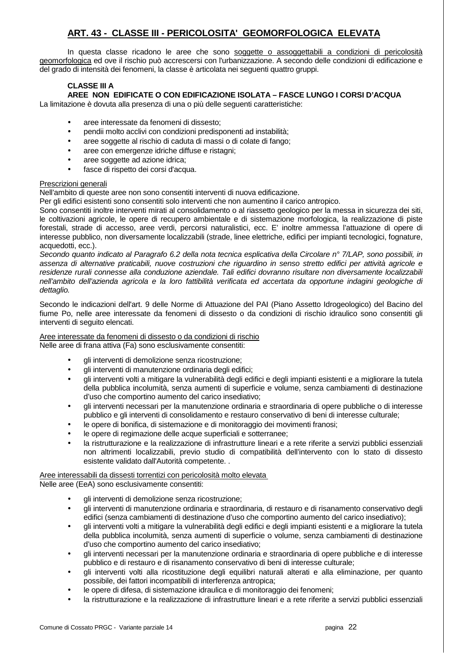## **ART. 43 - CLASSE III - PERICOLOSITA' GEOMORFOLOGICA ELEVATA**

 In questa classe ricadono le aree che sono soggette o assoggettabili a condizioni di pericolosità geomorfologica ed ove il rischio può accrescersi con l'urbanizzazione. A secondo delle condizioni di edificazione e del grado di intensità dei fenomeni, la classe è articolata nei seguenti quattro gruppi.

## **CLASSE III A**

## **AREE NON EDIFICATE O CON EDIFICAZIONE ISOLATA – FASCE LUNGO I CORSI D'ACQUA**

La limitazione è dovuta alla presenza di una o più delle seguenti caratteristiche:

- aree interessate da fenomeni di dissesto;
- pendii molto acclivi con condizioni predisponenti ad instabilità;
- aree soggette al rischio di caduta di massi o di colate di fango;
- aree con emergenze idriche diffuse e ristagni;
- aree soggette ad azione idrica;
- fasce di rispetto dei corsi d'acqua.

#### Prescrizioni generali

Nell'ambito di queste aree non sono consentiti interventi di nuova edificazione.

Per gli edifici esistenti sono consentiti solo interventi che non aumentino il carico antropico.

Sono consentiti inoltre interventi mirati al consolidamento o al riassetto geologico per la messa in sicurezza dei siti, le coltivazioni agricole, le opere di recupero ambientale e di sistemazione morfologica, la realizzazione di piste forestali, strade di accesso, aree verdi, percorsi naturalistici, ecc. E' inoltre ammessa l'attuazione di opere di interesse pubblico, non diversamente localizzabili (strade, linee elettriche, edifici per impianti tecnologici, fognature, acquedotti, ecc.).

Secondo quanto indicato al Paragrafo 6.2 della nota tecnica esplicativa della Circolare n° 7/LAP, sono possibili, in assenza di alternative praticabili, nuove costruzioni che riguardino in senso stretto edifici per attività agricole e residenze rurali connesse alla conduzione aziendale. Tali edifici dovranno risultare non diversamente localizzabili nell'ambito dell'azienda agricola e la loro fattibilità verificata ed accertata da opportune indagini geologiche di dettaglio.

Secondo le indicazioni dell'art. 9 delle Norme di Attuazione del PAI (Piano Assetto Idrogeologico) del Bacino del fiume Po, nelle aree interessate da fenomeni di dissesto o da condizioni di rischio idraulico sono consentiti gli interventi di seguito elencati.

#### Aree interessate da fenomeni di dissesto o da condizioni di rischio

Nelle aree di frana attiva (Fa) sono esclusivamente consentiti:

- gli interventi di demolizione senza ricostruzione;
- gli interventi di manutenzione ordinaria degli edifici:
- gli interventi volti a mitigare la vulnerabilità degli edifici e degli impianti esistenti e a migliorare la tutela della pubblica incolumità, senza aumenti di superficie e volume, senza cambiamenti di destinazione d'uso che comportino aumento del carico insediativo;
- gli interventi necessari per la manutenzione ordinaria e straordinaria di opere pubbliche o di interesse pubblico e gli interventi di consolidamento e restauro conservativo di beni di interesse culturale;
- le opere di bonifica, di sistemazione e di monitoraggio dei movimenti franosi;
- le opere di regimazione delle acque superficiali e sotterranee;
- la ristrutturazione e la realizzazione di infrastrutture lineari e a rete riferite a servizi pubblici essenziali non altrimenti localizzabili, previo studio di compatibilità dell'intervento con lo stato di dissesto esistente validato dall'Autorità competente. .

#### Aree interessabili da dissesti torrentizi con pericolosità molto elevata Nelle aree (EeA) sono esclusivamente consentiti:

- - gli interventi di demolizione senza ricostruzione;
	- gli interventi di manutenzione ordinaria e straordinaria, di restauro e di risanamento conservativo degli edifici (senza cambiamenti di destinazione d'uso che comportino aumento del carico insediativo);
	- gli interventi volti a mitigare la vulnerabilità degli edifici e degli impianti esistenti e a migliorare la tutela della pubblica incolumità, senza aumenti di superficie o volume, senza cambiamenti di destinazione d'uso che comportino aumento del carico insediativo;
	- gli interventi necessari per la manutenzione ordinaria e straordinaria di opere pubbliche e di interesse pubblico e di restauro e di risanamento conservativo di beni di interesse culturale;
	- gli interventi volti alla ricostituzione degli equilibri naturali alterati e alla eliminazione, per quanto possibile, dei fattori incompatibili di interferenza antropica;
	- le opere di difesa, di sistemazione idraulica e di monitoraggio dei fenomeni;
	- la ristrutturazione e la realizzazione di infrastrutture lineari e a rete riferite a servizi pubblici essenziali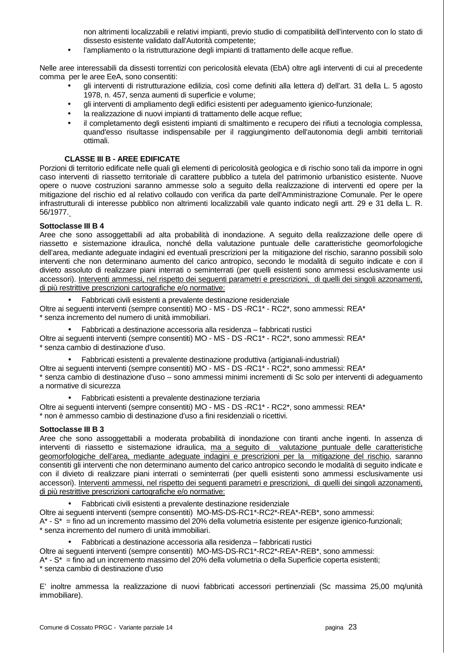non altrimenti localizzabili e relativi impianti, previo studio di compatibilità dell'intervento con lo stato di dissesto esistente validato dall'Autorità competente;

l'ampliamento o la ristrutturazione degli impianti di trattamento delle acque reflue.

Nelle aree interessabili da dissesti torrentizi con pericolosità elevata (EbA) oltre agli interventi di cui al precedente comma per le aree EeA, sono consentiti:

- gli interventi di ristrutturazione edilizia, così come definiti alla lettera d) dell'art. 31 della L. 5 agosto 1978, n. 457, senza aumenti di superficie e volume;
- gli interventi di ampliamento degli edifici esistenti per adeguamento igienico-funzionale;
- la realizzazione di nuovi impianti di trattamento delle acque reflue;
- il completamento degli esistenti impianti di smaltimento e recupero dei rifiuti a tecnologia complessa, quand'esso risultasse indispensabile per il raggiungimento dell'autonomia degli ambiti territoriali ottimali.

#### **CLASSE III B - AREE EDIFICATE**

Porzioni di territorio edificate nelle quali gli elementi di pericolosità geologica e di rischio sono tali da imporre in ogni caso interventi di riassetto territoriale di carattere pubblico a tutela del patrimonio urbanistico esistente. Nuove opere o nuove costruzioni saranno ammesse solo a seguito della realizzazione di interventi ed opere per la mitigazione del rischio ed al relativo collaudo con verifica da parte dell'Amministrazione Comunale. Per le opere infrastrutturali di interesse pubblico non altrimenti localizzabili vale quanto indicato negli artt. 29 e 31 della L. R. 56/1977.

#### **Sottoclasse III B 4**

Aree che sono assoggettabili ad alta probabilità di inondazione. A seguito della realizzazione delle opere di riassetto e sistemazione idraulica, nonché della valutazione puntuale delle caratteristiche geomorfologiche dell'area, mediante adeguate indagini ed eventuali prescrizioni per la mitigazione del rischio, saranno possibili solo interventi che non determinano aumento del carico antropico, secondo le modalità di seguito indicate e con il divieto assoluto di realizzare piani interrati o seminterrati (per quelli esistenti sono ammessi esclusivamente usi accessori). Interventi ammessi, nel rispetto dei seguenti parametri e prescrizioni, di quelli dei singoli azzonamenti, di più restrittive prescrizioni cartografiche e/o normative:

• Fabbricati civili esistenti a prevalente destinazione residenziale

Oltre ai seguenti interventi (sempre consentiti) MO - MS - DS -RC1\* - RC2\*, sono ammessi: REA\* \* senza incremento del numero di unità immobiliari.

• Fabbricati a destinazione accessoria alla residenza – fabbricati rustici

Oltre ai seguenti interventi (sempre consentiti) MO - MS - DS -RC1\* - RC2\*, sono ammessi: REA\* \* senza cambio di destinazione d'uso.

• Fabbricati esistenti a prevalente destinazione produttiva (artigianali-industriali)

Oltre ai seguenti interventi (sempre consentiti) MO - MS - DS -RC1\* - RC2\*, sono ammessi: REA\* \* senza cambio di destinazione d'uso – sono ammessi minimi incrementi di Sc solo per interventi di adeguamento a normative di sicurezza

• Fabbricati esistenti a prevalente destinazione terziaria

Oltre ai seguenti interventi (sempre consentiti) MO - MS - DS -RC1\* - RC2\*, sono ammessi: REA\* \* non è ammesso cambio di destinazione d'uso a fini residenziali o ricettivi.

#### **Sottoclasse III B 3**

Aree che sono assoggettabili a moderata probabilità di inondazione con tiranti anche ingenti. In assenza di interventi di riassetto e sistemazione idraulica, ma a seguito di valutazione puntuale delle caratteristiche geomorfologiche dell'area, mediante adeguate indagini e prescrizioni per la mitigazione del rischio, saranno consentiti gli interventi che non determinano aumento del carico antropico secondo le modalità di seguito indicate e con il divieto di realizzare piani interrati o seminterrati (per quelli esistenti sono ammessi esclusivamente usi accessori). Interventi ammessi, nel rispetto dei seguenti parametri e prescrizioni, di quelli dei singoli azzonamenti, di più restrittive prescrizioni cartografiche e/o normative:

• Fabbricati civili esistenti a prevalente destinazione residenziale

Oltre ai seguenti interventi (sempre consentiti) MO-MS-DS-RC1\*-RC2\*-REA\*-REB\*, sono ammessi: A\* - S\* = fino ad un incremento massimo del 20% della volumetria esistente per esigenze igienico-funzionali; \* senza incremento del numero di unità immobiliari.

• Fabbricati a destinazione accessoria alla residenza – fabbricati rustici

Oltre ai seguenti interventi (sempre consentiti) MO-MS-DS-RC1\*-RC2\*-REA\*-REB\*, sono ammessi:

A\* - S\* = fino ad un incremento massimo del 20% della volumetria o della Superficie coperta esistenti;

\* senza cambio di destinazione d'uso

E' inoltre ammessa la realizzazione di nuovi fabbricati accessori pertinenziali (Sc massima 25,00 mq/unità immobiliare).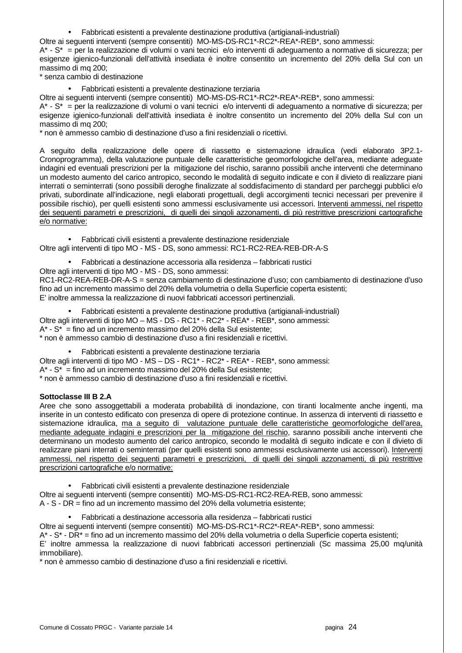• Fabbricati esistenti a prevalente destinazione produttiva (artigianali-industriali)

Oltre ai seguenti interventi (sempre consentiti) MO-MS-DS-RC1\*-RC2\*-REA\*-REB\*, sono ammessi:

A\* - S\* = per la realizzazione di volumi o vani tecnici e/o interventi di adeguamento a normative di sicurezza; per esigenze igienico-funzionali dell'attività insediata è inoltre consentito un incremento del 20% della Sul con un massimo di mq 200;

- \* senza cambio di destinazione
	- Fabbricati esistenti a prevalente destinazione terziaria

Oltre ai seguenti interventi (sempre consentiti) MO-MS-DS-RC1\*-RC2\*-REA\*-REB\*, sono ammessi:

A\* - S\* = per la realizzazione di volumi o vani tecnici e/o interventi di adeguamento a normative di sicurezza; per esigenze igienico-funzionali dell'attività insediata è inoltre consentito un incremento del 20% della Sul con un massimo di mq 200;

\* non è ammesso cambio di destinazione d'uso a fini residenziali o ricettivi.

A seguito della realizzazione delle opere di riassetto e sistemazione idraulica (vedi elaborato 3P2.1- Cronoprogramma), della valutazione puntuale delle caratteristiche geomorfologiche dell'area, mediante adeguate indagini ed eventuali prescrizioni per la mitigazione del rischio, saranno possibili anche interventi che determinano un modesto aumento del carico antropico, secondo le modalità di seguito indicate e con il divieto di realizzare piani interrati o seminterrati (sono possibili deroghe finalizzate al soddisfacimento di standard per parcheggi pubblici e/o privati, subordinate all'indicazione, negli elaborati progettuali, degli accorgimenti tecnici necessari per prevenire il possibile rischio), per quelli esistenti sono ammessi esclusivamente usi accessori. Interventi ammessi, nel rispetto dei seguenti parametri e prescrizioni, di quelli dei singoli azzonamenti, di più restrittive prescrizioni cartografiche e/o normative:

• Fabbricati civili esistenti a prevalente destinazione residenziale Oltre agli interventi di tipo MO - MS - DS, sono ammessi: RC1-RC2-REA-REB-DR-A-S

- Fabbricati a destinazione accessoria alla residenza fabbricati rustici
- Oltre agli interventi di tipo MO MS DS, sono ammessi:

RC1-RC2-REA-REB-DR-A-S = senza cambiamento di destinazione d'uso; con cambiamento di destinazione d'uso fino ad un incremento massimo del 20% della volumetria o della Superficie coperta esistenti; E' inoltre ammessa la realizzazione di nuovi fabbricati accessori pertinenziali.

• Fabbricati esistenti a prevalente destinazione produttiva (artigianali-industriali) Oltre agli interventi di tipo MO – MS - DS - RC1\* - RC2\* - REA\* - REB\*, sono ammessi:  $A^*$  -  $S^*$  = fino ad un incremento massimo del 20% della Sul esistente; \* non è ammesso cambio di destinazione d'uso a fini residenziali e ricettivi.

• Fabbricati esistenti a prevalente destinazione terziaria

Oltre agli interventi di tipo MO - MS - DS - RC1<sup>\*</sup> - RC2<sup>\*</sup> - REA<sup>\*</sup> - REB<sup>\*</sup>, sono ammessi:

 $A^*$  -  $S^*$  = fino ad un incremento massimo del 20% della Sul esistente:

\* non è ammesso cambio di destinazione d'uso a fini residenziali e ricettivi.

### **Sottoclasse III B 2.A**

Aree che sono assoggettabili a moderata probabilità di inondazione, con tiranti localmente anche ingenti, ma inserite in un contesto edificato con presenza di opere di protezione continue. In assenza di interventi di riassetto e sistemazione idraulica, ma a seguito di valutazione puntuale delle caratteristiche geomorfologiche dell'area, mediante adeguate indagini e prescrizioni per la mitigazione del rischio, saranno possibili anche interventi che determinano un modesto aumento del carico antropico, secondo le modalità di seguito indicate e con il divieto di realizzare piani interrati o seminterrati (per quelli esistenti sono ammessi esclusivamente usi accessori). Interventi ammessi, nel rispetto dei seguenti parametri e prescrizioni, di quelli dei singoli azzonamenti, di più restrittive prescrizioni cartografiche e/o normative:

• Fabbricati civili esistenti a prevalente destinazione residenziale Oltre ai seguenti interventi (sempre consentiti) MO-MS-DS-RC1-RC2-REA-REB, sono ammessi:

A - S - DR = fino ad un incremento massimo del 20% della volumetria esistente;

• Fabbricati a destinazione accessoria alla residenza – fabbricati rustici

Oltre ai seguenti interventi (sempre consentiti) MO-MS-DS-RC1\*-RC2\*-REA\*-REB\*, sono ammessi:

A\* - S\* - DR\* = fino ad un incremento massimo del 20% della volumetria o della Superficie coperta esistenti;

E' inoltre ammessa la realizzazione di nuovi fabbricati accessori pertinenziali (Sc massima 25,00 mq/unità immobiliare).

\* non è ammesso cambio di destinazione d'uso a fini residenziali e ricettivi.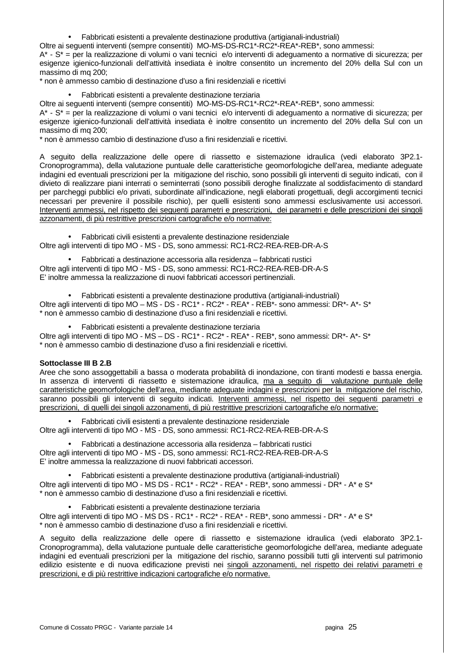• Fabbricati esistenti a prevalente destinazione produttiva (artigianali-industriali)

Oltre ai seguenti interventi (sempre consentiti) MO-MS-DS-RC1\*-RC2\*-REA\*-REB\*, sono ammessi:

A\* - S\* = per la realizzazione di volumi o vani tecnici e/o interventi di adeguamento a normative di sicurezza; per esigenze igienico-funzionali dell'attività insediata è inoltre consentito un incremento del 20% della Sul con un massimo di mq 200;

\* non è ammesso cambio di destinazione d'uso a fini residenziali e ricettivi

• Fabbricati esistenti a prevalente destinazione terziaria

Oltre ai seguenti interventi (sempre consentiti) MO-MS-DS-RC1\*-RC2\*-REA\*-REB\*, sono ammessi:

A\* - S\* = per la realizzazione di volumi o vani tecnici e/o interventi di adeguamento a normative di sicurezza; per esigenze igienico-funzionali dell'attività insediata è inoltre consentito un incremento del 20% della Sul con un massimo di mq 200;

\* non è ammesso cambio di destinazione d'uso a fini residenziali e ricettivi.

A seguito della realizzazione delle opere di riassetto e sistemazione idraulica (vedi elaborato 3P2.1- Cronoprogramma), della valutazione puntuale delle caratteristiche geomorfologiche dell'area, mediante adeguate indagini ed eventuali prescrizioni per la mitigazione del rischio, sono possibili gli interventi di seguito indicati, con il divieto di realizzare piani interrati o seminterrati (sono possibili deroghe finalizzate al soddisfacimento di standard per parcheggi pubblici e/o privati, subordinate all'indicazione, negli elaborati progettuali, degli accorgimenti tecnici necessari per prevenire il possibile rischio), per quelli esistenti sono ammessi esclusivamente usi accessori. Interventi ammessi, nel rispetto dei seguenti parametri e prescrizioni, dei parametri e delle prescrizioni dei singoli azzonamenti, di più restrittive prescrizioni cartografiche e/o normative:

• Fabbricati civili esistenti a prevalente destinazione residenziale Oltre agli interventi di tipo MO - MS - DS, sono ammessi: RC1-RC2-REA-REB-DR-A-S

• Fabbricati a destinazione accessoria alla residenza – fabbricati rustici

Oltre agli interventi di tipo MO - MS - DS, sono ammessi: RC1-RC2-REA-REB-DR-A-S E' inoltre ammessa la realizzazione di nuovi fabbricati accessori pertinenziali.

• Fabbricati esistenti a prevalente destinazione produttiva (artigianali-industriali) Oltre agli interventi di tipo MO – MS - DS - RC1\* - RC2\* - REA\* - REB\*- sono ammessi: DR\*- A\*- S\* \* non è ammesso cambio di destinazione d'uso a fini residenziali e ricettivi.

- Fabbricati esistenti a prevalente destinazione terziaria
- Oltre agli interventi di tipo MO MS DS RC1\* RC2\* REA\* REB\*, sono ammessi: DR\*- A\*- S\*

\* non è ammesso cambio di destinazione d'uso a fini residenziali e ricettivi.

### **Sottoclasse III B 2.B**

Aree che sono assoggettabili a bassa o moderata probabilità di inondazione, con tiranti modesti e bassa energia. In assenza di interventi di riassetto e sistemazione idraulica, ma a seguito di valutazione puntuale delle caratteristiche geomorfologiche dell'area, mediante adeguate indagini e prescrizioni per la mitigazione del rischio, saranno possibili gli interventi di seguito indicati. Interventi ammessi, nel rispetto dei seguenti parametri e prescrizioni, di quelli dei singoli azzonamenti, di più restrittive prescrizioni cartografiche e/o normative:

• Fabbricati civili esistenti a prevalente destinazione residenziale Oltre agli interventi di tipo MO - MS - DS, sono ammessi: RC1-RC2-REA-REB-DR-A-S

• Fabbricati a destinazione accessoria alla residenza – fabbricati rustici Oltre agli interventi di tipo MO - MS - DS, sono ammessi: RC1-RC2-REA-REB-DR-A-S E' inoltre ammessa la realizzazione di nuovi fabbricati accessori.

• Fabbricati esistenti a prevalente destinazione produttiva (artigianali-industriali) Oltre agli interventi di tipo MO - MS DS - RC1\* - RC2\* - REA\* - REB\*, sono ammessi - DR\* - A\* e S\* \* non è ammesso cambio di destinazione d'uso a fini residenziali e ricettivi.

• Fabbricati esistenti a prevalente destinazione terziaria

Oltre agli interventi di tipo MO - MS DS - RC1\* - RC2\* - REA\* - REB\*, sono ammessi - DR\* - A\* e S\* \* non è ammesso cambio di destinazione d'uso a fini residenziali e ricettivi.

A seguito della realizzazione delle opere di riassetto e sistemazione idraulica (vedi elaborato 3P2.1- Cronoprogramma), della valutazione puntuale delle caratteristiche geomorfologiche dell'area, mediante adeguate indagini ed eventuali prescrizioni per la mitigazione del rischio, saranno possibili tutti gli interventi sul patrimonio edilizio esistente e di nuova edificazione previsti nei singoli azzonamenti, nel rispetto dei relativi parametri e prescrizioni, e di più restrittive indicazioni cartografiche e/o normative.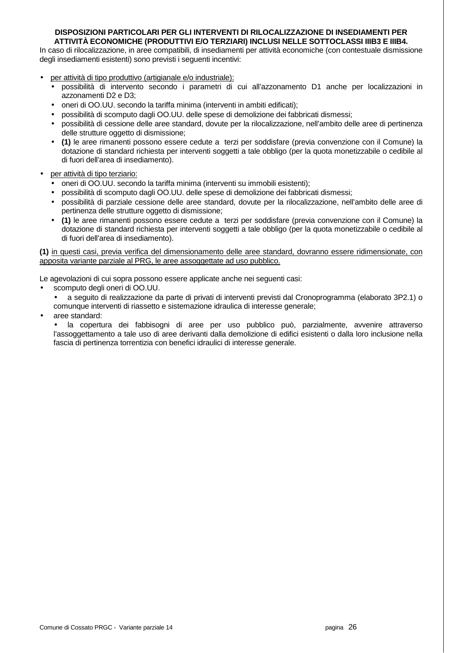#### **DISPOSIZIONI PARTICOLARI PER GLI INTERVENTI DI RILOCALIZZAZIONE DI INSEDIAMENTI PER ATTIVITÀ ECONOMICHE (PRODUTTIVI E/O TERZIARI) INCLUSI NELLE SOTTOCLASSI IIIB3 E IIIB4.**

In caso di rilocalizzazione, in aree compatibili, di insediamenti per attività economiche (con contestuale dismissione degli insediamenti esistenti) sono previsti i seguenti incentivi:

- per attività di tipo produttivo (artigianale e/o industriale):
	- possibilità di intervento secondo i parametri di cui all'azzonamento D1 anche per localizzazioni in azzonamenti D2 e D3;
	- oneri di OO.UU. secondo la tariffa minima (interventi in ambiti edificati);
	- possibilità di scomputo dagli OO.UU. delle spese di demolizione dei fabbricati dismessi;
	- possibilità di cessione delle aree standard, dovute per la rilocalizzazione, nell'ambito delle aree di pertinenza delle strutture oggetto di dismissione;
	- **(1)** le aree rimanenti possono essere cedute a terzi per soddisfare (previa convenzione con il Comune) la dotazione di standard richiesta per interventi soggetti a tale obbligo (per la quota monetizzabile o cedibile al di fuori dell'area di insediamento).
- per attività di tipo terziario:
	- oneri di OO.UU. secondo la tariffa minima (interventi su immobili esistenti);
	- possibilità di scomputo dagli OO.UU. delle spese di demolizione dei fabbricati dismessi;
	- possibilità di parziale cessione delle aree standard, dovute per la rilocalizzazione, nell'ambito delle aree di pertinenza delle strutture oggetto di dismissione:
	- **(1)** le aree rimanenti possono essere cedute a terzi per soddisfare (previa convenzione con il Comune) la dotazione di standard richiesta per interventi soggetti a tale obbligo (per la quota monetizzabile o cedibile al di fuori dell'area di insediamento).

**(1)** in questi casi, previa verifica del dimensionamento delle aree standard, dovranno essere ridimensionate, con apposita variante parziale al PRG, le aree assoggettate ad uso pubblico.

Le agevolazioni di cui sopra possono essere applicate anche nei seguenti casi:

- scomputo degli oneri di OO.UU.
	- a seguito di realizzazione da parte di privati di interventi previsti dal Cronoprogramma (elaborato 3P2.1) o comunque interventi di riassetto e sistemazione idraulica di interesse generale;
- aree standard:

la copertura dei fabbisogni di aree per uso pubblico può, parzialmente, avvenire attraverso l'assoggettamento a tale uso di aree derivanti dalla demolizione di edifici esistenti o dalla loro inclusione nella fascia di pertinenza torrentizia con benefici idraulici di interesse generale.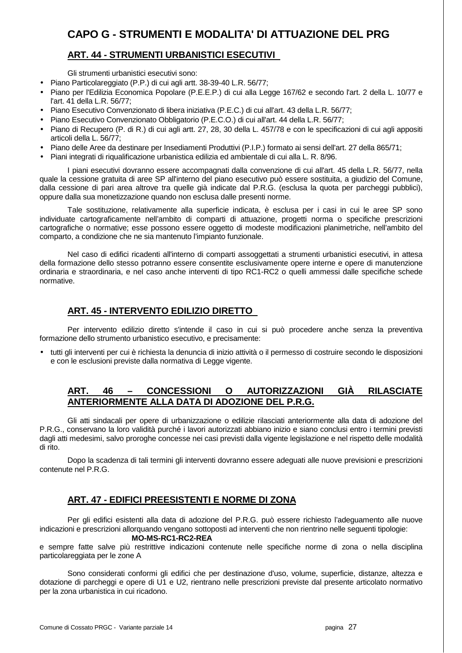## **CAPO G - STRUMENTI E MODALITA' DI ATTUAZIONE DEL PRG**

## **ART. 44 - STRUMENTI URBANISTICI ESECUTIVI**

Gli strumenti urbanistici esecutivi sono:

- Piano Particolareggiato (P.P.) di cui agli artt. 38-39-40 L.R. 56/77;
- Piano per l'Edilizia Economica Popolare (P.E.E.P.) di cui alla Legge 167/62 e secondo l'art. 2 della L. 10/77 e l'art. 41 della L.R. 56/77;
- Piano Esecutivo Convenzionato di libera iniziativa (P.E.C.) di cui all'art. 43 della L.R. 56/77;
- Piano Esecutivo Convenzionato Obbligatorio (P.E.C.O.) di cui all'art. 44 della L.R. 56/77;
- Piano di Recupero (P. di R.) di cui agli artt. 27, 28, 30 della L. 457/78 e con le specificazioni di cui agli appositi articoli della L. 56/77;
- Piano delle Aree da destinare per Insediamenti Produttivi (P.I.P.) formato ai sensi dell'art. 27 della 865/71;
- Piani integrati di riqualificazione urbanistica edilizia ed ambientale di cui alla L. R. 8/96.

 I piani esecutivi dovranno essere accompagnati dalla convenzione di cui all'art. 45 della L.R. 56/77, nella quale la cessione gratuita di aree SP all'interno del piano esecutivo può essere sostituita, a giudizio del Comune, dalla cessione di pari area altrove tra quelle già indicate dal P.R.G. (esclusa la quota per parcheggi pubblici), oppure dalla sua monetizzazione quando non esclusa dalle presenti norme.

 Tale sostituzione, relativamente alla superficie indicata, è esclusa per i casi in cui le aree SP sono individuate cartograficamente nell'ambito di comparti di attuazione, progetti norma o specifiche prescrizioni cartografiche o normative; esse possono essere oggetto di modeste modificazioni planimetriche, nell'ambito del comparto, a condizione che ne sia mantenuto l'impianto funzionale.

 Nel caso di edifici ricadenti all'interno di comparti assoggettati a strumenti urbanistici esecutivi, in attesa della formazione dello stesso potranno essere consentite esclusivamente opere interne e opere di manutenzione ordinaria e straordinaria, e nel caso anche interventi di tipo RC1-RC2 o quelli ammessi dalle specifiche schede normative.

## **ART. 45 - INTERVENTO EDILIZIO DIRETTO**

Per intervento edilizio diretto s'intende il caso in cui si può procedere anche senza la preventiva formazione dello strumento urbanistico esecutivo, e precisamente:

• tutti gli interventi per cui è richiesta la denuncia di inizio attività o il permesso di costruire secondo le disposizioni e con le esclusioni previste dalla normativa di Legge vigente.

## **ART. 46 – CONCESSIONI O AUTORIZZAZIONI GIÀ RILASCIATE ANTERIORMENTE ALLA DATA DI ADOZIONE DEL P.R.G.**

 Gli atti sindacali per opere di urbanizzazione o edilizie rilasciati anteriormente alla data di adozione del P.R.G., conservano la loro validità purché i lavori autorizzati abbiano inizio e siano conclusi entro i termini previsti dagli atti medesimi, salvo proroghe concesse nei casi previsti dalla vigente legislazione e nel rispetto delle modalità di rito.

 Dopo la scadenza di tali termini gli interventi dovranno essere adeguati alle nuove previsioni e prescrizioni contenute nel P.R.G.

## **ART. 47 - EDIFICI PREESISTENTI E NORME DI ZONA**

 Per gli edifici esistenti alla data di adozione del P.R.G. può essere richiesto l'adeguamento alle nuove indicazioni e prescrizioni allorquando vengano sottoposti ad interventi che non rientrino nelle seguenti tipologie:  **MO-MS-RC1-RC2-REA** 

e sempre fatte salve più restrittive indicazioni contenute nelle specifiche norme di zona o nella disciplina particolareggiata per le zone A

 Sono considerati conformi gli edifici che per destinazione d'uso, volume, superficie, distanze, altezza e dotazione di parcheggi e opere di U1 e U2, rientrano nelle prescrizioni previste dal presente articolato normativo per la zona urbanistica in cui ricadono.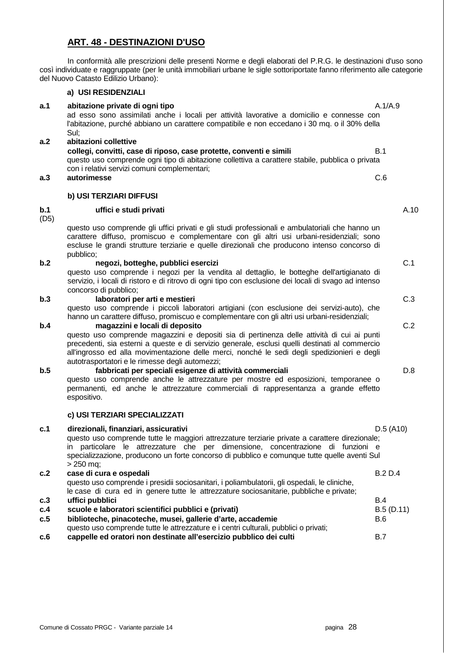## **ART. 48 - DESTINAZIONI D'USO**

 In conformità alle prescrizioni delle presenti Norme e degli elaborati del P.R.G. le destinazioni d'uso sono così individuate e raggruppate (per le unità immobiliari urbane le sigle sottoriportate fanno riferimento alle categorie del Nuovo Catasto Edilizio Urbano):

#### **a) USI RESIDENZIALI**

#### **a.1 abitazione private di ogni tipo** A.1/A.9 ad esso sono assimilati anche i locali per attività lavorative a domicilio e connesse con l'abitazione, purché abbiano un carattere compatibile e non eccedano i 30 mq. o il 30% della Sul; **a.2 abitazioni collettive**

#### **collegi, convitti, case di riposo, case protette, conventi e simili** B.1 questo uso comprende ogni tipo di abitazione collettiva a carattere stabile, pubblica o privata con i relativi servizi comuni complementari; **a.3 autorimesse** C.6

#### **b) USI TERZIARI DIFFUSI**

#### **b.1 uffici e studi privati A.10 A.10 A.10**

(D5)

questo uso comprende gli uffici privati e gli studi professionali e ambulatoriali che hanno un carattere diffuso, promiscuo e complementare con gli altri usi urbani-residenziali; sono escluse le grandi strutture terziarie e quelle direzionali che producono intenso concorso di pubblico;

#### **b.2 hegozi, botteghe, pubblici esercizi comparison in the comparison of the comparison of comparison of comparison of comparison of comparison of comparison of comparison of comparison of comparison of comparison of c**

questo uso comprende i negozi per la vendita al dettaglio, le botteghe dell'artigianato di servizio, i locali di ristoro e di ritrovo di ogni tipo con esclusione dei locali di svago ad intenso concorso di pubblico;

#### **b.3 laboratori per arti e mestieri** C.3

questo uso comprende i piccoli laboratori artigiani (con esclusione dei servizi-auto), che hanno un carattere diffuso, promiscuo e complementare con gli altri usi urbani-residenziali;

#### **b.4 magazzini e locali di deposito** C.2

questo uso comprende magazzini e depositi sia di pertinenza delle attività di cui ai punti precedenti, sia esterni a queste e di servizio generale, esclusi quelli destinati al commercio all'ingrosso ed alla movimentazione delle merci, nonché le sedi degli spedizionieri e degli autotrasportatori e le rimesse degli automezzi;

### **b.5 fabbricati per speciali esigenze di attività commerciali** D.8

questo uso comprende anche le attrezzature per mostre ed esposizioni, temporanee o permanenti, ed anche le attrezzature commerciali di rappresentanza a grande effetto espositivo.

#### **c) USI TERZIARI SPECIALIZZATI**

| c.1 | direzionali, finanziari, assicurativi                                                          | D.5 (A10)      |  |  |  |  |  |
|-----|------------------------------------------------------------------------------------------------|----------------|--|--|--|--|--|
|     | questo uso comprende tutte le maggiori attrezzature terziarie private a carattere direzionale; |                |  |  |  |  |  |
|     | particolare le attrezzature che per dimensione, concentrazione di funzioni e<br>in.            |                |  |  |  |  |  |
|     | specializzazione, producono un forte concorso di pubblico e comunque tutte quelle aventi Sul   |                |  |  |  |  |  |
|     | $> 250$ mg;                                                                                    |                |  |  |  |  |  |
| c.2 | case di cura e ospedali                                                                        | <b>B.2 D.4</b> |  |  |  |  |  |
|     | questo uso comprende i presidii sociosanitari, i poliambulatorii, gli ospedali, le cliniche,   |                |  |  |  |  |  |
|     | le case di cura ed in genere tutte le attrezzature sociosanitarie, pubbliche e private;        |                |  |  |  |  |  |
| c.3 | uffici pubblici                                                                                | B.4            |  |  |  |  |  |
| c.4 | scuole e laboratori scientifici pubblici e (privati)                                           | B.5(D.11)      |  |  |  |  |  |
| c.5 | biblioteche, pinacoteche, musei, gallerie d'arte, accademie                                    | <b>B.6</b>     |  |  |  |  |  |
|     | questo uso comprende tutte le attrezzature e i centri culturali, pubblici o privati;           |                |  |  |  |  |  |
| c.6 | cappelle ed oratori non destinate all'esercizio pubblico dei culti                             | B.7            |  |  |  |  |  |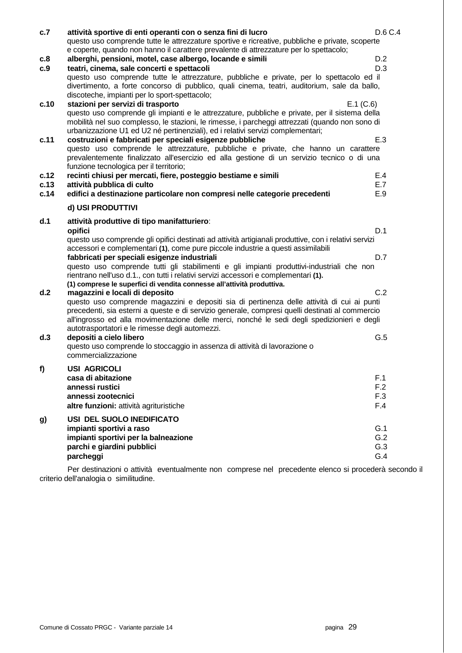| c.7  | attività sportive di enti operanti con o senza fini di lucro                                                                                                                                                                                                                         | D.6 C.4 |  |  |  |  |  |
|------|--------------------------------------------------------------------------------------------------------------------------------------------------------------------------------------------------------------------------------------------------------------------------------------|---------|--|--|--|--|--|
|      | questo uso comprende tutte le attrezzature sportive e ricreative, pubbliche e private, scoperte                                                                                                                                                                                      |         |  |  |  |  |  |
|      | e coperte, quando non hanno il carattere prevalente di attrezzature per lo spettacolo;                                                                                                                                                                                               |         |  |  |  |  |  |
| c.8  | alberghi, pensioni, motel, case albergo, locande e simili                                                                                                                                                                                                                            | D.2     |  |  |  |  |  |
| c.9  | teatri, cinema, sale concerti e spettacoli                                                                                                                                                                                                                                           | D.3     |  |  |  |  |  |
|      | questo uso comprende tutte le attrezzature, pubbliche e private, per lo spettacolo ed il                                                                                                                                                                                             |         |  |  |  |  |  |
|      | divertimento, a forte concorso di pubblico, quali cinema, teatri, auditorium, sale da ballo,                                                                                                                                                                                         |         |  |  |  |  |  |
|      | discoteche, impianti per lo sport-spettacolo;                                                                                                                                                                                                                                        |         |  |  |  |  |  |
| c.10 | stazioni per servizi di trasporto<br>E.1 (C.6)                                                                                                                                                                                                                                       |         |  |  |  |  |  |
|      | questo uso comprende gli impianti e le attrezzature, pubbliche e private, per il sistema della<br>mobilità nel suo complesso, le stazioni, le rimesse, i parcheggi attrezzati (quando non sono di<br>urbanizzazione U1 ed U2 né pertinenziali), ed i relativi servizi complementari; |         |  |  |  |  |  |
| c.11 | costruzioni e fabbricati per speciali esigenze pubbliche                                                                                                                                                                                                                             | E.3     |  |  |  |  |  |
|      | questo uso comprende le attrezzature, pubbliche e private, che hanno un carattere                                                                                                                                                                                                    |         |  |  |  |  |  |
|      | prevalentemente finalizzato all'esercizio ed alla gestione di un servizio tecnico o di una                                                                                                                                                                                           |         |  |  |  |  |  |
|      | funzione tecnologica per il territorio;                                                                                                                                                                                                                                              |         |  |  |  |  |  |
| c.12 | recinti chiusi per mercati, fiere, posteggio bestiame e simili                                                                                                                                                                                                                       | E.4     |  |  |  |  |  |
| c.13 | attività pubblica di culto                                                                                                                                                                                                                                                           | E.7     |  |  |  |  |  |
| c.14 | edifici a destinazione particolare non compresi nelle categorie precedenti                                                                                                                                                                                                           | E.9     |  |  |  |  |  |
|      | d) USI PRODUTTIVI                                                                                                                                                                                                                                                                    |         |  |  |  |  |  |
| d.1  | attività produttive di tipo manifatturiero:                                                                                                                                                                                                                                          |         |  |  |  |  |  |
|      | opifici                                                                                                                                                                                                                                                                              | D.1     |  |  |  |  |  |
|      | questo uso comprende gli opifici destinati ad attività artigianali produttive, con i relativi servizi<br>accessori e complementari (1), come pure piccole industrie a questi assimilabili                                                                                            |         |  |  |  |  |  |
|      | fabbricati per speciali esigenze industriali                                                                                                                                                                                                                                         | D.7     |  |  |  |  |  |
|      | questo uso comprende tutti gli stabilimenti e gli impianti produttivi-industriali che non<br>rientrano nell'uso d.1., con tutti i relativi servizi accessori e complementari (1).<br>(1) comprese le superfici di vendita connesse all'attività produttiva.                          |         |  |  |  |  |  |
| d.2  | magazzini e locali di deposito                                                                                                                                                                                                                                                       | C.2     |  |  |  |  |  |
|      | questo uso comprende magazzini e depositi sia di pertinenza delle attività di cui ai punti                                                                                                                                                                                           |         |  |  |  |  |  |
|      | precedenti, sia esterni a queste e di servizio generale, compresi quelli destinati al commercio<br>all'ingrosso ed alla movimentazione delle merci, nonché le sedi degli spedizionieri e degli<br>autotrasportatori e le rimesse degli automezzi.                                    |         |  |  |  |  |  |
| d.3  | depositi a cielo libero                                                                                                                                                                                                                                                              | G.5     |  |  |  |  |  |
|      | questo uso comprende lo stoccaggio in assenza di attività di lavorazione o                                                                                                                                                                                                           |         |  |  |  |  |  |
|      | commercializzazione                                                                                                                                                                                                                                                                  |         |  |  |  |  |  |
|      | <b>USI AGRICOLI</b>                                                                                                                                                                                                                                                                  |         |  |  |  |  |  |
| f)   | casa di abitazione                                                                                                                                                                                                                                                                   | F.1     |  |  |  |  |  |
|      | annessi rustici                                                                                                                                                                                                                                                                      | F.2     |  |  |  |  |  |
|      | annessi zootecnici                                                                                                                                                                                                                                                                   | F.3     |  |  |  |  |  |
|      | altre funzioni: attività agrituristiche                                                                                                                                                                                                                                              | F.4     |  |  |  |  |  |
|      |                                                                                                                                                                                                                                                                                      |         |  |  |  |  |  |
| g)   | USI DEL SUOLO INEDIFICATO                                                                                                                                                                                                                                                            |         |  |  |  |  |  |
|      | impianti sportivi a raso                                                                                                                                                                                                                                                             | G.1     |  |  |  |  |  |
|      | impianti sportivi per la balneazione                                                                                                                                                                                                                                                 | G.2     |  |  |  |  |  |
|      | parchi e giardini pubblici                                                                                                                                                                                                                                                           | G.3     |  |  |  |  |  |
|      | parcheggi                                                                                                                                                                                                                                                                            | G.4     |  |  |  |  |  |

 Per destinazioni o attività eventualmente non comprese nel precedente elenco si procederà secondo il criterio dell'analogia o similitudine.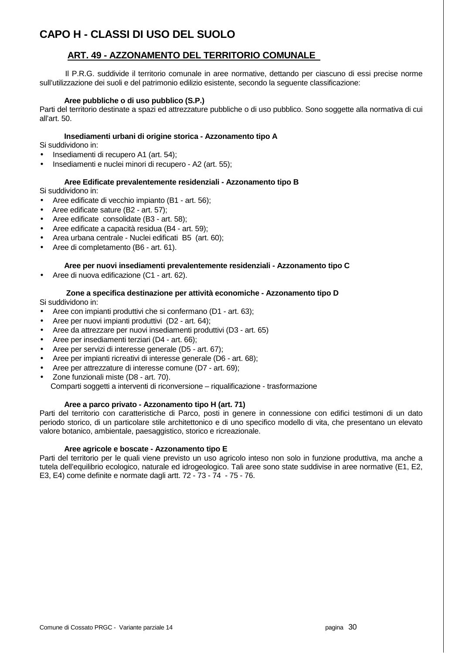## **CAPO H - CLASSI DI USO DEL SUOLO**

## **ART. 49 - AZZONAMENTO DEL TERRITORIO COMUNALE**

 Il P.R.G. suddivide il territorio comunale in aree normative, dettando per ciascuno di essi precise norme sull'utilizzazione dei suoli e del patrimonio edilizio esistente, secondo la seguente classificazione:

#### **Aree pubbliche o di uso pubblico (S.P.)**

Parti del territorio destinate a spazi ed attrezzature pubbliche o di uso pubblico. Sono soggette alla normativa di cui all'art. 50.

#### **Insediamenti urbani di origine storica - Azzonamento tipo A**

Si suddividono in:

- Insediamenti di recupero A1 (art. 54);
- Insediamenti e nuclei minori di recupero A2 (art. 55);

#### **Aree Edificate prevalentemente residenziali - Azzonamento tipo B**

Si suddividono in:

- Aree edificate di vecchio impianto (B1 art. 56);
- Aree edificate sature (B2 art. 57);
- Aree edificate consolidate (B3 art. 58);
- Aree edificate a capacità residua (B4 art. 59);
- Area urbana centrale Nuclei edificati B5 (art. 60);
- Aree di completamento (B6 art. 61).

#### **Aree per nuovi insediamenti prevalentemente residenziali - Azzonamento tipo C**

• Aree di nuova edificazione (C1 - art. 62).

#### **Zone a specifica destinazione per attività economiche - Azzonamento tipo D**

Si suddividono in:

- Aree con impianti produttivi che si confermano (D1 art. 63);
- Aree per nuovi impianti produttivi (D2 art. 64);
- Aree da attrezzare per nuovi insediamenti produttivi (D3 art. 65)
- Aree per insediamenti terziari (D4 art. 66);
- Aree per servizi di interesse generale (D5 art. 67);
- Aree per impianti ricreativi di interesse generale (D6 art. 68);
- Aree per attrezzature di interesse comune (D7 art. 69);
- Zone funzionali miste (D8 art. 70).

Comparti soggetti a interventi di riconversione – riqualificazione - trasformazione

#### **Aree a parco privato - Azzonamento tipo H (art. 71)**

Parti del territorio con caratteristiche di Parco, posti in genere in connessione con edifici testimoni di un dato periodo storico, di un particolare stile architettonico e di uno specifico modello di vita, che presentano un elevato valore botanico, ambientale, paesaggistico, storico e ricreazionale.

#### **Aree agricole e boscate - Azzonamento tipo E**

Parti del territorio per le quali viene previsto un uso agricolo inteso non solo in funzione produttiva, ma anche a tutela dell'equilibrio ecologico, naturale ed idrogeologico. Tali aree sono state suddivise in aree normative (E1, E2, E3, E4) come definite e normate dagli artt. 72 - 73 - 74 - 75 - 76.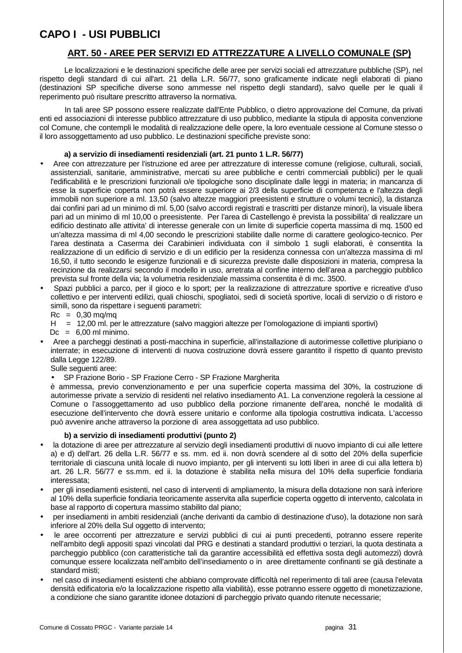## **CAPO I - USI PUBBLICI**

## **ART. 50 - AREE PER SERVIZI ED ATTREZZATURE A LIVELLO COMUNALE (SP)**

 Le localizzazioni e le destinazioni specifiche delle aree per servizi sociali ed attrezzature pubbliche (SP), nel rispetto degli standard di cui all'art. 21 della L.R. 56/77, sono graficamente indicate negli elaborati di piano (destinazioni SP specifiche diverse sono ammesse nel rispetto degli standard), salvo quelle per le quali il reperimento può risultare prescritto attraverso la normativa.

 In tali aree SP possono essere realizzate dall'Ente Pubblico, o dietro approvazione del Comune, da privati enti ed associazioni di interesse pubblico attrezzature di uso pubblico, mediante la stipula di apposita convenzione col Comune, che contempli le modalità di realizzazione delle opere, la loro eventuale cessione al Comune stesso o il loro assoggettamento ad uso pubblico. Le destinazioni specifiche previste sono:

#### **a) a servizio di insediamenti residenziali (art. 21 punto 1 L.R. 56/77)**

- Aree con attrezzature per l'istruzione ed aree per attrezzature di interesse comune (religiose, culturali, sociali, assistenziali, sanitarie, amministrative, mercati su aree pubbliche e centri commerciali pubblici) per le quali l'edificabilità e le prescrizioni funzionali o/e tipologiche sono disciplinate dalle leggi in materia; in mancanza di esse la superficie coperta non potrà essere superiore ai 2/3 della superficie di competenza e l'altezza degli immobili non superiore a ml. 13,50 (salvo altezze maggiori preesistenti e strutture o volumi tecnici), la distanza dai confini pari ad un minimo di ml. 5,00 (salvo accordi registrati e trascritti per distanze minori), la visuale libera pari ad un minimo di ml 10,00 o preesistente. Per l'area di Castellengo è prevista la possibilita' di realizzare un edificio destinato alle attivita' di interesse generale con un limite di superficie coperta massima di mq. 1500 ed un'altezza massima di ml 4,00 secondo le prescrizioni stabilite dalle norme di carattere geologico-tecnico. Per l'area destinata a Caserma dei Carabinieri individuata con il simbolo 1 sugli elaborati, è consentita la realizzazione di un edificio di servizio e di un edificio per la residenza connessa con un'altezza massima di ml 16,50, il tutto secondo le esigenze funzionali e di sicurezza previste dalle disposizioni in materia, compresa la recinzione da realizzarsi secondo il modello in uso, arretrata al confine interno dell'area a parcheggio pubblico prevista sul fronte della via; la volumetria residenziale massima consentita è di mc. 3500.
- Spazi pubblici a parco, per il gioco e lo sport; per la realizzazione di attrezzature sportive e ricreative d'uso collettivo e per interventi edilizi, quali chioschi, spogliatoi, sedi di società sportive, locali di servizio o di ristoro e simili, sono da rispettare i seguenti parametri:
	- $Rc = 0,30$  mg/mg
	- H = 12,00 ml. per le attrezzature (salvo maggiori altezze per l'omologazione di impianti sportivi)

 $Dc = 6.00$  ml minimo.

- Aree a parcheggi destinati a posti-macchina in superficie, all'installazione di autorimesse collettive pluripiano o interrate; in esecuzione di interventi di nuova costruzione dovrà essere garantito il rispetto di quanto previsto dalla Legge 122/89.
	- Sulle seguenti aree:
	- SP Frazione Borio SP Frazione Cerro SP Frazione Margherita

è ammessa, previo convenzionamento e per una superficie coperta massima del 30%, la costruzione di autorimesse private a servizio di residenti nel relativo insediamento A1. La convenzione regolerà la cessione al Comune o l'assoggettamento ad uso pubblico della porzione rimanente dell'area, nonché le modalità di esecuzione dell'intervento che dovrà essere unitario e conforme alla tipologia costruttiva indicata. L'accesso può avvenire anche attraverso la porzione di area assoggettata ad uso pubblico.

### **b) a servizio di insediamenti produttivi (punto 2)**

- la dotazione di aree per attrezzature al servizio degli insediamenti produttivi di nuovo impianto di cui alle lettere a) e d) dell'art. 26 della L.R. 56/77 e ss. mm. ed ii. non dovrà scendere al di sotto del 20% della superficie territoriale di ciascuna unità locale di nuovo impianto, per gli interventi su lotti liberi in aree di cui alla lettera b) art. 26 L.R. 56/77 e ss.mm. ed ii. la dotazione è stabilita nella misura del 10% della superficie fondiaria interessata;
- per gli insediamenti esistenti, nel caso di interventi di ampliamento, la misura della dotazione non sarà inferiore al 10% della superficie fondiaria teoricamente asservita alla superficie coperta oggetto di intervento, calcolata in base al rapporto di copertura massimo stabilito dal piano;
- per insediamenti in ambiti residenziali (anche derivanti da cambio di destinazione d'uso), la dotazione non sarà inferiore al 20% della Sul oggetto di intervento;
- le aree occorrenti per attrezzature e servizi pubblici di cui ai punti precedenti, potranno essere reperite nell'ambito degli appositi spazi vincolati dal PRG e destinati a standard produttivi o terziari, la quota destinata a parcheggio pubblico (con caratteristiche tali da garantire accessibilità ed effettiva sosta degli automezzi) dovrà comunque essere localizzata nell'ambito dell'insediamento o in aree direttamente confinanti se già destinate a standard misti;
- nel caso di insediamenti esistenti che abbiano comprovate difficoltà nel reperimento di tali aree (causa l'elevata densità edificatoria e/o la localizzazione rispetto alla viabilità), esse potranno essere oggetto di monetizzazione, a condizione che siano garantite idonee dotazioni di parcheggio privato quando ritenute necessarie;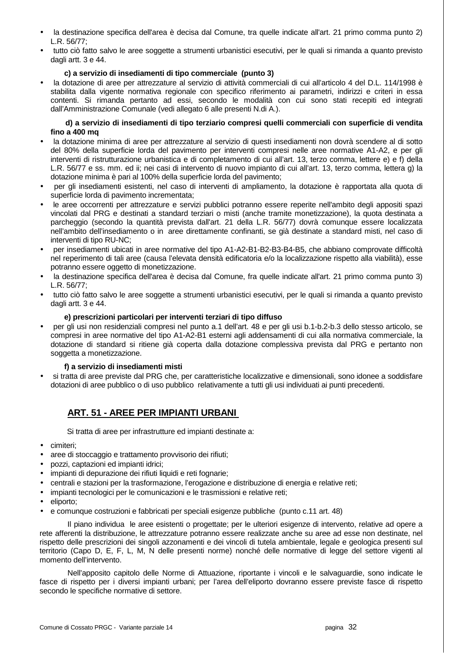- la destinazione specifica dell'area è decisa dal Comune, tra quelle indicate all'art. 21 primo comma punto 2) L.R. 56/77;
- tutto ciò fatto salvo le aree soggette a strumenti urbanistici esecutivi, per le quali si rimanda a quanto previsto dagli artt. 3 e 44.

#### **c) a servizio di insediamenti di tipo commerciale (punto 3)**

• la dotazione di aree per attrezzature al servizio di attività commerciali di cui all'articolo 4 del D.L. 114/1998 è stabilita dalla vigente normativa regionale con specifico riferimento ai parametri, indirizzi e criteri in essa contenti. Si rimanda pertanto ad essi, secondo le modalità con cui sono stati recepiti ed integrati dall'Amministrazione Comunale (vedi allegato 6 alle presenti N.di A.).

#### **d) a servizio di insediamenti di tipo terziario compresi quelli commerciali con superficie di vendita fino a 400 mq**

- la dotazione minima di aree per attrezzature al servizio di questi insediamenti non dovrà scendere al di sotto del 80% della superficie lorda del pavimento per interventi compresi nelle aree normative A1-A2, e per gli interventi di ristrutturazione urbanistica e di completamento di cui all'art. 13, terzo comma, lettere e) e f) della L.R. 56/77 e ss. mm. ed ii; nei casi di intervento di nuovo impianto di cui all'art. 13, terzo comma, lettera g) la dotazione minima è pari al 100% della superficie lorda del pavimento;
- per gli insediamenti esistenti, nel caso di interventi di ampliamento, la dotazione è rapportata alla quota di superficie lorda di pavimento incrementata;
- le aree occorrenti per attrezzature e servizi pubblici potranno essere reperite nell'ambito degli appositi spazi vincolati dal PRG e destinati a standard terziari o misti (anche tramite monetizzazione), la quota destinata a parcheggio (secondo la quantità prevista dall'art. 21 della L.R. 56/77) dovrà comunque essere localizzata nell'ambito dell'insediamento o in aree direttamente confinanti, se già destinate a standard misti, nel caso di interventi di tipo RU-NC;
- per insediamenti ubicati in aree normative del tipo A1-A2-B1-B2-B3-B4-B5, che abbiano comprovate difficoltà nel reperimento di tali aree (causa l'elevata densità edificatoria e/o la localizzazione rispetto alla viabilità), esse potranno essere oggetto di monetizzazione.
- la destinazione specifica dell'area è decisa dal Comune, fra quelle indicate all'art. 21 primo comma punto 3) L.R. 56/77;
- tutto ciò fatto salvo le aree soggette a strumenti urbanistici esecutivi, per le quali si rimanda a quanto previsto dagli artt. 3 e 44.

#### **e) prescrizioni particolari per interventi terziari di tipo diffuso**

• per gli usi non residenziali compresi nel punto a.1 dell'art. 48 e per gli usi b.1-b.2-b.3 dello stesso articolo, se compresi in aree normative del tipo A1-A2-B1 esterni agli addensamenti di cui alla normativa commerciale, la dotazione di standard si ritiene già coperta dalla dotazione complessiva prevista dal PRG e pertanto non soggetta a monetizzazione.

#### **f) a servizio di insediamenti misti**

• si tratta di aree previste dal PRG che, per caratteristiche localizzative e dimensionali, sono idonee a soddisfare dotazioni di aree pubblico o di uso pubblico relativamente a tutti gli usi individuati ai punti precedenti.

## **ART. 51 - AREE PER IMPIANTI URBANI**

Si tratta di aree per infrastrutture ed impianti destinate a:

- cimiteri;
- aree di stoccaggio e trattamento provvisorio dei rifiuti;
- pozzi, captazioni ed impianti idrici;
- impianti di depurazione dei rifiuti liquidi e reti fognarie;
- centrali e stazioni per la trasformazione, l'erogazione e distribuzione di energia e relative reti;
- impianti tecnologici per le comunicazioni e le trasmissioni e relative reti;
- eliporto:
- e comunque costruzioni e fabbricati per speciali esigenze pubbliche (punto c.11 art. 48)

 Il piano individua le aree esistenti o progettate; per le ulteriori esigenze di intervento, relative ad opere a rete afferenti la distribuzione, le attrezzature potranno essere realizzate anche su aree ad esse non destinate, nel rispetto delle prescrizioni dei singoli azzonamenti e dei vincoli di tutela ambientale, legale e geologica presenti sul territorio (Capo D, E, F, L, M, N delle presenti norme) nonché delle normative di legge del settore vigenti al momento dell'intervento.

 Nell'apposito capitolo delle Norme di Attuazione, riportante i vincoli e le salvaguardie, sono indicate le fasce di rispetto per i diversi impianti urbani; per l'area dell'eliporto dovranno essere previste fasce di rispetto secondo le specifiche normative di settore.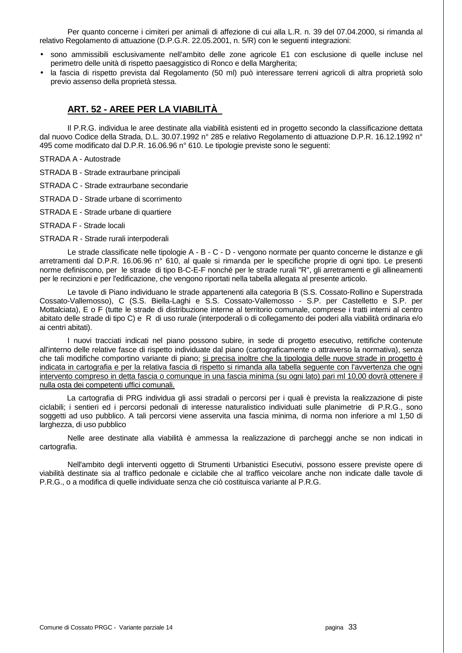Per quanto concerne i cimiteri per animali di affezione di cui alla L.R. n. 39 del 07.04.2000, si rimanda al relativo Regolamento di attuazione (D.P.G.R. 22.05.2001, n. 5/R) con le seguenti integrazioni:

- sono ammissibili esclusivamente nell'ambito delle zone agricole E1 con esclusione di quelle incluse nel perimetro delle unità di rispetto paesaggistico di Ronco e della Margherita;
- la fascia di rispetto prevista dal Regolamento (50 ml) può interessare terreni agricoli di altra proprietà solo previo assenso della proprietà stessa.

## **ART. 52 - AREE PER LA VIABILITÀ**

 Il P.R.G. individua le aree destinate alla viabilità esistenti ed in progetto secondo la classificazione dettata dal nuovo Codice della Strada, D.L. 30.07.1992 n° 285 e relativo Regolamento di attuazione D.P.R. 16.12.1992 n° 495 come modificato dal D.P.R. 16.06.96 n° 610. Le tipologie previste sono le seguenti:

STRADA A - Autostrade

STRADA B - Strade extraurbane principali

STRADA C - Strade extraurbane secondarie

STRADA D - Strade urbane di scorrimento

STRADA E - Strade urbane di quartiere

STRADA F - Strade locali

STRADA R - Strade rurali interpoderali

 Le strade classificate nelle tipologie A - B - C - D - vengono normate per quanto concerne le distanze e gli arretramenti dal D.P.R. 16.06.96 n° 610, al quale si rimanda per le specifiche proprie di ogni tipo. Le presenti norme definiscono, per le strade di tipo B-C-E-F nonché per le strade rurali "R", gli arretramenti e gli allineamenti per le recinzioni e per l'edificazione, che vengono riportati nella tabella allegata al presente articolo.

 Le tavole di Piano individuano le strade appartenenti alla categoria B (S.S. Cossato-Rollino e Superstrada Cossato-Vallemosso), C (S.S. Biella-Laghi e S.S. Cossato-Vallemosso - S.P. per Castelletto e S.P. per Mottalciata), E o F (tutte le strade di distribuzione interne al territorio comunale, comprese i tratti interni al centro abitato delle strade di tipo C) e R di uso rurale (interpoderali o di collegamento dei poderi alla viabilità ordinaria e/o ai centri abitati).

 I nuovi tracciati indicati nel piano possono subire, in sede di progetto esecutivo, rettifiche contenute all'interno delle relative fasce di rispetto individuate dal piano (cartograficamente o attraverso la normativa), senza che tali modifiche comportino variante di piano; si precisa inoltre che la tipologia delle nuove strade in progetto è indicata in cartografia e per la relativa fascia di rispetto si rimanda alla tabella seguente con l'avvertenza che ogni intervento compreso in detta fascia o comunque in una fascia minima (su ogni lato) pari ml 10,00 dovrà ottenere il nulla osta dei competenti uffici comunali.

La cartografia di PRG individua gli assi stradali o percorsi per i quali è prevista la realizzazione di piste ciclabili; i sentieri ed i percorsi pedonali di interesse naturalistico individuati sulle planimetrie di P.R.G., sono soggetti ad uso pubblico. A tali percorsi viene asservita una fascia minima, di norma non inferiore a ml 1,50 di larghezza, di uso pubblico

 Nelle aree destinate alla viabilità è ammessa la realizzazione di parcheggi anche se non indicati in cartografia.

 Nell'ambito degli interventi oggetto di Strumenti Urbanistici Esecutivi, possono essere previste opere di viabilità destinate sia al traffico pedonale e ciclabile che al traffico veicolare anche non indicate dalle tavole di P.R.G., o a modifica di quelle individuate senza che ciò costituisca variante al P.R.G.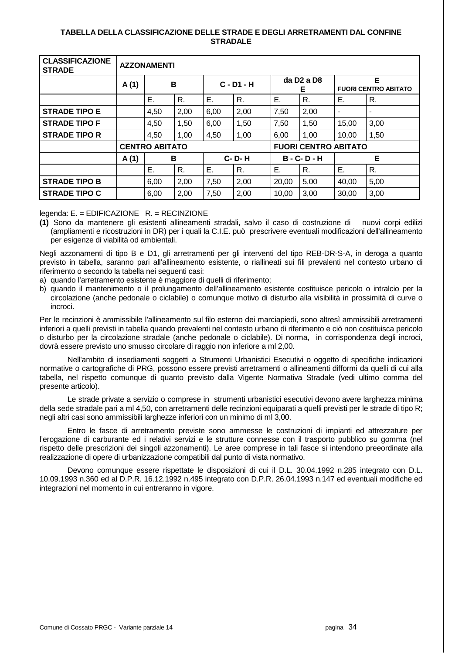#### **TABELLA DELLA CLASSIFICAZIONE DELLE STRADE E DEGLI ARRETRAMENTI DAL CONFINE STRADALE**

| <b>CLASSIFICAZIONE</b><br><b>STRADE</b> | <b>AZZONAMENTI</b> |                       |      |              |                                 |                                          |                             |                                  |      |  |
|-----------------------------------------|--------------------|-----------------------|------|--------------|---------------------------------|------------------------------------------|-----------------------------|----------------------------------|------|--|
|                                         | A(1)               | B                     |      | $C - D1 - H$ |                                 | da D <sub>2</sub> a D <sub>8</sub><br>E. |                             | Е<br><b>FUORI CENTRO ABITATO</b> |      |  |
|                                         |                    | Ε.                    | R.   | Ε.           | R.                              | Е.                                       | $R_{\cdot}$                 | Е.                               | R.   |  |
| <b>STRADE TIPO E</b>                    |                    | 4,50                  | 2,00 | 6,00         | 2,00                            | 7,50                                     | 2,00                        |                                  |      |  |
| <b>STRADE TIPO F</b>                    |                    | 4,50                  | 1,50 | 6,00         | 1,50                            | 7,50                                     | 1,50                        | 15,00                            | 3,00 |  |
| <b>STRADE TIPO R</b>                    |                    | 4,50                  | 1,00 | 4,50         | 1,00                            | 6,00                                     | 1,00                        | 10,00                            | 1,50 |  |
|                                         |                    | <b>CENTRO ABITATO</b> |      |              |                                 |                                          | <b>FUORI CENTRO ABITATO</b> |                                  |      |  |
|                                         | A(1)               |                       | B    |              | <b>C-D-H</b><br>$B - C - D - H$ |                                          |                             |                                  | E    |  |
|                                         |                    | Е.                    | R.   | Е.           | R.                              | Е.                                       | R.                          | Ε.                               | R.   |  |
| <b>STRADE TIPO B</b>                    |                    | 6,00                  | 2,00 | 7,50         | 2,00                            | 20,00                                    | 5,00                        | 40,00                            | 5,00 |  |
| <b>STRADE TIPO C</b>                    |                    | 6,00                  | 2,00 | 7,50         | 2,00                            | 10,00                                    | 3,00                        | 30,00                            | 3,00 |  |

legenda: E. = EDIFICAZIONE R. = RECINZIONE

**(1)** Sono da mantenere gli esistenti allineamenti stradali, salvo il caso di costruzione di nuovi corpi edilizi (ampliamenti e ricostruzioni in DR) per i quali la C.I.E. può prescrivere eventuali modificazioni dell'allineamento per esigenze di viabilità od ambientali.

Negli azzonamenti di tipo B e D1, gli arretramenti per gli interventi del tipo REB-DR-S-A, in deroga a quanto previsto in tabella, saranno pari all'allineamento esistente, o riallineati sui fili prevalenti nel contesto urbano di riferimento o secondo la tabella nei seguenti casi:

- a) quando l'arretramento esistente è maggiore di quelli di riferimento;
- b) quando il mantenimento o il prolungamento dell'allineamento esistente costituisce pericolo o intralcio per la circolazione (anche pedonale o ciclabile) o comunque motivo di disturbo alla visibilità in prossimità di curve o incroci.

Per le recinzioni è ammissibile l'allineamento sul filo esterno dei marciapiedi, sono altresì ammissibili arretramenti inferiori a quelli previsti in tabella quando prevalenti nel contesto urbano di riferimento e ciò non costituisca pericolo o disturbo per la circolazione stradale (anche pedonale o ciclabile). Di norma, in corrispondenza degli incroci, dovrà essere previsto uno smusso circolare di raggio non inferiore a ml 2,00.

 Nell'ambito di insediamenti soggetti a Strumenti Urbanistici Esecutivi o oggetto di specifiche indicazioni normative o cartografiche di PRG, possono essere previsti arretramenti o allineamenti difformi da quelli di cui alla tabella, nel rispetto comunque di quanto previsto dalla Vigente Normativa Stradale (vedi ultimo comma del presente articolo).

 Le strade private a servizio o comprese in strumenti urbanistici esecutivi devono avere larghezza minima della sede stradale pari a ml 4,50, con arretramenti delle recinzioni equiparati a quelli previsti per le strade di tipo R; negli altri casi sono ammissibili larghezze inferiori con un minimo di ml 3,00.

 Entro le fasce di arretramento previste sono ammesse le costruzioni di impianti ed attrezzature per l'erogazione di carburante ed i relativi servizi e le strutture connesse con il trasporto pubblico su gomma (nel rispetto delle prescrizioni dei singoli azzonamenti). Le aree comprese in tali fasce si intendono preeordinate alla realizzazione di opere di urbanizzazione compatibili dal punto di vista normativo.

 Devono comunque essere rispettate le disposizioni di cui il D.L. 30.04.1992 n.285 integrato con D.L. 10.09.1993 n.360 ed al D.P.R. 16.12.1992 n.495 integrato con D.P.R. 26.04.1993 n.147 ed eventuali modifiche ed integrazioni nel momento in cui entreranno in vigore.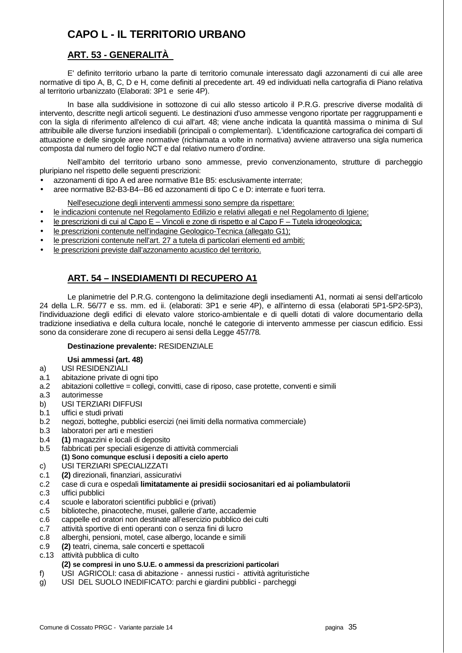# **CAPO L - IL TERRITORIO URBANO**

## **ART. 53 - GENERALITÀ**

 E' definito territorio urbano la parte di territorio comunale interessato dagli azzonamenti di cui alle aree normative di tipo A, B, C, D e H, come definiti al precedente art. 49 ed individuati nella cartografia di Piano relativa al territorio urbanizzato (Elaborati: 3P1 e serie 4P).

 In base alla suddivisione in sottozone di cui allo stesso articolo il P.R.G. prescrive diverse modalità di intervento, descritte negli articoli seguenti. Le destinazioni d'uso ammesse vengono riportate per raggruppamenti e con la sigla di riferimento all'elenco di cui all'art. 48; viene anche indicata la quantità massima o minima di Sul attribuibile alle diverse funzioni insediabili (principali o complementari). L'identificazione cartografica dei comparti di attuazione e delle singole aree normative (richiamata a volte in normativa) avviene attraverso una sigla numerica composta dal numero del foglio NCT e dal relativo numero d'ordine.

 Nell'ambito del territorio urbano sono ammesse, previo convenzionamento, strutture di parcheggio pluripiano nel rispetto delle seguenti prescrizioni:

- azzonamenti di tipo A ed aree normative B1e B5: esclusivamente interrate;
- aree normative B2-B3-B4--B6 ed azzonamenti di tipo C e D: interrate e fuori terra.

Nell'esecuzione degli interventi ammessi sono sempre da rispettare:

- le indicazioni contenute nel Regolamento Edilizio e relativi allegati e nel Regolamento di Igiene;
- le prescrizioni di cui al Capo E Vincoli e zone di rispetto e al Capo F Tutela idrogeologica;
- le prescrizioni contenute nell'indagine Geologico-Tecnica (allegato G1);
- le prescrizioni contenute nell'art. 27 a tutela di particolari elementi ed ambiti;
- le prescrizioni previste dall'azzonamento acustico del territorio.

## **ART. 54 – INSEDIAMENTI DI RECUPERO A1**

 Le planimetrie del P.R.G. contengono la delimitazione degli insediamenti A1, normati ai sensi dell'articolo 24 della L.R. 56/77 e ss. mm. ed ii. (elaborati: 3P1 e serie 4P), e all'interno di essa (elaborati 5P1-5P2-5P3), l'individuazione degli edifici di elevato valore storico-ambientale e di quelli dotati di valore documentario della tradizione insediativa e della cultura locale, nonché le categorie di intervento ammesse per ciascun edificio. Essi sono da considerare zone di recupero ai sensi della Legge 457/78.

## **Destinazione prevalente:** RESIDENZIALE

## **Usi ammessi (art. 48)**

- a) USI RESIDENZIALI
- a.1 abitazione private di ogni tipo
- a.2 abitazioni collettive = collegi, convitti, case di riposo, case protette, conventi e simili
- a.3 autorimesse
- b) USI TERZIARI DIFFUSI
- b.1 uffici e studi privati
- b.2 negozi, botteghe, pubblici esercizi (nei limiti della normativa commerciale)
- b.3 laboratori per arti e mestieri
- b.4 **(1)** magazzini e locali di deposito
- b.5 fabbricati per speciali esigenze di attività commerciali  **(1) Sono comunque esclusi i depositi a cielo aperto**
- c) USI TERZIARI SPECIALIZZATI
- c.1 **(2)** direzionali, finanziari, assicurativi
- c.2 case di cura e ospedali **limitatamente ai presidii sociosanitari ed ai poliambulatorii**
- c.3 uffici pubblici
- c.4 scuole e laboratori scientifici pubblici e (privati)
- c.5 biblioteche, pinacoteche, musei, gallerie d'arte, accademie
- c.6 cappelle ed oratori non destinate all'esercizio pubblico dei culti
- c.7 attività sportive di enti operanti con o senza fini di lucro
- c.8 alberghi, pensioni, motel, case albergo, locande e simili
- c.9 **(2)** teatri, cinema, sale concerti e spettacoli
- c.13 attività pubblica di culto

## **(2) se compresi in uno S.U.E. o ammessi da prescrizioni particolari**

- f) USI AGRICOLI: casa di abitazione annessi rustici attività agrituristiche
- g) USI DEL SUOLO INEDIFICATO: parchi e giardini pubblici parcheggi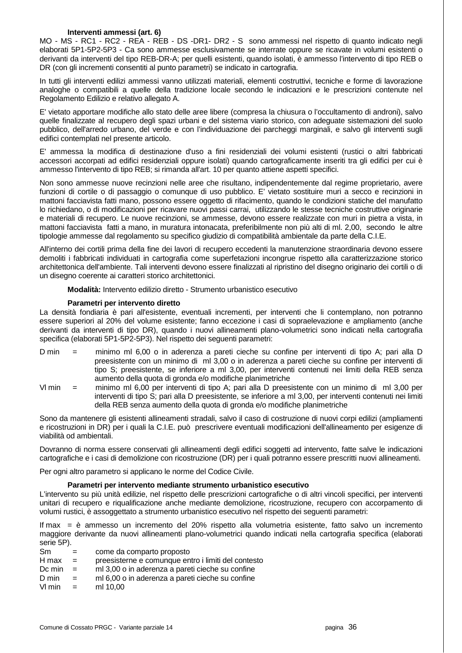#### **Interventi ammessi (art. 6)**

MO - MS - RC1 - RC2 - REA - REB - DS -DR1- DR2 - S sono ammessi nel rispetto di quanto indicato negli elaborati 5P1-5P2-5P3 - Ca sono ammesse esclusivamente se interrate oppure se ricavate in volumi esistenti o derivanti da interventi del tipo REB-DR-A; per quelli esistenti, quando isolati, è ammesso l'intervento di tipo REB o DR (con gli incrementi consentiti al punto parametri) se indicato in cartografia.

In tutti gli interventi edilizi ammessi vanno utilizzati materiali, elementi costruttivi, tecniche e forme di lavorazione analoghe o compatibili a quelle della tradizione locale secondo le indicazioni e le prescrizioni contenute nel Regolamento Edilizio e relativo allegato A.

E' vietato apportare modifiche allo stato delle aree libere (compresa la chiusura o l'occultamento di androni), salvo quelle finalizzate al recupero degli spazi urbani e del sistema viario storico, con adeguate sistemazioni del suolo pubblico, dell'arredo urbano, del verde e con l'individuazione dei parcheggi marginali, e salvo gli interventi sugli edifici contemplati nel presente articolo.

E' ammessa la modifica di destinazione d'uso a fini residenziali dei volumi esistenti (rustici o altri fabbricati accessori accorpati ad edifici residenziali oppure isolati) quando cartograficamente inseriti tra gli edifici per cui è ammesso l'intervento di tipo REB; si rimanda all'art. 10 per quanto attiene aspetti specifici.

Non sono ammesse nuove recinzioni nelle aree che risultano, indipendentemente dal regime proprietario, avere funzioni di cortile o di passaggio o comunque di uso pubblico. E' vietato sostituire muri a secco e recinzioni in mattoni facciavista fatti mano, possono essere oggetto di rifacimento, quando le condizioni statiche del manufatto lo richiedano, o di modificazioni per ricavare nuovi passi carrai, utilizzando le stesse tecniche costruttive originarie e materiali di recupero. Le nuove recinzioni, se ammesse, devono essere realizzate con muri in pietra a vista, in mattoni facciavista fatti a mano, in muratura intonacata, preferibilmente non più alti di ml. 2,00, secondo le altre tipologie ammesse dal regolamento su specifico giudizio di compatibilità ambientale da parte della C.I.E.

All'interno dei cortili prima della fine dei lavori di recupero eccedenti la manutenzione straordinaria devono essere demoliti i fabbricati individuati in cartografia come superfetazioni incongrue rispetto alla caratterizzazione storico architettonica dell'ambiente. Tali interventi devono essere finalizzati al ripristino del disegno originario dei cortili o di un disegno coerente ai caratteri storico architettonici.

 **Modalità:** Intervento edilizio diretto - Strumento urbanistico esecutivo

## **Parametri per intervento diretto**

La densità fondiaria è pari all'esistente, eventuali incrementi, per interventi che li contemplano, non potranno essere superiori al 20% del volume esistente; fanno eccezione i casi di sopraelevazione e ampliamento (anche derivanti da interventi di tipo DR), quando i nuovi allineamenti plano-volumetrici sono indicati nella cartografia specifica (elaborati 5P1-5P2-5P3). Nel rispetto dei seguenti parametri:

- D min = minimo ml 6,00 o in aderenza a pareti cieche su confine per interventi di tipo A; pari alla D preesistente con un minimo di ml 3,00 o in aderenza a pareti cieche su confine per interventi di tipo S; preesistente, se inferiore a ml 3,00, per interventi contenuti nei limiti della REB senza aumento della quota di gronda e/o modifiche planimetriche
- Vl min = minimo ml 6,00 per interventi di tipo A; pari alla D preesistente con un minimo di ml 3,00 per interventi di tipo S; pari alla D preesistente, se inferiore a ml 3,00, per interventi contenuti nei limiti della REB senza aumento della quota di gronda e/o modifiche planimetriche

Sono da mantenere gli esistenti allineamenti stradali, salvo il caso di costruzione di nuovi corpi edilizi (ampliamenti e ricostruzioni in DR) per i quali la C.I.E. può prescrivere eventuali modificazioni dell'allineamento per esigenze di viabilità od ambientali.

Dovranno di norma essere conservati gli allineamenti degli edifici soggetti ad intervento, fatte salve le indicazioni cartografiche e i casi di demolizione con ricostruzione (DR) per i quali potranno essere prescritti nuovi allineamenti.

Per ogni altro parametro si applicano le norme del Codice Civile.

#### **Parametri per intervento mediante strumento urbanistico esecutivo**

L'intervento su più unità edilizie, nel rispetto delle prescrizioni cartografiche o di altri vincoli specifici, per interventi unitari di recupero e riqualificazione anche mediante demolizione, ricostruzione, recupero con accorpamento di volumi rustici, è assoggettato a strumento urbanistico esecutivo nel rispetto dei seguenti parametri:

If max = è ammesso un incremento del 20% rispetto alla volumetria esistente, fatto salvo un incremento maggiore derivante da nuovi allineamenti plano-volumetrici quando indicati nella cartografia specifica (elaborati serie 5P).

Sm = come da comparto proposto H max = preesisterne e comunque entro i limiti del contesto Dc min  $=$  ml 3,00 o in aderenza a pareti cieche su confine D min = ml 6,00 o in aderenza a pareti cieche su confine  $Vl$  min = ml 10,00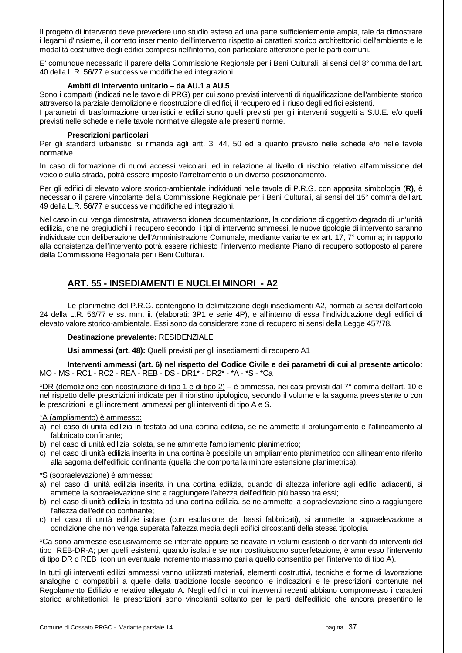Il progetto di intervento deve prevedere uno studio esteso ad una parte sufficientemente ampia, tale da dimostrare i legami d'insieme, il corretto inserimento dell'intervento rispetto ai caratteri storico architettonici dell'ambiente e le modalità costruttive degli edifici compresi nell'intorno, con particolare attenzione per le parti comuni.

E' comunque necessario il parere della Commissione Regionale per i Beni Culturali, ai sensi del 8° comma dell'art. 40 della L.R. 56/77 e successive modifiche ed integrazioni.

#### **Ambiti di intervento unitario – da AU.1 a AU.5**

Sono i comparti (indicati nelle tavole di PRG) per cui sono previsti interventi di riqualificazione dell'ambiente storico attraverso la parziale demolizione e ricostruzione di edifici, il recupero ed il riuso degli edifici esistenti.

I parametri di trasformazione urbanistici e edilizi sono quelli previsti per gli interventi soggetti a S.U.E. e/o quelli previsti nelle schede e nelle tavole normative allegate alle presenti norme.

#### **Prescrizioni particolari**

Per gli standard urbanistici si rimanda agli artt. 3, 44, 50 ed a quanto previsto nelle schede e/o nelle tavole normative.

In caso di formazione di nuovi accessi veicolari, ed in relazione al livello di rischio relativo all'ammissione del veicolo sulla strada, potrà essere imposto l'arretramento o un diverso posizionamento.

Per gli edifici di elevato valore storico-ambientale individuati nelle tavole di P.R.G. con apposita simbologia (**R)**, è necessario il parere vincolante della Commissione Regionale per i Beni Culturali, ai sensi del 15° comma dell'art. 49 della L.R. 56/77 e successive modifiche ed integrazioni.

Nel caso in cui venga dimostrata, attraverso idonea documentazione, la condizione di oggettivo degrado di un'unità edilizia, che ne pregiudichi il recupero secondo i tipi di intervento ammessi, le nuove tipologie di intervento saranno individuate con deliberazione dell'Amministrazione Comunale, mediante variante ex art. 17, 7° comma; in rapporto alla consistenza dell'intervento potrà essere richiesto l'intervento mediante Piano di recupero sottoposto al parere della Commissione Regionale per i Beni Culturali.

## **ART. 55 - INSEDIAMENTI E NUCLEI MINORI - A2**

 Le planimetrie del P.R.G. contengono la delimitazione degli insediamenti A2, normati ai sensi dell'articolo 24 della L.R. 56/77 e ss. mm. ii. (elaborati: 3P1 e serie 4P), e all'interno di essa l'individuazione degli edifici di elevato valore storico-ambientale. Essi sono da considerare zone di recupero ai sensi della Legge 457/78.

#### **Destinazione prevalente:** RESIDENZIALE

 **Usi ammessi (art. 48):** Quelli previsti per gli insediamenti di recupero A1

 **Interventi ammessi (art. 6) nel rispetto del Codice Civile e dei parametri di cui al presente articolo:**  MO - MS - RC1 - RC2 - REA - REB - DS - DR1\* - DR2\* - \*A - \*S - \*Ca

\*DR (demolizione con ricostruzione di tipo 1 e di tipo 2) – è ammessa, nei casi previsti dal 7° comma dell'art. 10 e nel rispetto delle prescrizioni indicate per il ripristino tipologico, secondo il volume e la sagoma preesistente o con le prescrizioni e gli incrementi ammessi per gli interventi di tipo A e S.

\*A (ampliamento) è ammesso:

- a) nel caso di unità edilizia in testata ad una cortina edilizia, se ne ammette il prolungamento e l'allineamento al fabbricato confinante;
- b) nel caso di unità edilizia isolata, se ne ammette l'ampliamento planimetrico;
- c) nel caso di unità edilizia inserita in una cortina è possibile un ampliamento planimetrico con allineamento riferito alla sagoma dell'edificio confinante (quella che comporta la minore estensione planimetrica).

#### \*S (sopraelevazione) è ammessa:

- a) nel caso di unità edilizia inserita in una cortina edilizia, quando di altezza inferiore agli edifici adiacenti, si ammette la sopraelevazione sino a raggiungere l'altezza dell'edificio più basso tra essi;
- b) nel caso di unità edilizia in testata ad una cortina edilizia, se ne ammette la sopraelevazione sino a raggiungere l'altezza dell'edificio confinante;
- c) nel caso di unità edilizie isolate (con esclusione dei bassi fabbricati), si ammette la sopraelevazione a condizione che non venga superata l'altezza media degli edifici circostanti della stessa tipologia.

\*Ca sono ammesse esclusivamente se interrate oppure se ricavate in volumi esistenti o derivanti da interventi del tipo REB-DR-A; per quelli esistenti, quando isolati e se non costituiscono superfetazione, è ammesso l'intervento di tipo DR o REB (con un eventuale incremento massimo pari a quello consentito per l'intervento di tipo A).

In tutti gli interventi edilizi ammessi vanno utilizzati materiali, elementi costruttivi, tecniche e forme di lavorazione analoghe o compatibili a quelle della tradizione locale secondo le indicazioni e le prescrizioni contenute nel Regolamento Edilizio e relativo allegato A. Negli edifici in cui interventi recenti abbiano compromesso i caratteri storico architettonici, le prescrizioni sono vincolanti soltanto per le parti dell'edificio che ancora presentino le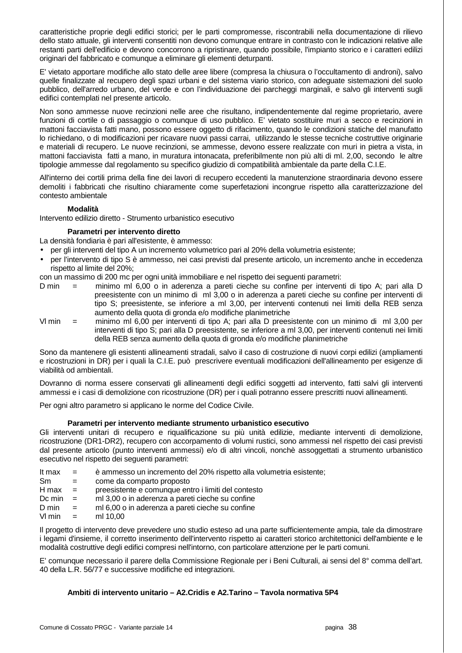caratteristiche proprie degli edifici storici; per le parti compromesse, riscontrabili nella documentazione di rilievo dello stato attuale, gli interventi consentiti non devono comunque entrare in contrasto con le indicazioni relative alle restanti parti dell'edificio e devono concorrono a ripristinare, quando possibile, l'impianto storico e i caratteri edilizi originari del fabbricato e comunque a eliminare gli elementi deturpanti.

E' vietato apportare modifiche allo stato delle aree libere (compresa la chiusura o l'occultamento di androni), salvo quelle finalizzate al recupero degli spazi urbani e del sistema viario storico, con adeguate sistemazioni del suolo pubblico, dell'arredo urbano, del verde e con l'individuazione dei parcheggi marginali, e salvo gli interventi sugli edifici contemplati nel presente articolo.

Non sono ammesse nuove recinzioni nelle aree che risultano, indipendentemente dal regime proprietario, avere funzioni di cortile o di passaggio o comunque di uso pubblico. E' vietato sostituire muri a secco e recinzioni in mattoni facciavista fatti mano, possono essere oggetto di rifacimento, quando le condizioni statiche del manufatto lo richiedano, o di modificazioni per ricavare nuovi passi carrai, utilizzando le stesse tecniche costruttive originarie e materiali di recupero. Le nuove recinzioni, se ammesse, devono essere realizzate con muri in pietra a vista, in mattoni facciavista fatti a mano, in muratura intonacata, preferibilmente non più alti di ml. 2,00, secondo le altre tipologie ammesse dal regolamento su specifico giudizio di compatibilità ambientale da parte della C.I.E.

All'interno dei cortili prima della fine dei lavori di recupero eccedenti la manutenzione straordinaria devono essere demoliti i fabbricati che risultino chiaramente come superfetazioni incongrue rispetto alla caratterizzazione del contesto ambientale

## **Modalità**

Intervento edilizio diretto - Strumento urbanistico esecutivo

## **Parametri per intervento diretto**

- La densità fondiaria è pari all'esistente, è ammesso:
- per gli interventi del tipo A un incremento volumetrico pari al 20% della volumetria esistente;
- per l'intervento di tipo S è ammesso, nei casi previsti dal presente articolo, un incremento anche in eccedenza rispetto al limite del 20%;

con un massimo di 200 mc per ogni unità immobiliare e nel rispetto dei seguenti parametri:

- D min = minimo ml 6,00 o in aderenza a pareti cieche su confine per interventi di tipo A; pari alla D preesistente con un minimo di ml 3,00 o in aderenza a pareti cieche su confine per interventi di tipo S; preesistente, se inferiore a ml 3,00, per interventi contenuti nei limiti della REB senza aumento della quota di gronda e/o modifiche planimetriche
- Vl min = minimo ml 6,00 per interventi di tipo A; pari alla D preesistente con un minimo di ml 3,00 per interventi di tipo S; pari alla D preesistente, se inferiore a ml 3,00, per interventi contenuti nei limiti della REB senza aumento della quota di gronda e/o modifiche planimetriche

Sono da mantenere gli esistenti allineamenti stradali, salvo il caso di costruzione di nuovi corpi edilizi (ampliamenti e ricostruzioni in DR) per i quali la C.I.E. può prescrivere eventuali modificazioni dell'allineamento per esigenze di viabilità od ambientali.

Dovranno di norma essere conservati gli allineamenti degli edifici soggetti ad intervento, fatti salvi gli interventi ammessi e i casi di demolizione con ricostruzione (DR) per i quali potranno essere prescritti nuovi allineamenti.

Per ogni altro parametro si applicano le norme del Codice Civile.

## **Parametri per intervento mediante strumento urbanistico esecutivo**

Gli interventi unitari di recupero e riqualificazione su più unità edilizie, mediante interventi di demolizione, ricostruzione (DR1-DR2), recupero con accorpamento di volumi rustici, sono ammessi nel rispetto dei casi previsti dal presente articolo (punto interventi ammessi) e/o di altri vincoli, nonchè assoggettati a strumento urbanistico esecutivo nel rispetto dei seguenti parametri:

- It max = è ammesso un incremento del 20% rispetto alla volumetria esistente;
- Sm = come da comparto proposto
- H max = preesistente e comunque entro i limiti del contesto
- Dc min  $=$  ml 3,00 o in aderenza a pareti cieche su confine
- $D \text{ min} = \text{ m} \cdot 6,00$  o in aderenza a pareti cieche su confine
- $Vl$  min = ml 10.00

Il progetto di intervento deve prevedere uno studio esteso ad una parte sufficientemente ampia, tale da dimostrare i legami d'insieme, il corretto inserimento dell'intervento rispetto ai caratteri storico architettonici dell'ambiente e le modalità costruttive degli edifici compresi nell'intorno, con particolare attenzione per le parti comuni.

E' comunque necessario il parere della Commissione Regionale per i Beni Culturali, ai sensi del 8° comma dell'art. 40 della L.R. 56/77 e successive modifiche ed integrazioni.

## **Ambiti di intervento unitario – A2.Cridis e A2.Tarino – Tavola normativa 5P4**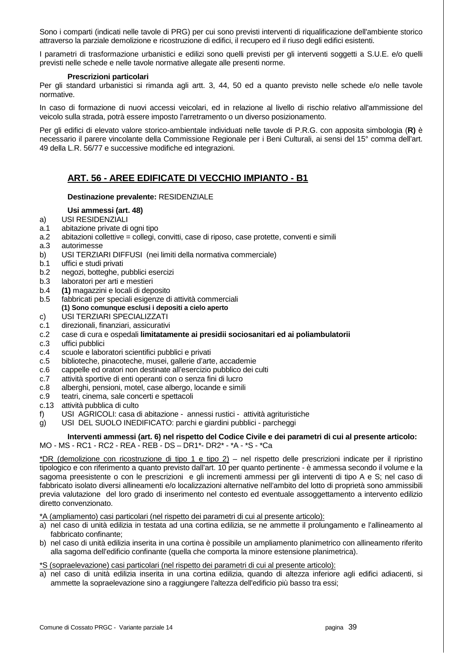Sono i comparti (indicati nelle tavole di PRG) per cui sono previsti interventi di riqualificazione dell'ambiente storico attraverso la parziale demolizione e ricostruzione di edifici, il recupero ed il riuso degli edifici esistenti.

I parametri di trasformazione urbanistici e edilizi sono quelli previsti per gli interventi soggetti a S.U.E. e/o quelli previsti nelle schede e nelle tavole normative allegate alle presenti norme.

#### **Prescrizioni particolari**

Per gli standard urbanistici si rimanda agli artt. 3, 44, 50 ed a quanto previsto nelle schede e/o nelle tavole normative.

In caso di formazione di nuovi accessi veicolari, ed in relazione al livello di rischio relativo all'ammissione del veicolo sulla strada, potrà essere imposto l'arretramento o un diverso posizionamento.

Per gli edifici di elevato valore storico-ambientale individuati nelle tavole di P.R.G. con apposita simbologia (**R)** è necessario il parere vincolante della Commissione Regionale per i Beni Culturali, ai sensi del 15° comma dell'art. 49 della L.R. 56/77 e successive modifiche ed integrazioni.

## **ART. 56 - AREE EDIFICATE DI VECCHIO IMPIANTO - B1**

## **Destinazione prevalente:** RESIDENZIALE

## **Usi ammessi (art. 48)**

- a) USI RESIDENZIALI
- a.1 abitazione private di ogni tipo
- a.2 abitazioni collettive = collegi, convitti, case di riposo, case protette, conventi e simili
- a.3 autorimesse
- b) USI TERZIARI DIFFUSI (nei limiti della normativa commerciale)
- b.1 uffici e studi privati
- b.2 negozi, botteghe, pubblici esercizi
- b.3 laboratori per arti e mestieri
- b.4 **(1)** magazzini e locali di deposito
- b.5 fabbricati per speciali esigenze di attività commerciali  **(1) Sono comunque esclusi i depositi a cielo aperto**
- c) USI TERZIARI SPECIALIZZATI
- c.1 direzionali, finanziari, assicurativi
- c.2 case di cura e ospedali **limitatamente ai presidii sociosanitari ed ai poliambulatorii**
- c.3 uffici pubblici
- c.4 scuole e laboratori scientifici pubblici e privati
- c.5 biblioteche, pinacoteche, musei, gallerie d'arte, accademie
- c.6 cappelle ed oratori non destinate all'esercizio pubblico dei culti
- c.7 attività sportive di enti operanti con o senza fini di lucro
- c.8 alberghi, pensioni, motel, case albergo, locande e simili
- c.9 teatri, cinema, sale concerti e spettacoli
- c.13 attività pubblica di culto
- f) USI AGRICOLI: casa di abitazione annessi rustici attività agrituristiche
- g) USI DEL SUOLO INEDIFICATO: parchi e giardini pubblici parcheggi

## **Interventi ammessi (art. 6) nel rispetto del Codice Civile e dei parametri di cui al presente articolo:**

## MO - MS - RC1 - RC2 - REA - REB - DS – DR1\*- DR2\* - \*A - \*S - \*Ca

\*DR (demolizione con ricostruzione di tipo 1 e tipo 2) – nel rispetto delle prescrizioni indicate per il ripristino tipologico e con riferimento a quanto previsto dall'art. 10 per quanto pertinente - è ammessa secondo il volume e la sagoma preesistente o con le prescrizioni e gli incrementi ammessi per gli interventi di tipo A e S; nel caso di fabbricato isolato diversi allineamenti e/o localizzazioni alternative nell'ambito del lotto di proprietà sono ammissibili previa valutazione del loro grado di inserimento nel contesto ed eventuale assoggettamento a intervento edilizio diretto convenzionato.

\*A (ampliamento) casi particolari (nel rispetto dei parametri di cui al presente articolo):

- a) nel caso di unità edilizia in testata ad una cortina edilizia, se ne ammette il prolungamento e l'allineamento al fabbricato confinante;
- b) nel caso di unità edilizia inserita in una cortina è possibile un ampliamento planimetrico con allineamento riferito alla sagoma dell'edificio confinante (quella che comporta la minore estensione planimetrica).

\*S (sopraelevazione) casi particolari (nel rispetto dei parametri di cui al presente articolo):

a) nel caso di unità edilizia inserita in una cortina edilizia, quando di altezza inferiore agli edifici adiacenti, si ammette la sopraelevazione sino a raggiungere l'altezza dell'edificio più basso tra essi;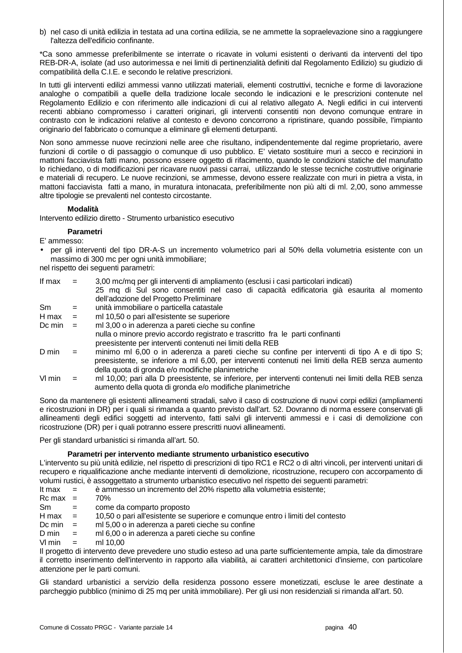b) nel caso di unità edilizia in testata ad una cortina edilizia, se ne ammette la sopraelevazione sino a raggiungere l'altezza dell'edificio confinante.

\*Ca sono ammesse preferibilmente se interrate o ricavate in volumi esistenti o derivanti da interventi del tipo REB-DR-A, isolate (ad uso autorimessa e nei limiti di pertinenzialità definiti dal Regolamento Edilizio) su giudizio di compatibilità della C.I.E. e secondo le relative prescrizioni.

In tutti gli interventi edilizi ammessi vanno utilizzati materiali, elementi costruttivi, tecniche e forme di lavorazione analoghe o compatibili a quelle della tradizione locale secondo le indicazioni e le prescrizioni contenute nel Regolamento Edilizio e con riferimento alle indicazioni di cui al relativo allegato A. Negli edifici in cui interventi recenti abbiano compromesso i caratteri originari, gli interventi consentiti non devono comunque entrare in contrasto con le indicazioni relative al contesto e devono concorrono a ripristinare, quando possibile, l'impianto originario del fabbricato o comunque a eliminare gli elementi deturpanti.

Non sono ammesse nuove recinzioni nelle aree che risultano, indipendentemente dal regime proprietario, avere funzioni di cortile o di passaggio o comunque di uso pubblico. E' vietato sostituire muri a secco e recinzioni in mattoni facciavista fatti mano, possono essere oggetto di rifacimento, quando le condizioni statiche del manufatto lo richiedano, o di modificazioni per ricavare nuovi passi carrai, utilizzando le stesse tecniche costruttive originarie e materiali di recupero. Le nuove recinzioni, se ammesse, devono essere realizzate con muri in pietra a vista, in mattoni facciavista fatti a mano, in muratura intonacata, preferibilmente non più alti di ml. 2,00, sono ammesse altre tipologie se prevalenti nel contesto circostante.

## **Modalità**

Intervento edilizio diretto - Strumento urbanistico esecutivo

## **Parametri**

E' ammesso:

• per gli interventi del tipo DR-A-S un incremento volumetrico pari al 50% della volumetria esistente con un massimo di 300 mc per ogni unità immobiliare;

nel rispetto dei seguenti parametri:

| If max      | $=$      | 3,00 mc/mq per gli interventi di ampliamento (esclusi i casi particolari indicati)                    |
|-------------|----------|-------------------------------------------------------------------------------------------------------|
|             |          | 25 mq di Sul sono consentiti nel caso di capacità edificatoria già esaurita al momento                |
|             |          | dell'adozione del Progetto Preliminare                                                                |
| Sm          | $=$      | unità immobiliare o particella catastale                                                              |
| $H$ max $=$ |          | ml 10,50 o pari all'esistente se superiore                                                            |
| Dc min      | $\equiv$ | ml 3,00 o in aderenza a pareti cieche su confine                                                      |
|             |          | nulla o minore previo accordo registrato e trascritto fra le parti confinanti                         |
|             |          | preesistente per interventi contenuti nei limiti della REB                                            |
| D min       | $=$      | minimo ml 6,00 o in aderenza a pareti cieche su confine per interventi di tipo A e di tipo S;         |
|             |          | preesistente, se inferiore a ml 6,00, per interventi contenuti nei limiti della REB senza aumento     |
|             |          | della quota di gronda e/o modifiche planimetriche                                                     |
| VI min      | $=$      | ml 10,00; pari alla D preesistente, se inferiore, per interventi contenuti nei limiti della REB senza |
|             |          | aumento della quota di gronda e/o modifiche planimetriche                                             |

Sono da mantenere gli esistenti allineamenti stradali, salvo il caso di costruzione di nuovi corpi edilizi (ampliamenti e ricostruzioni in DR) per i quali si rimanda a quanto previsto dall'art. 52. Dovranno di norma essere conservati gli allineamenti degli edifici soggetti ad intervento, fatti salvi gli interventi ammessi e i casi di demolizione con ricostruzione (DR) per i quali potranno essere prescritti nuovi allineamenti.

Per gli standard urbanistici si rimanda all'art. 50.

## **Parametri per intervento mediante strumento urbanistico esecutivo**

L'intervento su più unità edilizie, nel rispetto di prescrizioni di tipo RC1 e RC2 o di altri vincoli, per interventi unitari di recupero e riqualificazione anche mediante interventi di demolizione, ricostruzione, recupero con accorpamento di volumi rustici, è assoggettato a strumento urbanistico esecutivo nel rispetto dei seguenti parametri:

It max = è ammesso un incremento del 20% rispetto alla volumetria esistente;

- $Rc$  max = 70%
- Sm = come da comparto proposto
- H max = 10,50 o pari all'esistente se superiore e comunque entro i limiti del contesto
- Dc min  $=$  ml 5,00 o in aderenza a pareti cieche su confine
- $D \text{ min} = \text{ m}$ l 6,00 o in aderenza a pareti cieche su confine
- $Vl$  min = ml 10.00

Il progetto di intervento deve prevedere uno studio esteso ad una parte sufficientemente ampia, tale da dimostrare il corretto inserimento dell'intervento in rapporto alla viabilità, ai caratteri architettonici d'insieme, con particolare attenzione per le parti comuni.

Gli standard urbanistici a servizio della residenza possono essere monetizzati, escluse le aree destinate a parcheggio pubblico (minimo di 25 mq per unità immobiliare). Per gli usi non residenziali si rimanda all'art. 50.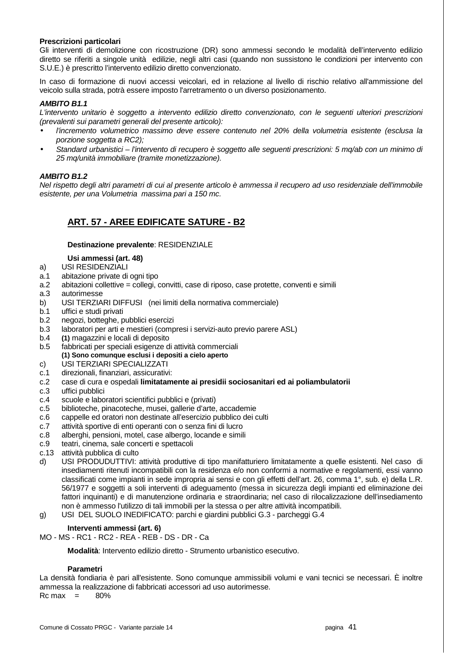## **Prescrizioni particolari**

Gli interventi di demolizione con ricostruzione (DR) sono ammessi secondo le modalità dell'intervento edilizio diretto se riferiti a singole unità edilizie, negli altri casi (quando non sussistono le condizioni per intervento con S.U.E.) è prescritto l'intervento edilizio diretto convenzionato.

In caso di formazione di nuovi accessi veicolari, ed in relazione al livello di rischio relativo all'ammissione del veicolo sulla strada, potrà essere imposto l'arretramento o un diverso posizionamento.

#### **AMBITO B1.1**

L'intervento unitario è soggetto a intervento edilizio diretto convenzionato, con le seguenti ulteriori prescrizioni (prevalenti sui parametri generali del presente articolo):

- l'incremento volumetrico massimo deve essere contenuto nel 20% della volumetria esistente (esclusa la porzione soggetta a RC2);
- Standard urbanistici l'intervento di recupero è soggetto alle seguenti prescrizioni: 5 mq/ab con un minimo di 25 mq/unità immobiliare (tramite monetizzazione).

## **AMBITO B1.2**

Nel rispetto degli altri parametri di cui al presente articolo è ammessa il recupero ad uso residenziale dell'immobile esistente, per una Volumetria massima pari a 150 mc.

## **ART. 57 - AREE EDIFICATE SATURE - B2**

#### **Destinazione prevalente**: RESIDENZIALE

## **Usi ammessi (art. 48)**

- a) USI RESIDENZIALI
- a.1 abitazione private di ogni tipo
- a.2 abitazioni collettive = collegi, convitti, case di riposo, case protette, conventi e simili
- a.3 autorimesse
- b) USI TERZIARI DIFFUSI (nei limiti della normativa commerciale)
- b.1 uffici e studi privati
- b.2 negozi, botteghe, pubblici esercizi
- b.3 laboratori per arti e mestieri (compresi i servizi-auto previo parere ASL)
- b.4 **(1)** magazzini e locali di deposito
- b.5 fabbricati per speciali esigenze di attività commerciali  **(1) Sono comunque esclusi i depositi a cielo aperto**
- c) USI TERZIARI SPECIALIZZATI
- c.1 direzionali, finanziari, assicurativi:
- c.2 case di cura e ospedali **limitatamente ai presidii sociosanitari ed ai poliambulatorii**
- c.3 uffici pubblici
- c.4 scuole e laboratori scientifici pubblici e (privati)

## c.5 biblioteche, pinacoteche, musei, gallerie d'arte, accademie

- c.6 cappelle ed oratori non destinate all'esercizio pubblico dei culti
- c.7 attività sportive di enti operanti con o senza fini di lucro
- c.8 alberghi, pensioni, motel, case albergo, locande e simili
- c.9 teatri, cinema, sale concerti e spettacoli
- c.13 attività pubblica di culto
- d) USI PRODUDUTTIVI: attività produttive di tipo manifatturiero limitatamente a quelle esistenti. Nel caso di insediamenti ritenuti incompatibili con la residenza e/o non conformi a normative e regolamenti, essi vanno classificati come impianti in sede impropria ai sensi e con gli effetti dell'art. 26, comma 1°, sub. e) della L.R. 56/1977 e soggetti a soli interventi di adeguamento (messa in sicurezza degli impianti ed eliminazione dei fattori inquinanti) e di manutenzione ordinaria e straordinaria; nel caso di rilocalizzazione dell'insediamento non è ammesso l'utilizzo di tali immobili per la stessa o per altre attività incompatibili.
- g) USI DEL SUOLO INEDIFICATO: parchi e giardini pubblici G.3 parcheggi G.4

## **Interventi ammessi (art. 6)**

MO - MS - RC1 - RC2 - REA - REB - DS - DR - Ca

 **Modalità**: Intervento edilizio diretto - Strumento urbanistico esecutivo.

#### **Parametri**

La densità fondiaria è pari all'esistente. Sono comunque ammissibili volumi e vani tecnici se necessari. È inoltre ammessa la realizzazione di fabbricati accessori ad uso autorimesse.  $Rc$  max  $=$  80%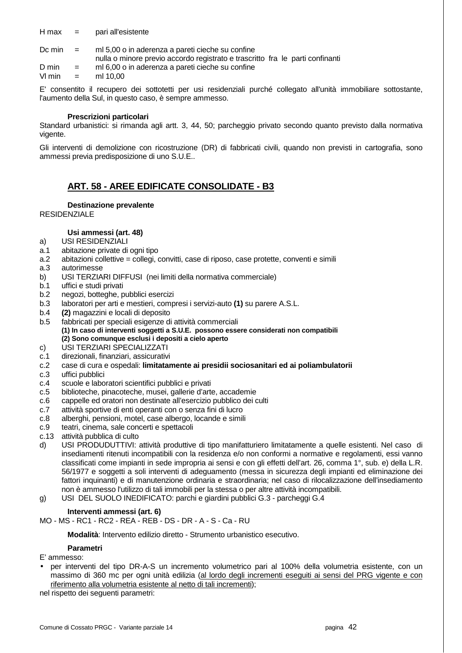$H$  max  $=$  pari all'esistente

Dc min  $=$  ml 5,00 o in aderenza a pareti cieche su confine nulla o minore previo accordo registrato e trascritto fra le parti confinanti

 $D \text{ min}$  = ml 6.00 o in aderenza a pareti cieche su confine

 $Vl$  min = ml 10.00

E' consentito il recupero dei sottotetti per usi residenziali purché collegato all'unità immobiliare sottostante, l'aumento della Sul, in questo caso, è sempre ammesso.

#### **Prescrizioni particolari**

Standard urbanistici: si rimanda agli artt. 3, 44, 50; parcheggio privato secondo quanto previsto dalla normativa vigente.

Gli interventi di demolizione con ricostruzione (DR) di fabbricati civili, quando non previsti in cartografia, sono ammessi previa predisposizione di uno S.U.E..

## **ART. 58 - AREE EDIFICATE CONSOLIDATE - B3**

## **Destinazione prevalente**

RESIDENZIALE

## **Usi ammessi (art. 48)**

- a) USI RESIDENZIALI
- a.1 abitazione private di ogni tipo
- a.2 abitazioni collettive = collegi, convitti, case di riposo, case protette, conventi e simili
- a.3 autorimesse
- b) USI TERZIARI DIFFUSI (nei limiti della normativa commerciale)
- b.1 uffici e studi privati
- b.2 negozi, botteghe, pubblici esercizi
- b.3 laboratori per arti e mestieri, compresi i servizi-auto **(1)** su parere A.S.L.
- b.4 **(2)** magazzini e locali di deposito
- b.5 fabbricati per speciali esigenze di attività commerciali  **(1) In caso di interventi soggetti a S.U.E. possono essere considerati non compatibili (2) Sono comunque esclusi i depositi a cielo aperto**
- c) USI TERZIARI SPECIALIZZATI
- c.1 direzionali, finanziari, assicurativi
- c.2 case di cura e ospedali: **limitatamente ai presidii sociosanitari ed ai poliambulatorii**
- c.3 uffici pubblici
- c.4 scuole e laboratori scientifici pubblici e privati
- c.5 biblioteche, pinacoteche, musei, gallerie d'arte, accademie
- c.6 cappelle ed oratori non destinate all'esercizio pubblico dei culti
- c.7 attività sportive di enti operanti con o senza fini di lucro
- c.8 alberghi, pensioni, motel, case albergo, locande e simili
- c.9 teatri, cinema, sale concerti e spettacoli
- c.13 attività pubblica di culto
- d) USI PRODUDUTTIVI: attività produttive di tipo manifatturiero limitatamente a quelle esistenti. Nel caso di insediamenti ritenuti incompatibili con la residenza e/o non conformi a normative e regolamenti, essi vanno classificati come impianti in sede impropria ai sensi e con gli effetti dell'art. 26, comma 1°, sub. e) della L.R. 56/1977 e soggetti a soli interventi di adeguamento (messa in sicurezza degli impianti ed eliminazione dei fattori inquinanti) e di manutenzione ordinaria e straordinaria; nel caso di rilocalizzazione dell'insediamento non è ammesso l'utilizzo di tali immobili per la stessa o per altre attività incompatibili.
- g) USI DEL SUOLO INEDIFICATO: parchi e giardini pubblici G.3 parcheggi G.4

#### **Interventi ammessi (art. 6)**

MO - MS - RC1 - RC2 - REA - REB - DS - DR - A - S - Ca - RU

 **Modalità**: Intervento edilizio diretto - Strumento urbanistico esecutivo.

## **Parametri**

#### E' ammesso:

• per interventi del tipo DR-A-S un incremento volumetrico pari al 100% della volumetria esistente, con un massimo di 360 mc per ogni unità edilizia (al lordo degli incrementi eseguiti ai sensi del PRG vigente e con riferimento alla volumetria esistente al netto di tali incrementi);

nel rispetto dei seguenti parametri: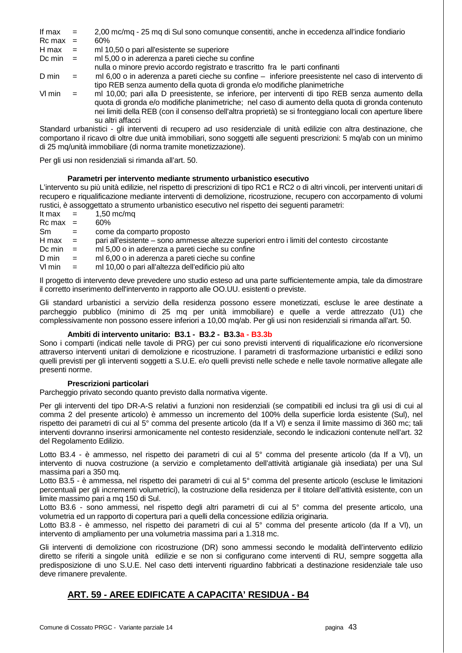- If max = 2,00 mc/mq 25 mq di Sul sono comunque consentiti, anche in eccedenza all'indice fondiario
- $Rc$  max  $=$  60%
- H max  $=$  ml 10,50 o pari all'esistente se superiore
- Dc min  $=$  ml 5,00 o in aderenza a pareti cieche su confine
- nulla o minore previo accordo registrato e trascritto fra le parti confinanti

D min = ml 6,00 o in aderenza a pareti cieche su confine – inferiore preesistente nel caso di intervento di tipo REB senza aumento della quota di gronda e/o modifiche planimetriche

Vl min = ml 10,00; pari alla D preesistente, se inferiore, per interventi di tipo REB senza aumento della quota di gronda e/o modifiche planimetriche; nel caso di aumento della quota di gronda contenuto nei limiti della REB (con il consenso dell'altra proprietà) se si fronteggiano locali con aperture libere su altri affacci

Standard urbanistici - gli interventi di recupero ad uso residenziale di unità edilizie con altra destinazione, che comportano il ricavo di oltre due unità immobiliari, sono soggetti alle seguenti prescrizioni: 5 mq/ab con un minimo di 25 mq/unità immobiliare (di norma tramite monetizzazione).

Per gli usi non residenziali si rimanda all'art. 50.

## **Parametri per intervento mediante strumento urbanistico esecutivo**

L'intervento su più unità edilizie, nel rispetto di prescrizioni di tipo RC1 e RC2 o di altri vincoli, per interventi unitari di recupero e riqualificazione mediante interventi di demolizione, ricostruzione, recupero con accorpamento di volumi rustici, è assoggettato a strumento urbanistico esecutivo nel rispetto dei seguenti parametri:

- It max  $=$  1,50 mc/mq
- $Rc$  max = 60% Sm = come da comparto proposto
- H max = pari all'esistente sono ammesse altezze superiori entro i limiti del contesto circostante
- Dc min  $=$  ml 5,00 o in aderenza a pareti cieche su confine
- D min = ml 6,00 o in aderenza a pareti cieche su confine
- Vl min = ml 10,00 o pari all'altezza dell'edificio più alto

Il progetto di intervento deve prevedere uno studio esteso ad una parte sufficientemente ampia, tale da dimostrare il corretto inserimento dell'intervento in rapporto alle OO.UU. esistenti o previste.

Gli standard urbanistici a servizio della residenza possono essere monetizzati, escluse le aree destinate a parcheggio pubblico (minimo di 25 mq per unità immobiliare) e quelle a verde attrezzato (U1) che complessivamente non possono essere inferiori a 10,00 mq/ab. Per gli usi non residenziali si rimanda all'art. 50.

## **Ambiti di intervento unitario: B3.1 - B3.2 - B3.3a - B3.3b**

Sono i comparti (indicati nelle tavole di PRG) per cui sono previsti interventi di riqualificazione e/o riconversione attraverso interventi unitari di demolizione e ricostruzione. I parametri di trasformazione urbanistici e edilizi sono quelli previsti per gli interventi soggetti a S.U.E. e/o quelli previsti nelle schede e nelle tavole normative allegate alle presenti norme.

## **Prescrizioni particolari**

Parcheggio privato secondo quanto previsto dalla normativa vigente.

Per gli interventi del tipo DR-A-S relativi a funzioni non residenziali (se compatibili ed inclusi tra gli usi di cui al comma 2 del presente articolo) è ammesso un incremento del 100% della superficie lorda esistente (Sul), nel rispetto dei parametri di cui al 5° comma del presente articolo (da If a Vl) e senza il limite massimo di 360 mc; tali interventi dovranno inserirsi armonicamente nel contesto residenziale, secondo le indicazioni contenute nell'art. 32 del Regolamento Edilizio.

Lotto B3.4 - è ammesso, nel rispetto dei parametri di cui al 5° comma del presente articolo (da If a VI), un intervento di nuova costruzione (a servizio e completamento dell'attività artigianale già insediata) per una Sul massima pari a 350 mq.

Lotto B3.5 - è ammessa, nel rispetto dei parametri di cui al 5° comma del presente articolo (escluse le limitazioni percentuali per gli incrementi volumetrici), la costruzione della residenza per il titolare dell'attività esistente, con un limite massimo pari a mq 150 di Sul.

Lotto B3.6 - sono ammessi, nel rispetto degli altri parametri di cui al 5° comma del presente articolo, una volumetria ed un rapporto di copertura pari a quelli della concessione edilizia originaria.

Lotto B3.8 - è ammesso, nel rispetto dei parametri di cui al 5° comma del presente articolo (da If a VI), un intervento di ampliamento per una volumetria massima pari a 1.318 mc.

Gli interventi di demolizione con ricostruzione (DR) sono ammessi secondo le modalità dell'intervento edilizio diretto se riferiti a singole unità edilizie e se non si configurano come interventi di RU, sempre soggetta alla predisposizione di uno S.U.E. Nel caso detti interventi riguardino fabbricati a destinazione residenziale tale uso deve rimanere prevalente.

## **ART. 59 - AREE EDIFICATE A CAPACITA' RESIDUA - B4**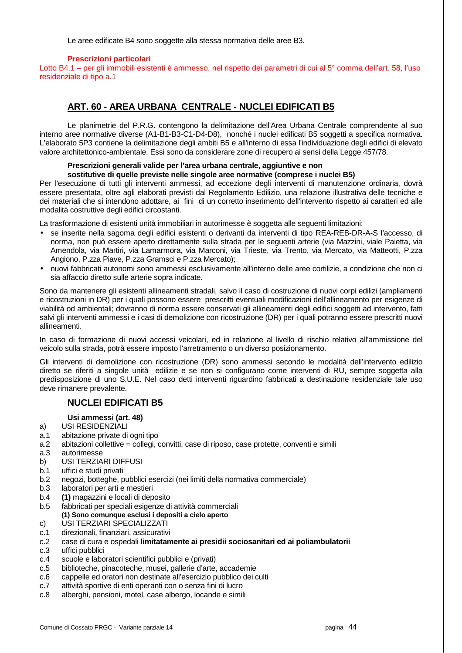Le aree edificate B4 sono soggette alla stessa normativa delle aree B3.

#### **Prescrizioni particolari**

Lotto B4.1 – per gli immobili esistenti è ammesso, nel rispetto dei parametri di cui al 5° comma dell'art. 58, l'uso residenziale di tipo a.1

## **ART. 60 - AREA URBANA CENTRALE - NUCLEI EDIFICATI B5**

 Le planimetrie del P.R.G. contengono la delimitazione dell'Area Urbana Centrale comprendente al suo interno aree normative diverse (A1-B1-B3-C1-D4-D8), nonché i nuclei edificati B5 soggetti a specifica normativa. L'elaborato 5P3 contiene la delimitazione degli ambiti B5 e all'interno di essa l'individuazione degli edifici di elevato valore architettonico-ambientale. Essi sono da considerare zone di recupero ai sensi della Legge 457/78.

## **Prescrizioni generali valide per l'area urbana centrale, aggiuntive e non**

## **sostitutive di quelle previste nelle singole aree normative (comprese i nuclei B5)**

Per l'esecuzione di tutti gli interventi ammessi, ad eccezione degli interventi di manutenzione ordinaria, dovrà essere presentata, oltre agli elaborati previsti dal Regolamento Edilizio, una relazione illustrativa delle tecniche e dei materiali che si intendono adottare, ai fini di un corretto inserimento dell'intervento rispetto ai caratteri ed alle modalità costruttive degli edifici circostanti.

La trasformazione di esistenti unità immobiliari in autorimesse è soggetta alle seguenti limitazioni:

- se inserite nella sagoma degli edifici esistenti o derivanti da interventi di tipo REA-REB-DR-A-S l'accesso, di norma, non può essere aperto direttamente sulla strada per le seguenti arterie (via Mazzini, viale Paietta, via Amendola, via Martiri, via Lamarmora, via Marconi, via Trieste, via Trento, via Mercato, via Matteotti, P.zza Angiono, P.zza Piave, P.zza Gramsci e P.zza Mercato);
- nuovi fabbricati autonomi sono ammessi esclusivamente all'interno delle aree cortilizie, a condizione che non ci sia affaccio diretto sulle arterie sopra indicate.

Sono da mantenere gli esistenti allineamenti stradali, salvo il caso di costruzione di nuovi corpi edilizi (ampliamenti e ricostruzioni in DR) per i quali possono essere prescritti eventuali modificazioni dell'allineamento per esigenze di viabilità od ambientali; dovranno di norma essere conservati gli allineamenti degli edifici soggetti ad intervento, fatti salvi gli interventi ammessi e i casi di demolizione con ricostruzione (DR) per i quali potranno essere prescritti nuovi allineamenti.

In caso di formazione di nuovi accessi veicolari, ed in relazione al livello di rischio relativo all'ammissione del veicolo sulla strada, potrà essere imposto l'arretramento o un diverso posizionamento.

Gli interventi di demolizione con ricostruzione (DR) sono ammessi secondo le modalità dell'intervento edilizio diretto se riferiti a singole unità edilizie e se non si configurano come interventi di RU, sempre soggetta alla predisposizione di uno S.U.E. Nel caso detti interventi riguardino fabbricati a destinazione residenziale tale uso deve rimanere prevalente.

## **NUCLEI EDIFICATI B5**

#### **Usi ammessi (art. 48)**

- a) USI RESIDENZIALI
- a.1 abitazione private di ogni tipo
- a.2 abitazioni collettive = collegi, convitti, case di riposo, case protette, conventi e simili
- a.3 autorimesse
- b) USI TERZIARI DIFFUSI
- b.1 uffici e studi privati
- b.2 negozi, botteghe, pubblici esercizi (nei limiti della normativa commerciale)
- b.3 laboratori per arti e mestieri
- b.4 **(1)** magazzini e locali di deposito
- b.5 fabbricati per speciali esigenze di attività commerciali  **(1) Sono comunque esclusi i depositi a cielo aperto**
- c) USI TERZIARI SPECIALIZZATI
- c.1 direzionali, finanziari, assicurativi
- c.2 case di cura e ospedali **limitatamente ai presidii sociosanitari ed ai poliambulatorii**
- c.3 uffici pubblici
- c.4 scuole e laboratori scientifici pubblici e (privati)
- c.5 biblioteche, pinacoteche, musei, gallerie d'arte, accademie
- c.6 cappelle ed oratori non destinate all'esercizio pubblico dei culti
- c.7 attività sportive di enti operanti con o senza fini di lucro
- c.8 alberghi, pensioni, motel, case albergo, locande e simili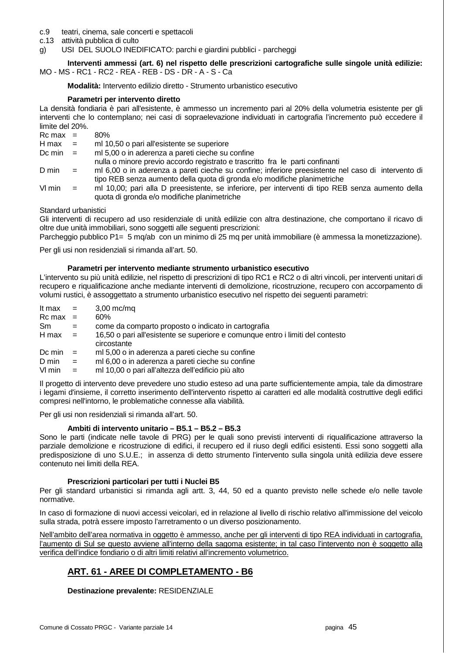- c.9 teatri, cinema, sale concerti e spettacoli
- c.13 attività pubblica di culto
- g) USI DEL SUOLO INEDIFICATO: parchi e giardini pubblici parcheggi

 **Interventi ammessi (art. 6) nel rispetto delle prescrizioni cartografiche sulle singole unità edilizie:**  MO - MS - RC1 - RC2 - REA - REB - DS - DR - A - S - Ca

 **Modalità:** Intervento edilizio diretto - Strumento urbanistico esecutivo

## **Parametri per intervento diretto**

La densità fondiaria è pari all'esistente, è ammesso un incremento pari al 20% della volumetria esistente per gli interventi che lo contemplano; nei casi di sopraelevazione individuati in cartografia l'incremento può eccedere il limite del 20%.

- $Rc$  max = 80%<br> $H$  max = ml 1 ml 10,50 o pari all'esistente se superiore Dc min = ml 5,00 o in aderenza a pareti cieche su confine nulla o minore previo accordo registrato e trascritto fra le parti confinanti D min = ml 6,00 o in aderenza a pareti cieche su confine; inferiore preesistente nel caso di intervento di tipo REB senza aumento della quota di gronda e/o modifiche planimetriche Vl min = ml 10,00; pari alla D preesistente, se inferiore, per interventi di tipo REB senza aumento della
- quota di gronda e/o modifiche planimetriche

## Standard urbanistici

Gli interventi di recupero ad uso residenziale di unità edilizie con altra destinazione, che comportano il ricavo di oltre due unità immobiliari, sono soggetti alle seguenti prescrizioni:

Parcheggio pubblico P1= 5 mg/ab con un minimo di 25 mg per unità immobiliare (è ammessa la monetizzazione).

Per gli usi non residenziali si rimanda all'art. 50.

#### **Parametri per intervento mediante strumento urbanistico esecutivo**

L'intervento su più unità edilizie, nel rispetto di prescrizioni di tipo RC1 e RC2 o di altri vincoli, per interventi unitari di recupero e riqualificazione anche mediante interventi di demolizione, ricostruzione, recupero con accorpamento di volumi rustici, è assoggettato a strumento urbanistico esecutivo nel rispetto dei seguenti parametri:

| It max       | $=$                       | $3,00$ mc/mq                                                                                  |
|--------------|---------------------------|-----------------------------------------------------------------------------------------------|
| $Rc$ max $=$ |                           | $60\%$                                                                                        |
| Sm           | $=$                       | come da comparto proposto o indicato in cartografia                                           |
| H max        | $\mathbf{r} = \mathbf{r}$ | 16,50 o pari all'esistente se superiore e comunque entro i limiti del contesto<br>circostante |
| Dc min       | $\mathbf{r} = \mathbf{r}$ | ml 5,00 o in aderenza a pareti cieche su confine                                              |
| D min        | $=$                       | ml 6,00 o in aderenza a pareti cieche su confine                                              |
| VI min       | $=$                       | ml 10.00 o pari all'altezza dell'edificio più alto                                            |

Il progetto di intervento deve prevedere uno studio esteso ad una parte sufficientemente ampia, tale da dimostrare i legami d'insieme, il corretto inserimento dell'intervento rispetto ai caratteri ed alle modalità costruttive degli edifici compresi nell'intorno, le problematiche connesse alla viabilità.

Per gli usi non residenziali si rimanda all'art. 50.

## **Ambiti di intervento unitario – B5.1 – B5.2 – B5.3**

Sono le parti (indicate nelle tavole di PRG) per le quali sono previsti interventi di riqualificazione attraverso la parziale demolizione e ricostruzione di edifici, il recupero ed il riuso degli edifici esistenti. Essi sono soggetti alla predisposizione di uno S.U.E.; in assenza di detto strumento l'intervento sulla singola unità edilizia deve essere contenuto nei limiti della REA.

#### **Prescrizioni particolari per tutti i Nuclei B5**

Per gli standard urbanistici si rimanda agli artt. 3, 44, 50 ed a quanto previsto nelle schede e/o nelle tavole normative.

In caso di formazione di nuovi accessi veicolari, ed in relazione al livello di rischio relativo all'immissione del veicolo sulla strada, potrà essere imposto l'arretramento o un diverso posizionamento.

Nell'ambito dell'area normativa in oggetto è ammesso, anche per gli interventi di tipo REA individuati in cartografia, l'aumento di Sul se questo avviene all'interno della sagoma esistente; in tal caso l'intervento non è soggetto alla verifica dell'indice fondiario o di altri limiti relativi all'incremento volumetrico.

## **ART. 61 - AREE DI COMPLETAMENTO - B6**

#### **Destinazione prevalente:** RESIDENZIALE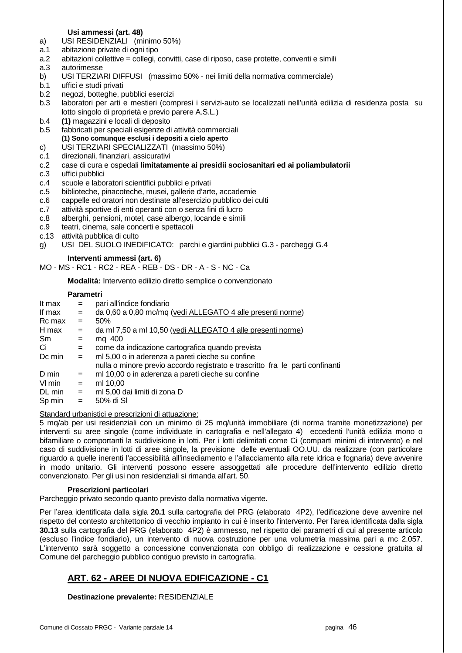## **Usi ammessi (art. 48)**

- a) USI RESIDENZIALI (minimo 50%)
- a.1 abitazione private di ogni tipo
- a.2 abitazioni collettive = collegi, convitti, case di riposo, case protette, conventi e simili
- a.3 autorimesse
- b) USI TERZIARI DIFFUSI (massimo 50% nei limiti della normativa commerciale)
- b.1 uffici e studi privati
- b.2 negozi, botteghe, pubblici esercizi
- b.3 laboratori per arti e mestieri (compresi i servizi-auto se localizzati nell'unità edilizia di residenza posta su lotto singolo di proprietà e previo parere A.S.L.)
- b.4 **(1)** magazzini e locali di deposito
- b.5 fabbricati per speciali esigenze di attività commerciali  **(1) Sono comunque esclusi i depositi a cielo aperto**
- c) USI TERZIARI SPECIALIZZATI (massimo 50%)
- c.1 direzionali, finanziari, assicurativi
- c.2 case di cura e ospedali **limitatamente ai presidii sociosanitari ed ai poliambulatorii**
- c.3 uffici pubblici
- c.4 scuole e laboratori scientifici pubblici e privati
- c.5 biblioteche, pinacoteche, musei, gallerie d'arte, accademie
- c.6 cappelle ed oratori non destinate all'esercizio pubblico dei culti
- c.7 attività sportive di enti operanti con o senza fini di lucro
- c.8 alberghi, pensioni, motel, case albergo, locande e simili
- c.9 teatri, cinema, sale concerti e spettacoli
- c.13 attività pubblica di culto
- g) USI DEL SUOLO INEDIFICATO: parchi e giardini pubblici G.3 parcheggi G.4

 **Interventi ammessi (art. 6)**

MO - MS - RC1 - RC2 - REA - REB - DS - DR - A - S - NC - Ca

 **Modalità:** Intervento edilizio diretto semplice o convenzionato

#### **Parametri**

| It max | $=$ | pari all'indice fondiario                                                     |
|--------|-----|-------------------------------------------------------------------------------|
| If max | $=$ | da 0,60 a 0,80 mc/mq (vedi ALLEGATO 4 alle presenti norme)                    |
| Rc max | $=$ | 50%                                                                           |
| H max  | $=$ | da ml 7,50 a ml 10,50 (vedi ALLEGATO 4 alle presenti norme)                   |
| Sm     | $=$ | mg 400                                                                        |
| Сi     | $=$ | come da indicazione cartografica quando prevista                              |
| Dc min | $=$ | ml 5,00 o in aderenza a pareti cieche su confine                              |
|        |     | nulla o minore previo accordo registrato e trascritto fra le parti confinanti |
| D min  | $=$ | ml 10,00 o in aderenza a pareti cieche su confine                             |
| VI min | $=$ | ml 10,00                                                                      |
| DL min | $=$ | ml 5,00 dai limiti di zona D                                                  |
| Sp min | $=$ | 50% di SI                                                                     |
|        |     |                                                                               |

#### Standard urbanistici e prescrizioni di attuazione:

5 mq/ab per usi residenziali con un minimo di 25 mq/unità immobiliare (di norma tramite monetizzazione) per interventi su aree singole (come individuate in cartografia e nell'allegato 4) eccedenti l'unità edilizia mono o bifamiliare o comportanti la suddivisione in lotti. Per i lotti delimitati come Ci (comparti minimi di intervento) e nel caso di suddivisione in lotti di aree singole, la previsione delle eventuali OO.UU. da realizzare (con particolare riguardo a quelle inerenti l'accessibilità all'insediamento e l'allacciamento alla rete idrica e fognaria) deve avvenire in modo unitario. Gli interventi possono essere assoggettati alle procedure dell'intervento edilizio diretto convenzionato. Per gli usi non residenziali si rimanda all'art. 50.

#### **Prescrizioni particolari**

Parcheggio privato secondo quanto previsto dalla normativa vigente.

Per l'area identificata dalla sigla **20.1** sulla cartografia del PRG (elaborato 4P2), l'edificazione deve avvenire nel rispetto del contesto architettonico di vecchio impianto in cui è inserito l'intervento. Per l'area identificata dalla sigla **30.13** sulla cartografia del PRG (elaborato 4P2) è ammesso, nel rispetto dei parametri di cui al presente articolo (escluso l'indice fondiario), un intervento di nuova costruzione per una volumetria massima pari a mc 2.057. L'intervento sarà soggetto a concessione convenzionata con obbligo di realizzazione e cessione gratuita al Comune del parcheggio pubblico contiguo previsto in cartografia.

## **ART. 62 - AREE DI NUOVA EDIFICAZIONE - C1**

**Destinazione prevalente:** RESIDENZIALE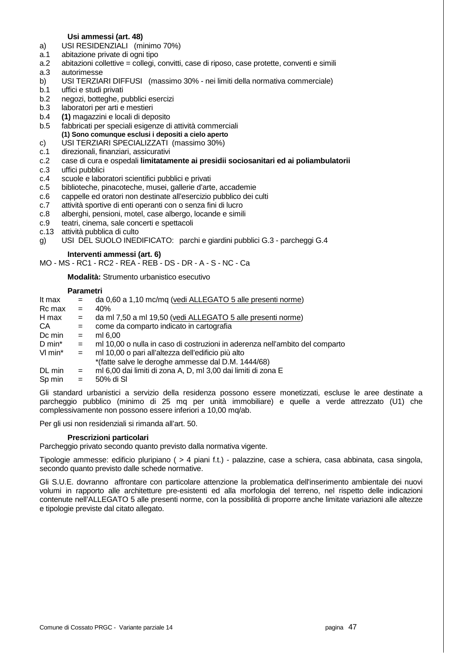#### **Usi ammessi (art. 48)**

- a) USI RESIDENZIALI (minimo 70%)
- a.1 abitazione private di ogni tipo
- a.2 abitazioni collettive = collegi, convitti, case di riposo, case protette, conventi e simili
- a.3 autorimesse
- b) USI TERZIARI DIFFUSI (massimo 30% nei limiti della normativa commerciale)
- b.1 uffici e studi privati
- b.2 negozi, botteghe, pubblici esercizi
- b.3 laboratori per arti e mestieri
- b.4 **(1)** magazzini e locali di deposito
- b.5 fabbricati per speciali esigenze di attività commerciali  **(1) Sono comunque esclusi i depositi a cielo aperto**
- c) USI TERZIARI SPECIALIZZATI (massimo 30%)
- c.1 direzionali, finanziari, assicurativi
- c.2 case di cura e ospedali **limitatamente ai presidii sociosanitari ed ai poliambulatorii**
- c.3 uffici pubblici
- c.4 scuole e laboratori scientifici pubblici e privati
- c.5 biblioteche, pinacoteche, musei, gallerie d'arte, accademie
- c.6 cappelle ed oratori non destinate all'esercizio pubblico dei culti
- c.7 attività sportive di enti operanti con o senza fini di lucro
- c.8 alberghi, pensioni, motel, case albergo, locande e simili
- c.9 teatri, cinema, sale concerti e spettacoli
- c.13 attività pubblica di culto

g) USI DEL SUOLO INEDIFICATO: parchi e giardini pubblici G.3 - parcheggi G.4

#### **Interventi ammessi (art. 6)**

MO - MS - RC1 - RC2 - REA - REB - DS - DR - A - S - NC - Ca

 **Modalità:** Strumento urbanistico esecutivo

#### **Parametri**

| It max  | $=$          | da 0,60 a 1,10 mc/mq (vedi ALLEGATO 5 alle presenti norme)                   |
|---------|--------------|------------------------------------------------------------------------------|
| Rc max  | $=$          | 40%                                                                          |
| H max   | $=$          | da ml 7,50 a ml 19,50 (vedi ALLEGATO 5 alle presenti norme)                  |
| CA      | $=$          | come da comparto indicato in cartografia                                     |
| Dc min  | $=$          | ml 6.00                                                                      |
| D min*  | $=$          | ml 10,00 o nulla in caso di costruzioni in aderenza nell'ambito del comparto |
| VI min* | $\alpha = 1$ | ml 10,00 o pari all'altezza dell'edificio più alto                           |
|         |              | *(fatte salve le deroghe ammesse dal D.M. 1444/68)                           |
| DL min  | $=$          | ml 6,00 dai limiti di zona A, D, ml 3,00 dai limiti di zona E                |
| Sp min  | $=$          | 50% di SI                                                                    |
|         |              |                                                                              |

Gli standard urbanistici a servizio della residenza possono essere monetizzati, escluse le aree destinate a parcheggio pubblico (minimo di 25 mq per unità immobiliare) e quelle a verde attrezzato (U1) che complessivamente non possono essere inferiori a 10,00 mq/ab.

Per gli usi non residenziali si rimanda all'art. 50.

#### **Prescrizioni particolari**

Parcheggio privato secondo quanto previsto dalla normativa vigente.

Tipologie ammesse: edificio pluripiano ( > 4 piani f.t.) - palazzine, case a schiera, casa abbinata, casa singola, secondo quanto previsto dalle schede normative.

Gli S.U.E. dovranno affrontare con particolare attenzione la problematica dell'inserimento ambientale dei nuovi volumi in rapporto alle architetture pre-esistenti ed alla morfologia del terreno, nel rispetto delle indicazioni contenute nell'ALLEGATO 5 alle presenti norme, con la possibilità di proporre anche limitate variazioni alle altezze e tipologie previste dal citato allegato.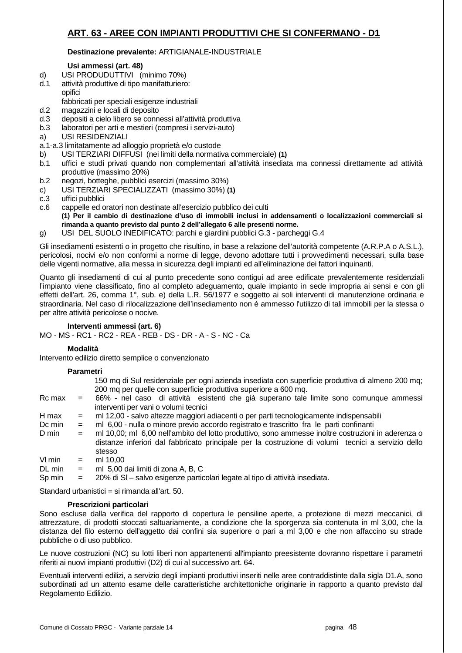## **ART. 63 - AREE CON IMPIANTI PRODUTTIVI CHE SI CONFERMANO - D1**

## **Destinazione prevalente:** ARTIGIANALE-INDUSTRIALE

## **Usi ammessi (art. 48)**

- d) USI PRODUDUTTIVI (minimo 70%)
- d.1 attività produttive di tipo manifatturiero: opifici
	- fabbricati per speciali esigenze industriali
- d.2 magazzini e locali di deposito
- d.3 depositi a cielo libero se connessi all'attività produttiva
- b.3 laboratori per arti e mestieri (compresi i servizi-auto)
- a) USI RESIDENZIALI
- a.1-a.3 limitatamente ad alloggio proprietà e/o custode
- b) USI TERZIARI DIFFUSI (nei limiti della normativa commerciale) **(1)**
- b.1 uffici e studi privati quando non complementari all'attività insediata ma connessi direttamente ad attività produttive (massimo 20%)
- b.2 negozi, botteghe, pubblici esercizi (massimo 30%)
- c) USI TERZIARI SPECIALIZZATI (massimo 30%) **(1)**
- c.3 uffici pubblici
- c.6 cappelle ed oratori non destinate all'esercizio pubblico dei culti  **(1) Per il cambio di destinazione d'uso di immobili inclusi in addensamenti o localizzazioni commerciali si rimanda a quanto previsto dal punto 2 dell'allegato 6 alle presenti norme.**
- g) USI DEL SUOLO INEDIFICATO: parchi e giardini pubblici G.3 parcheggi G.4

Gli insediamenti esistenti o in progetto che risultino, in base a relazione dell'autorità competente (A.R.P.A o A.S.L.), pericolosi, nocivi e/o non conformi a norme di legge, devono adottare tutti i provvedimenti necessari, sulla base delle vigenti normative, alla messa in sicurezza degli impianti ed all'eliminazione dei fattori inquinanti.

Quanto gli insediamenti di cui al punto precedente sono contigui ad aree edificate prevalentemente residenziali l'impianto viene classificato, fino al completo adeguamento, quale impianto in sede impropria ai sensi e con gli effetti dell'art. 26, comma 1°, sub. e) della L.R. 56/1977 e soggetto ai soli interventi di manutenzione ordinaria e straordinaria. Nel caso di rilocalizzazione dell'insediamento non è ammesso l'utilizzo di tali immobili per la stessa o per altre attività pericolose o nocive.

## **Interventi ammessi (art. 6)**

MO - MS - RC1 - RC2 - REA - REB - DS - DR - A - S - NC - Ca

## **Modalità**

Intervento edilizio diretto semplice o convenzionato

## **Parametri**

| 150 mg di Sul residenziale per ogni azienda insediata con superficie produttiva di almeno 200 mg; |
|---------------------------------------------------------------------------------------------------|
| 200 mq per quelle con superficie produttiva superiore a 600 mq.                                   |

- Rc max = 66% nel caso di attività esistenti che già superano tale limite sono comunque ammessi interventi per vani o volumi tecnici
- H max = ml 12,00 salvo altezze maggiori adiacenti o per parti tecnologicamente indispensabili
- Dc min = ml 6,00 nulla o minore previo accordo registrato e trascritto fra le parti confinanti
- D min = ml 10,00; ml 6,00 nell'ambito del lotto produttivo, sono ammesse inoltre costruzioni in aderenza o distanze inferiori dal fabbricato principale per la costruzione di volumi tecnici a servizio dello stesso
- $Vl$  min  $=$  ml 10.00 DL min = ml 5,00 dai limiti di zona A, B, C
- Sp min = 20% di Sl salvo esigenze particolari legate al tipo di attività insediata.

Standard urbanistici = si rimanda all'art. 50.

## **Prescrizioni particolari**

Sono escluse dalla verifica del rapporto di copertura le pensiline aperte, a protezione di mezzi meccanici, di attrezzature, di prodotti stoccati saltuariamente, a condizione che la sporgenza sia contenuta in ml 3,00, che la distanza del filo esterno dell'aggetto dai confini sia superiore o pari a ml 3,00 e che non affaccino su strade pubbliche o di uso pubblico.

Le nuove costruzioni (NC) su lotti liberi non appartenenti all'impianto preesistente dovranno rispettare i parametri riferiti ai nuovi impianti produttivi (D2) di cui al successivo art. 64.

Eventuali interventi edilizi, a servizio degli impianti produttivi inseriti nelle aree contraddistinte dalla sigla D1.A, sono subordinati ad un attento esame delle caratteristiche architettoniche originarie in rapporto a quanto previsto dal Regolamento Edilizio.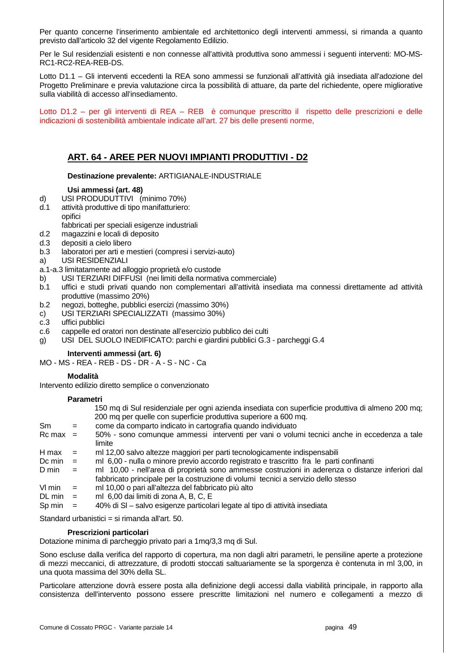Per quanto concerne l'inserimento ambientale ed architettonico degli interventi ammessi, si rimanda a quanto previsto dall'articolo 32 del vigente Regolamento Edilizio.

Per le Sul residenziali esistenti e non connesse all'attività produttiva sono ammessi i seguenti interventi: MO-MS-RC1-RC2-REA-REB-DS.

Lotto D1.1 – Gli interventi eccedenti la REA sono ammessi se funzionali all'attività già insediata all'adozione del Progetto Preliminare e previa valutazione circa la possibilità di attuare, da parte del richiedente, opere migliorative sulla viabilità di accesso all'insediamento.

Lotto D1.2 – per gli interventi di REA – REB è comunque prescritto il rispetto delle prescrizioni e delle indicazioni di sostenibilità ambientale indicate all'art. 27 bis delle presenti norme,

## **ART. 64 - AREE PER NUOVI IMPIANTI PRODUTTIVI - D2**

#### **Destinazione prevalente:** ARTIGIANALE-INDUSTRIALE

## **Usi ammessi (art. 48)**

- d) USI PRODUDUTTIVI (minimo 70%)
- d.1 attività produttive di tipo manifatturiero: opifici
	- fabbricati per speciali esigenze industriali
- d.2 magazzini e locali di deposito
- d.3 depositi a cielo libero
- b.3 laboratori per arti e mestieri (compresi i servizi-auto)
- a) USI RESIDENZIALI
- a.1-a.3 limitatamente ad alloggio proprietà e/o custode
- b) USI TERZIARI DIFFUSI (nei limiti della normativa commerciale)
- b.1 uffici e studi privati quando non complementari all'attività insediata ma connessi direttamente ad attività produttive (massimo 20%)
- b.2 negozi, botteghe, pubblici esercizi (massimo 30%)
- c) USI TERZIARI SPECIALIZZATI (massimo 30%)
- c.3 uffici pubblici
- c.6 cappelle ed oratori non destinate all'esercizio pubblico dei culti
- g) USI DEL SUOLO INEDIFICATO: parchi e giardini pubblici G.3 parcheggi G.4

 **Interventi ammessi (art. 6)**

MO - MS - REA - REB - DS - DR - A - S - NC - Ca

## **Modalità**

Intervento edilizio diretto semplice o convenzionato

#### **Parametri**

|                    |     | 150 mq di Sul residenziale per ogni azienda insediata con superficie produttiva di almeno 200 mq;<br>200 mq per quelle con superficie produttiva superiore a 600 mq.                  |
|--------------------|-----|---------------------------------------------------------------------------------------------------------------------------------------------------------------------------------------|
| Sm                 | $=$ | come da comparto indicato in cartografia quando individuato                                                                                                                           |
| $Rc$ max $=$       |     | 50% - sono comunque ammessi interventi per vani o volumi tecnici anche in eccedenza a tale<br>limite                                                                                  |
| H max              | $=$ | ml 12,00 salvo altezze maggiori per parti tecnologicamente indispensabili                                                                                                             |
| Dc min             | $=$ | ml 6,00 - nulla o minore previo accordo registrato e trascritto fra le parti confinanti                                                                                               |
| D min              | $=$ | ml 10,00 - nell'area di proprietà sono ammesse costruzioni in aderenza o distanze inferiori dal<br>fabbricato principale per la costruzione di volumi tecnici a servizio dello stesso |
| VI min             | $=$ | ml 10,00 o pari all'altezza del fabbricato più alto                                                                                                                                   |
| $DL \text{ min}$ = |     | ml 6,00 dai limiti di zona A, B, C, E                                                                                                                                                 |
| Sp min             |     | 40% di SI – salvo esigenze particolari legate al tipo di attività insediata                                                                                                           |

Standard urbanistici = si rimanda all'art. 50.

#### **Prescrizioni particolari**

Dotazione minima di parcheggio privato pari a 1mq/3,3 mq di Sul.

Sono escluse dalla verifica del rapporto di copertura, ma non dagli altri parametri, le pensiline aperte a protezione di mezzi meccanici, di attrezzature, di prodotti stoccati saltuariamente se la sporgenza è contenuta in ml 3,00, in una quota massima del 30% della SL.

Particolare attenzione dovrà essere posta alla definizione degli accessi dalla viabilità principale, in rapporto alla consistenza dell'intervento possono essere prescritte limitazioni nel numero e collegamenti a mezzo di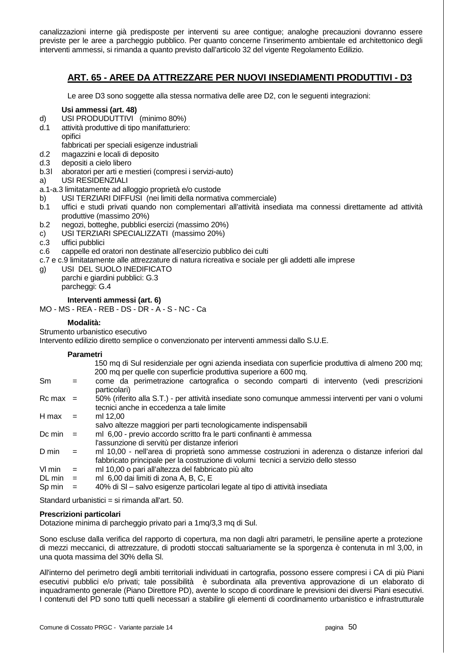canalizzazioni interne già predisposte per interventi su aree contigue; analoghe precauzioni dovranno essere previste per le aree a parcheggio pubblico. Per quanto concerne l'inserimento ambientale ed architettonico degli interventi ammessi, si rimanda a quanto previsto dall'articolo 32 del vigente Regolamento Edilizio.

## **ART. 65 - AREE DA ATTREZZARE PER NUOVI INSEDIAMENTI PRODUTTIVI - D3**

Le aree D3 sono soggette alla stessa normativa delle aree D2, con le seguenti integrazioni:

## **Usi ammessi (art. 48)**

- d) USI PRODUDUTTIVI (minimo 80%)
- d.1 attività produttive di tipo manifatturiero: opifici

fabbricati per speciali esigenze industriali

- d.2 magazzini e locali di deposito
- d.3 depositi a cielo libero
- b.3 l aboratori per arti e mestieri (compresi i servizi-auto)
- a) USI RESIDENZIALI
- a.1-a.3 limitatamente ad alloggio proprietà e/o custode
- b) USI TERZIARI DIFFUSI (nei limiti della normativa commerciale)
- b.1 uffici e studi privati quando non complementari all'attività insediata ma connessi direttamente ad attività produttive (massimo 20%)
- b.2 negozi, botteghe, pubblici esercizi (massimo 20%)
- c) USI TERZIARI SPECIALIZZATI (massimo 20%)
- c.3 uffici pubblici
- c.6 cappelle ed oratori non destinate all'esercizio pubblico dei culti
- c.7 e c.9 limitatamente alle attrezzature di natura ricreativa e sociale per gli addetti alle imprese
- g) USI DEL SUOLO INEDIFICATO parchi e giardini pubblici: G.3 parcheggi: G.4

## **Interventi ammessi (art. 6)**

#### MO - MS - REA - REB - DS - DR - A - S - NC - Ca

## **Modalità:**

Strumento urbanistico esecutivo

Intervento edilizio diretto semplice o convenzionato per interventi ammessi dallo S.U.E.

## **Parametri**

|                                        |     | 150 mg di Sul residenziale per ogni azienda insediata con superficie produttiva di almeno 200 mg;<br>200 mg per quelle con superficie produttiva superiore a 600 mg.                  |
|----------------------------------------|-----|---------------------------------------------------------------------------------------------------------------------------------------------------------------------------------------|
| Sm                                     | $=$ | come da perimetrazione cartografica o secondo comparti di intervento (vedi prescrizioni<br>particolari)                                                                               |
| $Rc$ max =                             |     | 50% (riferito alla S.T.) - per attività insediate sono comunque ammessi interventi per vani o volumi<br>tecnici anche in eccedenza a tale limite                                      |
| H max                                  | $=$ | ml 12.00<br>salvo altezze maggiori per parti tecnologicamente indispensabili                                                                                                          |
| Dc min                                 | $=$ | ml 6,00 - previo accordo scritto fra le parti confinanti è ammessa<br>l'assunzione di servitù per distanze inferiori                                                                  |
| D min                                  | $=$ | ml 10,00 - nell'area di proprietà sono ammesse costruzioni in aderenza o distanze inferiori dal<br>fabbricato principale per la costruzione di volumi tecnici a servizio dello stesso |
| VI min<br>$DL \text{ min}$ =<br>Sp min | $=$ | ml 10,00 o pari all'altezza del fabbricato più alto<br>ml 6,00 dai limiti di zona A, B, C, E<br>40% di SI - salvo esigenze particolari legate al tipo di attività insediata           |
|                                        |     |                                                                                                                                                                                       |

Standard urbanistici = si rimanda all'art. 50.

#### **Prescrizioni particolari**

Dotazione minima di parcheggio privato pari a 1mq/3,3 mq di Sul.

Sono escluse dalla verifica del rapporto di copertura, ma non dagli altri parametri, le pensiline aperte a protezione di mezzi meccanici, di attrezzature, di prodotti stoccati saltuariamente se la sporgenza è contenuta in ml 3,00, in una quota massima del 30% della Sl.

All'interno del perimetro degli ambiti territoriali individuati in cartografia, possono essere compresi i CA di più Piani esecutivi pubblici e/o privati; tale possibilità è subordinata alla preventiva approvazione di un elaborato di inquadramento generale (Piano Direttore PD), avente lo scopo di coordinare le previsioni dei diversi Piani esecutivi. I contenuti del PD sono tutti quelli necessari a stabilire gli elementi di coordinamento urbanistico e infrastrutturale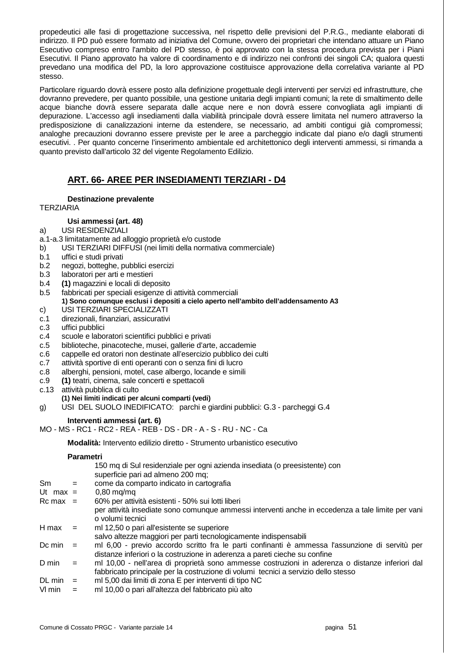propedeutici alle fasi di progettazione successiva, nel rispetto delle previsioni del P.R.G., mediante elaborati di indirizzo. Il PD può essere formato ad iniziativa del Comune, ovvero dei proprietari che intendano attuare un Piano Esecutivo compreso entro l'ambito del PD stesso, è poi approvato con la stessa procedura prevista per i Piani Esecutivi. Il Piano approvato ha valore di coordinamento e di indirizzo nei confronti dei singoli CA; qualora questi prevedano una modifica del PD, la loro approvazione costituisce approvazione della correlativa variante al PD stesso.

Particolare riguardo dovrà essere posto alla definizione progettuale degli interventi per servizi ed infrastrutture, che dovranno prevedere, per quanto possibile, una gestione unitaria degli impianti comuni; la rete di smaltimento delle acque bianche dovrà essere separata dalle acque nere e non dovrà essere convogliata agli impianti di depurazione. L'accesso agli insediamenti dalla viabilità principale dovrà essere limitata nel numero attraverso la predisposizione di canalizzazioni interne da estendere, se necessario, ad ambiti contigui già compromessi; analoghe precauzioni dovranno essere previste per le aree a parcheggio indicate dal piano e/o dagli strumenti esecutivi. . Per quanto concerne l'inserimento ambientale ed architettonico degli interventi ammessi, si rimanda a quanto previsto dall'articolo 32 del vigente Regolamento Edilizio.

## **ART. 66- AREE PER INSEDIAMENTI TERZIARI - D4**

## **Destinazione prevalente**

**TERZIARIA** 

## **Usi ammessi (art. 48)**

## a) USI RESIDENZIALI

- a.1-a.3 limitatamente ad alloggio proprietà e/o custode
- b) USI TERZIARI DIFFUSI (nei limiti della normativa commerciale)
- b.1 uffici e studi privati
- b.2 negozi, botteghe, pubblici esercizi
- b.3 laboratori per arti e mestieri
- b.4 **(1)** magazzini e locali di deposito
- b.5 fabbricati per speciali esigenze di attività commerciali
	- **1) Sono comunque esclusi i depositi a cielo aperto nell'ambito dell'addensamento A3**
- c) USI TERZIARI SPECIALIZZATI
- c.1 direzionali, finanziari, assicurativi
- c.3 uffici pubblici
- c.4 scuole e laboratori scientifici pubblici e privati
- c.5 biblioteche, pinacoteche, musei, gallerie d'arte, accademie
- c.6 cappelle ed oratori non destinate all'esercizio pubblico dei culti
- c.7 attività sportive di enti operanti con o senza fini di lucro
- c.8 alberghi, pensioni, motel, case albergo, locande e simili
- c.9 **(1)** teatri, cinema, sale concerti e spettacoli
- c.13 attività pubblica di culto

#### **(1) Nei limiti indicati per alcuni comparti (vedi)**

g) USI DEL SUOLO INEDIFICATO: parchi e giardini pubblici: G.3 - parcheggi G.4

## **Interventi ammessi (art. 6)**

MO - MS - RC1 - RC2 - REA - REB - DS - DR - A - S - RU - NC - Ca

 **Modalità:** Intervento edilizio diretto - Strumento urbanistico esecutivo

#### **Parametri**

|               |     | 150 mq di Sul residenziale per ogni azienda insediata (o preesistente) con<br>superficie pari ad almeno 200 mg;                                                              |
|---------------|-----|------------------------------------------------------------------------------------------------------------------------------------------------------------------------------|
| <sub>Sm</sub> | $=$ | come da comparto indicato in cartografia                                                                                                                                     |
| Ut max $=$    |     | $0,80$ mg/mg                                                                                                                                                                 |
| $Rc$ max =    |     | 60% per attività esistenti - 50% sui lotti liberi                                                                                                                            |
|               |     | per attività insediate sono comunque ammessi interventi anche in eccedenza a tale limite per vani<br>o volumi tecnici                                                        |
| H max         | $=$ | ml 12,50 o pari all'esistente se superiore                                                                                                                                   |
|               |     | salvo altezze maggiori per parti tecnologicamente indispensabili                                                                                                             |
| Dc min        | $=$ | ml 6,00 - previo accordo scritto fra le parti confinanti è ammessa l'assunzione di servitù per<br>distanze inferiori o la costruzione in aderenza a pareti cieche su confine |
| D min         | $=$ | ml 10,00 - nell'area di proprietà sono ammesse costruzioni in aderenza o distanze inferiori dal                                                                              |
|               |     | fabbricato principale per la costruzione di volumi tecnici a servizio dello stesso                                                                                           |
| DL min        | $=$ | ml 5,00 dai limiti di zona E per interventi di tipo NC                                                                                                                       |
| VI min        | $=$ | ml 10,00 o pari all'altezza del fabbricato più alto                                                                                                                          |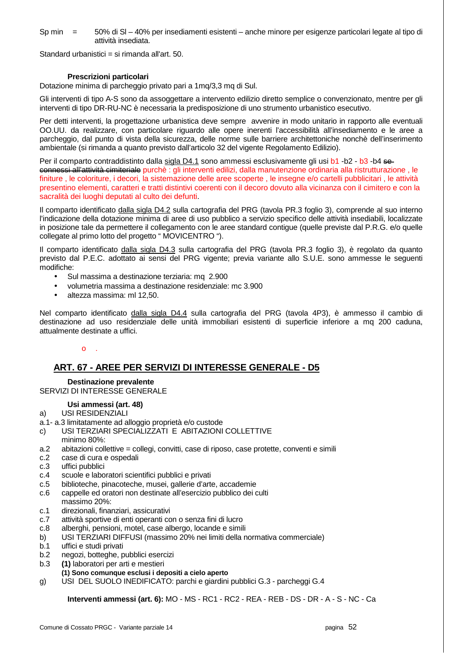Sp min = 50% di Sl – 40% per insediamenti esistenti – anche minore per esigenze particolari legate al tipo di attività insediata.

Standard urbanistici = si rimanda all'art. 50.

## **Prescrizioni particolari**

Dotazione minima di parcheggio privato pari a 1mq/3,3 mq di Sul.

Gli interventi di tipo A-S sono da assoggettare a intervento edilizio diretto semplice o convenzionato, mentre per gli interventi di tipo DR-RU-NC è necessaria la predisposizione di uno strumento urbanistico esecutivo.

Per detti interventi, la progettazione urbanistica deve sempre avvenire in modo unitario in rapporto alle eventuali OO.UU. da realizzare, con particolare riguardo alle opere inerenti l'accessibilità all'insediamento e le aree a parcheggio, dal punto di vista della sicurezza, delle norme sulle barriere architettoniche nonchè dell'inserimento ambientale (si rimanda a quanto previsto dall'articolo 32 del vigente Regolamento Edilizio).

Per il comparto contraddistinto dalla sigla D4.1 sono ammessi esclusivamente gli usi b1 -b2 - b3 -b4 seconnessi all'attività cimiteriale purchè : gli interventi edilizi, dalla manutenzione ordinaria alla ristrutturazione , le finiture, le coloriture, i decori, la sistemazione delle aree scoperte, le insegne e/o cartelli pubblicitari, le attività presentino elementi, caratteri e tratti distintivi coerenti con il decoro dovuto alla vicinanza con il cimitero e con la sacralità dei luoghi deputati al culto dei defunti.

Il comparto identificato dalla sigla D4.2 sulla cartografia del PRG (tavola PR.3 foglio 3), comprende al suo interno l'indicazione della dotazione minima di aree di uso pubblico a servizio specifico delle attività insediabili, localizzate in posizione tale da permettere il collegamento con le aree standard contigue (quelle previste dal P.R.G. e/o quelle collegate al primo lotto del progetto " MOVICENTRO ").

Il comparto identificato dalla sigla D4.3 sulla cartografia del PRG (tavola PR.3 foglio 3), è regolato da quanto previsto dal P.E.C. adottato ai sensi del PRG vigente; previa variante allo S.U.E. sono ammesse le seguenti modifiche:

- Sul massima a destinazione terziaria: mq 2.900
- volumetria massima a destinazione residenziale: mc 3.900
- altezza massima: ml 12,50.

Nel comparto identificato dalla sigla D4.4 sulla cartografia del PRG (tavola 4P3), è ammesso il cambio di destinazione ad uso residenziale delle unità immobiliari esistenti di superficie inferiore a mq 200 caduna, attualmente destinate a uffici.

#### $\Omega$

## **ART. 67 - AREE PER SERVIZI DI INTERESSE GENERALE - D5**

## **Destinazione prevalente**

## SERVIZI DI INTERESSE GENERALE

#### **Usi ammessi (art. 48)**

- a) USI RESIDENZIALI
- a.1- a.3 limitatamente ad alloggio proprietà e/o custode
- c) USI TERZIARI SPECIALIZZATI E ABITAZIONI COLLETTIVE minimo 80%:
- a.2 abitazioni collettive = collegi, convitti, case di riposo, case protette, conventi e simili
- c.2 case di cura e ospedali
- c.3 uffici pubblici
- c.4 scuole e laboratori scientifici pubblici e privati
- c.5 biblioteche, pinacoteche, musei, gallerie d'arte, accademie
- c.6 cappelle ed oratori non destinate all'esercizio pubblico dei culti massimo 20%:
- c.1 direzionali, finanziari, assicurativi
- c.7 attività sportive di enti operanti con o senza fini di lucro
- c.8 alberghi, pensioni, motel, case albergo, locande e simili
- b) USI TERZIARI DIFFUSI (massimo 20% nei limiti della normativa commerciale)
- b.1 uffici e studi privati
- b.2 negozi, botteghe, pubblici esercizi
- b.3 **(1)** laboratori per arti e mestieri
	- **(1) Sono comunque esclusi i depositi a cielo aperto**
- g) USI DEL SUOLO INEDIFICATO: parchi e giardini pubblici G.3 parcheggi G.4

 **Interventi ammessi (art. 6):** MO - MS - RC1 - RC2 - REA - REB - DS - DR - A - S - NC - Ca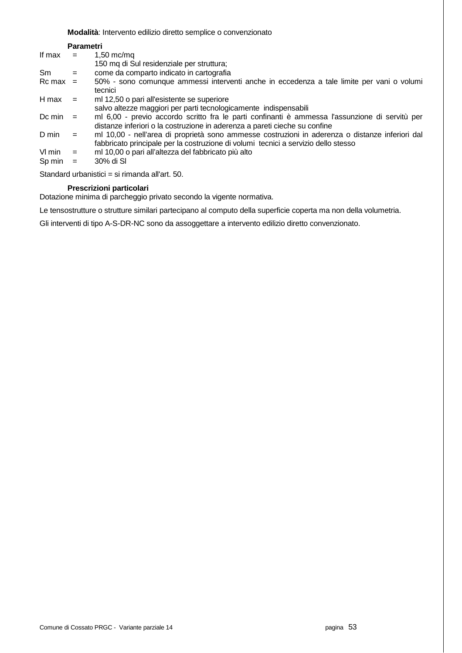#### **Modalità**: Intervento edilizio diretto semplice o convenzionato

|              | Parametri |                                                                                                                                                                                       |
|--------------|-----------|---------------------------------------------------------------------------------------------------------------------------------------------------------------------------------------|
| If max       | $=$       | $1,50$ mc/mq                                                                                                                                                                          |
|              |           | 150 mq di Sul residenziale per struttura;                                                                                                                                             |
| <b>Sm</b>    | $=$       | come da comparto indicato in cartografia                                                                                                                                              |
| $Rc$ max $=$ |           | 50% - sono comunque ammessi interventi anche in eccedenza a tale limite per vani o volumi<br>tecnici                                                                                  |
| H max        | $=$       | ml 12,50 o pari all'esistente se superiore                                                                                                                                            |
|              |           | salvo altezze maggiori per parti tecnologicamente indispensabili                                                                                                                      |
| Dc min       | $=$       | ml 6,00 - previo accordo scritto fra le parti confinanti è ammessa l'assunzione di servitù per<br>distanze inferiori o la costruzione in aderenza a pareti cieche su confine          |
| D min        | $=$       | ml 10,00 - nell'area di proprietà sono ammesse costruzioni in aderenza o distanze inferiori dal<br>fabbricato principale per la costruzione di volumi tecnici a servizio dello stesso |
| VI min       | $=$       | ml 10,00 o pari all'altezza del fabbricato più alto                                                                                                                                   |
| Sp min       | $=$       | 30% di SI                                                                                                                                                                             |

Standard urbanistici = si rimanda all'art. 50.

## **Prescrizioni particolari**

Dotazione minima di parcheggio privato secondo la vigente normativa.

Le tensostrutture o strutture similari partecipano al computo della superficie coperta ma non della volumetria.

Gli interventi di tipo A-S-DR-NC sono da assoggettare a intervento edilizio diretto convenzionato.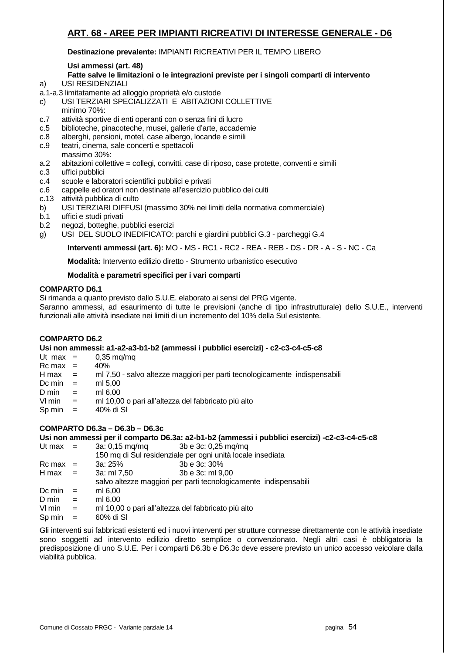## **ART. 68 - AREE PER IMPIANTI RICREATIVI DI INTERESSE GENERALE - D6**

## **Destinazione prevalente:** IMPIANTI RICREATIVI PER IL TEMPO LIBERO

## **Usi ammessi (art. 48)**

## **Fatte salve le limitazioni o le integrazioni previste per i singoli comparti di intervento**

- a) USI RESIDENZIALI
- a.1-a.3 limitatamente ad alloggio proprietà e/o custode
- c) USI TERZIARI SPECIALIZZATI E ABITAZIONI COLLETTIVE
- minimo 70%:
- c.7 attività sportive di enti operanti con o senza fini di lucro
- c.5 biblioteche, pinacoteche, musei, gallerie d'arte, accademie
- c.8 alberghi, pensioni, motel, case albergo, locande e simili
- c.9 teatri, cinema, sale concerti e spettacoli massimo 30%:
- a.2 abitazioni collettive = collegi, convitti, case di riposo, case protette, conventi e simili
- c.3 uffici pubblici
- c.4 scuole e laboratori scientifici pubblici e privati
- c.6 cappelle ed oratori non destinate all'esercizio pubblico dei culti
- c.13 attività pubblica di culto
- b) USI TERZIARI DIFFUSI (massimo 30% nei limiti della normativa commerciale)
- b.1 uffici e studi privati
- b.2 negozi, botteghe, pubblici esercizi
- g) USI DEL SUOLO INEDIFICATO: parchi e giardini pubblici G.3 parcheggi G.4

 **Interventi ammessi (art. 6):** MO - MS - RC1 - RC2 - REA - REB - DS - DR - A - S - NC - Ca

 **Modalità:** Intervento edilizio diretto - Strumento urbanistico esecutivo

## **Modalità e parametri specifici per i vari comparti**

## **COMPARTO D6.1**

Si rimanda a quanto previsto dallo S.U.E. elaborato ai sensi del PRG vigente.

Saranno ammessi, ad esaurimento di tutte le previsioni (anche di tipo infrastrutturale) dello S.U.E., interventi funzionali alle attività insediate nei limiti di un incremento del 10% della Sul esistente.

## **COMPARTO D6.2**

#### **Usi non ammessi: a1-a2-a3-b1-b2 (ammessi i pubblici esercizi) - c2-c3-c4-c5-c8**

- Ut max  $=$  0.35 mg/mg
- $Rc$  max = 40%
- ml 7,50 salvo altezze maggiori per parti tecnologicamente indispensabili  $H$  max = ml 7,50<br>Dc min = ml 5,00
- 
- 
- $D \text{ min}$  = ml 6,00<br>VI min = ml 10,0 ml 10,00 o pari all'altezza del fabbricato più alto
- $Sp \, min = 40\% \, di \, SI$

## **COMPARTO D6.3a – D6.3b – D6.3c**

**Usi non ammessi per il comparto D6.3a: a2-b1-b2 (ammessi i pubblici esercizi) -c2-c3-c4-c5-c8** 

- Ut max  $=$  3a: 0.15 mg/mg 3b e 3c: 0.25 mg/mg
- 150 mq di Sul residenziale per ogni unità locale insediata  $Rc$  max = 3a:  $25\%$  3b e 3c:  $30\%$  $H$  max = 3a: ml 7.50 3b e 3c: ml 9.00 salvo altezze maggiori per parti tecnologicamente indispensabili Dc min  $=$  ml 6,00  $D \text{ min} = \text{ m} 6,00$ <br>  $V1 \text{ min} = \text{ m} 10.00$ ml 10,00 o pari all'altezza del fabbricato più alto
- $Sp \, min = 60\% \, di \, SI$

Gli interventi sui fabbricati esistenti ed i nuovi interventi per strutture connesse direttamente con le attività insediate sono soggetti ad intervento edilizio diretto semplice o convenzionato. Negli altri casi è obbligatoria la predisposizione di uno S.U.E. Per i comparti D6.3b e D6.3c deve essere previsto un unico accesso veicolare dalla viabilità pubblica.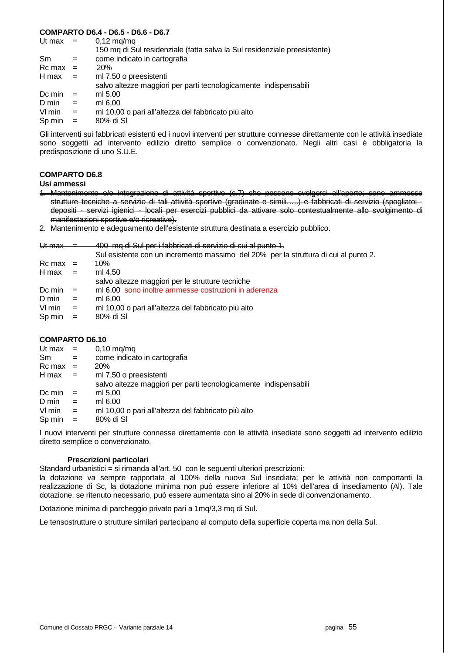## **COMPARTO D6.4 - D6.5 - D6.6 - D6.7**

| Ut max       |     | $0,12 \text{ mg/mq}$                                                      |
|--------------|-----|---------------------------------------------------------------------------|
|              |     | 150 mq di Sul residenziale (fatta salva la Sul residenziale preesistente) |
| Sm           | $=$ | come indicato in cartografia                                              |
| $Rc$ max $=$ |     | 20 <sub>%</sub>                                                           |
| H max        | $=$ | ml 7,50 o preesistenti                                                    |
|              |     | salvo altezze maggiori per parti tecnologicamente indispensabili          |
| Dc min       | $=$ | ml 5,00                                                                   |
| D min        | $=$ | ml 6,00                                                                   |
| VI min       | $=$ | ml 10,00 o pari all'altezza del fabbricato più alto                       |
| Sp min       | $=$ | 80% di SI                                                                 |
|              |     |                                                                           |

Gli interventi sui fabbricati esistenti ed i nuovi interventi per strutture connesse direttamente con le attività insediate sono soggetti ad intervento edilizio diretto semplice o convenzionato. Negli altri casi è obbligatoria la predisposizione di uno S.U.E.

## **COMPARTO D6.8**

**Usi ammessi** 

- 1. Mantenimento e/o integrazione di attività sportive (c.7) che possono svolgersi all'aperto; sono strutture tecniche a servizio di tali attività sportive (gradinate e simili…..) e fabbricati di servizio (spogliatoi depositi - servizi igienici - locali per esercizi pubblici da attivare solo contestualmente allo svolgimento di manifestazioni sportive e/o ricreative).
- 2. Mantenimento e adeguamento dell'esistente struttura destinata a esercizio pubblico.

#### Ut max = 400 mg di Sul per i fabbricati di servizio di cui al punto 1.

|               |              | Sul esistente con un incremento massimo del 20% per la struttura di cui al punto 2. |
|---------------|--------------|-------------------------------------------------------------------------------------|
| $Rc$ max $=$  |              | 10%                                                                                 |
| $H$ max =     |              | ml 4.50                                                                             |
|               |              | salvo altezze maggiori per le strutture tecniche                                    |
| Dc min        | $\alpha = 1$ | ml 6,00 sono inoltre ammesse costruzioni in aderenza                                |
| D min         | $=$          | ml 6.00                                                                             |
| VI min        | $=$          | ml 10,00 o pari all'altezza del fabbricato più alto                                 |
| $Sp \, min =$ |              | 80% di SI                                                                           |

#### **COMPARTO D6.10**

| Ut max $=$   |                           | $0,10 \text{ mg}/\text{mg}$                                      |
|--------------|---------------------------|------------------------------------------------------------------|
| Sm           | $=$                       | come indicato in cartografia                                     |
| $Rc$ max $=$ |                           | <b>20%</b>                                                       |
| H max        | $\mathbf{r} = \mathbf{r}$ | ml 7,50 o preesistenti                                           |
|              |                           | salvo altezze maggiori per parti tecnologicamente indispensabili |
| Dc min       | $=$                       | ml 5,00                                                          |
| D min        | $=$                       | ml 6.00                                                          |
| VI min       | $=$                       | ml 10,00 o pari all'altezza del fabbricato più alto              |
| Sp min       | $=$                       | 80% di SI                                                        |
|              |                           |                                                                  |

I nuovi interventi per strutture connesse direttamente con le attività insediate sono soggetti ad intervento edilizio diretto semplice o convenzionato.

#### **Prescrizioni particolari**

Standard urbanistici = si rimanda all'art. 50 con le seguenti ulteriori prescrizioni:

la dotazione va sempre rapportata al 100% della nuova Sul insediata; per le attività non comportanti la realizzazione di Sc, la dotazione minima non può essere inferiore al 10% dell'area di insediamento (Al). Tale dotazione, se ritenuto necessario, può essere aumentata sino al 20% in sede di convenzionamento.

Dotazione minima di parcheggio privato pari a 1mq/3,3 mq di Sul.

Le tensostrutture o strutture similari partecipano al computo della superficie coperta ma non della Sul.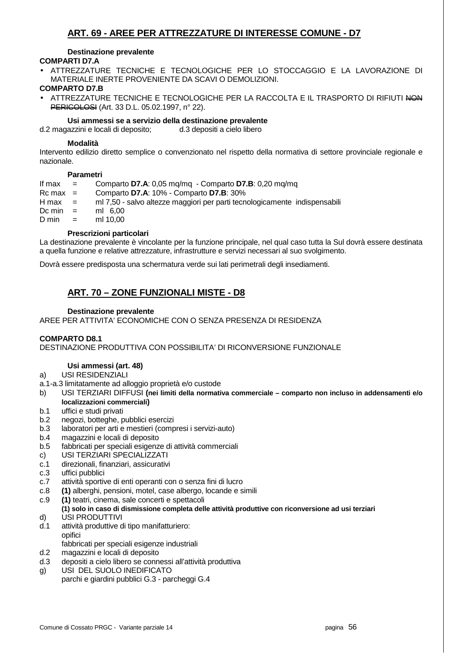## **ART. 69 - AREE PER ATTREZZATURE DI INTERESSE COMUNE - D7**

#### **Destinazione prevalente**

## **COMPARTI D7.A**

• ATTREZZATURE TECNICHE E TECNOLOGICHE PER LO STOCCAGGIO E LA LAVORAZIONE DI MATERIALE INERTE PROVENIENTE DA SCAVI O DEMOLIZIONI.

## **COMPARTO D7.B**

ATTREZZATURE TECNICHE E TECNOLOGICHE PER LA RACCOLTA E IL TRASPORTO DI RIFIUTI NON **PERICOLOSI** (Art. 33 D.L. 05.02.1997, n° 22).

## **Usi ammessi se a servizio della destinazione prevalente**

d.2 magazzini e locali di deposito; d.3 depositi a cielo libero

## **Modalità**

Intervento edilizio diretto semplice o convenzionato nel rispetto della normativa di settore provinciale regionale e nazionale.

## **Parametri**

| If max             | $\mathbf{r} = \mathbf{r}$ | Comparto D7.A: 0,05 mg/mg - Comparto D7.B: 0,20 mg/mg                      |
|--------------------|---------------------------|----------------------------------------------------------------------------|
| $Rc$ max $=$       |                           | Comparto D7.A: 10% - Comparto D7.B: 30%                                    |
| $H$ max $=$        |                           | ml 7,50 - salvo altezze maggiori per parti tecnologicamente indispensabili |
| $Dc \text{ min}$ = |                           | ml 6.00                                                                    |
| $D \text{ min}$ =  |                           | ml 10.00                                                                   |
|                    |                           |                                                                            |

## **Prescrizioni particolari**

La destinazione prevalente è vincolante per la funzione principale, nel qual caso tutta la Sul dovrà essere destinata a quella funzione e relative attrezzature, infrastrutture e servizi necessari al suo svolgimento.

Dovrà essere predisposta una schermatura verde sui lati perimetrali degli insediamenti.

## **ART. 70 – ZONE FUNZIONALI MISTE - D8**

## **Destinazione prevalente**

AREE PER ATTIVITA' ECONOMICHE CON O SENZA PRESENZA DI RESIDENZA

## **COMPARTO D8.1**

DESTINAZIONE PRODUTTIVA CON POSSIBILITA' DI RICONVERSIONE FUNZIONALE

## **Usi ammessi (art. 48)**

- a) USI RESIDENZIALI
- a.1-a.3 limitatamente ad alloggio proprietà e/o custode
- b) USI TERZIARI DIFFUSI **(nei limiti della normativa commerciale comparto non incluso in addensamenti e/o localizzazioni commerciali)**
- b.1 uffici e studi privati
- b.2 negozi, botteghe, pubblici esercizi
- b.3 laboratori per arti e mestieri (compresi i servizi-auto)
- b.4 magazzini e locali di deposito
- b.5 fabbricati per speciali esigenze di attività commerciali
- c) USI TERZIARI SPECIALIZZATI
- c.1 direzionali, finanziari, assicurativi
- c.3 uffici pubblici
- c.7 attività sportive di enti operanti con o senza fini di lucro
- c.8 **(1)** alberghi, pensioni, motel, case albergo, locande e simili
- c.9 **(1)** teatri, cinema, sale concerti e spettacoli  **(1) solo in caso di dismissione completa delle attività produttive con riconversione ad usi terziari**
- d) USI PRODUTTIVI
- d.1 attività produttive di tipo manifatturiero: opifici
- fabbricati per speciali esigenze industriali
- d.2 magazzini e locali di deposito
- d.3 depositi a cielo libero se connessi all'attività produttiva
- g) USI DEL SUOLO INEDIFICATO
- parchi e giardini pubblici G.3 parcheggi G.4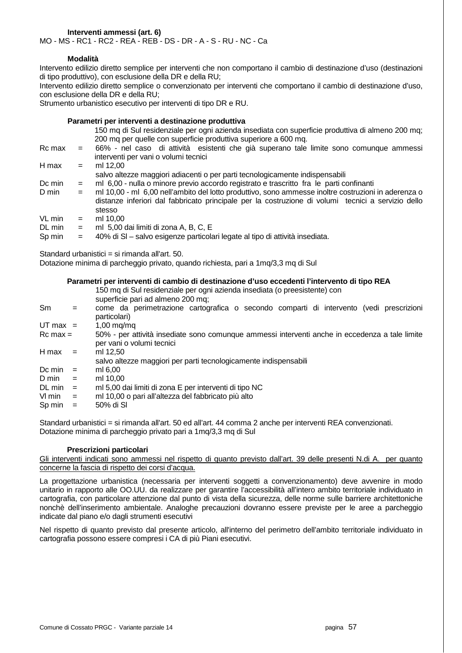## **Interventi ammessi (art. 6)**

MO - MS - RC1 - RC2 - REA - REB - DS - DR - A - S - RU - NC - Ca

#### **Modalità**

Intervento edilizio diretto semplice per interventi che non comportano il cambio di destinazione d'uso (destinazioni di tipo produttivo), con esclusione della DR e della RU;

Intervento edilizio diretto semplice o convenzionato per interventi che comportano il cambio di destinazione d'uso, con esclusione della DR e della RU;

Strumento urbanistico esecutivo per interventi di tipo DR e RU.

#### **Parametri per interventi a destinazione produttiva**

|        |     | 150 mq di Sul residenziale per ogni azienda insediata con superficie produttiva di almeno 200 mq;<br>200 mq per quelle con superficie produttiva superiore a 600 mq.                                                |
|--------|-----|---------------------------------------------------------------------------------------------------------------------------------------------------------------------------------------------------------------------|
| Rc max | $=$ | 66% - nel caso di attività esistenti che già superano tale limite sono comunque ammessi<br>interventi per vani o volumi tecnici                                                                                     |
| H max  | $=$ | ml 12.00                                                                                                                                                                                                            |
|        |     | salvo altezze maggiori adiacenti o per parti tecnologicamente indispensabili                                                                                                                                        |
| Dc min | $=$ | ml 6,00 - nulla o minore previo accordo registrato e trascritto fra le parti confinanti                                                                                                                             |
| D min  | $=$ | ml 10,00 - ml 6,00 nell'ambito del lotto produttivo, sono ammesse inoltre costruzioni in aderenza o<br>distanze inferiori dal fabbricato principale per la costruzione di volumi tecnici a servizio dello<br>stesso |
| VL min | $=$ | ml 10.00                                                                                                                                                                                                            |
| DL min | $=$ | ml 5,00 dai limiti di zona A, B, C, E                                                                                                                                                                               |
| Sp min | $=$ | 40% di SI - salvo esigenze particolari legate al tipo di attività insediata.                                                                                                                                        |

Standard urbanistici = si rimanda all'art. 50.

Dotazione minima di parcheggio privato, quando richiesta, pari a 1mq/3,3 mq di Sul

#### **Parametri per interventi di cambio di destinazione d'uso eccedenti l'intervento di tipo REA**

|                        | 150 mq di Sul residenziale per ogni azienda insediata (o preesistente) con<br>superficie pari ad almeno 200 mq;             |
|------------------------|-----------------------------------------------------------------------------------------------------------------------------|
| $=$                    | come da perimetrazione cartografica o secondo comparti di intervento (vedi prescrizioni<br>particolari)                     |
| UT max $=$             | $1,00 \text{ mg}/\text{mg}$                                                                                                 |
| $Rc$ max $=$           | 50% - per attività insediate sono comunque ammessi interventi anche in eccedenza a tale limite<br>per vani o volumi tecnici |
| $=$                    | ml 12.50<br>salvo altezze maggiori per parti tecnologicamente indispensabili                                                |
| $=$                    | ml 6.00                                                                                                                     |
| $=$                    | ml 10.00                                                                                                                    |
| $=$                    | ml 5,00 dai limiti di zona E per interventi di tipo NC                                                                      |
| $V \cdot \text{min}$ = | ml 10,00 o pari all'altezza del fabbricato più alto                                                                         |
| $=$                    | 50% di SI                                                                                                                   |
|                        |                                                                                                                             |

Standard urbanistici = si rimanda all'art. 50 ed all'art. 44 comma 2 anche per interventi REA convenzionati. Dotazione minima di parcheggio privato pari a 1mq/3,3 mq di Sul

#### **Prescrizioni particolari**

Gli interventi indicati sono ammessi nel rispetto di quanto previsto dall'art. 39 delle presenti N.di A. per quanto concerne la fascia di rispetto dei corsi d'acqua.

La progettazione urbanistica (necessaria per interventi soggetti a convenzionamento) deve avvenire in modo unitario in rapporto alle OO.UU. da realizzare per garantire l'accessibilità all'intero ambito territoriale individuato in cartografia, con particolare attenzione dal punto di vista della sicurezza, delle norme sulle barriere architettoniche nonchè dell'inserimento ambientale. Analoghe precauzioni dovranno essere previste per le aree a parcheggio indicate dal piano e/o dagli strumenti esecutivi

Nel rispetto di quanto previsto dal presente articolo, all'interno del perimetro dell'ambito territoriale individuato in cartografia possono essere compresi i CA di più Piani esecutivi.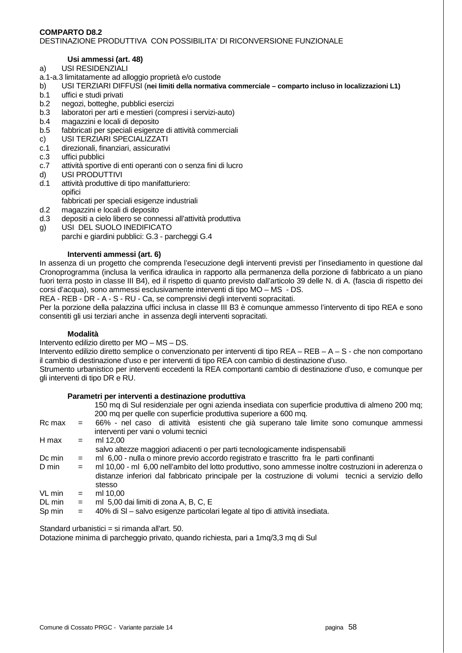### **COMPARTO D8.2**  DESTINAZIONE PRODUTTIVA CON POSSIBILITA' DI RICONVERSIONE FUNZIONALE

## **Usi ammessi (art. 48)**

- a) USI RESIDENZIALI
- a.1-a.3 limitatamente ad alloggio proprietà e/o custode
- b) USI TERZIARI DIFFUSI (**nei limiti della normativa commerciale comparto incluso in localizzazioni L1)**
- b.1 uffici e studi privati
- b.2 negozi, botteghe, pubblici esercizi
- b.3 laboratori per arti e mestieri (compresi i servizi-auto)
- b.4 magazzini e locali di deposito
- b.5 fabbricati per speciali esigenze di attività commerciali
- c) USI TERZIARI SPECIALIZZATI
- c.1 direzionali, finanziari, assicurativi
- c.3 uffici pubblici
- c.7 attività sportive di enti operanti con o senza fini di lucro
- d) USI PRODUTTIVI
- d.1 attività produttive di tipo manifatturiero: opifici
	- fabbricati per speciali esigenze industriali
- d.2 magazzini e locali di deposito
- d.3 depositi a cielo libero se connessi all'attività produttiva
- g) USI DEL SUOLO INEDIFICATO
	- parchi e giardini pubblici: G.3 parcheggi G.4

## **Interventi ammessi (art. 6)**

In assenza di un progetto che comprenda l'esecuzione degli interventi previsti per l'insediamento in questione dal Cronoprogramma (inclusa la verifica idraulica in rapporto alla permanenza della porzione di fabbricato a un piano fuori terra posto in classe III B4), ed il rispetto di quanto previsto dall'articolo 39 delle N. di A. (fascia di rispetto dei corsi d'acqua), sono ammessi esclusivamente interventi di tipo MO – MS - DS.

REA - REB - DR - A - S - RU - Ca, se comprensivi degli interventi sopracitati.

Per la porzione della palazzina uffici inclusa in classe III B3 è comunque ammesso l'intervento di tipo REA e sono consentiti gli usi terziari anche in assenza degli interventi sopracitati.

## **Modalità**

Intervento edilizio diretto per MO – MS – DS.

Intervento edilizio diretto semplice o convenzionato per interventi di tipo REA – REB – A – S - che non comportano il cambio di destinazione d'uso e per interventi di tipo REA con cambio di destinazione d'uso.

Strumento urbanistico per interventi eccedenti la REA comportanti cambio di destinazione d'uso, e comunque per gli interventi di tipo DR e RU.

|               | Parametri per interventi a destinazione produttiva                                                  |
|---------------|-----------------------------------------------------------------------------------------------------|
|               | 150 mq di Sul residenziale per ogni azienda insediata con superficie produttiva di almeno 200 mq;   |
|               | 200 mg per quelle con superficie produttiva superiore a 600 mg.                                     |
| Rc max<br>$=$ | 66% - nel caso di attività esistenti che già superano tale limite sono comunque ammessi             |
|               | interventi per vani o volumi tecnici                                                                |
| $=$           | ml 12.00                                                                                            |
|               | salvo altezze maggiori adiacenti o per parti tecnologicamente indispensabili                        |
| $=$           | ml 6,00 - nulla o minore previo accordo registrato e trascritto fra le parti confinanti             |
| $=$           | ml 10,00 - ml 6,00 nell'ambito del lotto produttivo, sono ammesse inoltre costruzioni in aderenza o |
|               | distanze inferiori dal fabbricato principale per la costruzione di volumi tecnici a servizio dello  |
|               | stesso                                                                                              |
| $=$           | ml 10.00                                                                                            |
| $=$           | ml 5,00 dai limiti di zona A, B, C, E                                                               |
| $=$           | 40% di SI - salvo esigenze particolari legate al tipo di attività insediata.                        |
|               |                                                                                                     |

Standard urbanistici = si rimanda all'art. 50.

Dotazione minima di parcheggio privato, quando richiesta, pari a 1mq/3,3 mq di Sul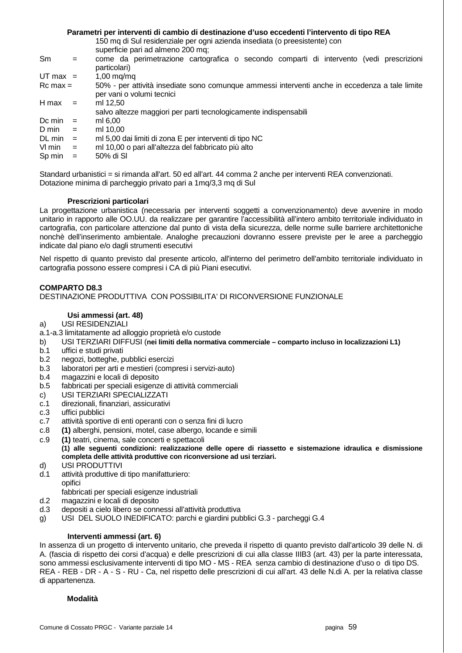### **Parametri per interventi di cambio di destinazione d'uso eccedenti l'intervento di tipo REA**

150 mq di Sul residenziale per ogni azienda insediata (o preesistente) con

superficie pari ad almeno 200 mq;

Sm = come da perimetrazione cartografica o secondo comparti di intervento (vedi prescrizioni particolari)  $UT$  max =  $1,00$  mg/mg Rc max = 50% - per attività insediate sono comunque ammessi interventi anche in eccedenza a tale limite per vani o volumi tecnici  $H$  max = ml 12,50 salvo altezze maggiori per parti tecnologicamente indispensabili Dc min  $=$  ml 6,00  $D \text{ min}$  = ml 10.00 DL min = ml 5,00 dai limiti di zona E per interventi di tipo NC Vl min = ml 10,00 o pari all'altezza del fabbricato più alto  $Sp \, min = 50\% \, di \, SI$ 

Standard urbanistici = si rimanda all'art. 50 ed all'art. 44 comma 2 anche per interventi REA convenzionati. Dotazione minima di parcheggio privato pari a 1mg/3,3 mg di Sul

## **Prescrizioni particolari**

La progettazione urbanistica (necessaria per interventi soggetti a convenzionamento) deve avvenire in modo unitario in rapporto alle OO.UU. da realizzare per garantire l'accessibilità all'intero ambito territoriale individuato in cartografia, con particolare attenzione dal punto di vista della sicurezza, delle norme sulle barriere architettoniche nonchè dell'inserimento ambientale. Analoghe precauzioni dovranno essere previste per le aree a parcheggio indicate dal piano e/o dagli strumenti esecutivi

Nel rispetto di quanto previsto dal presente articolo, all'interno del perimetro dell'ambito territoriale individuato in cartografia possono essere compresi i CA di più Piani esecutivi.

## **COMPARTO D8.3**

DESTINAZIONE PRODUTTIVA CON POSSIBILITA' DI RICONVERSIONE FUNZIONALE

## **Usi ammessi (art. 48)**

## a) USI RESIDENZIALI

- a.1-a.3 limitatamente ad alloggio proprietà e/o custode
- b) USI TERZIARI DIFFUSI (**nei limiti della normativa commerciale comparto incluso in localizzazioni L1)**
- b.1 uffici e studi privati
- b.2 negozi, botteghe, pubblici esercizi
- b.3 laboratori per arti e mestieri (compresi i servizi-auto)
- b.4 magazzini e locali di deposito
- b.5 fabbricati per speciali esigenze di attività commerciali
- c) USI TERZIARI SPECIALIZZATI
- c.1 direzionali, finanziari, assicurativi
- c.3 uffici pubblici
- c.7 attività sportive di enti operanti con o senza fini di lucro
- c.8 **(1)** alberghi, pensioni, motel, case albergo, locande e simili
- c.9 **(1)** teatri, cinema, sale concerti e spettacoli  **(1) alle seguenti condizioni: realizzazione delle opere di riassetto e sistemazione idraulica e dismissione completa delle attività produttive con riconversione ad usi terziari.**
- d) USI PRODUTTIVI
- d.1 attività produttive di tipo manifatturiero: opifici fabbricati per speciali esigenze industriali
	-
- d.2 magazzini e locali di deposito
- d.3 depositi a cielo libero se connessi all'attività produttiva
- g) USI DEL SUOLO INEDIFICATO: parchi e giardini pubblici G.3 parcheggi G.4

## **Interventi ammessi (art. 6)**

In assenza di un progetto di intervento unitario, che preveda il rispetto di quanto previsto dall'articolo 39 delle N. di A. (fascia di rispetto dei corsi d'acqua) e delle prescrizioni di cui alla classe IIIB3 (art. 43) per la parte interessata, sono ammessi esclusivamente interventi di tipo MO - MS - REA senza cambio di destinazione d'uso o di tipo DS. REA - REB - DR - A - S - RU - Ca, nel rispetto delle prescrizioni di cui all'art. 43 delle N.di A. per la relativa classe di appartenenza.

#### **Modalità**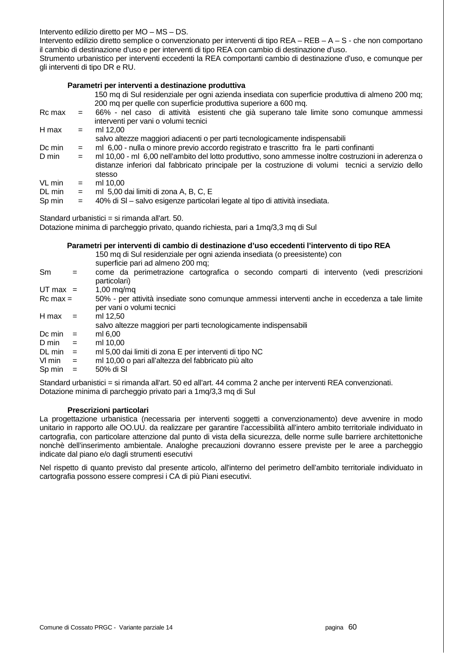Intervento edilizio diretto per MO – MS – DS.

Intervento edilizio diretto semplice o convenzionato per interventi di tipo REA – REB – A – S - che non comportano il cambio di destinazione d'uso e per interventi di tipo REA con cambio di destinazione d'uso.

Strumento urbanistico per interventi eccedenti la REA comportanti cambio di destinazione d'uso, e comunque per gli interventi di tipo DR e RU.

#### **Parametri per interventi a destinazione produttiva**

| 150 mq di Sul residenziale per ogni azienda insediata con superficie produttiva di almeno 200 mq; |
|---------------------------------------------------------------------------------------------------|
| 200 mq per quelle con superficie produttiva superiore a 600 mq.                                   |

| Rc max | $=$ | 66% - nel caso di attività esistenti che già superano tale limite sono comunque ammessi |
|--------|-----|-----------------------------------------------------------------------------------------|
| H max  | $=$ | interventi per vani o volumi tecnici<br>ml 12.00                                        |
|        |     | salvo altezze maggiori adiacenti o per parti tecnologicamente indispensabili            |

Dc min = ml 6,00 - nulla o minore previo accordo registrato e trascritto fra le parti confinanti

D min = ml 10,00 - ml 6,00 nell'ambito del lotto produttivo, sono ammesse inoltre costruzioni in aderenza o distanze inferiori dal fabbricato principale per la costruzione di volumi tecnici a servizio dello stesso

 $VL min = ml 10.00$ 

- DL min  $=$  ml 5,00 dai limiti di zona A, B, C, E
- Sp min  $=$  40% di SI salvo esigenze particolari legate al tipo di attività insediata.

Standard urbanistici = si rimanda all'art. 50.

Dotazione minima di parcheggio privato, quando richiesta, pari a 1mq/3,3 mq di Sul

#### **Parametri per interventi di cambio di destinazione d'uso eccedenti l'intervento di tipo REA**

|              |     | 150 mq di Sul residenziale per ogni azienda insediata (o preesistente) con<br>superficie pari ad almeno 200 mq;             |
|--------------|-----|-----------------------------------------------------------------------------------------------------------------------------|
| Sm           | $=$ | come da perimetrazione cartografica o secondo comparti di intervento (vedi prescrizioni<br>particolari)                     |
| UT max $=$   |     | $1,00 \text{ mg}/\text{mg}$                                                                                                 |
| $Rc$ max $=$ |     | 50% - per attività insediate sono comunque ammessi interventi anche in eccedenza a tale limite<br>per vani o volumi tecnici |
| H max        | $=$ | ml 12.50<br>salvo altezze maggiori per parti tecnologicamente indispensabili                                                |
| Dc min       | $=$ | ml 6,00                                                                                                                     |
| D min        | $=$ | ml 10.00                                                                                                                    |
| DL min       | $=$ | ml 5,00 dai limiti di zona E per interventi di tipo NC                                                                      |
| $Vlmin =$    |     | ml 10,00 o pari all'altezza del fabbricato più alto                                                                         |
| Sp min       |     | 50% di SI                                                                                                                   |

Standard urbanistici = si rimanda all'art. 50 ed all'art. 44 comma 2 anche per interventi REA convenzionati. Dotazione minima di parcheggio privato pari a 1mq/3,3 mq di Sul

#### **Prescrizioni particolari**

La progettazione urbanistica (necessaria per interventi soggetti a convenzionamento) deve avvenire in modo unitario in rapporto alle OO.UU. da realizzare per garantire l'accessibilità all'intero ambito territoriale individuato in cartografia, con particolare attenzione dal punto di vista della sicurezza, delle norme sulle barriere architettoniche nonchè dell'inserimento ambientale. Analoghe precauzioni dovranno essere previste per le aree a parcheggio indicate dal piano e/o dagli strumenti esecutivi

Nel rispetto di quanto previsto dal presente articolo, all'interno del perimetro dell'ambito territoriale individuato in cartografia possono essere compresi i CA di più Piani esecutivi.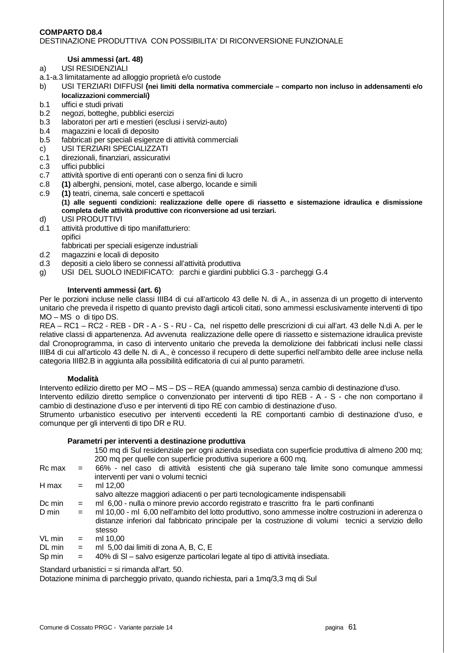#### **COMPARTO D8.4**  DESTINAZIONE PRODUTTIVA CON POSSIBILITA' DI RICONVERSIONE FUNZIONALE

## **Usi ammessi (art. 48)**

- a) USI RESIDENZIALI
- a.1-a.3 limitatamente ad alloggio proprietà e/o custode
- b) USI TERZIARI DIFFUSI **(nei limiti della normativa commerciale comparto non incluso in addensamenti e/o localizzazioni commerciali)**
- b.1 uffici e studi privati
- b.2 negozi, botteghe, pubblici esercizi
- b.3 laboratori per arti e mestieri (esclusi i servizi-auto)
- b.4 magazzini e locali di deposito
- b.5 fabbricati per speciali esigenze di attività commerciali
- c) USI TERZIARI SPECIALIZZATI
- c.1 direzionali, finanziari, assicurativi
- c.3 uffici pubblici
- c.7 attività sportive di enti operanti con o senza fini di lucro
- c.8 **(1)** alberghi, pensioni, motel, case albergo, locande e simili
- c.9 **(1)** teatri, cinema, sale concerti e spettacoli  **(1) alle seguenti condizioni: realizzazione delle opere di riassetto e sistemazione idraulica e dismissione completa delle attività produttive con riconversione ad usi terziari.**
- d) USI PRODUTTIVI
- d.1 attività produttive di tipo manifatturiero: opifici fabbricati per speciali esigenze industriali
- d.2 magazzini e locali di deposito
- d.3 depositi a cielo libero se connessi all'attività produttiva
- g) USI DEL SUOLO INEDIFICATO: parchi e giardini pubblici G.3 parcheggi G.4

## **Interventi ammessi (art. 6)**

Per le porzioni incluse nelle classi IIIB4 di cui all'articolo 43 delle N. di A., in assenza di un progetto di intervento unitario che preveda il rispetto di quanto previsto dagli articoli citati, sono ammessi esclusivamente interventi di tipo MO – MS o di tipo DS.

REA – RC1 – RC2 - REB - DR - A - S - RU - Ca, nel rispetto delle prescrizioni di cui all'art. 43 delle N.di A. per le relative classi di appartenenza. Ad avvenuta realizzazione delle opere di riassetto e sistemazione idraulica previste dal Cronoprogramma, in caso di intervento unitario che preveda la demolizione dei fabbricati inclusi nelle classi IIIB4 di cui all'articolo 43 delle N. di A., è concesso il recupero di dette superfici nell'ambito delle aree incluse nella categoria IIIB2.B in aggiunta alla possibilità edificatoria di cui al punto parametri.

#### **Modalità**

Intervento edilizio diretto per MO – MS – DS – REA (quando ammessa) senza cambio di destinazione d'uso.

Intervento edilizio diretto semplice o convenzionato per interventi di tipo REB - A - S - che non comportano il cambio di destinazione d'uso e per interventi di tipo RE con cambio di destinazione d'uso.

Strumento urbanistico esecutivo per interventi eccedenti la RE comportanti cambio di destinazione d'uso, e comunque per gli interventi di tipo DR e RU.

## **Parametri per interventi a destinazione produttiva**

150 mq di Sul residenziale per ogni azienda insediata con superficie produttiva di almeno 200 mq; 200 mq per quelle con superficie produttiva superiore a 600 mq.

| Rc max | <b>Service</b> | 66% - nel caso di attività esistenti che già superano tale limite sono comunque ammessi             |
|--------|----------------|-----------------------------------------------------------------------------------------------------|
|        |                | interventi per vani o volumi tecnici                                                                |
| H max  | $=$            | ml 12.00                                                                                            |
|        |                | salvo altezze maggiori adiacenti o per parti tecnologicamente indispensabili                        |
| Dc min | $=$            | ml 6,00 - nulla o minore previo accordo registrato e trascritto fra le parti confinanti             |
| D min  | $=$            | ml 10,00 - ml 6,00 nell'ambito del lotto produttivo, sono ammesse inoltre costruzioni in aderenza o |

- distanze inferiori dal fabbricato principale per la costruzione di volumi tecnici a servizio dello stesso
- $VL min = ml 10,00$
- DL min  $=$  ml 5,00 dai limiti di zona A, B, C, E
- Sp min = 40% di SI salvo esigenze particolari legate al tipo di attività insediata.

Standard urbanistici = si rimanda all'art. 50.

Dotazione minima di parcheggio privato, quando richiesta, pari a 1mq/3,3 mq di Sul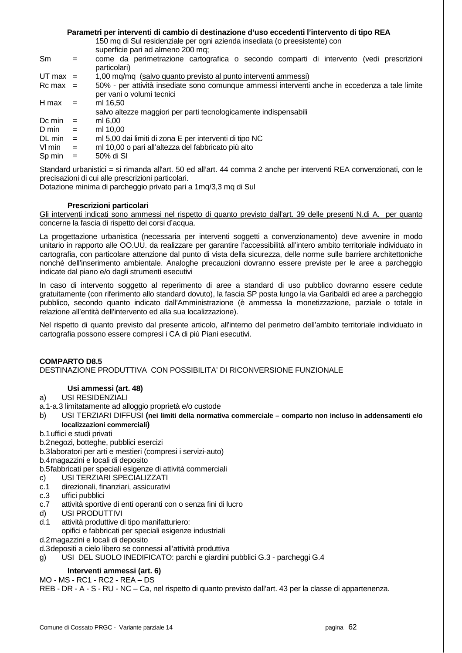## **Parametri per interventi di cambio di destinazione d'uso eccedenti l'intervento di tipo REA**

150 mq di Sul residenziale per ogni azienda insediata (o preesistente) con

superficie pari ad almeno 200 mq;

- Sm = come da perimetrazione cartografica o secondo comparti di intervento (vedi prescrizioni particolari)
- $UT$  max = 1,00 mq/mq (salvo quanto previsto al punto interventi ammessi)
- Rc max = 50% per attività insediate sono comunque ammessi interventi anche in eccedenza a tale limite per vani o volumi tecnici
- $H$  max = ml 16,50
	- salvo altezze maggiori per parti tecnologicamente indispensabili
- Dc min  $=$  ml 6,00
- $D \text{ min}$  = ml 10.00
- DL min = ml 5,00 dai limiti di zona E per interventi di tipo NC
- Vl min = ml 10,00 o pari all'altezza del fabbricato più alto
- $Sp \, min = 50\% \, di \, SI$

Standard urbanistici = si rimanda all'art. 50 ed all'art. 44 comma 2 anche per interventi REA convenzionati, con le precisazioni di cui alle prescrizioni particolari.

Dotazione minima di parcheggio privato pari a 1mg/3,3 mg di Sul

## **Prescrizioni particolari**

Gli interventi indicati sono ammessi nel rispetto di quanto previsto dall'art. 39 delle presenti N.di A. per quanto concerne la fascia di rispetto dei corsi d'acqua.

La progettazione urbanistica (necessaria per interventi soggetti a convenzionamento) deve avvenire in modo unitario in rapporto alle OO.UU. da realizzare per garantire l'accessibilità all'intero ambito territoriale individuato in cartografia, con particolare attenzione dal punto di vista della sicurezza, delle norme sulle barriere architettoniche nonchè dell'inserimento ambientale. Analoghe precauzioni dovranno essere previste per le aree a parcheggio indicate dal piano e/o dagli strumenti esecutivi

In caso di intervento soggetto al reperimento di aree a standard di uso pubblico dovranno essere cedute gratuitamente (con riferimento allo standard dovuto), la fascia SP posta lungo la via Garibaldi ed aree a parcheggio pubblico, secondo quanto indicato dall'Amministrazione (è ammessa la monetizzazione, parziale o totale in relazione all'entità dell'intervento ed alla sua localizzazione).

Nel rispetto di quanto previsto dal presente articolo, all'interno del perimetro dell'ambito territoriale individuato in cartografia possono essere compresi i CA di più Piani esecutivi.

## **COMPARTO D8.5**  DESTINAZIONE PRODUTTIVA CON POSSIBILITA' DI RICONVERSIONE FUNZIONALE

## **Usi ammessi (art. 48)**

- a) USI RESIDENZIALI
- a.1-a.3 limitatamente ad alloggio proprietà e/o custode
- b) USI TERZIARI DIFFUSI **(nei limiti della normativa commerciale comparto non incluso in addensamenti e/o localizzazioni commerciali)**
- b.1 uffici e studi privati
- b.2 negozi, botteghe, pubblici esercizi
- b.3 laboratori per arti e mestieri (compresi i servizi-auto)

b.4 magazzini e locali di deposito

- b.5 fabbricati per speciali esigenze di attività commerciali
- c) USI TERZIARI SPECIALIZZATI
- c.1 direzionali, finanziari, assicurativi
- c.3 uffici pubblici
- c.7 attività sportive di enti operanti con o senza fini di lucro
- d) USI PRODUTTIVI
- d.1 attività produttive di tipo manifatturiero:
- opifici e fabbricati per speciali esigenze industriali

d.2 magazzini e locali di deposito

d.3 depositi a cielo libero se connessi all'attività produttiva

g) USI DEL SUOLO INEDIFICATO: parchi e giardini pubblici G.3 - parcheggi G.4

## **Interventi ammessi (art. 6)**

MO - MS - RC1 - RC2 - REA – DS

REB - DR - A - S - RU - NC – Ca, nel rispetto di quanto previsto dall'art. 43 per la classe di appartenenza.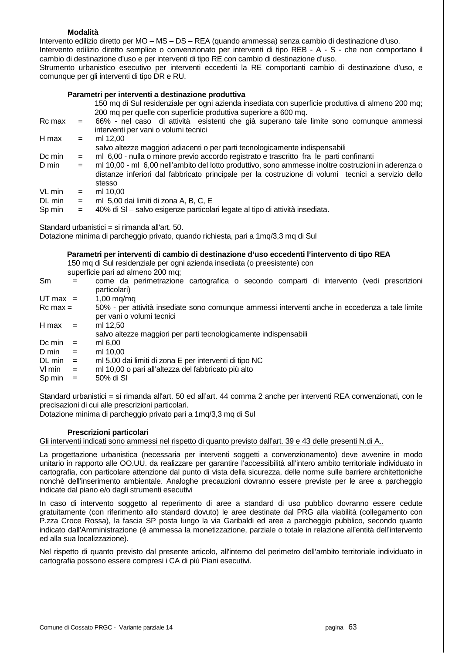#### **Modalità**

Intervento edilizio diretto per MO – MS – DS – REA (quando ammessa) senza cambio di destinazione d'uso. Intervento edilizio diretto semplice o convenzionato per interventi di tipo REB - A - S - che non comportano il cambio di destinazione d'uso e per interventi di tipo RE con cambio di destinazione d'uso. Strumento urbanistico esecutivo per interventi eccedenti la RE comportanti cambio di destinazione d'uso, e comunque per gli interventi di tipo DR e RU.

#### **Parametri per interventi a destinazione produttiva**

150 mq di Sul residenziale per ogni azienda insediata con superficie produttiva di almeno 200 mq; 200 mq per quelle con superficie produttiva superiore a 600 mq.

| Rc max | $=$ | 66% - nel caso di attività esistenti che già superano tale limite sono comunque ammessi             |
|--------|-----|-----------------------------------------------------------------------------------------------------|
|        |     | interventi per vani o volumi tecnici                                                                |
| H max  | $=$ | ml 12.00                                                                                            |
|        |     | salvo altezze maggiori adiacenti o per parti tecnologicamente indispensabili                        |
| Dc min | $=$ | ml 6,00 - nulla o minore previo accordo registrato e trascritto fra le parti confinanti             |
| D min  | $=$ | ml 10,00 - ml 6,00 nell'ambito del lotto produttivo, sono ammesse inoltre costruzioni in aderenza o |
|        |     | distanze inferiori dal fabbricato principale per la costruzione di volumi tecnici a servizio dello  |
|        |     | stesso                                                                                              |
| VL min | $=$ | ml 10.00                                                                                            |
| DL min | $=$ | ml 5,00 dai limiti di zona A, B, C, E                                                               |
| Sp min |     | 40% di SI - salvo esigenze particolari legate al tipo di attività insediata.                        |

Standard urbanistici = si rimanda all'art. 50.

Dotazione minima di parcheggio privato, quando richiesta, pari a 1mq/3,3 mq di Sul

#### **Parametri per interventi di cambio di destinazione d'uso eccedenti l'intervento di tipo REA**

150 mq di Sul residenziale per ogni azienda insediata (o preesistente) con

superficie pari ad almeno 200 mq;

Sm = come da perimetrazione cartografica o secondo comparti di intervento (vedi prescrizioni particolari)  $UT$  max = 1,00 mg/mg Rc max = 50% - per attività insediate sono comunque ammessi interventi anche in eccedenza a tale limite per vani o volumi tecnici  $H$  max = ml 12,50 salvo altezze maggiori per parti tecnologicamente indispensabili  $Dc \text{ min} = \text{ m1 } 6,00$ <br> $D \text{ min} = \text{ m1 } 10,00$  $=$  ml 10,00 DL min = ml 5,00 dai limiti di zona E per interventi di tipo NC VI min  $=$  ml 10,00 o pari all'altezza del fabbricato più alto  $Sp \, min = 50\% \, di \, SI$ 

Standard urbanistici = si rimanda all'art. 50 ed all'art. 44 comma 2 anche per interventi REA convenzionati, con le precisazioni di cui alle prescrizioni particolari.

Dotazione minima di parcheggio privato pari a 1mq/3,3 mq di Sul

#### **Prescrizioni particolari**

Gli interventi indicati sono ammessi nel rispetto di quanto previsto dall'art. 39 e 43 delle presenti N.di A..

La progettazione urbanistica (necessaria per interventi soggetti a convenzionamento) deve avvenire in modo unitario in rapporto alle OO.UU. da realizzare per garantire l'accessibilità all'intero ambito territoriale individuato in cartografia, con particolare attenzione dal punto di vista della sicurezza, delle norme sulle barriere architettoniche nonchè dell'inserimento ambientale. Analoghe precauzioni dovranno essere previste per le aree a parcheggio indicate dal piano e/o dagli strumenti esecutivi

In caso di intervento soggetto al reperimento di aree a standard di uso pubblico dovranno essere cedute gratuitamente (con riferimento allo standard dovuto) le aree destinate dal PRG alla viabilità (collegamento con P.zza Croce Rossa), la fascia SP posta lungo la via Garibaldi ed aree a parcheggio pubblico, secondo quanto indicato dall'Amministrazione (è ammessa la monetizzazione, parziale o totale in relazione all'entità dell'intervento ed alla sua localizzazione).

Nel rispetto di quanto previsto dal presente articolo, all'interno del perimetro dell'ambito territoriale individuato in cartografia possono essere compresi i CA di più Piani esecutivi.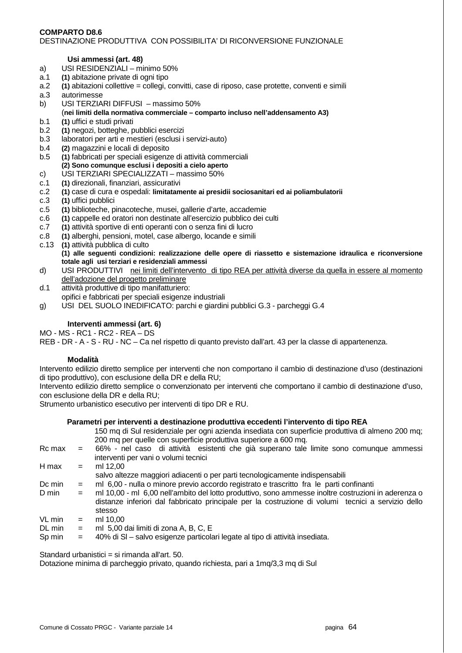#### **COMPARTO D8.6**  DESTINAZIONE PRODUTTIVA CON POSSIBILITA' DI RICONVERSIONE FUNZIONALE

## **Usi ammessi (art. 48)**

- a) USI RESIDENZIALI minimo 50%
- a.1 **(1)** abitazione private di ogni tipo
- a.2 **(1)** abitazioni collettive = collegi, convitti, case di riposo, case protette, conventi e simili
- a.3 autorimesse
- b) USI TERZIARI DIFFUSI massimo 50% (**nei limiti della normativa commerciale – comparto incluso nell'addensamento A3)**
- b.1 **(1)** uffici e studi privati
- b.2 **(1)** negozi, botteghe, pubblici esercizi
- b.3 laboratori per arti e mestieri (esclusi i servizi-auto)
- b.4 **(2)** magazzini e locali di deposito
- b.5 **(1)** fabbricati per speciali esigenze di attività commerciali  **(2) Sono comunque esclusi i depositi a cielo aperto**
- c) USI TERZIARI SPECIALIZZATI massimo 50%
- c.1 **(1)** direzionali, finanziari, assicurativi
- c.2 **(1)** case di cura e ospedali: **limitatamente ai presidii sociosanitari ed ai poliambulatorii**
- c.3 **(1)** uffici pubblici
- c.5 **(1)** biblioteche, pinacoteche, musei, gallerie d'arte, accademie
- c.6 **(1)** cappelle ed oratori non destinate all'esercizio pubblico dei culti
- c.7 **(1)** attività sportive di enti operanti con o senza fini di lucro
- c.8 **(1)** alberghi, pensioni, motel, case albergo, locande e simili
- c.13 **(1)** attività pubblica di culto
	- **(1) alle seguenti condizioni: realizzazione delle opere di riassetto e sistemazione idraulica e riconversione totale agli usi terziari e residenziali ammessi**
- d) USI PRODUTTIVI nei limiti dell'intervento di tipo REA per attività diverse da quella in essere al momento dell'adozione del progetto preliminare
- d.1 attività produttive di tipo manifatturiero:
- opifici e fabbricati per speciali esigenze industriali
- g) USI DEL SUOLO INEDIFICATO: parchi e giardini pubblici G.3 parcheggi G.4

## **Interventi ammessi (art. 6)**

MO - MS - RC1 - RC2 - REA – DS

REB - DR - A - S - RU - NC – Ca nel rispetto di quanto previsto dall'art. 43 per la classe di appartenenza.

## **Modalità**

Intervento edilizio diretto semplice per interventi che non comportano il cambio di destinazione d'uso (destinazioni di tipo produttivo), con esclusione della DR e della RU;

Intervento edilizio diretto semplice o convenzionato per interventi che comportano il cambio di destinazione d'uso, con esclusione della DR e della RU;

Strumento urbanistico esecutivo per interventi di tipo DR e RU.

## **Parametri per interventi a destinazione produttiva eccedenti l'intervento di tipo REA**

- 150 mq di Sul residenziale per ogni azienda insediata con superficie produttiva di almeno 200 mq; 200 mq per quelle con superficie produttiva superiore a 600 mq.
- Rc max = 66% nel caso di attività esistenti che già superano tale limite sono comunque ammessi interventi per vani o volumi tecnici  $H$  max  $=$  ml 12,00

salvo altezze maggiori adiacenti o per parti tecnologicamente indispensabili

- Dc min = ml 6,00 nulla o minore previo accordo registrato e trascritto fra le parti confinanti
- D min = ml 10,00 ml 6,00 nell'ambito del lotto produttivo, sono ammesse inoltre costruzioni in aderenza o distanze inferiori dal fabbricato principale per la costruzione di volumi tecnici a servizio dello stesso
- $VL min = ml 10,00$
- $DL \text{ min}$  = ml 5,00 dai limiti di zona A, B, C, E
- Sp min = 40% di Sl salvo esigenze particolari legate al tipo di attività insediata.

Standard urbanistici = si rimanda all'art. 50.

Dotazione minima di parcheggio privato, quando richiesta, pari a 1mq/3,3 mq di Sul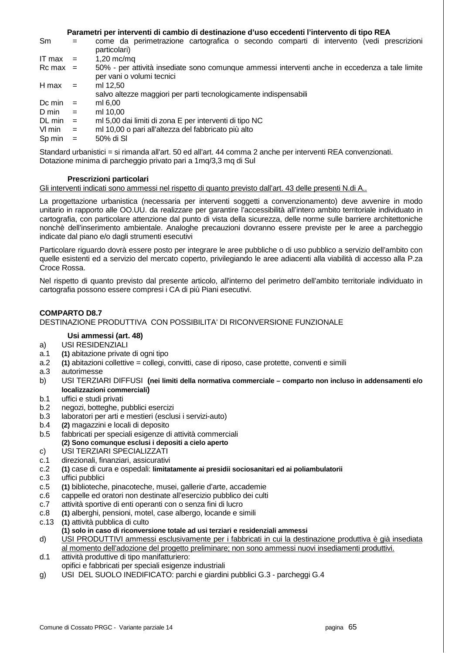**Parametri per interventi di cambio di destinazione d'uso eccedenti l'intervento di tipo REA** 

|              | come da perimetrazione cartografica o secondo comparti di intervento (vedi prescrizioni<br>particolari) |
|--------------|---------------------------------------------------------------------------------------------------------|
| $=$          | $1,20 \text{ mc/mq}$                                                                                    |
| $Rc$ max $=$ | 50% - per attività insediate sono comunque ammessi interventi anche in eccedenza a tale limite          |
|              | per vani o volumi tecnici                                                                               |
| $=$          | ml 12.50                                                                                                |
|              | salvo altezze maggiori per parti tecnologicamente indispensabili                                        |
| $=$          | ml 6.00                                                                                                 |
| $=$          | ml 10.00                                                                                                |
| $=$          | ml 5,00 dai limiti di zona E per interventi di tipo NC                                                  |
| $=$          | ml 10,00 o pari all'altezza del fabbricato più alto                                                     |
| $=$          | 50% di SI                                                                                               |
|              |                                                                                                         |

Standard urbanistici = si rimanda all'art. 50 ed all'art. 44 comma 2 anche per interventi REA convenzionati. Dotazione minima di parcheggio privato pari a 1mq/3,3 mq di Sul

## **Prescrizioni particolari**

## Gli interventi indicati sono ammessi nel rispetto di quanto previsto dall'art. 43 delle presenti N.di A..

La progettazione urbanistica (necessaria per interventi soggetti a convenzionamento) deve avvenire in modo unitario in rapporto alle OO.UU. da realizzare per garantire l'accessibilità all'intero ambito territoriale individuato in cartografia, con particolare attenzione dal punto di vista della sicurezza, delle norme sulle barriere architettoniche nonchè dell'inserimento ambientale. Analoghe precauzioni dovranno essere previste per le aree a parcheggio indicate dal piano e/o dagli strumenti esecutivi

Particolare riguardo dovrà essere posto per integrare le aree pubbliche o di uso pubblico a servizio dell'ambito con quelle esistenti ed a servizio del mercato coperto, privilegiando le aree adiacenti alla viabilità di accesso alla P.za Croce Rossa.

Nel rispetto di quanto previsto dal presente articolo, all'interno del perimetro dell'ambito territoriale individuato in cartografia possono essere compresi i CA di più Piani esecutivi.

## **COMPARTO D8.7**

#### DESTINAZIONE PRODUTTIVA CON POSSIBILITA' DI RICONVERSIONE FUNZIONALE

#### **Usi ammessi (art. 48)**

- a) USI RESIDENZIALI
- a.1 **(1)** abitazione private di ogni tipo
- a.2 **(1)** abitazioni collettive = collegi, convitti, case di riposo, case protette, conventi e simili
- a.3 autorimesse
- b) USI TERZIARI DIFFUSI **(nei limiti della normativa commerciale comparto non incluso in addensamenti e/o localizzazioni commerciali)**
- b.1 uffici e studi privati
- b.2 negozi, botteghe, pubblici esercizi
- b.3 laboratori per arti e mestieri (esclusi i servizi-auto)
- b.4 **(2)** magazzini e locali di deposito
- b.5 fabbricati per speciali esigenze di attività commerciali  **(2) Sono comunque esclusi i depositi a cielo aperto**
- c) USI TERZIARI SPECIALIZZATI
- c.1 direzionali, finanziari, assicurativi
- c.2 **(1)** case di cura e ospedali: **limitatamente ai presidii sociosanitari ed ai poliambulatorii**
- c.3 uffici pubblici
- c.5 **(1)** biblioteche, pinacoteche, musei, gallerie d'arte, accademie
- c.6 cappelle ed oratori non destinate all'esercizio pubblico dei culti
- c.7 attività sportive di enti operanti con o senza fini di lucro
- c.8 **(1)** alberghi, pensioni, motel, case albergo, locande e simili
- c.13 **(1)** attività pubblica di culto
- **(1) solo in caso di riconversione totale ad usi terziari e residenziali ammessi**
- d) USI PRODUTTIVI ammessi esclusivamente per i fabbricati in cui la destinazione produttiva è già insediata al momento dell'adozione del progetto preliminare; non sono ammessi nuovi insediamenti produttivi.
- d.1 attività produttive di tipo manifatturiero: opifici e fabbricati per speciali esigenze industriali
- g) USI DEL SUOLO INEDIFICATO: parchi e giardini pubblici G.3 parcheggi G.4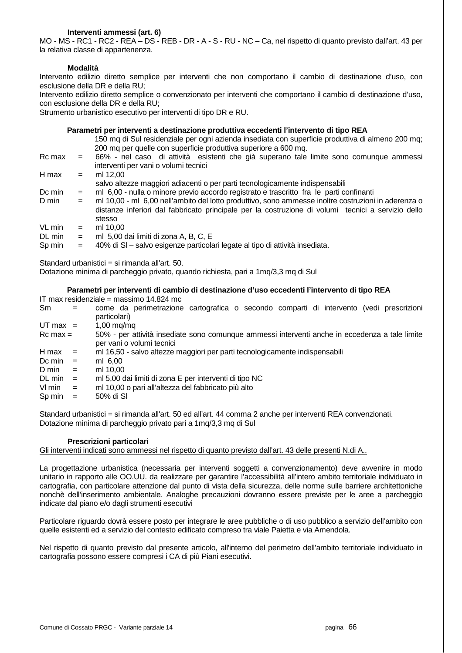## **Interventi ammessi (art. 6)**

MO - MS - RC1 - RC2 - REA – DS - REB - DR - A - S - RU - NC – Ca, nel rispetto di quanto previsto dall'art. 43 per la relativa classe di appartenenza.

#### **Modalità**

Intervento edilizio diretto semplice per interventi che non comportano il cambio di destinazione d'uso, con esclusione della DR e della RU;

Intervento edilizio diretto semplice o convenzionato per interventi che comportano il cambio di destinazione d'uso, con esclusione della DR e della RU;

Strumento urbanistico esecutivo per interventi di tipo DR e RU.

#### **Parametri per interventi a destinazione produttiva eccedenti l'intervento di tipo REA**

|        |     | 150 mq di Sul residenziale per ogni azienda insediata con superficie produttiva di almeno 200 mq;                                                                                                         |
|--------|-----|-----------------------------------------------------------------------------------------------------------------------------------------------------------------------------------------------------------|
|        |     | 200 mg per quelle con superficie produttiva superiore a 600 mg.                                                                                                                                           |
| Rc max | $=$ | 66% - nel caso di attività esistenti che già superano tale limite sono comunque ammessi                                                                                                                   |
|        |     | interventi per vani o volumi tecnici                                                                                                                                                                      |
| H max  | $=$ | ml 12.00                                                                                                                                                                                                  |
|        |     | salvo altezze maggiori adiacenti o per parti tecnologicamente indispensabili                                                                                                                              |
| Dc min | $=$ | ml 6,00 - nulla o minore previo accordo registrato e trascritto fra le parti confinanti                                                                                                                   |
| D min  | $=$ | ml 10,00 - ml 6,00 nell'ambito del lotto produttivo, sono ammesse inoltre costruzioni in aderenza o<br>distanze inferiori dal fabbricato principale per la costruzione di volumi tecnici a servizio dello |
|        |     | stesso                                                                                                                                                                                                    |
| VL min | $=$ | ml 10.00                                                                                                                                                                                                  |
| DL min | $=$ | ml 5,00 dai limiti di zona A, B, C, E                                                                                                                                                                     |
| Sp min | $=$ | 40% di SI - salvo esigenze particolari legate al tipo di attività insediata.                                                                                                                              |

Standard urbanistici = si rimanda all'art. 50.

Dotazione minima di parcheggio privato, quando richiesta, pari a 1mq/3,3 mq di Sul

#### **Parametri per interventi di cambio di destinazione d'uso eccedenti l'intervento di tipo REA**

IT max residenziale = massimo 14.824 mc

| Sm                 |     | come da perimetrazione cartografica o secondo comparti di intervento (vedi prescrizioni                                     |
|--------------------|-----|-----------------------------------------------------------------------------------------------------------------------------|
|                    |     | particolari)                                                                                                                |
| UT max $=$         |     | $1,00 \text{ mg/mol}$                                                                                                       |
| $Rc$ max $=$       |     | 50% - per attività insediate sono comunque ammessi interventi anche in eccedenza a tale limite<br>per vani o volumi tecnici |
| H max              | $=$ | ml 16,50 - salvo altezze maggiori per parti tecnologicamente indispensabili                                                 |
| Dc min             | $=$ | ml 6,00                                                                                                                     |
| D min              | $=$ | ml 10.00                                                                                                                    |
| $DL \text{ min}$ = |     | ml 5,00 dai limiti di zona E per interventi di tipo NC                                                                      |
| VI min             | $=$ | ml 10,00 o pari all'altezza del fabbricato più alto                                                                         |
| Sp min             | $=$ | 50% di SI                                                                                                                   |
|                    |     |                                                                                                                             |

Standard urbanistici = si rimanda all'art. 50 ed all'art. 44 comma 2 anche per interventi REA convenzionati. Dotazione minima di parcheggio privato pari a 1mq/3,3 mq di Sul

#### **Prescrizioni particolari**

Gli interventi indicati sono ammessi nel rispetto di quanto previsto dall'art. 43 delle presenti N.di A..

La progettazione urbanistica (necessaria per interventi soggetti a convenzionamento) deve avvenire in modo unitario in rapporto alle OO.UU. da realizzare per garantire l'accessibilità all'intero ambito territoriale individuato in cartografia, con particolare attenzione dal punto di vista della sicurezza, delle norme sulle barriere architettoniche nonchè dell'inserimento ambientale. Analoghe precauzioni dovranno essere previste per le aree a parcheggio indicate dal piano e/o dagli strumenti esecutivi

Particolare riguardo dovrà essere posto per integrare le aree pubbliche o di uso pubblico a servizio dell'ambito con quelle esistenti ed a servizio del contesto edificato compreso tra viale Paietta e via Amendola.

Nel rispetto di quanto previsto dal presente articolo, all'interno del perimetro dell'ambito territoriale individuato in cartografia possono essere compresi i CA di più Piani esecutivi.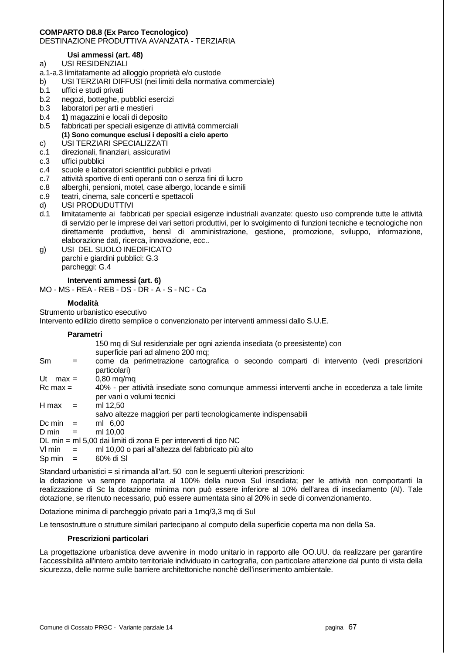#### **COMPARTO D8.8 (Ex Parco Tecnologico)**  DESTINAZIONE PRODUTTIVA AVANZATA - TERZIARIA

## **Usi ammessi (art. 48)**

- a) USI RESIDENZIALI
- a.1-a.3 limitatamente ad alloggio proprietà e/o custode
- b) USI TERZIARI DIFFUSI (nei limiti della normativa commerciale)
- b.1 uffici e studi privati
- b.2 negozi, botteghe, pubblici esercizi
- b.3 laboratori per arti e mestieri
- b.4 **1)** magazzini e locali di deposito
- b.5 fabbricati per speciali esigenze di attività commerciali  **(1) Sono comunque esclusi i depositi a cielo aperto**
- c) USI TERZIARI SPECIALIZZATI
- c.1 direzionali, finanziari, assicurativi
- c.3 uffici pubblici
- c.4 scuole e laboratori scientifici pubblici e privati
- c.7 attività sportive di enti operanti con o senza fini di lucro
- c.8 alberghi, pensioni, motel, case albergo, locande e simili
- c.9 teatri, cinema, sale concerti e spettacoli
- d) USI PRODUDUTTIVI
- d.1 limitatamente ai fabbricati per speciali esigenze industriali avanzate: questo uso comprende tutte le attività di servizio per le imprese dei vari settori produttivi, per lo svolgimento di funzioni tecniche e tecnologiche non direttamente produttive, bensì di amministrazione, gestione, promozione, sviluppo, informazione, elaborazione dati, ricerca, innovazione, ecc..
- g) USI DEL SUOLO INEDIFICATO parchi e giardini pubblici: G.3 parcheggi: G.4

## **Interventi ammessi (art. 6)**

MO - MS - REA - REB - DS - DR - A - S - NC - Ca

## **Modalità**

Strumento urbanistico esecutivo

Intervento edilizio diretto semplice o convenzionato per interventi ammessi dallo S.U.E.

## **Parametri**

|                                                                 |     | 150 mg di Sul residenziale per ogni azienda insediata (o preesistente) con<br>superficie pari ad almeno 200 mg;             |
|-----------------------------------------------------------------|-----|-----------------------------------------------------------------------------------------------------------------------------|
| <b>Sm</b>                                                       | $=$ | come da perimetrazione cartografica o secondo comparti di intervento (vedi prescrizioni<br>particolari)                     |
| Ut max $=$                                                      |     | $0,80 \text{ mg}/\text{mg}$                                                                                                 |
| $Rc$ max $=$                                                    |     | 40% - per attività insediate sono comunque ammessi interventi anche in eccedenza a tale limite<br>per vani o volumi tecnici |
| H max                                                           | $=$ | ml 12.50                                                                                                                    |
|                                                                 |     | salvo altezze maggiori per parti tecnologicamente indispensabili                                                            |
| Dc min                                                          | $=$ | ml 6.00                                                                                                                     |
| D min<br>$\equiv$                                               |     | ml 10.00                                                                                                                    |
| DL min = ml 5,00 dai limiti di zona E per interventi di tipo NC |     |                                                                                                                             |
| $V1 \text{ min}$ =                                              |     | ml 10,00 o pari all'altezza del fabbricato più alto                                                                         |
| Sp min                                                          | $=$ | 60% di SI                                                                                                                   |

Standard urbanistici = si rimanda all'art. 50 con le seguenti ulteriori prescrizioni: la dotazione va sempre rapportata al 100% della nuova Sul insediata; per le attività non comportanti la realizzazione di Sc la dotazione minima non può essere inferiore al 10% dell'area di insediamento (Al). Tale dotazione, se ritenuto necessario, può essere aumentata sino al 20% in sede di convenzionamento.

Dotazione minima di parcheggio privato pari a 1mg/3,3 mg di Sul

Le tensostrutture o strutture similari partecipano al computo della superficie coperta ma non della Sa.

#### **Prescrizioni particolari**

La progettazione urbanistica deve avvenire in modo unitario in rapporto alle OO.UU. da realizzare per garantire l'accessibilità all'intero ambito territoriale individuato in cartografia, con particolare attenzione dal punto di vista della sicurezza, delle norme sulle barriere architettoniche nonchè dell'inserimento ambientale.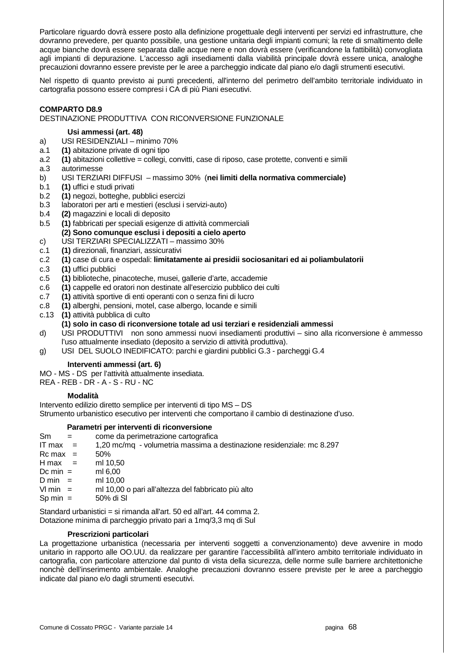Particolare riguardo dovrà essere posto alla definizione progettuale degli interventi per servizi ed infrastrutture, che dovranno prevedere, per quanto possibile, una gestione unitaria degli impianti comuni; la rete di smaltimento delle acque bianche dovrà essere separata dalle acque nere e non dovrà essere (verificandone la fattibilità) convogliata agli impianti di depurazione. L'accesso agli insediamenti dalla viabilità principale dovrà essere unica, analoghe precauzioni dovranno essere previste per le aree a parcheggio indicate dal piano e/o dagli strumenti esecutivi.

Nel rispetto di quanto previsto ai punti precedenti, all'interno del perimetro dell'ambito territoriale individuato in cartografia possono essere compresi i CA di più Piani esecutivi.

## **COMPARTO D8.9**

#### DESTINAZIONE PRODUTTIVA CON RICONVERSIONE FUNZIONALE

#### **Usi ammessi (art. 48)**

- a) USI RESIDENZIALI minimo 70%
- a.1 **(1)** abitazione private di ogni tipo
- a.2 **(1)** abitazioni collettive = collegi, convitti, case di riposo, case protette, conventi e simili
- a.3 autorimesse
- b) USI TERZIARI DIFFUSI massimo 30% (**nei limiti della normativa commerciale)**
- b.1 **(1)** uffici e studi privati
- b.2 **(1)** negozi, botteghe, pubblici esercizi
- b.3 laboratori per arti e mestieri (esclusi i servizi-auto)
- b.4 **(2)** magazzini e locali di deposito
- b.5 **(1)** fabbricati per speciali esigenze di attività commerciali  **(2) Sono comunque esclusi i depositi a cielo aperto**
- c) USI TERZIARI SPECIALIZZATI massimo 30%
- c.1 **(1)** direzionali, finanziari, assicurativi
- c.2 **(1)** case di cura e ospedali: **limitatamente ai presidii sociosanitari ed ai poliambulatorii**
- c.3 **(1)** uffici pubblici
- c.5 **(1)** biblioteche, pinacoteche, musei, gallerie d'arte, accademie
- c.6 **(1)** cappelle ed oratori non destinate all'esercizio pubblico dei culti
- c.7 **(1)** attività sportive di enti operanti con o senza fini di lucro
- c.8 **(1)** alberghi, pensioni, motel, case albergo, locande e simili
- c.13 **(1)** attività pubblica di culto
- **(1) solo in caso di riconversione totale ad usi terziari e residenziali ammessi**
- d) USI PRODUTTIVI non sono ammessi nuovi insediamenti produttivi sino alla riconversione è ammesso l'uso attualmente insediato (deposito a servizio di attività produttiva).
- g) USI DEL SUOLO INEDIFICATO: parchi e giardini pubblici G.3 parcheggi G.4

#### **Interventi ammessi (art. 6)**

MO - MS - DS per l'attività attualmente insediata.

REA - REB - DR - A - S - RU - NC

#### **Modalità**

Intervento edilizio diretto semplice per interventi di tipo MS – DS Strumento urbanistico esecutivo per interventi che comportano il cambio di destinazione d'uso.

#### **Parametri per interventi di riconversione**

Sm = come da perimetrazione cartografica IT max = 1,20 mc/mq - volumetria massima a destinazione residenziale: mc 8.297  $Rc$  max =  $50\%$  $H$  max = ml 10,50  $Dc \text{ min } =$  ml 6.00  $D \text{ min}$  = ml 10,00 Vl min = ml 10,00 o pari all'altezza del fabbricato più alto  $\text{Sp min} = 50\% \text{ di SI}$ 

Standard urbanistici = si rimanda all'art. 50 ed all'art. 44 comma 2. Dotazione minima di parcheggio privato pari a 1mq/3,3 mq di Sul

#### **Prescrizioni particolari**

La progettazione urbanistica (necessaria per interventi soggetti a convenzionamento) deve avvenire in modo unitario in rapporto alle OO.UU. da realizzare per garantire l'accessibilità all'intero ambito territoriale individuato in cartografia, con particolare attenzione dal punto di vista della sicurezza, delle norme sulle barriere architettoniche nonchè dell'inserimento ambientale. Analoghe precauzioni dovranno essere previste per le aree a parcheggio indicate dal piano e/o dagli strumenti esecutivi.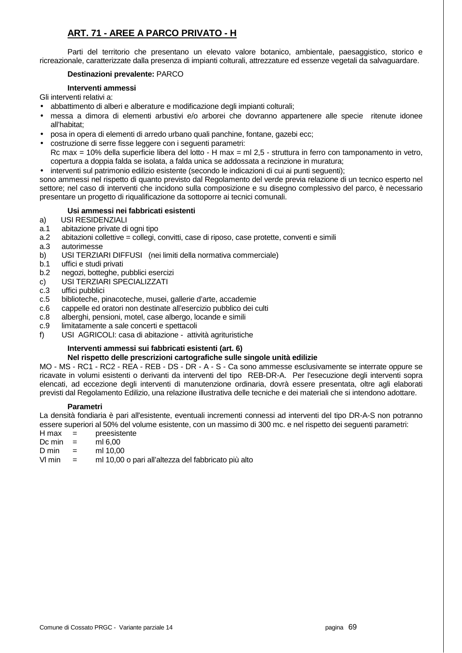## **ART. 71 - AREE A PARCO PRIVATO - H**

 Parti del territorio che presentano un elevato valore botanico, ambientale, paesaggistico, storico e ricreazionale, caratterizzate dalla presenza di impianti colturali, attrezzature ed essenze vegetali da salvaguardare.

## **Destinazioni prevalente:** PARCO

## **Interventi ammessi**

Gli interventi relativi a:

- abbattimento di alberi e alberature e modificazione degli impianti colturali;
- messa a dimora di elementi arbustivi e/o arborei che dovranno appartenere alle specie ritenute idonee all'habitat;
- posa in opera di elementi di arredo urbano quali panchine, fontane, gazebi ecc;
- costruzione di serre fisse leggere con i seguenti parametri:

Rc max = 10% della superficie libera del lotto - H max = ml 2,5 - struttura in ferro con tamponamento in vetro, copertura a doppia falda se isolata, a falda unica se addossata a recinzione in muratura;

• interventi sul patrimonio edilizio esistente (secondo le indicazioni di cui ai punti seguenti);

sono ammessi nel rispetto di quanto previsto dal Regolamento del verde previa relazione di un tecnico esperto nel settore; nel caso di interventi che incidono sulla composizione e su disegno complessivo del parco, è necessario presentare un progetto di riqualificazione da sottoporre ai tecnici comunali.

## **Usi ammessi nei fabbricati esistenti**

- a) USI RESIDENZIALI
- a.1 abitazione private di ogni tipo
- a.2 abitazioni collettive = collegi, convitti, case di riposo, case protette, conventi e simili
- a.3 autorimesse
- b) USI TERZIARI DIFFUSI (nei limiti della normativa commerciale)
- b.1 uffici e studi privati
- b.2 negozi, botteghe, pubblici esercizi
- c) USI TERZIARI SPECIALIZZATI
- c.3 uffici pubblici
- c.5 biblioteche, pinacoteche, musei, gallerie d'arte, accademie
- c.6 cappelle ed oratori non destinate all'esercizio pubblico dei culti
- c.8 alberghi, pensioni, motel, case albergo, locande e simili
- c.9 limitatamente a sale concerti e spettacoli
- f) USI AGRICOLI: casa di abitazione attività agrituristiche

## **Interventi ammessi sui fabbricati esistenti (art. 6)**

## **Nel rispetto delle prescrizioni cartografiche sulle singole unità edilizie**

MO - MS - RC1 - RC2 - REA - REB - DS - DR - A - S - Ca sono ammesse esclusivamente se interrate oppure se ricavate in volumi esistenti o derivanti da interventi del tipo REB-DR-A. Per l'esecuzione degli interventi sopra elencati, ad eccezione degli interventi di manutenzione ordinaria, dovrà essere presentata, oltre agli elaborati previsti dal Regolamento Edilizio, una relazione illustrativa delle tecniche e dei materiali che si intendono adottare.

## **Parametri**

La densità fondiaria è pari all'esistente, eventuali incrementi connessi ad interventi del tipo DR-A-S non potranno essere superiori al 50% del volume esistente, con un massimo di 300 mc. e nel rispetto dei seguenti parametri:

- H max = preesistente
- Dc min  $=$  ml 6.00
- $D \text{ min}$  = ml 10.00
- Vl min = ml 10,00 o pari all'altezza del fabbricato più alto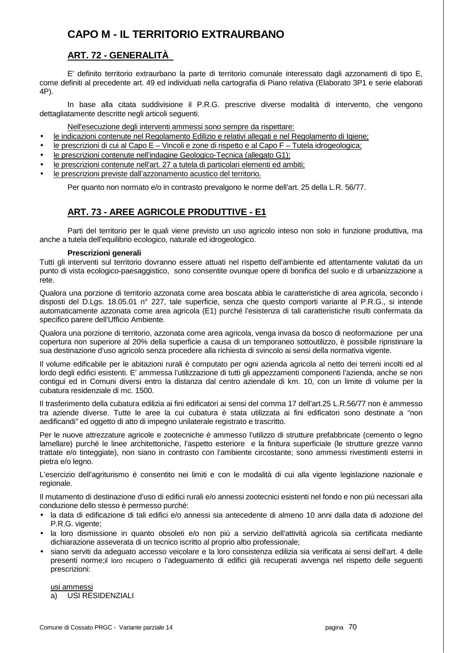# **CAPO M - IL TERRITORIO EXTRAURBANO**

## **ART. 72 - GENERALITÀ**

E' definito territorio extraurbano la parte di territorio comunale interessato dagli azzonamenti di tipo E, come definiti al precedente art. 49 ed individuati nella cartografia di Piano relativa (Elaborato 3P1 e serie elaborati 4P).

In base alla citata suddivisione il P.R.G. prescrive diverse modalità di intervento, che vengono dettagliatamente descritte negli articoli seguenti.

Nell'esecuzione degli interventi ammessi sono sempre da rispettare:

- le indicazioni contenute nel Regolamento Edilizio e relativi allegati e nel Regolamento di Igiene;
- le prescrizioni di cui al Capo E Vincoli e zone di rispetto e al Capo F Tutela idrogeologica;
- le prescrizioni contenute nell'indagine Geologico-Tecnica (allegato G1);
- le prescrizioni contenute nell'art. 27 a tutela di particolari elementi ed ambiti;
- le prescrizioni previste dall'azzonamento acustico del territorio.

Per quanto non normato e/o in contrasto prevalgono le norme dell'art. 25 della L.R. 56/77.

## **ART. 73 - AREE AGRICOLE PRODUTTIVE - E1**

 Parti del territorio per le quali viene previsto un uso agricolo inteso non solo in funzione produttiva, ma anche a tutela dell'equilibrio ecologico, naturale ed idrogeologico.

## **Prescrizioni generali**

Tutti gli interventi sul territorio dovranno essere attuati nel rispetto dell'ambiente ed attentamente valutati da un punto di vista ecologico-paesaggistico, sono consentite ovunque opere di bonifica del suolo e di urbanizzazione a rete.

Qualora una porzione di territorio azzonata come area boscata abbia le caratteristiche di area agricola, secondo i disposti del D.Lgs. 18.05.01 n° 227, tale superficie, senza che questo comporti variante al P.R.G., si intende automaticamente azzonata come area agricola (E1) purché l'esistenza di tali caratteristiche risulti confermata da specifico parere dell'Ufficio Ambiente.

Qualora una porzione di territorio, azzonata come area agricola, venga invasa da bosco di neoformazione per una copertura non superiore al 20% della superficie a causa di un temporaneo sottoutilizzo, è possibile ripristinare la sua destinazione d'uso agricolo senza procedere alla richiesta di svincolo ai sensi della normativa vigente.

Il volume edificabile per le abitazioni rurali è computato per ogni azienda agricola al netto dei terreni incolti ed al lordo degli edifici esistenti. E' ammessa l'utilizzazione di tutti gli appezzamenti componenti l'azienda, anche se non contigui ed in Comuni diversi entro la distanza dal centro aziendale di km. 10, con un limite di volume per la cubatura residenziale di mc. 1500.

Il trasferimento della cubatura edilizia ai fini edificatori ai sensi del comma 17 dell'art.25 L.R.56/77 non è ammesso tra aziende diverse. Tutte le aree la cui cubatura è stata utilizzata ai fini edificatori sono destinate a "non aedificandi" ed oggetto di atto di impegno unilaterale registrato e trascritto.

Per le nuove attrezzature agricole e zootecniche è ammesso l'utilizzo di strutture prefabbricate (cemento o legno lamellare) purché le linee architettoniche, l'aspetto esteriore e la finitura superficiale (le strutture grezze vanno trattate e/o tinteggiate), non siano in contrasto con l'ambiente circostante; sono ammessi rivestimenti esterni in pietra e/o legno.

L'esercizio dell'agriturismo è consentito nei limiti e con le modalità di cui alla vigente legislazione nazionale e regionale.

Il mutamento di destinazione d'uso di edifici rurali e/o annessi zootecnici esistenti nel fondo e non più necessari alla conduzione dello stesso è permesso purché:

- la data di edificazione di tali edifici e/o annessi sia antecedente di almeno 10 anni dalla data di adozione del P.R.G. vigente;
- la loro dismissione in quanto obsoleti e/o non più a servizio dell'attività agricola sia certificata mediante dichiarazione asseverata di un tecnico iscritto al proprio albo professionale;
- siano serviti da adeguato accesso veicolare e la loro consistenza edilizia sia verificata ai sensi dell'art. 4 delle presenti norme;il loro recupero o l'adeguamento di edifici già recuperati avvenga nel rispetto delle seguenti prescrizioni:

usi ammessi a) USI RESIDENZIALI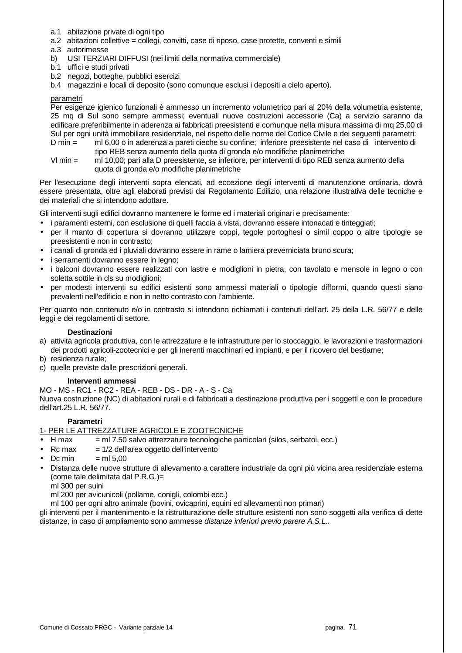- a.1 abitazione private di ogni tipo
- a.2 abitazioni collettive = collegi, convitti, case di riposo, case protette, conventi e simili
- a.3 autorimesse
- b) USI TERZIARI DIFFUSI (nei limiti della normativa commerciale)
- b.1 uffici e studi privati
- b.2 negozi, botteghe, pubblici esercizi
- b.4 magazzini e locali di deposito (sono comunque esclusi i depositi a cielo aperto).

#### parametri

Per esigenze igienico funzionali è ammesso un incremento volumetrico pari al 20% della volumetria esistente, 25 mq di Sul sono sempre ammessi; eventuali nuove costruzioni accessorie (Ca) a servizio saranno da edificare preferibilmente in aderenza ai fabbricati preesistenti e comunque nella misura massima di mq 25,00 di Sul per ogni unità immobiliare residenziale, nel rispetto delle norme del Codice Civile e dei seguenti parametri:

- D min = ml 6,00 o in aderenza a pareti cieche su confine; inferiore preesistente nel caso di intervento di tipo REB senza aumento della quota di gronda e/o modifiche planimetriche
- Vl min = ml 10,00; pari alla D preesistente, se inferiore, per interventi di tipo REB senza aumento della quota di gronda e/o modifiche planimetriche

Per l'esecuzione degli interventi sopra elencati, ad eccezione degli interventi di manutenzione ordinaria, dovrà essere presentata, oltre agli elaborati previsti dal Regolamento Edilizio, una relazione illustrativa delle tecniche e dei materiali che si intendono adottare.

Gli interventi sugli edifici dovranno mantenere le forme ed i materiali originari e precisamente:

- i paramenti esterni, con esclusione di quelli faccia a vista, dovranno essere intonacati e tinteggiati;
- per il manto di copertura si dovranno utilizzare coppi, tegole portoghesi o simil coppo o altre tipologie se preesistenti e non in contrasto;
- i canali di gronda ed i pluviali dovranno essere in rame o lamiera preverniciata bruno scura;
- i serramenti dovranno essere in legno;
- i balconi dovranno essere realizzati con lastre e modiglioni in pietra, con tavolato e mensole in legno o con soletta sottile in cls su modiglioni;
- per modesti interventi su edifici esistenti sono ammessi materiali o tipologie difformi, quando questi siano prevalenti nell'edificio e non in netto contrasto con l'ambiente.

Per quanto non contenuto e/o in contrasto si intendono richiamati i contenuti dell'art. 25 della L.R. 56/77 e delle leggi e dei regolamenti di settore.

#### **Destinazioni**

- a) attività agricola produttiva, con le attrezzature e le infrastrutture per lo stoccaggio, le lavorazioni e trasformazioni dei prodotti agricoli-zootecnici e per gli inerenti macchinari ed impianti, e per il ricovero del bestiame;
- b) residenza rurale;
- c) quelle previste dalle prescrizioni generali.

# **Interventi ammessi**

MO - MS - RC1 - RC2 - REA - REB - DS - DR - A - S - Ca

Nuova costruzione (NC) di abitazioni rurali e di fabbricati a destinazione produttiva per i soggetti e con le procedure dell'art.25 L.R. 56/77.

# **Parametri**

# 1- PER LE ATTREZZATURE AGRICOLE E ZOOTECNICHE

- $H$  max  $=$  ml 7.50 salvo attrezzature tecnologiche particolari (silos, serbatoi, ecc.)
- $Rc$  max  $= 1/2$  dell'area oggetto dell'intervento
- $Dc \text{ min} = m15.00$
- Distanza delle nuove strutture di allevamento a carattere industriale da ogni più vicina area residenziale esterna (come tale delimitata dal P.R.G.)=

ml 300 per suini

ml 200 per avicunicoli (pollame, conigli, colombi ecc.)

ml 100 per ogni altro animale (bovini, ovicaprini, equini ed allevamenti non primari)

gli interventi per il mantenimento e la ristrutturazione delle strutture esistenti non sono soggetti alla verifica di dette distanze, in caso di ampliamento sono ammesse distanze inferiori previo parere A.S.L..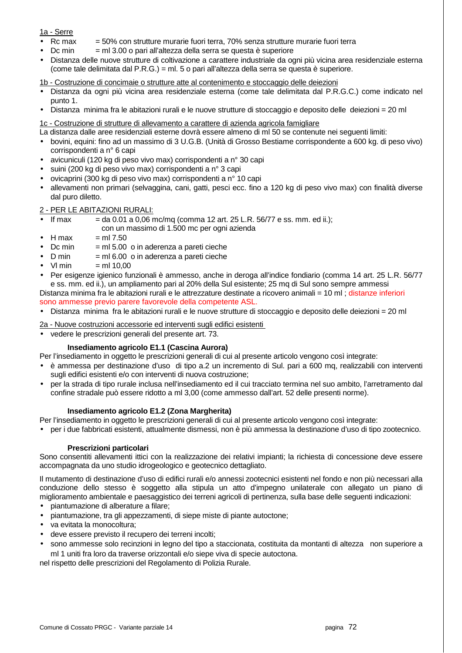# 1a - Serre

- Rc max = 50% con strutture murarie fuori terra, 70% senza strutture murarie fuori terra
- $Dc$  min  $=$  ml 3.00 o pari all'altezza della serra se questa è superiore
- Distanza delle nuove strutture di coltivazione a carattere industriale da ogni più vicina area residenziale esterna (come tale delimitata dal P.R.G.) = ml. 5 o pari all'altezza della serra se questa è superiore.

1b - Costruzione di concimaie o strutture atte al contenimento e stoccaggio delle deiezioni

- Distanza da ogni più vicina area residenziale esterna (come tale delimitata dal P.R.G.C.) come indicato nel punto 1.
- Distanza minima fra le abitazioni rurali e le nuove strutture di stoccaggio e deposito delle deiezioni = 20 ml

1c - Costruzione di strutture di allevamento a carattere di azienda agricola famigliare

- La distanza dalle aree residenziali esterne dovrà essere almeno di ml 50 se contenute nei seguenti limiti:
- bovini, equini: fino ad un massimo di 3 U.G.B. (Unità di Grosso Bestiame corrispondente a 600 kg. di peso vivo) corrispondenti a n° 6 capi
- avicuniculi (120 kg di peso vivo max) corrispondenti a n° 30 capi
- suini (200 kg di peso vivo max) corrispondenti a n° 3 capi
- ovicaprini (300 kg di peso vivo max) corrispondenti a n° 10 capi
- allevamenti non primari (selvaggina, cani, gatti, pesci ecc. fino a 120 kg di peso vivo max) con finalità diverse dal puro diletto.

# 2 - PER LE ABITAZIONI RURALI:

- If max  $=$  da 0.01 a 0.06 mc/mq (comma 12 art. 25 L.R. 56/77 e ss. mm. ed ii.); con un massimo di 1.500 mc per ogni azienda
- $H$  max  $=$  ml 7.50
- $Dc$  min  $=$  ml 5.00  $\degree$  o in aderenza a pareti cieche
- $D \text{ min} = m16.00 \text{ o in aderenza a pareti cieche}$
- $Vl$  min  $=$  ml 10.00
- Per esigenze igienico funzionali è ammesso, anche in deroga all'indice fondiario (comma 14 art. 25 L.R. 56/77 e ss. mm. ed ii.), un ampliamento pari al 20% della Sul esistente; 25 mq di Sul sono sempre ammessi
- Distanza minima fra le abitazioni rurali e le attrezzature destinate a ricovero animali = 10 ml ; distanze inferiori sono ammesse previo parere favorevole della competente ASL.
- Distanza minima fra le abitazioni rurali e le nuove strutture di stoccaggio e deposito delle deiezioni = 20 ml
- 2a Nuove costruzioni accessorie ed interventi sugli edifici esistenti
- vedere le prescrizioni generali del presente art. 73.

# **Insediamento agricolo E1.1 (Cascina Aurora)**

Per l'insediamento in oggetto le prescrizioni generali di cui al presente articolo vengono così integrate:

- è ammessa per destinazione d'uso di tipo a.2 un incremento di Sul. pari a 600 mq, realizzabili con interventi sugli edifici esistenti e/o con interventi di nuova costruzione;
- per la strada di tipo rurale inclusa nell'insediamento ed il cui tracciato termina nel suo ambito, l'arretramento dal confine stradale può essere ridotto a ml 3,00 (come ammesso dall'art. 52 delle presenti norme).

# **Insediamento agricolo E1.2 (Zona Margherita)**

Per l'insediamento in oggetto le prescrizioni generali di cui al presente articolo vengono così integrate:

• per i due fabbricati esistenti, attualmente dismessi, non è più ammessa la destinazione d'uso di tipo zootecnico.

# **Prescrizioni particolari**

Sono consentiti allevamenti ittici con la realizzazione dei relativi impianti; la richiesta di concessione deve essere accompagnata da uno studio idrogeologico e geotecnico dettagliato.

Il mutamento di destinazione d'uso di edifici rurali e/o annessi zootecnici esistenti nel fondo e non più necessari alla conduzione dello stesso è soggetto alla stipula un atto d'impegno unilaterale con allegato un piano di miglioramento ambientale e paesaggistico dei terreni agricoli di pertinenza, sulla base delle seguenti indicazioni:

- piantumazione di alberature a filare;
- piantumazione, tra gli appezzamenti, di siepe miste di piante autoctone;
- va evitata la monocoltura;
- deve essere previsto il recupero dei terreni incolti;
- sono ammesse solo recinzioni in legno del tipo a staccionata, costituita da montanti di altezza non superiore a ml 1 uniti fra loro da traverse orizzontali e/o siepe viva di specie autoctona.

nel rispetto delle prescrizioni del Regolamento di Polizia Rurale.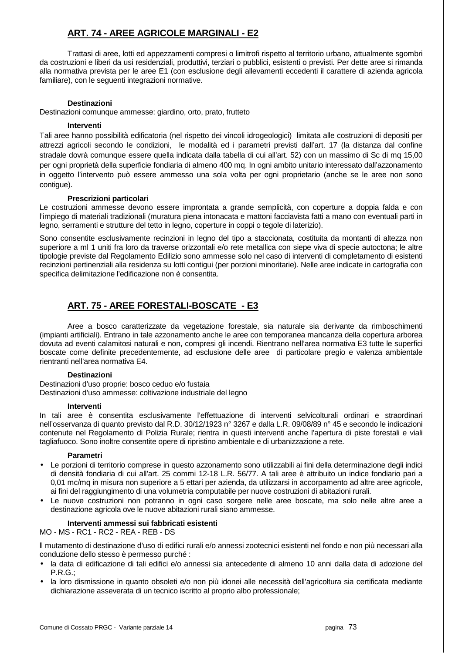# **ART. 74 - AREE AGRICOLE MARGINALI - E2**

 Trattasi di aree, lotti ed appezzamenti compresi o limitrofi rispetto al territorio urbano, attualmente sgombri da costruzioni e liberi da usi residenziali, produttivi, terziari o pubblici, esistenti o previsti. Per dette aree si rimanda alla normativa prevista per le aree E1 (con esclusione degli allevamenti eccedenti il carattere di azienda agricola familiare), con le seguenti integrazioni normative.

#### **Destinazioni**

Destinazioni comunque ammesse: giardino, orto, prato, frutteto

#### **Interventi**

Tali aree hanno possibilità edificatoria (nel rispetto dei vincoli idrogeologici) limitata alle costruzioni di depositi per attrezzi agricoli secondo le condizioni, le modalità ed i parametri previsti dall'art. 17 (la distanza dal confine stradale dovrà comunque essere quella indicata dalla tabella di cui all'art. 52) con un massimo di Sc di mq 15,00 per ogni proprietà della superficie fondiaria di almeno 400 mq. In ogni ambito unitario interessato dall'azzonamento in oggetto l'intervento può essere ammesso una sola volta per ogni proprietario (anche se le aree non sono contigue).

#### **Prescrizioni particolari**

Le costruzioni ammesse devono essere improntata a grande semplicità, con coperture a doppia falda e con l'impiego di materiali tradizionali (muratura piena intonacata e mattoni facciavista fatti a mano con eventuali parti in legno, serramenti e strutture del tetto in legno, coperture in coppi o tegole di laterizio).

Sono consentite esclusivamente recinzioni in legno del tipo a staccionata, costituita da montanti di altezza non superiore a ml 1 uniti fra loro da traverse orizzontali e/o rete metallica con siepe viva di specie autoctona; le altre tipologie previste dal Regolamento Edilizio sono ammesse solo nel caso di interventi di completamento di esistenti recinzioni pertinenziali alla residenza su lotti contigui (per porzioni minoritarie). Nelle aree indicate in cartografia con specifica delimitazione l'edificazione non è consentita.

# **ART. 75 - AREE FORESTALI-BOSCATE - E3**

 Aree a bosco caratterizzate da vegetazione forestale, sia naturale sia derivante da rimboschimenti (impianti artificiali). Entrano in tale azzonamento anche le aree con temporanea mancanza della copertura arborea dovuta ad eventi calamitosi naturali e non, compresi gli incendi. Rientrano nell'area normativa E3 tutte le superfici boscate come definite precedentemente, ad esclusione delle aree di particolare pregio e valenza ambientale rientranti nell'area normativa E4.

#### **Destinazioni**

Destinazioni d'uso proprie: bosco ceduo e/o fustaia Destinazioni d'uso ammesse: coltivazione industriale del legno

#### **Interventi**

In tali aree è consentita esclusivamente l'effettuazione di interventi selvicolturali ordinari e straordinari nell'osservanza di quanto previsto dal R.D. 30/12/1923 n° 3267 e dalla L.R. 09/08/89 n° 45 e secondo le indicazioni contenute nel Regolamento di Polizia Rurale; rientra in questi interventi anche l'apertura di piste forestali e viali tagliafuoco. Sono inoltre consentite opere di ripristino ambientale e di urbanizzazione a rete.

#### **Parametri**

- Le porzioni di territorio comprese in questo azzonamento sono utilizzabili ai fini della determinazione degli indici di densità fondiaria di cui all'art. 25 commi 12-18 L.R. 56/77. A tali aree è attribuito un indice fondiario pari a 0.01 mc/mg in misura non superiore a 5 ettari per azienda, da utilizzarsi in accorpamento ad altre aree agricole, ai fini del raggiungimento di una volumetria computabile per nuove costruzioni di abitazioni rurali.
- Le nuove costruzioni non potranno in ogni caso sorgere nelle aree boscate, ma solo nelle altre aree a destinazione agricola ove le nuove abitazioni rurali siano ammesse.

#### **Interventi ammessi sui fabbricati esistenti**

MO - MS - RC1 - RC2 - REA - REB - DS

ll mutamento di destinazione d'uso di edifici rurali e/o annessi zootecnici esistenti nel fondo e non più necessari alla conduzione dello stesso è permesso purché :

- la data di edificazione di tali edifici e/o annessi sia antecedente di almeno 10 anni dalla data di adozione del P.R.G.;
- la loro dismissione in quanto obsoleti e/o non più idonei alle necessità dell'agricoltura sia certificata mediante dichiarazione asseverata di un tecnico iscritto al proprio albo professionale;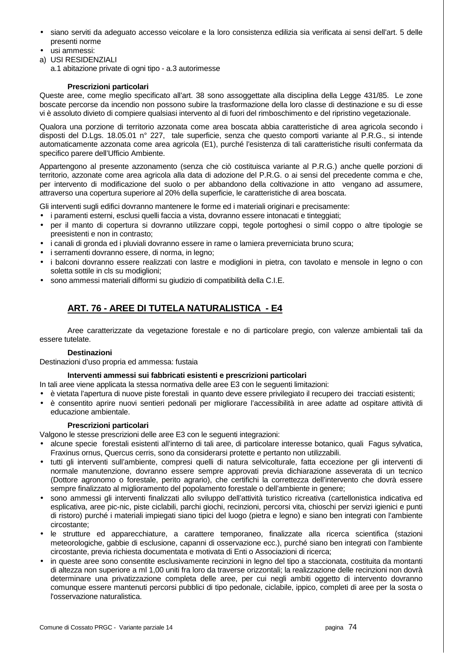- siano serviti da adeguato accesso veicolare e la loro consistenza edilizia sia verificata ai sensi dell'art. 5 delle presenti norme
- usi ammessi:
- a) USI RESIDENZIALI
	- a.1 abitazione private di ogni tipo a.3 autorimesse

# **Prescrizioni particolari**

Queste aree, come meglio specificato all'art. 38 sono assoggettate alla disciplina della Legge 431/85. Le zone boscate percorse da incendio non possono subire la trasformazione della loro classe di destinazione e su di esse vi è assoluto divieto di compiere qualsiasi intervento al di fuori del rimboschimento e del ripristino vegetazionale.

Qualora una porzione di territorio azzonata come area boscata abbia caratteristiche di area agricola secondo i disposti del D.Lgs. 18.05.01 n° 227, tale superficie, senza che questo comporti variante al P.R.G., si intende automaticamente azzonata come area agricola (E1), purché l'esistenza di tali caratteristiche risulti confermata da specifico parere dell'Ufficio Ambiente.

Appartengono al presente azzonamento (senza che ciò costituisca variante al P.R.G.) anche quelle porzioni di territorio, azzonate come area agricola alla data di adozione del P.R.G. o ai sensi del precedente comma e che, per intervento di modificazione del suolo o per abbandono della coltivazione in atto vengano ad assumere, attraverso una copertura superiore al 20% della superficie, le caratteristiche di area boscata.

Gli interventi sugli edifici dovranno mantenere le forme ed i materiali originari e precisamente:

- i paramenti esterni, esclusi quelli faccia a vista, dovranno essere intonacati e tinteggiati;
- per il manto di copertura si dovranno utilizzare coppi, tegole portoghesi o simil coppo o altre tipologie se preesistenti e non in contrasto;
- i canali di gronda ed i pluviali dovranno essere in rame o lamiera preverniciata bruno scura;
- i serramenti dovranno essere, di norma, in legno;
- i balconi dovranno essere realizzati con lastre e modiglioni in pietra, con tavolato e mensole in legno o con soletta sottile in cls su modiglioni;
- sono ammessi materiali difformi su giudizio di compatibilità della C.I.E.

# **ART. 76 - AREE DI TUTELA NATURALISTICA - E4**

 Aree caratterizzate da vegetazione forestale e no di particolare pregio, con valenze ambientali tali da essere tutelate.

# **Destinazioni**

Destinazioni d'uso propria ed ammessa: fustaia

# **Interventi ammessi sui fabbricati esistenti e prescrizioni particolari**

In tali aree viene applicata la stessa normativa delle aree E3 con le seguenti limitazioni:

- è vietata l'apertura di nuove piste forestali in quanto deve essere privilegiato il recupero dei tracciati esistenti;
- è consentito aprire nuovi sentieri pedonali per migliorare l'accessibilità in aree adatte ad ospitare attività di educazione ambientale.

# **Prescrizioni particolari**

Valgono le stesse prescrizioni delle aree E3 con le seguenti integrazioni:

- alcune specie forestali esistenti all'interno di tali aree, di particolare interesse botanico, quali Fagus sylvatica, Fraxinus ornus, Quercus cerris, sono da considerarsi protette e pertanto non utilizzabili.
- tutti gli interventi sull'ambiente, compresi quelli di natura selvicolturale, fatta eccezione per gli interventi di normale manutenzione, dovranno essere sempre approvati previa dichiarazione asseverata di un tecnico (Dottore agronomo o forestale, perito agrario), che certifichi la correttezza dell'intervento che dovrà essere sempre finalizzato al miglioramento del popolamento forestale o dell'ambiente in genere;
- sono ammessi gli interventi finalizzati allo sviluppo dell'attività turistico ricreativa (cartellonistica indicativa ed esplicativa, aree pic-nic, piste ciclabili, parchi giochi, recinzioni, percorsi vita, chioschi per servizi igienici e punti di ristoro) purché i materiali impiegati siano tipici del luogo (pietra e legno) e siano ben integrati con l'ambiente circostante;
- le strutture ed apparecchiature, a carattere temporaneo, finalizzate alla ricerca scientifica (stazioni meteorologiche, gabbie di esclusione, capanni di osservazione ecc.), purché siano ben integrati con l'ambiente circostante, previa richiesta documentata e motivata di Enti o Associazioni di ricerca;
- in queste aree sono consentite esclusivamente recinzioni in legno del tipo a staccionata, costituita da montanti di altezza non superiore a ml 1,00 uniti fra loro da traverse orizzontali; la realizzazione delle recinzioni non dovrà determinare una privatizzazione completa delle aree, per cui negli ambiti oggetto di intervento dovranno comunque essere mantenuti percorsi pubblici di tipo pedonale, ciclabile, ippico, completi di aree per la sosta o l'osservazione naturalistica.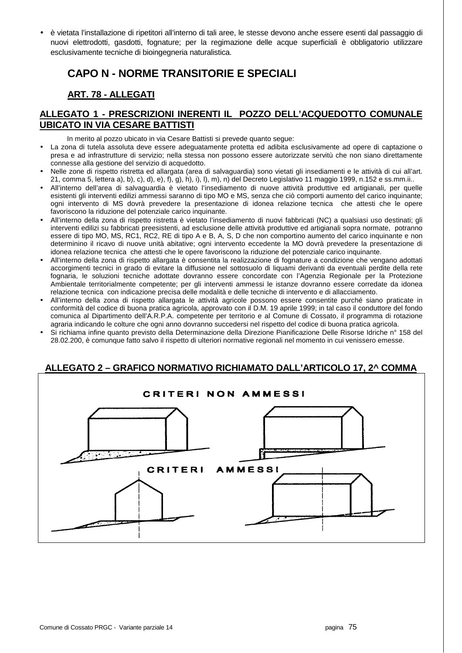• è vietata l'installazione di ripetitori all'interno di tali aree, le stesse devono anche essere esenti dal passaggio di nuovi elettrodotti, gasdotti, fognature; per la regimazione delle acque superficiali è obbligatorio utilizzare esclusivamente tecniche di bioingegneria naturalistica.

# **CAPO N - NORME TRANSITORIE E SPECIALI**

# **ART. 78 - ALLEGATI**

# **ALLEGATO 1 - PRESCRIZIONI INERENTI IL POZZO DELL'ACQUEDOTTO COMUNALE UBICATO IN VIA CESARE BATTISTI**

In merito al pozzo ubicato in via Cesare Battisti si prevede quanto segue:

- La zona di tutela assoluta deve essere adeguatamente protetta ed adibita esclusivamente ad opere di captazione o presa e ad infrastrutture di servizio; nella stessa non possono essere autorizzate servitù che non siano direttamente connesse alla gestione del servizio di acquedotto.
- Nelle zone di rispetto ristretta ed allargata (area di salvaguardia) sono vietati gli insediamenti e le attività di cui all'art. 21, comma 5, lettera a), b), c), d), e), f), g), h), i), l), m), n) del Decreto Legislativo 11 maggio 1999, n.152 e ss.mm.ii..
- All'interno dell'area di salvaguardia è vietato l'insediamento di nuove attività produttive ed artigianali, per quelle esistenti gli interventi edilizi ammessi saranno di tipo MO e MS, senza che ciò comporti aumento del carico inquinante; ogni intervento di MS dovrà prevedere la presentazione di idonea relazione tecnica che attesti che le opere favoriscono la riduzione del potenziale carico inquinante.
- All'interno della zona di rispetto ristretta è vietato l'insediamento di nuovi fabbricati (NC) a qualsiasi uso destinati; gli interventi edilizi su fabbricati preesistenti, ad esclusione delle attività produttive ed artigianali sopra normate, potranno essere di tipo MO, MS, RC1, RC2, RE di tipo A e B, A, S, D che non comportino aumento del carico inquinante e non determinino il ricavo di nuove unità abitative; ogni intervento eccedente la MO dovrà prevedere la presentazione di idonea relazione tecnica che attesti che le opere favoriscono la riduzione del potenziale carico inquinante.
- All'interno della zona di rispetto allargata è consentita la realizzazione di fognature a condizione che vengano adottati accorgimenti tecnici in grado di evitare la diffusione nel sottosuolo di liquami derivanti da eventuali perdite della rete fognaria, le soluzioni tecniche adottate dovranno essere concordate con l'Agenzia Regionale per la Protezione Ambientale territorialmente competente; per gli interventi ammessi le istanze dovranno essere corredate da idonea relazione tecnica con indicazione precisa delle modalità e delle tecniche di intervento e di allacciamento.
- All'interno della zona di rispetto allargata le attività agricole possono essere consentite purché siano praticate in conformità del codice di buona pratica agricola, approvato con il D.M. 19 aprile 1999; in tal caso il conduttore del fondo comunica al Dipartimento dell'A.R.P.A. competente per territorio e al Comune di Cossato, il programma di rotazione agraria indicando le colture che ogni anno dovranno succedersi nel rispetto del codice di buona pratica agricola.
- Si richiama infine quanto previsto della Determinazione della Direzione Pianificazione Delle Risorse Idriche n° 158 del 28.02.200, è comunque fatto salvo il rispetto di ulteriori normative regionali nel momento in cui venissero emesse.

# **ALLEGATO 2 – GRAFICO NORMATIVO RICHIAMATO DALL'ARTICOLO 17, 2^ COMMA**

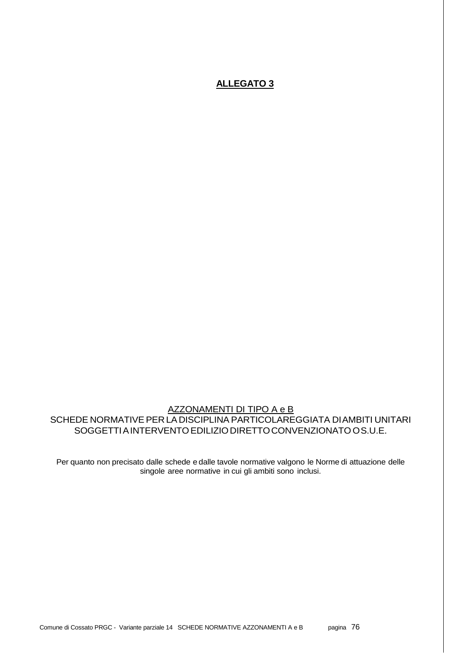# **ALLEGATO 3**

AZZONAMENTI DI TIPO A e B SCHEDE NORMATIVE PER LA DISCIPLINA PARTICOLAREGGIATA DI AMBITI UNITARI SOGGETTI A INTERVENTO EDILIZIO DIRETTO CONVENZIONATO O S.U.E.

Per quanto non precisato dalle schede e dalle tavole normative valgono le Norme di attuazione delle singole aree normative in cui gli ambiti sono inclusi.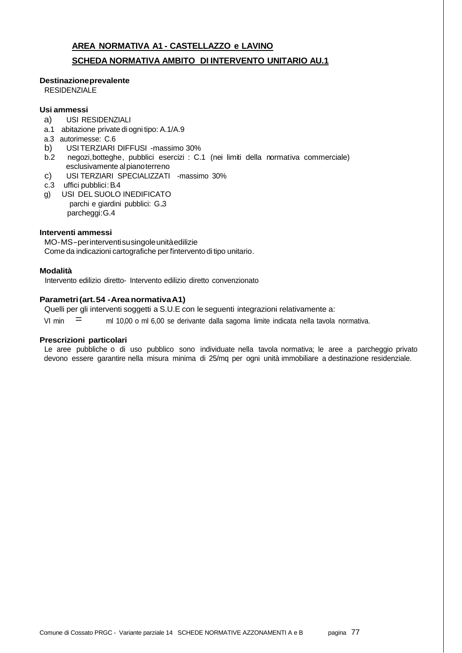# **AREA NORMATIVA A1 - CASTELLAZZO e LAVINO SCHEDA NORMATIVA AMBITO DI INTERVENTO UNITARIO AU.1**

#### **Destinazione prevalente**

RESIDENZIALE

# **Usi ammessi**

- a) USI RESIDENZIALI
- a.1 abitazione private di ogni tipo: A.1/A.9
- a.3 autorimesse: C.6
- b) USI TERZIARI DIFFUSI -massimo 30%<br>b.2 negozi.botteghe. pubblici esercizi : C.
- negozi, botteghe, pubblici esercizi : C.1 (nei limiti della normativa commerciale) esclusivamente al piano terreno
- c) USI TERZIARI SPECIALIZZATI -massimo 30%
- c.3 uffici pubblici: B.4
- g) USI DEL SUOLO INEDIFICATO parchi e giardini pubblici: G..3 parcheggi: G.4

# **Interventi ammessi**

MO - MS - per interventi su singole unità edilizie Come da indicazioni cartografiche per l'intervento di tipo unitario.

# **Modalità**

Intervento edilizio diretto- Intervento edilizio diretto convenzionato

#### **Parametri (art. 54 - Area normativa A1)**

Quelli per gli interventi soggetti a S.U.E con le seguenti integrazioni relativamente a:

VI min  $\equiv$  ml 10,00 o ml 6,00 se derivante dalla sagoma limite indicata nella tavola normativa.

#### **Prescrizioni particolari**

Le aree pubbliche o di uso pubblico sono individuate nella tavola normativa; le aree a parcheggio privato devono essere garantire nella misura minima di 25/mq per ogni unità immobiliare a destinazione residenziale.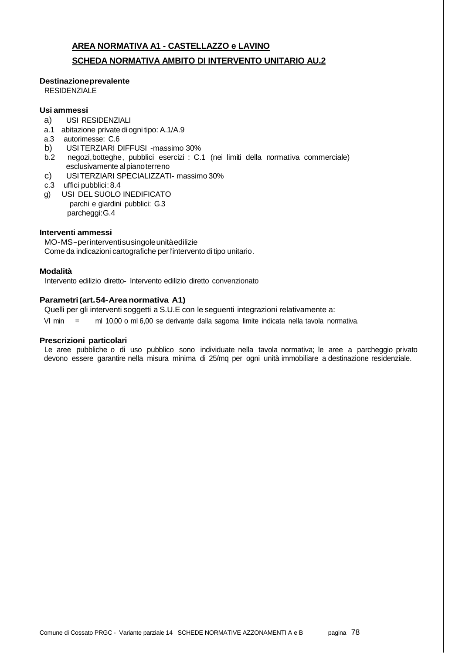# **AREA NORMATIVA A1 - CASTELLAZZO e LAVINO SCHEDA NORMATIVA AMBITO DI INTERVENTO UNITARIO AU.2**

# **Destinazione prevalente**

RESIDENZIALE

# **Usi ammessi**

- a) USI RESIDENZIALI
- a.1 abitazione private di ogni tipo: A.1/A.9
- a.3 autorimesse: C.6
- b) USI TERZIARI DIFFUSI -massimo 30%
- b.2 negozi,botteghe, pubblici esercizi : C.1 (nei limiti della normativa commerciale) esclusivamente al piano terreno
- c) USI TERZIARI SPECIALIZZATI- massimo 30%
- c.3 uffici pubblici: 8.4
- g) USI DEL SUOLO INEDIFICATO parchi e giardini pubblici: G.3 parcheggi: G.4

# **Interventi ammessi**

MO - MS - per interventi su singole unità edilizie Come da indicazioni cartografiche per l'intervento di tipo unitario.

# **Modalità**

Intervento edilizio diretto- Intervento edilizio diretto convenzionato

# **Parametri (art. 54- Area normativa A1)**

Quelli per gli interventi soggetti a S.U.E con le seguenti integrazioni relativamente a:

VI min = ml 10,00 o ml 6,00 se derivante dalla sagoma limite indicata nella tavola normativa.

# **Prescrizioni particolari**

Le aree pubbliche o di uso pubblico sono individuate nella tavola normativa; le aree a parcheggio privato devono essere garantire nella misura minima di 25/mq per ogni unità immobiliare a destinazione residenziale.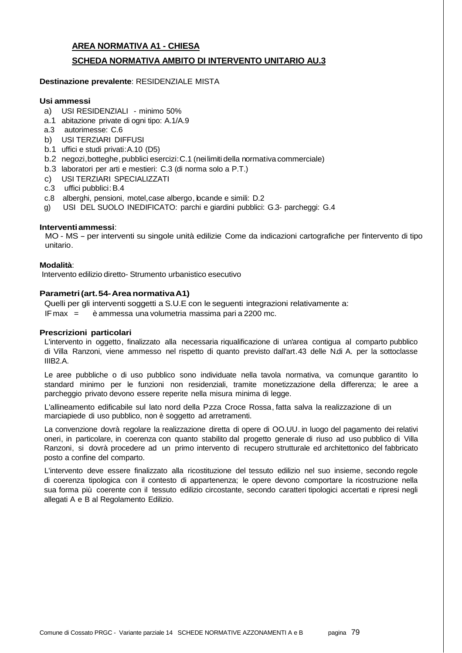# **AREA NORMATIVA A1 - CHIESA SCHEDA NORMATIVA AMBITO DI INTERVENTO UNITARIO AU.3**

### **Destinazione prevalente**: RESIDENZIALE MISTA

#### **Usi ammessi**

- a) USI RESIDENZIALI minimo 50%
- a.1 abitazione private di ogni tipo: A.1/A.9
- a.3 autorimesse: C.6
- b) USI TERZIARI DIFFUSI
- b.1 uffici e studi privati:A.10 (D5)
- b.2 negozi,botteghe, pubblici esercizi : C.1 (nei limiti della normativa commerciale)
- b.3 laboratori per arti e mestieri: C.3 (di norma solo a P.T.)
- c) USI TERZIARI SPECIALIZZATI
- c.3 uffici pubblici: B.4
- c.8 alberghi, pensioni, motel,case albergo, locande e simili: D.2
- g) USI DEL SUOLO INEDIFICATO: parchi e giardini pubblici: G.3- parcheggi: G.4

#### **Interventi ammessi**:

MO - MS - per interventi su singole unità edilizie Come da indicazioni cartografiche per l'intervento di tipo unitario.

#### **Modalità**:

Intervento edilizio diretto- Strumento urbanistico esecutivo

#### **Parametri (art. 54- Area normativa A1)**

Quelli per gli interventi soggetti a S.U.E con le seguenti integrazioni relativamente a: IF max = è ammessa una volumetria massima pari a 2200 mc.

#### **Prescrizioni particolari**

L'intervento in oggetto, finalizzato alla necessaria riqualificazione di un'area contigua al comparto pubblico di Villa Ranzoni, viene ammesso nel rispetto di quanto previsto dall'art.43 delle N.di A. per la sottoclasse IIIB2.A.

Le aree pubbliche o di uso pubblico sono individuate nella tavola normativa, va comunque garantito lo standard minimo per le funzioni non residenziali, tramite monetizzazione della differenza; le aree a parcheggio privato devono essere reperite nella misura minima di legge.

L'allineamento edificabile sul lato nord della Pzza Croce Rossa, fatta salva la realizzazione di un marciapiede di uso pubblico, non è soggetto ad arretramenti.

La convenzione dovrà regolare la realizzazione diretta di opere di OO.UU. in luogo del pagamento dei relativi oneri, in particolare, in coerenza con quanto stabilito dal progetto generale di riuso ad uso pubblico di Villa Ranzoni, si dovrà procedere ad un primo intervento di recupero strutturale ed architettonico del fabbricato posto a confine del comparto.

L'intervento deve essere finalizzato alla ricostituzione del tessuto edilizio nel suo insieme, secondo regole di coerenza tipologica con il contesto di appartenenza; le opere devono comportare la ricostruzione nella sua forma più coerente con il tessuto edilizio circostante, secondo caratteri tipologici accertati e ripresi negli allegati A e B al Regolamento Edilizio.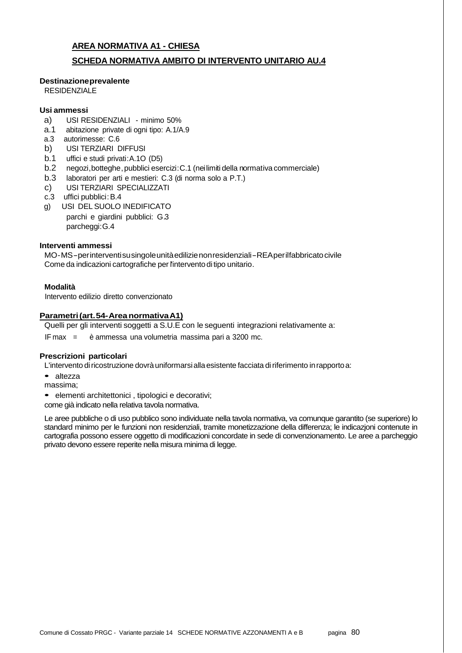# **AREA NORMATIVA A1 - CHIESA**

# **SCHEDA NORMATIVA AMBITO DI INTERVENTO UNITARIO AU.4**

### **Destinazione prevalente**

RESIDENZIALE

#### **Usi ammessi**

- a) USI RESIDENZIALI minimo 50%
- a.1 abitazione private di ogni tipo: A.1/A.9
- a.3 autorimesse: C.6
- b) USI TERZIARI DIFFUSI
- b.1 uffici e studi privati:A.1O (D5)
- b.2 negozi,botteghe, pubblici esercizi : C.1 (nei limiti della normativa commerciale)
- b.3 laboratori per arti e mestieri: C.3 (di norma solo a P.T.)
- c) USI TERZIARI SPECIALIZZATI
- c.3 uffici pubblici: B.4
- g) USI DEL SUOLO INEDIFICATO parchi e giardini pubblici: G.3 parcheggi: G.4

#### **Interventi ammessi**

MO - MS - per interventi su singole unità edilizie non residenziali - REA per il fabbricato civile Come da indicazioni cartografiche per l'intervento di tipo unitario.

#### **Modalità**

Intervento edilizio diretto convenzionato

### **Parametri (art. 54- Area normativa A1)**

Quelli per gli interventi soggetti a S.U.E con le seguenti integrazioni relativamente a:

IF max = è ammessa una volumetria massima pari a 3200 mc.

#### **Prescrizioni particolari**

L'intervento di ricostruzione dovrà uniformarsi alla esistente facciata di riferimento in rapporto a:

- altezza
- massima;

• elementi architettonici , tipologici e decorativi;

come già indicato nella relativa tavola normativa.

Le aree pubbliche o di uso pubblico sono individuate nella tavola normativa, va comunque garantito (se superiore) lo standard minimo per le funzioni non residenziali, tramite monetizzazione della differenza; le indicazjoni contenute in cartografia possono essere oggetto di modificazioni concordate in sede di convenzionamento. Le aree a parcheggio privato devono essere reperite nella misura minima di legge.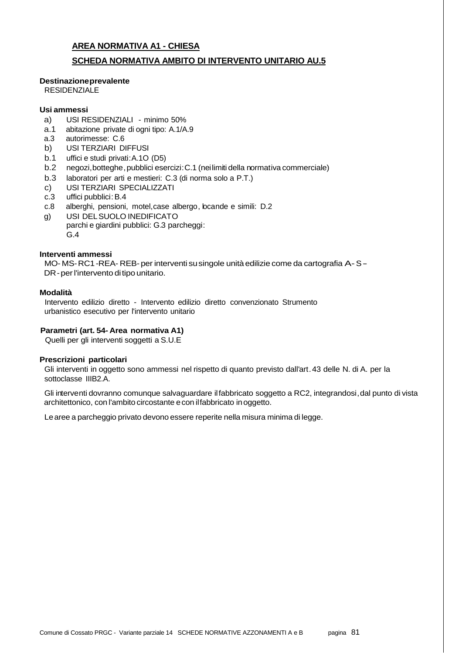# **AREA NORMATIVA A1 - CHIESA**

# **SCHEDA NORMATIVA AMBITO DI INTERVENTO UNITARIO AU.5**

#### **Destinazione prevalente**

**RESIDENZIALE** 

#### **Usi ammessi**

- a) USI RESIDENZIALI minimo 50%
- a.1 abitazione private di ogni tipo: A.1/A.9
- a.3 autorimesse: C.6
- b) USI TERZIARI DIFFUSI
- b.1 uffici e studi privati:A.1O (D5)
- b.2 negozi,botteghe, pubblici esercizi : C.1 (nei limiti della normativa commerciale)
- b.3 laboratori per arti e mestieri: C.3 (di norma solo a P.T.)
- c) USI TERZIARI SPECIALIZZATI
- c.3 uffici pubblici: B.4
- c.8 alberghi, pensioni, motel,case albergo, locande e simili: D.2
- g) USI DEL SUOLO INEDIFICATO parchi e giardini pubblici: G.3 parcheggi : G.4

#### **Interventi ammessi**

MO- MS- RC1 -REA- REB- per interventi su singole unità edilizie come da cartografia A- S - DR - per l'intervento di tipo unitario.

#### **Modalità**

Intervento edilizio diretto - Intervento edilizio diretto convenzionato Strumento urbanistico esecutivo per l'intervento unitario

### **Parametri (art. 54- Area normativa A1)**

Quelli per gli interventi soggetti a S.U.E

#### **Prescrizioni particolari**

Gli interventi in oggetto sono ammessi nel rispetto di quanto previsto dall'art. 43 delle N. di A. per la sottoclasse IIIB2.A.

Gli interventi dovranno comunque salvaguardare il fabbricato soggetto a RC2, integrandosi, dal punto di vista architettonico, con l'ambito circostante e con il fabbricato in oggetto.

Le aree a parcheggio privato devono essere reperite nella misura minima di legge.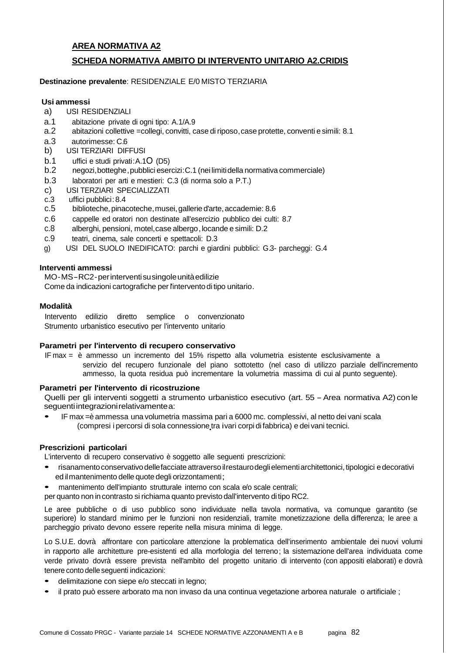# **AREA NORMATIVA A2 SCHEDA NORMATIVA AMBITO DI INTERVENTO UNITARIO A2.CRIDIS**

#### **Destinazione prevalente**: RESIDENZIALE E/0 MISTO TERZIARIA

#### **Usi ammessi**

- a) USI RESIDENZIALI
- a.1 abitazione private di ogni tipo: A.1/A.9
- a.2 abitazioni collettive =collegi, convitti, case di riposo, case protette, conventi e simili: 8.1
- a.3 autorimesse: C.6
- b) USI TERZIARI DIFFUSI
- b.1 uffici e studi privati:A.1O (D5)
- b.2 negozi,botteghe, pubblici esercizi : C.1 (nei limiti della normativa commerciale)
- b.3 laboratori per arti e mestieri: C.3 (di norma solo a P.T.)
- c) USI TERZIARI SPECIALIZZATI
- c.3 uffici pubblici: 8.4
- c.5 biblioteche, pinacoteche , musei, gallerie d'arte, accademie: 8.6
- c.6 cappelle ed oratori non destinate all'esercizio pubblico dei culti: 8.7
- c.8 alberghi, pensioni, motel,case albergo, locande e simili: D.2
- c.9 teatri, cinema, sale concerti e spettacoli: D.3
- g) USI DEL SUOLO INEDIFICATO: parchi e giardini pubblici: G.3- parcheggi: G.4

#### **Interventi ammessi**

MO - MS - RC2 - per interventi su singole unità edilizie Come da indicazioni cartografiche per l'intervento di tipo unitario.

#### **Modalità**

Intervento edilizio diretto semplice o convenzionato Strumento urbanistico esecutivo per l'intervento unitario

#### **Parametri per l'intervento di recupero conservativo**

IF max = è ammesso un incremento del 15% rispetto alla volumetria esistente esclusivamente a servizio del recupero funzionale del piano sottotetto (nel caso di utilizzo parziale dell'incremento ammesso, la quota residua può incrementare la volumetria massima di cui al punto seguente).

# **Parametri per l'intervento di ricostruzione**

Quelli per gli interventi soggetti a strumento urbanistico esecutivo (art. 55 - Area normativa A2) con le seguenti integrazioni relativamente a:

• IF max =è ammessa una volumetria massima pari a 6000 mc. complessivi, al netto dei vani scala (compresi i percorsi di sola connessione tra i vari corpi di fabbrica) e dei vani tecnici.

# **Prescrizioni particolari**

L'intervento di recupero conservativo è soggetto alle seguenti prescrizioni:

- risanamento conservativo delle facciate attraverso il restauro degli elementi architettonici, tipologici e decorativi ed il mantenimento delle quote degli orizzontamenti;
- mantenimento dell'impianto strutturale interno con scala e/o scale centrali;

per quanto non in contrasto si richiama quanto previsto dall'intervento di tipo RC2.

Le aree pubbliche o di uso pubblico sono individuate nella tavola normativa, va comunque garantito (se superiore) lo standard minimo per le funzioni non residenziali, tramite monetizzazione della differenza; le aree a parcheggio privato devono essere reperite nella misura minima di legge.

Lo S.U.E. dovrà affrontare con particolare attenzione la problematica dell'inserimento ambientale dei nuovi volumi in rapporto alle architetture pre-esistenti ed alla morfologia del terreno ; la sistemazione dell'area individuata come verde privato dovrà essere prevista nell'ambito del progetto unitario di intervento (con appositi elaborati) e dovrà tenere conto delle seguenti indicazioni:

- delimitazione con siepe e/o steccati in legno;
- il prato può essere arborato ma non invaso da una continua vegetazione arborea naturale o artificiale ;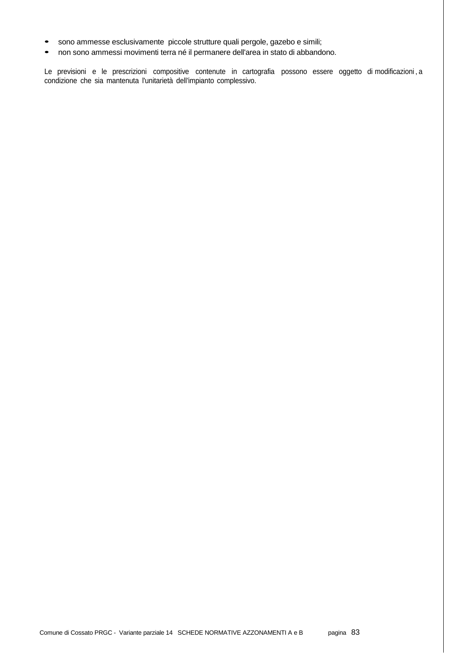- sono ammesse esclusivamente piccole strutture quali pergole, gazebo e simili;
- non sono ammessi movimenti terra né il permanere dell'area in stato di abbandono.

Le previsioni e le prescrizioni compositive contenute in cartografia possono essere oggetto di modificazioni , a condizione che sia mantenuta l'unitarietà dell'impianto complessivo.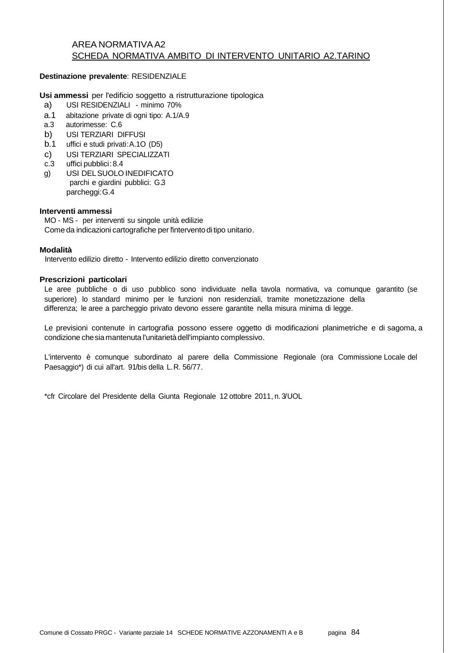# AREA NORMATIVA A2 SCHEDA NORMATIVA AMBITO DI INTERVENTO UNITARIO A2.TARINO

#### **Destinazione prevalente**: RESIDENZIALE

**Usi ammessi** per l'edificio soggetto a ristrutturazione tipologica

- a) USI RESIDENZIALI minimo 70%
- a.1 abitazione private di ogni tipo: A.1/A.9
- a.3 autorimesse: C.6
- b) USI TERZIARI DIFFUSI
- b.1 uffici e studi privati:A.1O (D5)
- c) USI TERZIARI SPECIALIZZATI
- c.3 uffici pubblici: 8.4
- g) USI DEL SUOLO INEDIFICATO parchi e giardini pubblici: G.3 parcheggi: G.4

#### **Interventi ammessi**

MO - MS - per interventi su singole unità edilizie Come da indicazioni cartografiche per l'intervento di tipo unitario.

#### **Modalità**

Intervento edilizio diretto - Intervento edilizio diretto convenzionato

#### **Prescrizioni particolari**

Le aree pubbliche o di uso pubblico sono individuate nella tavola normativa, va comunque garantito (se superiore) lo standard minimo per le funzioni non residenziali, tramite monetizzazione della differenza; le aree a parcheggio privato devono essere garantite nella misura minima di legge.

Le previsioni contenute in cartografia possono essere oggetto di modificazioni planimetriche e di sagoma, a condizione che sia mantenuta l'unitarietà dell'impianto complessivo .

L'intervento è comunque subordinato al parere della Commissione Regionale (ora Commissione Locale del Paesaggio\*) di cui all'art. 91/bis della L.R. 56/77.

\*cfr Circolare del Presidente della Giunta Regionale 12 ottobre 2011, n. 3/UOL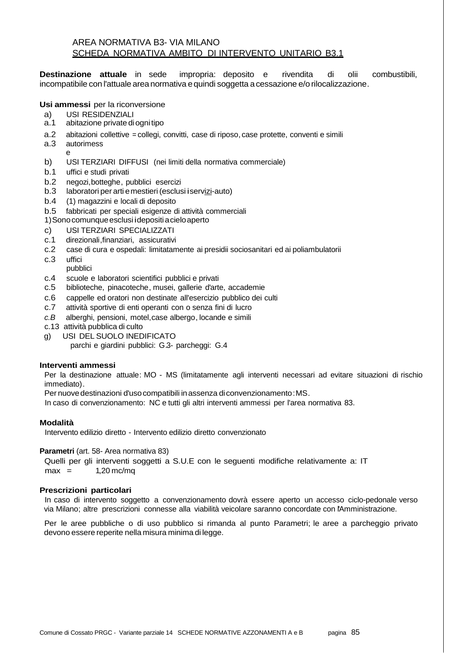# AREA NORMATIVA B3- VIA MILANO SCHEDA NORMATIVA AMBITO DI INTERVENTO UNITARIO B3.1

**Destinazione attuale** in sede impropria: deposito e rivendita di olii combustibili, incompatibile con l'attuale area normativa e quindi soggetta a cessazione e/o rilocalizzazione .

# **Usi ammessi** per la riconversione

- a) USI RESIDENZIALI<br>a.1 abitazione private di
- abitazione private di ogni tipo
- a.2 abitazioni collettive = collegi, convitti, case di riposo, case protette, conventi e simili
- a.3 autorimess
- e b) USI TERZIARI DIFFUSI (nei limiti della normativa commerciale)
- b.1 uffici e studi privati
- b.2 negozi,botteghe, pubblici esercizi
- b.3 laboratori per arti e mestieri (esclusi i servizi-auto)
- b.4 (1) magazzini e locali di deposito
- b.5 fabbricati per speciali esigenze di attività commerciali
- 1) Sono comunque esclusi i depositi a cielo aperto
- c) USI TERZIARI SPECIALIZZATI
- c.1 direzionali,finanziari, assicurativi
- c.2 case di cura e ospedali: limitatamente ai presidii sociosanitari ed ai poliambulatorii
- c.3 uffici
- pubblici
- c.4 scuole e laboratori scientifici pubblici e privati
- c.5 biblioteche, pinacoteche, musei, gallerie d'arte, accademie
- c.6 cappelle ed oratori non destinate all'esercizio pubblico dei culti
- c.7 attività sportive di enti operanti con o senza fini di lucro
- c.B alberghi, pensioni, motel,case albergo, locande e simili
- c.13 attività pubblica di culto
- g) USI DEL SUOLO INEDIFICATO
	- parchi e giardini pubblici: G.3- parcheggi: G.4

#### **Interventi ammessi**

Per la destinazione attuale: MO - MS (limitatamente agli interventi necessari ad evitare situazioni di rischio immediato).

Per nuove destinazioni d'uso compatibili in assenza di convenzionamento : MS.

In caso di convenzionamento: NC e tutti gli altri interventi ammessi per l'area normativa 83.

# **Modalità**

Intervento edilizio diretto - Intervento edilizio diretto convenzionato

#### **Parametri** (art. 58- Area normativa 83)

Quelli per gli interventi soggetti a S.U.E con le seguenti modifiche relativamente a: IT  $max = 1,20$  mc/mq

#### **Prescrizioni particolari**

In caso di intervento soggetto a convenzionamento dovrà essere aperto un accesso ciclo-pedonale verso via Milano; altre prescrizioni connesse alla viabilità veicolare saranno concordate con l'Amministrazione.

Per le aree pubbliche o di uso pubblico si rimanda al punto Parametri; le aree a parcheggio privato devono essere reperite nella misura minima di legge.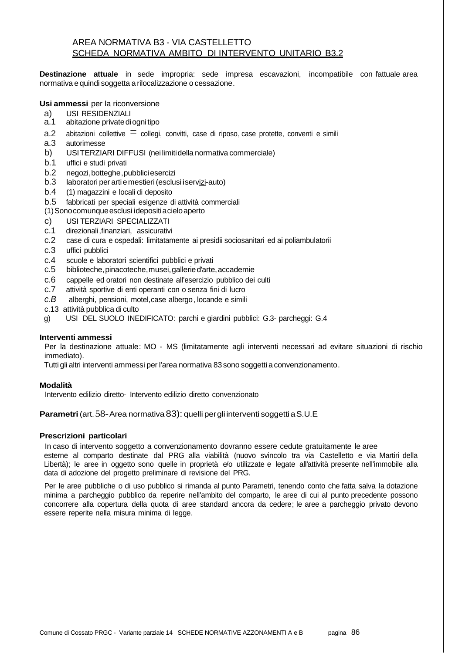# AREA NORMATIVA B3 - VIA CASTELLETTO SCHEDA NORMATIVA AMBITO DI INTERVENTO UNITARIO B3.2

**Destinazione attuale** in sede impropria: sede impresa escavazioni, incompatibile con l'attuale area normativa e quindi soggetta a rilocalizzazione o cessazione .

### **Usi ammessi** per la riconversione

- a) USI RESIDENZIALI<br>a.1 abitazione private di
- abitazione private di ogni tipo
- a.2 abitazioni collettive  $\equiv$  collegi, convitti, case di riposo, case protette, conventi e simili a.3 autorimesse
- a.3 autorimesse
- b) USI TERZIARI DIFFUSI (nei limiti della normativa commerciale)
- b.1 uffici e studi privati
- b.2 negozi,botteghe, pubblici esercizi
- b.3 laboratori per arti e mestieri (esclusi i servizi-auto)
- b.4 (1) magazzini e locali di deposito
- b.5 fabbricati per speciali esigenze di attività commerciali
- (1) Sono comunque esclusi i depositi a cielo aperto
- 
- c) USI TERZIARI SPECIALIZZATI<br>c.1 direzionali, finanziari, assicurativ c.1 direzionali,finanziari, assicurativi
- c.2 case di cura e ospedali: limitatamente ai presidii sociosanitari ed ai poliambulatorii
- c.3 uffici pubblici
- c.4 scuole e laboratori scientifici pubblici e privati
- c.5 biblioteche, pinacoteche , musei, gallerie d'arte, accademie
- c.6 cappelle ed oratori non destinate all'esercizio pubblico dei culti
- c.7 attività sportive di enti operanti con o senza fini di lucro
- c.B alberghi, pensioni, motel,case albergo, locande e simili
- c.13 attività pubblica di culto
- g) USI DEL SUOLO INEDIFICATO: parchi e giardini pubblici: G.3- parcheggi: G.4

#### **Interventi ammessi**

Per la destinazione attuale: MO - MS (limitatamente agli interventi necessari ad evitare situazioni di rischio immediato).

Tutti gli altri interventi ammessi per l'area normativa 83 sono soggetti a convenzionamento .

#### **Modalità**

Intervento edilizio diretto- Intervento edilizio diretto convenzionato

**Parametri** (art. 58- Area normativa 83): quelli per gli interventi soggetti a S.U.E

#### **Prescrizioni particolari**

In caso di intervento soggetto a convenzionamento dovranno essere cedute gratuitamente le aree

esterne al comparto destinate dal PRG alla viabilità (nuovo svincolo tra via Castelletto e via Martiri della Libertà); le aree in oggetto sono quelle in proprietà e/o utilizzate e legate all'attività presente nell'immobile alla data di adozione del progetto preliminare di revisione del PRG.

Per le aree pubbliche o di uso pubblico si rimanda al punto Parametri, tenendo conto che fatta salva la dotazione minima a parcheggio pubblico da reperire nell'ambito del comparto, le aree di cui al punto precedente possono concorrere alla copertura della quota di aree standard ancora da cedere; le aree a parcheggio privato devono essere reperite nella misura minima di legge.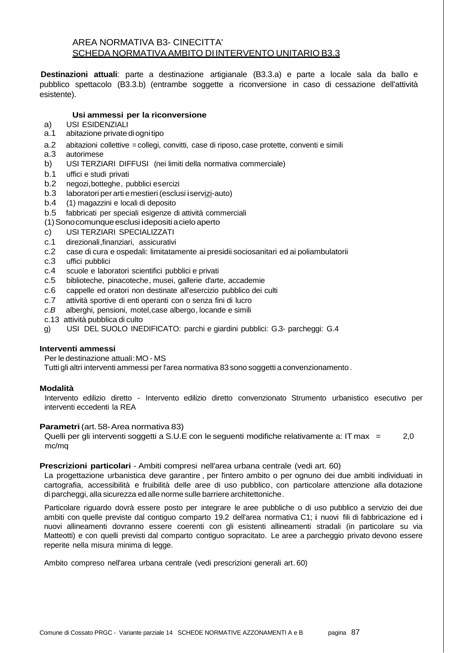# AREA NORMATIVA B3- CINECITTA' SCHEDA NORMATIVA AMBITO DI INTERVENTO UNITARIO B3.3

**Destinazioni attuali**: parte a destinazione artigianale (B3.3.a) e parte a locale sala da ballo e pubblico spettacolo (B3.3.b) (entrambe soggette a riconversione in caso di cessazione dell'attività esistente).

### **Usi ammessi per la riconversione**

- a) USI ESIDENZIALI<br>a.1 abitazione private
- abitazione private di ogni tipo
- a.2 abitazioni collettive = collegi, convitti, case di riposo, case protette, conventi e simili
- a.3 autorimese
- b) USI TERZIARI DIFFUSI (nei limiti della normativa commerciale)
- b.1 uffici e studi privati
- b.2 negozi,botteghe, pubblici esercizi
- b.3 laboratori per arti e mestieri (esclusi i servizi-auto)
- b.4 (1) magazzini e locali di deposito
- b.5 fabbricati per speciali esigenze di attività commerciali
- (1) Sono comunque esclusi i depositi a cielo aperto
- c) USI TERZIARI SPECIALIZZATI
- c.1 direzionali,finanziari, assicurativi
- c.2 case di cura e ospedali: limitatamente ai presidii sociosanitari ed ai poliambulatorii
- c.3 uffici pubblici
- c.4 scuole e laboratori scientifici pubblici e privati
- c.5 biblioteche, pinacoteche, musei, gallerie d'arte, accademie
- c.6 cappelle ed oratori non destinate all'esercizio pubblico dei culti
- c.7 attività sportive di enti operanti con o senza fini di lucro
- c.B alberghi, pensioni, motel,case albergo, locande e simili
- c.13 attività pubblica di culto
- g) USI DEL SUOLO INEDIFICATO: parchi e giardini pubblici: G.3- parcheggi: G.4

#### **Interventi ammessi**

Per le destinazione attuali: MO - MS

Tutti gli altri interventi ammessi per l'area normativa 83 sono soggetti a convenzionamento .

# **Modalità**

Intervento edilizio diretto - Intervento edilizio diretto convenzionato Strumento urbanistico esecutivo per interventi eccedenti la REA

#### **Parametri** (art. 58- Area normativa 83)

Quelli per gli interventi soggetti a S.U.E con le seguenti modifiche relativamente a: IT max = 2,0 mc/mq

# **Prescrizioni particolari** - Ambiti compresi nell'area urbana centrale (vedi art. 60)

La progettazione urbanistica deve garantire , per l'intero ambito o per ognuno dei due ambiti individuati in cartografia, accessibilità e fruibilità delle aree di uso pubblico, con particolare attenzione alla dotazione di parcheggi, alla sicurezza ed alle norme sulle barriere architettoniche .

Particolare riguardo dovrà essere posto per integrare le aree pubbliche o di uso pubblico a servizio dei due ambiti con quelle previste dal contiguo comparto 19.2 dell'area normativa C1; i nuovi fili di fabbricazione ed i nuovi allineamenti dovranno essere coerenti con gli esistenti allineamenti stradali (in particolare su via Matteotti) e con quelli previsti dal comparto contiguo sopracitato. Le aree a parcheggio privato devono essere reperite nella misura minima di legge.

Ambito compreso nell'area urbana centrale (vedi prescrizioni generali art. 60)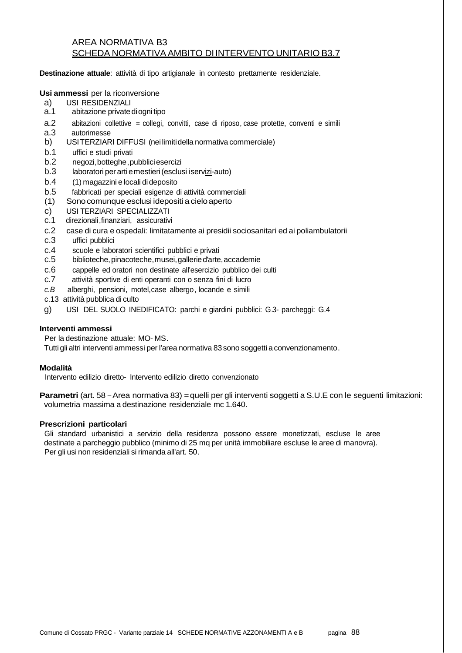# AREA NORMATIVA B3 SCHEDA NORMATIVA AMBITO DI INTERVENTO UNITARIO B3.7

**Destinazione attuale**: attività di tipo artigianale in contesto prettamente residenziale.

#### **Usi ammessi** per la riconversione

- a) USI RESIDENZIALI
- a.1 abitazione private di ogni tipo
- a.2 abitazioni collettive = collegi, convitti, case di riposo, case protette, conventi e simili
- a.3 autorimesse
- b) USI TERZIARI DIFFUSI (nei limiti della normativa commerciale)
- b.1 uffici e studi privati
- b.2 negozi,botteghe, pubblici esercizi
- b.3 laboratori per arti e mestieri (esclusi i servizi-auto)
- b.4 (1) magazzini e locali di deposito
- b.5 fabbricati per speciali esigenze di attività commerciali
- (1) Sono comunque esclusi i depositi a cielo aperto
- c) USI TERZIARI SPECIALIZZATI
- c.1 direzionali,finanziari, assicurativi
- c.2 case di cura e ospedali: limitatamente ai presidii sociosanitari ed ai poliambulatorii
- c.3 uffici pubblici
- c.4 scuole e laboratori scientifici pubblici e privati
- c.5 biblioteche, pinacoteche , musei, gallerie d'arte, accademie
- c.6 cappelle ed oratori non destinate all'esercizio pubblico dei culti
- c.7 attività sportive di enti operanti con o senza fini di lucro
- c.B alberghi, pensioni, motel,case albergo, locande e simili
- c.13 attività pubblica di culto
- g) USI DEL SUOLO INEDIFICATO: parchi e giardini pubblici: G.3- parcheggi: G.4

#### **Interventi ammessi**

Per la destinazione attuale: MO- MS.

Tutti gli altri interventi ammessi per l'area normativa 83 sono soggetti a convenzionamento .

#### **Modalità**

Intervento edilizio diretto- Intervento edilizio diretto convenzionato

**Parametri** (art. 58 - Area normativa 83) = quelli per gli interventi soggetti a S.U.E con le seguenti limitazioni: volumetria massima a destinazione residenziale mc 1.640.

#### **Prescrizioni particolari**

Gli standard urbanistici a servizio della residenza possono essere monetizzati, escluse le aree destinate a parcheggio pubblico (minimo di 25 mq per unità immobiliare escluse le aree di manovra). Per gli usi non residenziali si rimanda all'art. 50.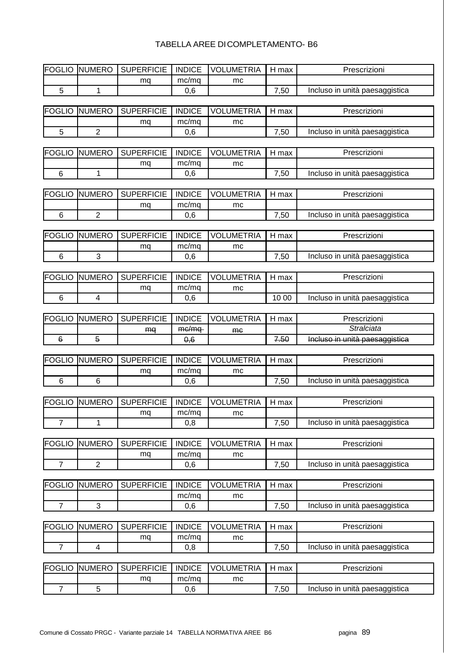# TABELLA AREE DI COMPLETAMENTO- B6

| <b>FOGLIO</b>  | <b>NUMERO</b>            | <b>SUPERFICIE</b> | <b>INDICE</b> | <b>VOLUMETRIA</b> | H max | Prescrizioni                   |
|----------------|--------------------------|-------------------|---------------|-------------------|-------|--------------------------------|
|                |                          | mq                | mc/mq         | mc                |       |                                |
| 5              | 1                        |                   | 0,6           |                   | 7,50  | Incluso in unità paesaggistica |
|                |                          |                   |               |                   |       |                                |
| <b>FOGLIO</b>  | <b>NUMERO</b>            | <b>SUPERFICIE</b> | <b>INDICE</b> | <b>VOLUMETRIA</b> | H max | Prescrizioni                   |
|                |                          | mq                | mc/mq         | mc                |       |                                |
| 5              | $\overline{2}$           |                   | 0,6           |                   | 7,50  | Incluso in unità paesaggistica |
|                |                          |                   |               |                   |       |                                |
| <b>FOGLIO</b>  | <b>NUMERO</b>            | <b>SUPERFICIE</b> | <b>INDICE</b> | <b>VOLUMETRIA</b> | H max | Prescrizioni                   |
|                |                          | mq                | mc/mq         | mc                |       |                                |
| $\,6$          | 1                        |                   | 0,6           |                   | 7,50  | Incluso in unità paesaggistica |
|                |                          |                   |               |                   |       |                                |
| <b>FOGLIO</b>  | <b>NUMERO</b>            | <b>SUPERFICIE</b> | <b>INDICE</b> | <b>VOLUMETRIA</b> | H max | Prescrizioni                   |
|                |                          | mq                | mc/mq         | mc                |       |                                |
| $\,6$          | $\overline{2}$           |                   | 0,6           |                   | 7,50  | Incluso in unità paesaggistica |
|                |                          |                   |               |                   |       |                                |
| <b>FOGLIO</b>  | <b>NUMERO</b>            | <b>SUPERFICIE</b> | <b>INDICE</b> | <b>VOLUMETRIA</b> | H max | Prescrizioni                   |
|                |                          | mq                | mc/mq         | mc                |       |                                |
| $\,6$          | 3                        |                   | 0,6           |                   | 7,50  | Incluso in unità paesaggistica |
|                |                          |                   |               |                   |       |                                |
| <b>FOGLIO</b>  | <b>NUMERO</b>            | <b>SUPERFICIE</b> | <b>INDICE</b> | <b>VOLUMETRIA</b> | H max | Prescrizioni                   |
|                |                          | mq                | mc/mq         | mc                |       |                                |
| $\,6$          | $\overline{\mathcal{A}}$ |                   | 0,6           |                   | 10 00 | Incluso in unità paesaggistica |
|                |                          |                   |               |                   |       |                                |
| <b>FOGLIO</b>  | <b>NUMERO</b>            | <b>SUPERFICIE</b> | <b>INDICE</b> | <b>VOLUMETRIA</b> | H max | Prescrizioni                   |
|                |                          | mq                | me/mq         | <b>me</b>         |       | <b>Stralciata</b>              |
| $\,6$          | $\overline{5}$           |                   | 0,6           |                   | 7.50  | Incluso in unità paesaggistica |
|                |                          |                   |               |                   |       |                                |
| <b>FOGLIO</b>  | <b>NUMERO</b>            | <b>SUPERFICIE</b> | <b>INDICE</b> | <b>VOLUMETRIA</b> | H max | Prescrizioni                   |
|                |                          | mq                | mc/mq         | mc                |       |                                |
| $\,6$          | $\,6$                    |                   | 0,6           |                   | 7,50  | Incluso in unità paesaggistica |
|                |                          |                   |               |                   |       |                                |
| <b>FOGLIO</b>  | <b>NUMERO</b>            | <b>SUPERFICIE</b> | <b>INDICE</b> | <b>VOLUMETRIA</b> | H max | Prescrizioni                   |
|                |                          | mq                | mc/mq         | mc                |       |                                |
| 7              | $\mathbf{1}$             |                   | 0,8           |                   | 7,50  | Incluso in unità paesaggistica |
|                |                          |                   |               |                   |       |                                |
| <b>FOGLIO</b>  | <b>NUMERO</b>            | <b>SUPERFICIE</b> | <b>INDICE</b> | <b>VOLUMETRIA</b> | H max | Prescrizioni                   |
|                |                          | mq                | mc/mq         | mc                |       |                                |
| $\overline{7}$ | $\overline{2}$           |                   | 0,6           |                   | 7,50  | Incluso in unità paesaggistica |
|                |                          |                   |               |                   |       |                                |
| <b>FOGLIO</b>  | <b>NUMERO</b>            | <b>SUPERFICIE</b> | <b>INDICE</b> | <b>VOLUMETRIA</b> | H max | Prescrizioni                   |
|                |                          |                   | mc/mq         | mc                |       |                                |
| $\overline{7}$ | $\mathfrak{B}$           |                   | 0,6           |                   | 7,50  | Incluso in unità paesaggistica |
|                |                          |                   |               |                   |       |                                |
| <b>FOGLIO</b>  | <b>NUMERO</b>            | <b>SUPERFICIE</b> | <b>INDICE</b> | <b>VOLUMETRIA</b> | H max | Prescrizioni                   |
|                |                          | mq                | mc/mq         | mc                |       |                                |
| $\overline{7}$ | $\overline{4}$           |                   | 0,8           |                   | 7,50  | Incluso in unità paesaggistica |
|                |                          |                   |               |                   |       |                                |
| <b>FOGLIO</b>  | <b>NUMERO</b>            | <b>SUPERFICIE</b> | <b>INDICE</b> | <b>VOLUMETRIA</b> | H max | Prescrizioni                   |
|                |                          | mq                | mc/mq         | mc                |       |                                |
| $\overline{7}$ | 5                        |                   | 0,6           |                   | 7,50  | Incluso in unità paesaggistica |
|                |                          |                   |               |                   |       |                                |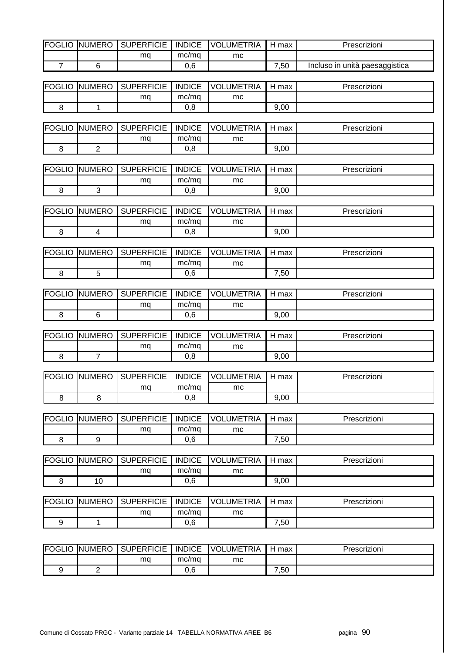| <b>FOGLIO</b>  | <b>NUMERO</b>  | <b>SUPERFICIE</b>               | <b>INDICE</b> | <b>VOLUMETRIA</b>                                | H max                    | Prescrizioni                   |
|----------------|----------------|---------------------------------|---------------|--------------------------------------------------|--------------------------|--------------------------------|
|                |                | mq                              | mc/mq         | mc                                               |                          |                                |
| $\overline{7}$ | 6              |                                 | 0,6           |                                                  | 7,50                     | Incluso in unità paesaggistica |
| <b>FOGLIO</b>  | <b>NUMERO</b>  | <b>SUPERFICIE</b>               | <b>INDICE</b> | <b>VOLUMETRIA</b>                                | H max                    | Prescrizioni                   |
|                |                | mq                              | mc/mq         | mc                                               |                          |                                |
| 8              | 1              |                                 | 0,8           |                                                  | 9,00                     |                                |
|                |                |                                 |               |                                                  |                          |                                |
| <b>FOGLIO</b>  | <b>NUMERO</b>  | <b>SUPERFICIE</b>               | <b>INDICE</b> | <b>VOLUMETRIA</b>                                | H max                    | Prescrizioni                   |
|                |                | mq                              | mc/mq         | mc                                               |                          |                                |
| 8              | $\overline{2}$ |                                 | 0,8           |                                                  | 9,00                     |                                |
| <b>FOGLIO</b>  | <b>NUMERO</b>  | <b>SUPERFICIE</b>               | <b>INDICE</b> | <b>VOLUMETRIA</b>                                | H max                    | Prescrizioni                   |
|                |                | mq                              | mc/mq         | mc                                               |                          |                                |
| 8              | $\mathbf{3}$   |                                 | 0,8           |                                                  | 9,00                     |                                |
|                | <b>NUMERO</b>  | <b>SUPERFICIE</b>               | <b>INDICE</b> | <b>VOLUMETRIA</b>                                |                          | Prescrizioni                   |
| <b>FOGLIO</b>  |                |                                 | mc/mq         |                                                  | H max                    |                                |
| 8              | $\overline{4}$ | mq                              | 0,8           | mc                                               | 9,00                     |                                |
|                |                |                                 |               |                                                  |                          |                                |
| <b>FOGLIO</b>  | <b>NUMERO</b>  | <b>SUPERFICIE</b>               | <b>INDICE</b> | <b>VOLUMETRIA</b>                                | H max                    | Prescrizioni                   |
|                |                | mq                              | mc/mq         | mc                                               |                          |                                |
| 8              | 5              |                                 | 0,6           |                                                  | 7,50                     |                                |
| <b>FOGLIO</b>  | <b>NUMERO</b>  | <b>SUPERFICIE</b>               | <b>INDICE</b> | <b>VOLUMETRIA</b>                                | H max                    | Prescrizioni                   |
|                |                | mq                              | mc/mq         | mc                                               |                          |                                |
| 8              | 6              |                                 | 0,6           |                                                  | 9,00                     |                                |
|                |                |                                 |               |                                                  |                          |                                |
| <b>FOGLIO</b>  | <b>NUMERO</b>  | <b>SUPERFICIE</b>               | <b>INDICE</b> | <b>VOLUMETRIA</b>                                | H max                    | Prescrizioni                   |
|                |                | mq                              | mc/mq         | mc                                               |                          |                                |
| 8              | $\overline{7}$ |                                 | 0,8           |                                                  | 9,00                     |                                |
|                |                | FOGLIO NUMERO SUPERFICIE INDICE |               | <b>VOLUMETRIA</b>                                | $\sqrt{\frac{1}{2}}$ max | Prescrizioni                   |
|                |                | mq                              | mc/mq         | mc                                               |                          |                                |
| 8              | 8              |                                 | 0,8           |                                                  | 9,00                     |                                |
|                |                |                                 |               |                                                  |                          |                                |
| <b>FOGLIO</b>  | <b>NUMERO</b>  | <b>SUPERFICIE</b>               | <b>INDICE</b> | <b>VOLUMETRIA</b>                                | H max                    | Prescrizioni                   |
|                |                | mq                              | mc/mq         | mc                                               |                          |                                |
| 8              | 9              |                                 | 0,6           |                                                  | 7,50                     |                                |
| <b>FOGLIO</b>  | <b>NUMERO</b>  | <b>SUPERFICIE</b>               | <b>INDICE</b> | <b>VOLUMETRIA</b>                                | H max                    | Prescrizioni                   |
|                |                | mq                              | mc/mq         | mc                                               |                          |                                |
| 8              | 10             |                                 | 0,6           |                                                  | 9,00                     |                                |
|                |                |                                 |               |                                                  |                          |                                |
| <b>FOGLIO</b>  | <b>NUMERO</b>  | <b>SUPERFICIE</b>               | <b>INDICE</b> | <b>VOLUMETRIA</b>                                | H max                    | Prescrizioni                   |
|                |                | mq                              | mc/mq         | mc                                               |                          |                                |
| 9              | $\mathbf{1}$   |                                 | 0,6           |                                                  | 7,50                     |                                |
|                |                |                                 |               |                                                  |                          |                                |
|                |                |                                 |               | FOGLIO NUMERO SUPERFICIE INDICE VOLUMETRIA H max |                          | Prescrizioni                   |

| <b>FOGLIO</b> | <b>UMERO</b><br>INI | <b>SUPERFICIE</b> | <b>INDICE</b> | UMETRIA<br><b>VOL</b> | max  | Prescrizioni |
|---------------|---------------------|-------------------|---------------|-----------------------|------|--------------|
|               |                     | ma                | mc/ma         | mc                    |      |              |
|               |                     |                   | 0,6           |                       | 7,50 |              |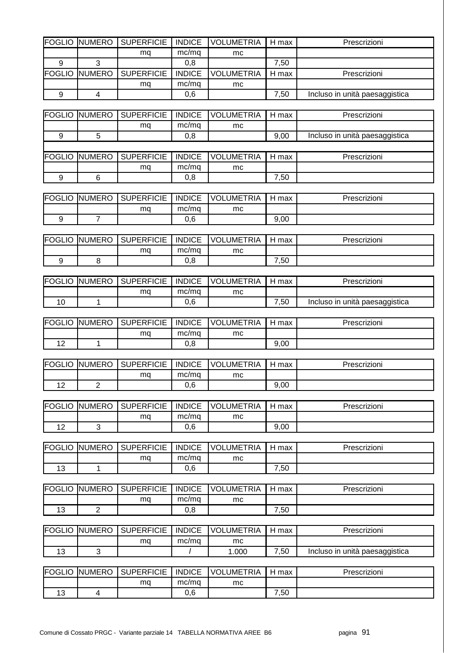| <b>FOGLIO</b>      | <b>NUMERO</b>  | <b>SUPERFICIE</b> | <b>INDICE</b>        | <b>VOLUMETRIA</b> | H max | Prescrizioni                   |
|--------------------|----------------|-------------------|----------------------|-------------------|-------|--------------------------------|
|                    |                |                   |                      |                   |       |                                |
|                    | 3              | mq                | mc/mq                | mc                |       |                                |
| 9<br><b>FOGLIO</b> | <b>NUMERO</b>  | <b>SUPERFICIE</b> | 0,8<br><b>INDICE</b> | <b>VOLUMETRIA</b> | 7,50  |                                |
|                    |                |                   |                      |                   | H max | Prescrizioni                   |
|                    |                | mq                | mc/mq                | mc                |       |                                |
| $\boldsymbol{9}$   | $\overline{4}$ |                   | 0,6                  |                   | 7,50  | Incluso in unità paesaggistica |
|                    |                |                   |                      |                   |       |                                |
| <b>FOGLIO</b>      | <b>NUMERO</b>  | <b>SUPERFICIE</b> | <b>INDICE</b>        | <b>VOLUMETRIA</b> | H max | Prescrizioni                   |
|                    |                | mq                | mc/mq                | mc                |       |                                |
| 9                  | $\sqrt{5}$     |                   | 0,8                  |                   | 9,00  | Incluso in unità paesaggistica |
|                    |                |                   |                      |                   |       |                                |
| <b>FOGLIO</b>      | <b>NUMERO</b>  | <b>SUPERFICIE</b> | <b>INDICE</b>        | <b>VOLUMETRIA</b> | H max | Prescrizioni                   |
|                    |                | mq                | mc/mq                | mc                |       |                                |
| 9                  | $\,6$          |                   | 0,8                  |                   | 7,50  |                                |
|                    |                |                   |                      |                   |       |                                |
| <b>FOGLIO</b>      | <b>NUMERO</b>  | <b>SUPERFICIE</b> | <b>INDICE</b>        | <b>VOLUMETRIA</b> | H max | Prescrizioni                   |
|                    |                | mq                | mc/mq                | mc                |       |                                |
| 9                  | $\overline{7}$ |                   | 0,6                  |                   | 9,00  |                                |
|                    |                |                   |                      |                   |       |                                |
| <b>FOGLIO</b>      | <b>NUMERO</b>  | <b>SUPERFICIE</b> | <b>INDICE</b>        | <b>VOLUMETRIA</b> | H max | Prescrizioni                   |
|                    |                | mq                | mc/mq                | mc                |       |                                |
| 9                  | 8              |                   | 0,8                  |                   | 7,50  |                                |
|                    |                |                   |                      |                   |       |                                |
| <b>FOGLIO</b>      | <b>NUMERO</b>  | <b>SUPERFICIE</b> | <b>INDICE</b>        | <b>VOLUMETRIA</b> | H max | Prescrizioni                   |
|                    |                | mq                | mc/mq                | mc                |       |                                |
| 10                 | $\mathbf{1}$   |                   | 0,6                  |                   | 7,50  | Incluso in unità paesaggistica |
|                    |                |                   |                      |                   |       |                                |
| <b>FOGLIO</b>      | <b>NUMERO</b>  | <b>SUPERFICIE</b> | <b>INDICE</b>        | <b>VOLUMETRIA</b> | H max | Prescrizioni                   |
|                    |                | mq                | mc/mq                | mc                |       |                                |
| 12                 | $\mathbf{1}$   |                   | 0,8                  |                   | 9,00  |                                |
|                    |                |                   |                      |                   |       |                                |
| <b>FOGLIO</b>      | <b>NUMERO</b>  | <b>SUPERFICIE</b> | <b>INDICE</b>        | <b>VOLUMETRIA</b> | H max | Prescrizioni                   |
|                    |                |                   |                      |                   |       |                                |
| 12                 |                |                   |                      |                   |       |                                |
|                    |                | mq                | mc/mq                | mc                |       |                                |
|                    | $\overline{2}$ |                   | 0,6                  |                   | 9,00  |                                |
|                    |                |                   |                      |                   |       |                                |
| <b>FOGLIO</b>      | <b>NUMERO</b>  | <b>SUPERFICIE</b> | <b>INDICE</b>        | <b>VOLUMETRIA</b> | H max | Prescrizioni                   |
|                    |                | mq                | mc/mq                | mc                |       |                                |
| 12                 | 3              |                   | 0,6                  |                   | 9,00  |                                |
|                    |                |                   |                      |                   |       |                                |
| <b>FOGLIO</b>      | <b>NUMERO</b>  | <b>SUPERFICIE</b> | <b>INDICE</b>        | <b>VOLUMETRIA</b> | H max | Prescrizioni                   |
|                    |                | mq                | mc/mq                | mc                |       |                                |
| 13                 | $\mathbf{1}$   |                   | 0,6                  |                   | 7,50  |                                |
|                    |                |                   |                      |                   |       |                                |
| <b>FOGLIO</b>      | <b>NUMERO</b>  | <b>SUPERFICIE</b> | <b>INDICE</b>        | <b>VOLUMETRIA</b> | H max | Prescrizioni                   |
|                    |                | mq                | mc/mq                | mc                |       |                                |
| 13                 | $\overline{2}$ |                   | 0,8                  |                   | 7,50  |                                |
|                    |                |                   |                      |                   |       |                                |
| <b>FOGLIO</b>      | <b>NUMERO</b>  | <b>SUPERFICIE</b> | <b>INDICE</b>        | <b>VOLUMETRIA</b> | H max | Prescrizioni                   |
|                    |                | mq                | mc/mq                | mc                |       |                                |
| 13                 | 3              |                   | $\prime$             | 1.000             | 7,50  | Incluso in unità paesaggistica |
|                    |                |                   |                      |                   |       |                                |
| <b>FOGLIO</b>      | <b>NUMERO</b>  | <b>SUPERFICIE</b> | <b>INDICE</b>        | <b>VOLUMETRIA</b> | H max | Prescrizioni                   |
| 13                 | $\overline{4}$ | mq                | mc/mq<br>0,6         | mc                | 7,50  |                                |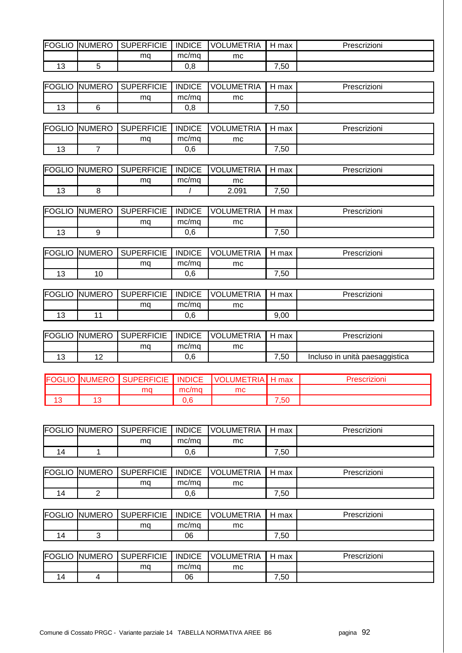| FOGLIO  | UMERO<br>INL | <b>SUPERFICIE</b> | <b>INDICE</b> | _UMETRIA<br>VOL. | max<br>┙ | Prescrizioni |
|---------|--------------|-------------------|---------------|------------------|----------|--------------|
|         |              | ma                | mc/ma         | mc               |          |              |
| າຕ<br>J |              |                   | 0,8           |                  | ,50      |              |

| FOGLIO              | <b>NUMERO</b> | <b>SUPERFICIE</b> | <b>INDICE</b> | UMETRIA.<br>VOL. | max           | Prescrizioni |
|---------------------|---------------|-------------------|---------------|------------------|---------------|--------------|
|                     |               | ma                | mc/mq         | mc               |               |              |
| $\overline{ }$<br>◡ |               |                   | v.o           |                  | $^{\cdot,50}$ |              |

| FOGLIO | <b>NUMERO</b> | <b>SUPERFICIE</b> | <b>INDICE</b> | <b>UMETRIA</b><br>VOL | max      | Prescrizioni |
|--------|---------------|-------------------|---------------|-----------------------|----------|--------------|
|        |               | ma                | mc/mg         | mc                    |          |              |
| J      |               |                   | 0,6           |                       | ,50<br>⇁ |              |

| <b>FOGLIO</b> | <b>NUMERO</b> | <b>SUPERFICIE</b> | <b>INDICE</b> | <b>JMETRIA</b><br>וחע | max      | Prescrizioni |
|---------------|---------------|-------------------|---------------|-----------------------|----------|--------------|
|               |               | ma                | mc/ma         | mc                    |          |              |
| J             |               |                   |               | 2.091                 | ,50<br>- |              |

| FOGLIO      | <b>INUMERO</b> | <b>SUPERFICIE</b> | <b>INDICE</b> | <b>VOLUMETRIA</b> | max | Prescrizioni |
|-------------|----------------|-------------------|---------------|-------------------|-----|--------------|
|             |                | ma                | mc/ma         | mc                |     |              |
| $\sim$<br>J |                |                   | 0,6           |                   | ,50 |              |

| FOGLIO              | <b>NUMERO</b>  | <b>SUPERFICIE</b> | <b>INDICE</b> | UMETRIA<br><b>VOL</b> | max      | Prescrizioni |
|---------------------|----------------|-------------------|---------------|-----------------------|----------|--------------|
|                     |                | mq                | mc/mg         | mc                    |          |              |
| $\overline{ }$<br>J | $\overline{1}$ |                   | 0,6           |                       | ,50<br>- |              |

|                | <b>FOGLIO NUMERO</b> | SUPERFICIE | <b>INDICE</b> | <b>VOLUMETRIA</b> | max  | Prescrizioni |
|----------------|----------------------|------------|---------------|-------------------|------|--------------|
|                |                      | ma         | mc/ma         | mc                |      |              |
| $\overline{a}$ |                      |            | 0,6           |                   | 9,00 |              |

| <b>FOGLIO NUMERO</b> | <b>SUPERFICIE</b> | <b>INDICE</b> | <b>VOLUMETRIA</b> | max  | Prescrizioni                   |
|----------------------|-------------------|---------------|-------------------|------|--------------------------------|
|                      | mq                | mc/ma         | mc                |      |                                |
| ' 4                  |                   | 0,6           |                   | 7,50 | Incluso in unità paesaggistica |

|                      | <b>FOGLIO NUMERO</b> | <b>SUPERFICIE</b> | <b>INDICE</b> | , VOLUMETRIA' | max  |  |
|----------------------|----------------------|-------------------|---------------|---------------|------|--|
|                      |                      | ma                | mc/mq         | mc            |      |  |
| $\overline{4}$<br>10 |                      |                   | 0.6           |               | 7,50 |  |

| FOGLIO         | <b>NUMERO</b> | <b>SUPERFICIE</b> | <b>INDICE</b> | <b>UMETRIA</b><br>VOL! | max<br>⊣ | Prescrizioni |
|----------------|---------------|-------------------|---------------|------------------------|----------|--------------|
|                |               | ma                | mc/mg         | mc                     |          |              |
| $\overline{a}$ |               |                   | 0,6           |                        | ,50      |              |

| <b>FOGLIO</b>  | <b>NUMERO</b> | <b>SUPERFICIE</b> | <b>INDICE</b> | <b>UMETRIA</b><br>VOL | max | Prescrizioni |
|----------------|---------------|-------------------|---------------|-----------------------|-----|--------------|
|                |               | ma                | mc/ma         | mc                    |     |              |
| $\overline{a}$ | -             |                   | 0,6           |                       | ,50 |              |

| <b>FOGLIO</b> | UMERO<br>INL. | <b>SUPERFICIE</b> | <b>INDICE</b> | <b>JMETRIA</b><br>VOL | max                | Prescrizioni |
|---------------|---------------|-------------------|---------------|-----------------------|--------------------|--------------|
|               |               | ma                | mc/mg         | mc                    |                    |              |
| 14            |               |                   | 06            |                       | $^{\cdot,50}$<br>- |              |

| <b>FOGLIO</b> | IUMERO<br>INI | <b>SUPERFICIE</b> | <b>INDICE</b> | <b>UMETRIA</b><br><b>VOL</b> | max           | Prescrizioni |
|---------------|---------------|-------------------|---------------|------------------------------|---------------|--------------|
|               |               | ma                | mc/mg         | mc                           |               |              |
| 14            |               |                   | 06            |                              | $^{\cdot,50}$ |              |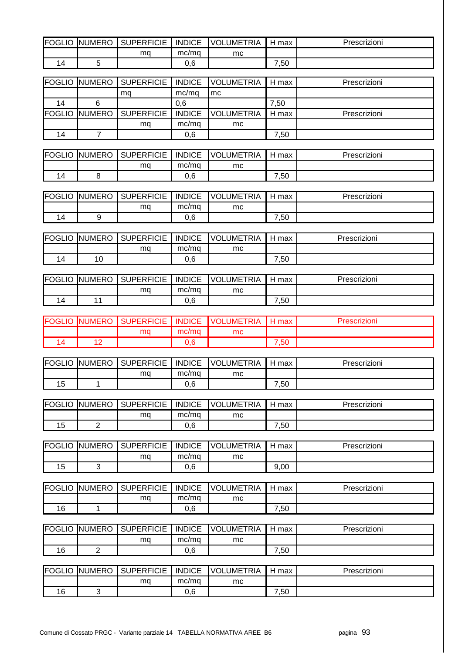| FOGLIO | <b>NUMERO</b> | <b>SUPERFICIE</b> | <b>INDICE</b> | UMETRIA. | max<br>- | <i>'</i> rescrizioni |
|--------|---------------|-------------------|---------------|----------|----------|----------------------|
|        |               | ma                | mc/mg         | mc       |          |                      |
| 4 ا    |               |                   | n e<br>J.O    |          | ,50      |                      |

|    |   | <b>FOGLIO NUMERO SUPERFICIE</b> |               | INDICE VOLUMETRIA | l H max | Prescrizioni |
|----|---|---------------------------------|---------------|-------------------|---------|--------------|
|    |   | ma                              | mc/ma         | mc                |         |              |
| 14 | 6 |                                 | 0.6           |                   | 7,50    |              |
|    |   | <b>FOGLIO NUMERO SUPERFICIE</b> | <b>INDICE</b> | <b>VOLUMETRIA</b> | H max   | Prescrizioni |
|    |   | ma                              | mc/ma         | mc.               |         |              |
| 14 |   |                                 | 0,6           |                   | 7,50    |              |

| <b>IFOGLIO</b> | <b>NUMERO</b> | <b>SUPERFICIE</b> | <b>INDICE</b> | <b>UMETRIA</b><br><b>VOL</b> | max | Prescrizioni |
|----------------|---------------|-------------------|---------------|------------------------------|-----|--------------|
|                |               | ma                | mc/ma         | mc                           |     |              |
| $\overline{a}$ |               |                   | 0,6           |                              | ,50 |              |

| FOGLIO         | <b>NUMERO</b> | <b>SUPERFICIE</b> | <b>INDICE</b> | <b>UMETRIA</b><br>VOL | max      | Prescrizioni |
|----------------|---------------|-------------------|---------------|-----------------------|----------|--------------|
|                |               | ma                | mc/mq         | mc                    |          |              |
| $\overline{a}$ |               |                   | 0,6           |                       | ,50<br>– |              |

| FOGLIO         | <b>NUMERO</b>  | <b>SUPERFICIE</b><br>ו⊃ | <b>INDICE</b> | <b>UMETRIA</b><br><b>VOL</b> | max | Prescrizioni |
|----------------|----------------|-------------------------|---------------|------------------------------|-----|--------------|
|                |                | ma                      | mc/mg         | mc                           |     |              |
| $\overline{a}$ | $\overline{A}$ |                         | 0,6           |                              | ,50 |              |

| FOGLIO | <b>INUMERO</b> | <b>SUPERFICIE</b> | <b>INDICE</b> | UMETRIA<br>VOL' | max | Prescrizioni |
|--------|----------------|-------------------|---------------|-----------------|-----|--------------|
|        |                | ma                | mc/ma         | mc              |     |              |
| 14     |                |                   | 0,6           |                 | ,50 |              |

| <b>IFOGLIO</b> | 'JMERC<br>-INI | <b>UPERFICIE</b> | <b>INDICE</b> | <b>JMETRIA</b><br>$\sqrt{C}$ | max  | rescrizioni |
|----------------|----------------|------------------|---------------|------------------------------|------|-------------|
|                |                | ma               | mc/mq         | mc                           |      |             |
|                | $\sim$         |                  | n e           |                              | ∪c,∶ |             |

| <b>IFOGLIO</b> | <b>INUMERO</b> | <b>SUPERFICIE</b> | <b>INDICE</b> | UMETRIA<br><b>VOL</b> | max<br>⊣ | Prescrizioni |
|----------------|----------------|-------------------|---------------|-----------------------|----------|--------------|
|                |                | ma                | mc/ma         | mc                    |          |              |
| 5 ا            |                |                   | 0,6           |                       | ,50      |              |

| FOGLIO        | <b>NUMERO</b> | <b>SUPERFICIE</b> | <b>INDICE</b> | <b>UMETRIA</b><br><b>VOL</b> | max                | Prescrizioni |
|---------------|---------------|-------------------|---------------|------------------------------|--------------------|--------------|
|               |               | ma                | mc/ma         | mc                           |                    |              |
| ໋<br><b>J</b> | -             |                   | 0.6           |                              | $^{\cdot,50}$<br>– |              |

| FOGLIO   | <b>NUMERO</b> | <b>SUPERFICIE</b> | <b>INDICE</b> | .UMETRIA<br>VOL | max<br>. . | Prescrizioni |
|----------|---------------|-------------------|---------------|-----------------|------------|--------------|
|          |               | ma                | mc/ma         | mc              |            |              |
| ໋<br>ں ا | ◡             |                   | 0,6           |                 | 9,00       |              |

| <b>FOGLIO</b> | <b>NUMERO</b> | <b>SUPERFICIE</b> | <b>INDICE</b> | LUMETRIA<br>VOL | max  | Prescrizioni |
|---------------|---------------|-------------------|---------------|-----------------|------|--------------|
|               |               | ma                | mc/mq         | mc              |      |              |
| 16            |               |                   | 0,6           |                 | ',50 |              |

| FOGLIO | <b>NUMERO</b> | <b>SUPERFICIE</b> | <b>INDICE</b> | <b>UMETRIA</b><br><b>VOL</b> | max | Prescrizioni |
|--------|---------------|-------------------|---------------|------------------------------|-----|--------------|
|        |               | ma                | mc/ma         | mc                           |     |              |
| 16     | -             |                   | 0,6           |                              | ,50 |              |

| FOGLIO | <b>NUMERO</b> | <b>SUPERFICIE</b> | <b>INDICE</b> | <b>UMETRIA</b><br>VOLI | max                | Prescrizioni |
|--------|---------------|-------------------|---------------|------------------------|--------------------|--------------|
|        |               | ma                | mc/mg         | mc                     |                    |              |
| 16     |               |                   | 0,6           |                        | $^{\cdot,50}$<br>- |              |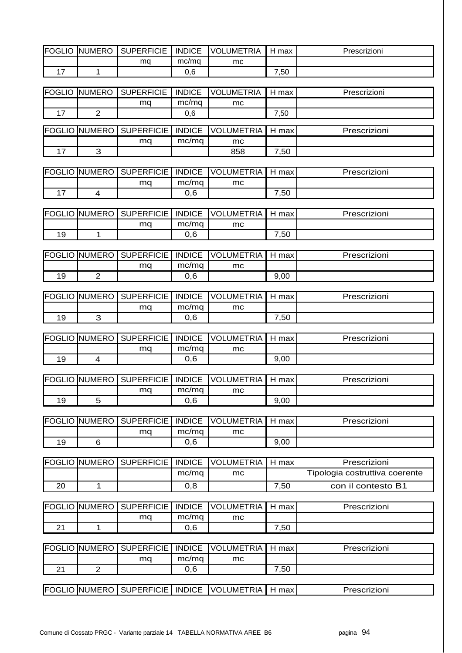| <b>FOGLIO</b> | <b>NUMERO</b>        | <b>SUPERFICIE</b> | <b>INDICE</b> | <b>VOLUMETRIA</b> | H max   | Prescrizioni                   |
|---------------|----------------------|-------------------|---------------|-------------------|---------|--------------------------------|
|               |                      | mq                | mc/mq         | mc                |         |                                |
| 17            | $\mathbf{1}$         |                   | 0,6           |                   | 7,50    |                                |
|               |                      |                   |               |                   |         |                                |
| <b>FOGLIO</b> | <b>NUMERO</b>        | <b>SUPERFICIE</b> | <b>INDICE</b> | <b>VOLUMETRIA</b> | H max   | Prescrizioni                   |
|               |                      | mq                | mc/mq         | mc                |         |                                |
| 17            | $\overline{2}$       |                   | 0,6           |                   | 7,50    |                                |
| <b>FOGLIO</b> | <b>NUMERO</b>        | <b>SUPERFICIE</b> | <b>INDICE</b> | <b>VOLUMETRIA</b> | H max   | Prescrizioni                   |
|               |                      | mq                | mc/mq         | mc                |         |                                |
| 17            | 3                    |                   |               | 858               | 7,50    |                                |
|               |                      |                   |               |                   |         |                                |
| <b>FOGLIO</b> | <b>NUMERO</b>        | <b>SUPERFICIE</b> | <b>INDICE</b> | <b>VOLUMETRIA</b> | H max   | Prescrizioni                   |
|               |                      | mq                | mc/mq         | mc                |         |                                |
| 17            | $\overline{4}$       |                   | 0,6           |                   | 7,50    |                                |
|               |                      |                   |               |                   |         |                                |
| <b>FOGLIO</b> | <b>NUMERO</b>        | <b>SUPERFICIE</b> | <b>INDICE</b> | <b>VOLUMETRIA</b> | H max   | Prescrizioni                   |
|               |                      | mq                | mc/mq         | mc                |         |                                |
| 19            | $\mathbf{1}$         |                   | 0,6           |                   | 7,50    |                                |
|               |                      |                   |               |                   |         |                                |
| <b>FOGLIO</b> | <b>NUMERO</b>        | <b>SUPERFICIE</b> | <b>INDICE</b> | <b>VOLUMETRIA</b> | H max   | Prescrizioni                   |
|               |                      | mq                | mc/mq         | mc                |         |                                |
| 19            | $\overline{2}$       |                   | 0,6           |                   | 9,00    |                                |
|               |                      |                   |               |                   |         |                                |
| <b>FOGLIO</b> | <b>NUMERO</b>        | <b>SUPERFICIE</b> | <b>INDICE</b> | <b>VOLUMETRIA</b> | H max   | Prescrizioni                   |
|               |                      | mq                | mc/mq         | mc                |         |                                |
| 19            | 3                    |                   | 0,6           |                   | 7,50    |                                |
|               |                      |                   |               |                   |         |                                |
| <b>FOGLIO</b> | <b>NUMERO</b>        | <b>SUPERFICIE</b> | <b>INDICE</b> | <b>VOLUMETRIA</b> | H max   | Prescrizioni                   |
|               |                      | mq                | mc/mq         | mc                |         |                                |
| 19            | $\overline{4}$       |                   | 0,6           |                   | 9,00    |                                |
|               |                      |                   |               |                   |         |                                |
|               | <b>FOGLIO NUMERO</b> | <b>SUPERFICIE</b> | <b>INDICE</b> | <b>VOLUMETRIA</b> | H max   | Prescrizioni                   |
|               |                      | mq                | mc/mq         | mc                |         |                                |
| 19            | 5                    |                   | 0,6           |                   | 9,00    |                                |
| <b>FOGLIO</b> | <b>NUMERO</b>        | <b>SUPERFICIE</b> | <b>INDICE</b> | <b>VOLUMETRIA</b> | $H$ max | Prescrizioni                   |
|               |                      |                   | mc/mq         |                   |         |                                |
| 19            | 6                    | mq                | 0,6           | mc                | 9,00    |                                |
|               |                      |                   |               |                   |         |                                |
| <b>FOGLIO</b> | <b>NUMERO</b>        | <b>SUPERFICIE</b> | <b>INDICE</b> | <b>VOLUMETRIA</b> | H max   | Prescrizioni                   |
|               |                      |                   | mc/mq         | mc                |         | Tipologia costruttiva coerente |
| 20            | 1                    |                   | 0,8           |                   | 7,50    | con il contesto B1             |
|               |                      |                   |               |                   |         |                                |
| <b>FOGLIO</b> | <b>NUMERO</b>        | <b>SUPERFICIE</b> | <b>INDICE</b> | <b>VOLUMETRIA</b> | H max   | Prescrizioni                   |
|               |                      | mq                | mc/mq         | mc                |         |                                |
| 21            | $\mathbf 1$          |                   | 0,6           |                   | 7,50    |                                |
|               |                      |                   |               |                   |         |                                |
| <b>FOGLIO</b> | <b>NUMERO</b>        | <b>SUPERFICIE</b> | <b>INDICE</b> | <b>VOLUMETRIA</b> | H max   | Prescrizioni                   |
|               |                      | mq                | mc/mq         | mc                |         |                                |
| 21            | $\overline{2}$       |                   | 0,6           |                   | 7,50    |                                |
|               |                      |                   |               |                   |         |                                |
|               | <b>FOGLIO NUMERO</b> | <b>SUPERFICIE</b> | <b>INDICE</b> | <b>VOLUMETRIA</b> | H max   | Prescrizioni                   |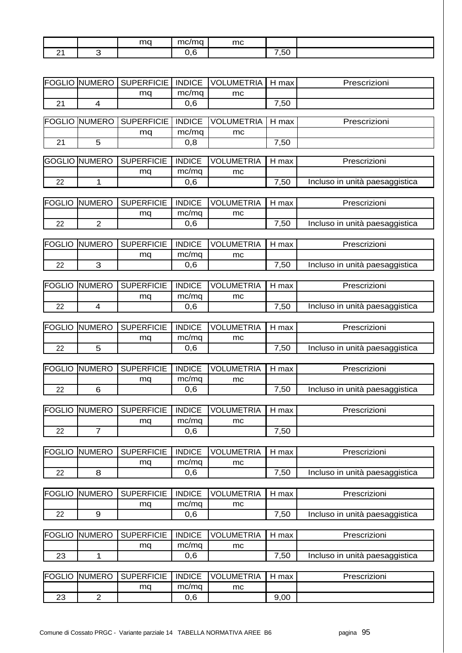|        | mq | $\sim$<br>$\sim$ | mc |                                            |  |
|--------|----|------------------|----|--------------------------------------------|--|
| -<br>- |    |                  |    | $\sim$<br>$\overline{\phantom{a}}$<br>ັ.ວເ |  |

| <b>FOGLIO</b> | <b>NUMERO</b>        | <b>SUPERFICIE</b> | <b>INDICE</b> | <b>VOLUMETRIA</b> | H max | Prescrizioni                   |
|---------------|----------------------|-------------------|---------------|-------------------|-------|--------------------------------|
|               |                      | mq                | mc/mq         | mc                |       |                                |
| 21            | $\overline{4}$       |                   | 0,6           |                   | 7,50  |                                |
|               |                      |                   |               |                   |       |                                |
| FOGLIO        | <b>NUMERO</b>        | <b>SUPERFICIE</b> | <b>INDICE</b> | <b>VOLUMETRIA</b> | H max | Prescrizioni                   |
|               |                      | mq                | mc/mq         | mc                |       |                                |
| 21            | 5                    |                   | 0,8           |                   | 7,50  |                                |
|               |                      |                   |               |                   |       |                                |
| <b>GOGLIO</b> | <b>NUMERO</b>        | <b>SUPERFICIE</b> | <b>INDICE</b> | <b>VOLUMETRIA</b> | H max | Prescrizioni                   |
|               |                      | mq                | mc/mq         | mc                |       |                                |
| 22            | $\mathbf{1}$         |                   | 0,6           |                   | 7,50  | Incluso in unità paesaggistica |
|               |                      |                   |               |                   |       |                                |
| <b>FOGLIO</b> | <b>NUMERO</b>        | <b>SUPERFICIE</b> | <b>INDICE</b> | <b>VOLUMETRIA</b> | H max | Prescrizioni                   |
|               |                      | mq                | mc/mq         | mc                |       |                                |
| 22            | $\overline{2}$       |                   | 0,6           |                   | 7,50  | Incluso in unità paesaggistica |
|               |                      |                   |               |                   |       |                                |
| <b>FOGLIO</b> | <b>NUMERO</b>        | <b>SUPERFICIE</b> | <b>INDICE</b> | <b>VOLUMETRIA</b> | H max | Prescrizioni                   |
|               |                      | mq                | mc/mq         | mc                |       |                                |
| 22            | 3                    |                   | 0,6           |                   | 7,50  | Incluso in unità paesaggistica |
|               |                      |                   |               |                   |       |                                |
| <b>FOGLIO</b> | <b>NUMERO</b>        | <b>SUPERFICIE</b> | <b>INDICE</b> | <b>VOLUMETRIA</b> | H max | Prescrizioni                   |
|               |                      | mq                | mc/mq         | mc                |       |                                |
| 22            | $\overline{4}$       |                   | 0,6           |                   | 7,50  | Incluso in unità paesaggistica |
|               |                      |                   |               |                   |       |                                |
| <b>FOGLIO</b> | <b>NUMERO</b>        | <b>SUPERFICIE</b> | <b>INDICE</b> | <b>VOLUMETRIA</b> | H max | Prescrizioni                   |
|               |                      |                   |               |                   |       |                                |
|               |                      | mq                | mc/mq         | mc                |       |                                |
| 22            | 5                    |                   | 0,6           |                   | 7,50  | Incluso in unità paesaggistica |
|               |                      |                   |               |                   |       |                                |
| <b>FOGLIO</b> | <b>NUMERO</b>        | <b>SUPERFICIE</b> | <b>INDICE</b> | <b>VOLUMETRIA</b> | H max | Prescrizioni                   |
|               |                      | mq                | mc/mq         | mc                |       |                                |
| 22            | 6                    |                   | 0,6           |                   | 7,50  | Incluso in unità paesaggistica |
|               |                      |                   |               |                   |       |                                |
|               | <b>FOGLIO NUMERO</b> | <b>SUPERFICIE</b> | <b>INDICE</b> | <b>VOLUMETRIA</b> | H max | Prescrizioni                   |
|               |                      | mq                | mc/mq         | mc                |       |                                |
| 22            | $\overline{7}$       |                   | 0,6           |                   | 7,50  |                                |
|               |                      |                   |               |                   |       |                                |
| <b>FOGLIO</b> | <b>NUMERO</b>        | <b>SUPERFICIE</b> | <b>INDICE</b> | <b>VOLUMETRIA</b> | H max | Prescrizioni                   |
|               |                      | mq                | mc/mq         | mc                |       |                                |
| 22            | 8                    |                   | 0,6           |                   | 7,50  | Incluso in unità paesaggistica |
|               |                      |                   |               |                   |       |                                |
| <b>FOGLIO</b> | <b>NUMERO</b>        | <b>SUPERFICIE</b> | <b>INDICE</b> | <b>VOLUMETRIA</b> | H max | Prescrizioni                   |
|               |                      | mq                | mc/mq         | mc                |       |                                |
| 22            | 9                    |                   | 0,6           |                   | 7,50  | Incluso in unità paesaggistica |
|               |                      |                   |               |                   |       |                                |
| <b>FOGLIO</b> | <b>NUMERO</b>        | <b>SUPERFICIE</b> | <b>INDICE</b> | <b>VOLUMETRIA</b> | H max | Prescrizioni                   |
|               |                      | mq                | mc/mq         | mc                |       |                                |
| 23            | $\mathbf{1}$         |                   | 0,6           |                   | 7,50  | Incluso in unità paesaggistica |
|               |                      |                   |               |                   |       |                                |
|               |                      |                   | <b>INDICE</b> |                   |       |                                |
| <b>FOGLIO</b> | <b>NUMERO</b>        | <b>SUPERFICIE</b> |               | <b>VOLUMETRIA</b> | H max | Prescrizioni                   |
|               |                      | mq                | mc/mq         | $mc\,$            |       |                                |

23 2 0,6 9,00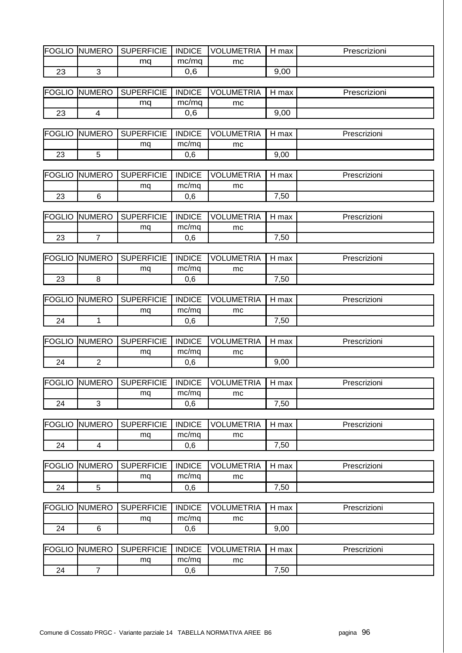| <b>FOGLIO</b> | <b>NUMERO</b>           | <b>SUPERFICIE</b> | <b>INDICE</b> | <b>VOLUMETRIA</b> | H max | Prescrizioni |
|---------------|-------------------------|-------------------|---------------|-------------------|-------|--------------|
|               |                         | mq                | mc/mq         | mc                |       |              |
| 23            | 3                       |                   | 0,6           |                   | 9,00  |              |
|               |                         |                   |               |                   |       |              |
| <b>FOGLIO</b> | <b>NUMERO</b>           | <b>SUPERFICIE</b> | <b>INDICE</b> | <b>VOLUMETRIA</b> | H max | Prescrizioni |
|               |                         | mq                | mc/mq         | mc                |       |              |
| 23            | $\overline{\mathbf{4}}$ |                   | 0,6           |                   | 9,00  |              |
|               |                         |                   |               |                   |       |              |
| <b>FOGLIO</b> | <b>NUMERO</b>           | <b>SUPERFICIE</b> | <b>INDICE</b> | <b>VOLUMETRIA</b> | H max | Prescrizioni |
|               |                         | mq                | mc/mq         | mc                |       |              |
| 23            | 5                       |                   | 0,6           |                   | 9,00  |              |
|               |                         |                   |               |                   |       |              |
| <b>FOGLIO</b> | <b>NUMERO</b>           | <b>SUPERFICIE</b> | <b>INDICE</b> | <b>VOLUMETRIA</b> | H max | Prescrizioni |
|               |                         | mq                | mc/mq         | mc                |       |              |
| 23            | 6                       |                   | 0,6           |                   | 7,50  |              |
|               |                         |                   |               |                   |       |              |
| <b>FOGLIO</b> | <b>NUMERO</b>           | <b>SUPERFICIE</b> | <b>INDICE</b> | <b>VOLUMETRIA</b> | H max | Prescrizioni |
|               |                         | mq                | mc/mq         | mc                |       |              |
| 23            | $\overline{7}$          |                   | 0,6           |                   | 7,50  |              |
| <b>FOGLIO</b> | <b>NUMERO</b>           | <b>SUPERFICIE</b> | <b>INDICE</b> | <b>VOLUMETRIA</b> | H max | Prescrizioni |
|               |                         |                   | mc/mq         |                   |       |              |
| 23            | 8                       | mq                |               | mc                | 7,50  |              |
|               |                         |                   | 0,6           |                   |       |              |
| <b>FOGLIO</b> | <b>NUMERO</b>           | <b>SUPERFICIE</b> | <b>INDICE</b> | <b>VOLUMETRIA</b> | H max | Prescrizioni |
|               |                         | mq                | mc/mq         | mc                |       |              |
| 24            | $\mathbf{1}$            |                   | 0,6           |                   | 7,50  |              |
|               |                         |                   |               |                   |       |              |
| <b>FOGLIO</b> | <b>NUMERO</b>           | <b>SUPERFICIE</b> | <b>INDICE</b> | <b>VOLUMETRIA</b> | H max | Prescrizioni |
|               |                         | mq                | mc/mq         | mc                |       |              |
| 24            | $\overline{2}$          |                   | 0,6           |                   | 9,00  |              |
|               |                         |                   |               |                   |       |              |
|               | <b>FOGLIO NUMERO</b>    | <b>SUPERFICIE</b> | <b>INDICE</b> | <b>VOLUMETRIA</b> | H max | Prescrizioni |
|               |                         | mq                | mc/mq         | mc                |       |              |
| 24            | 3                       |                   | 0,6           |                   | 7,50  |              |
|               |                         |                   |               |                   |       |              |
| <b>FOGLIO</b> | <b>NUMERO</b>           | <b>SUPERFICIE</b> | <b>INDICE</b> | <b>VOLUMETRIA</b> | H max | Prescrizioni |
|               |                         | mq                | mc/mq         | mc                |       |              |
| 24            | $\overline{4}$          |                   | 0,6           |                   | 7,50  |              |
|               |                         |                   |               |                   |       |              |
| <b>FOGLIO</b> | <b>NUMERO</b>           | <b>SUPERFICIE</b> | <b>INDICE</b> | <b>VOLUMETRIA</b> | H max | Prescrizioni |
|               |                         | mq                | mc/mq         | mc                |       |              |
| 24            | $\sqrt{5}$              |                   | 0,6           |                   | 7,50  |              |
|               |                         |                   |               |                   |       |              |
| <b>FOGLIO</b> | <b>NUMERO</b>           | <b>SUPERFICIE</b> | <b>INDICE</b> | <b>VOLUMETRIA</b> | H max | Prescrizioni |
|               |                         | mq                | mc/mq         | mc                |       |              |
| 24            | $\,6\,$                 |                   | 0,6           |                   | 9,00  |              |
|               |                         |                   |               |                   |       |              |
| <b>FOGLIO</b> | <b>NUMERO</b>           | <b>SUPERFICIE</b> | <b>INDICE</b> | <b>VOLUMETRIA</b> | H max | Prescrizioni |
|               |                         | mq                | mc/mq         | mc                |       |              |
| 24            | $\overline{7}$          |                   | 0,6           |                   | 7,50  |              |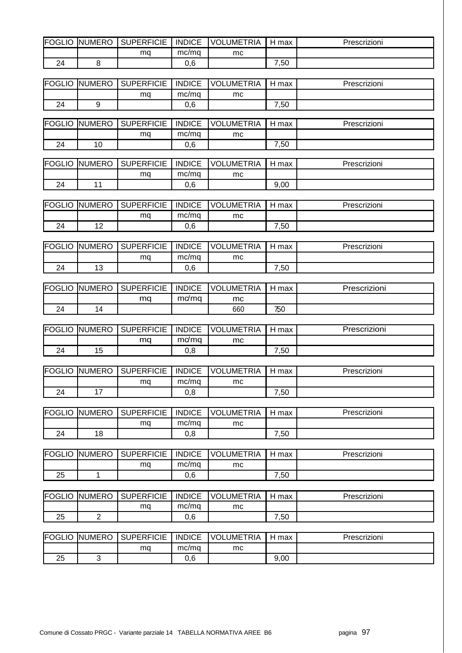| <b>FOGLIO</b> | UMERO<br>INI | <b>SUPERFICIE</b> | <b>INDICE</b> | <b>UMETRIA</b><br>VOL | H<br>max | Prescrizioni |
|---------------|--------------|-------------------|---------------|-----------------------|----------|--------------|
|               |              | ma                | mc/ma         | mc                    |          |              |
| 24            |              |                   | $\sim$<br>v.v |                       | ,50      |              |

| <b>IFOGLIO</b> | <b>NUMERO</b> | <b>SUPERFICIE</b> | <b>INDICE</b> | LUMETRIA<br>VOL | max<br>н | Prescrizioni |
|----------------|---------------|-------------------|---------------|-----------------|----------|--------------|
|                |               | ma                | mc/mq         | mc              |          |              |
| 24             |               |                   | ົ<br>v.v      |                 | 50,      |              |

| <b>FOGLIO</b> | <b>UMERO</b><br>INI | <b>SUPERFICIE</b> | <b>INDICE</b> | .UMETRIA<br><b>VOL</b> | max | Prescrizioni |
|---------------|---------------------|-------------------|---------------|------------------------|-----|--------------|
|               |                     | ma                | mc/ma         | mc                     |     |              |
| 24            | 1 C                 |                   | 0,6           |                        | ,50 |              |

| <b>IFOGL</b><br>$\mathsf{IC}$<br>◡੶੶੶ | UMERO<br>INĽ | <b>SUPERFICIE</b> | <b>INDICE</b> | <b>JMETRIA</b><br>וחע | max  | Prescrizioni |
|---------------------------------------|--------------|-------------------|---------------|-----------------------|------|--------------|
|                                       |              | ma                | mc/mq         | mc                    |      |              |
| 74                                    |              |                   | 0,6           |                       | 9,00 |              |

| FOGLIO | <b>NUMERO</b> | <b>SUPERFICIE</b> | <b>INDICE</b> | <b>VOLUMETRIA</b> | max | Prescrizioni |
|--------|---------------|-------------------|---------------|-------------------|-----|--------------|
|        |               | ma                | mc/ma         | mc                |     |              |
| 74     | 1 C<br>$-$    |                   | 0,6           |                   | ,50 |              |

| <b>FOGLIO</b> | <b>UMERO</b><br>INI   | <b>SUPERFICIE</b> | <b>INDICE</b> | .UMETRIA<br><b>VOL</b> | max | Prescrizioni |
|---------------|-----------------------|-------------------|---------------|------------------------|-----|--------------|
|               |                       | ma                | mc/mq         | mc                     |     |              |
| 24            | $\overline{A}$<br>. ب |                   | 0,6           |                        | ,50 |              |

| FOGLIO | <b>NUMERO</b>           | <b>SUPERFICIE</b> | <b>INDICE</b> | _UMETRIA<br>VOL. | max | Prescrizioni |
|--------|-------------------------|-------------------|---------------|------------------|-----|--------------|
|        |                         | ma                | mơ ma         | mc               |     |              |
| 24     | $\overline{\mathbf{r}}$ |                   |               | 660              | 750 |              |

| <b>IFOGLIO</b> | <b>NUMERO</b> | <b>SUPERFICIE</b> | <b>INDICE</b> | LUMETRIA<br>VOL | max            | Prescrizioni |
|----------------|---------------|-------------------|---------------|-----------------|----------------|--------------|
|                |               | ma                | mơ ma         | mc              |                |              |
| 24             | 1 E<br>◡      |                   | - 0<br>v.o    |                 | $^{\prime},50$ |              |

| <b>FOGLIO</b> | <b>UMERO</b><br>INL | <b>SUPERFICIE</b> | <b>INDICE</b> | UMETRIA.<br>VOL | max | Prescrizioni |
|---------------|---------------------|-------------------|---------------|-----------------|-----|--------------|
|               |                     | ma                | mc/ma         | mc              |     |              |
| 24            |                     |                   | 0,8           |                 | ,50 |              |

| <b>FOGLIO</b> | <b>NUMERO</b> | <b>SUPERFICIE</b> | <b>INDICE</b> | UMETRIA.<br>VOL | max      | Prescrizioni |
|---------------|---------------|-------------------|---------------|-----------------|----------|--------------|
|               |               | ma                | mc/ma         | mc              |          |              |
| 24            | 18            |                   | 8,0           |                 | ,50<br>– |              |

| <b>FOGLIO</b> | <b>NUMERO</b> | <b>SUPERFICIE</b> | <b>INDICE</b> | VOLUMETRIA | max           | Prescrizioni |
|---------------|---------------|-------------------|---------------|------------|---------------|--------------|
|               |               | ma                | mc/mg         | mc         |               |              |
| つに<br>ںے      |               |                   | 0,6           |            | $^{\cdot,50}$ |              |

| FOGLIO   | <b>NUMERO</b> | <b>SUPERFICIE</b> | <b>INDICE</b> | UMETRIA.<br><b>VOL</b> | max      | Prescrizioni |
|----------|---------------|-------------------|---------------|------------------------|----------|--------------|
|          |               | mq                | mc/mq         | mc                     |          |              |
| つに<br>دے | -             |                   | 0,6           |                        | ,50<br>– |              |

| <b>FOGLIO</b> | <b>UMERO</b><br>-INt | <b>SUPERFICIE</b> | <b>INDICE</b> | UMETRIA.<br><b>VOL</b> | max  | Prescrizioni |
|---------------|----------------------|-------------------|---------------|------------------------|------|--------------|
|               |                      | ma                | mc/mg         | mc                     |      |              |
| っに<br>ںے      |                      |                   | 0,6           |                        | 9,00 |              |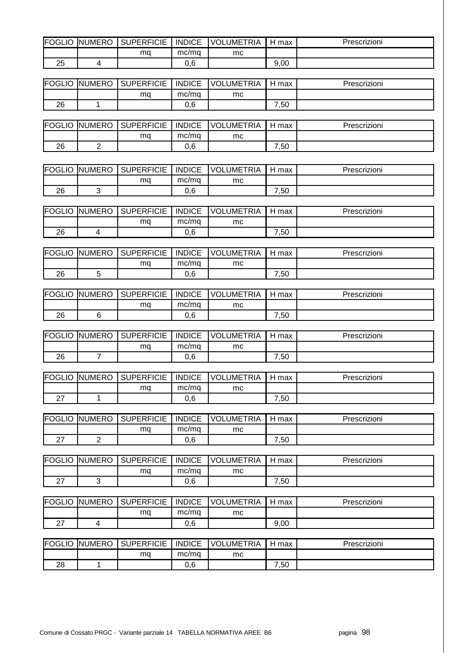| FOGLIO   | UMERO<br>INI. | <b>SUPERFICIE</b> | <b>INDICE</b> | LUMETRIA<br><b>VOL</b> | max<br>н | Prescrizioni |
|----------|---------------|-------------------|---------------|------------------------|----------|--------------|
|          |               | ma                | mc/ma         | mc                     |          |              |
| つに<br>دے |               |                   | 0,6           |                        | 9,00     |              |

| <b>IFOGLIO</b> | <b>NUMERO</b> | <b>SUPERFICIE</b> | <b>INDICE</b> | LUMETRIA<br>VOL | max           | Prescrizioni |
|----------------|---------------|-------------------|---------------|-----------------|---------------|--------------|
|                |               | ma                | mc/mq         | mc              |               |              |
| 26             |               |                   | $\sim$<br>v.v |                 | $^{\cdot,50}$ |              |

| FOGLIO | <b>NUMERO</b> | <b>SUPERFICIE</b> | <b>INDICE</b> | <b>VOLUMETRIA</b> | max      | Prescrizioni |
|--------|---------------|-------------------|---------------|-------------------|----------|--------------|
|        |               | ma                | mc/ma         | mc                |          |              |
| 26     | -             |                   | 0,6           |                   | ,50<br>- |              |

| <b>FOGLIO</b> | UMERO<br>INI | <b>SUPERFICIE</b> | <b>INDICE</b> | UMETRIA.<br>VOL. | max  | Prescrizioni |
|---------------|--------------|-------------------|---------------|------------------|------|--------------|
|               |              | ma                | mc/ma         | mc               |      |              |
| 26            |              |                   | 0,6           |                  | ',50 |              |

| <b>I</b> FOGL<br>GLIC | <b>NUMERO</b> | <b>SUPERFICIE</b> | <b>INDICE</b> | <b>UMETRIA</b><br>VOL | max | Prescrizioni |
|-----------------------|---------------|-------------------|---------------|-----------------------|-----|--------------|
|                       |               | ma                | mc/mg         | mc                    |     |              |
| 26                    |               |                   | 0,6           |                       | ,50 |              |

| <b>FOGLIO</b> | <b>NUMERO</b> | <b>SUPERFICIE</b> | <b>INDICE</b> | UMETRIA<br><b>VOL</b> | max      | Prescrizioni |
|---------------|---------------|-------------------|---------------|-----------------------|----------|--------------|
|               |               | ma                | mc/ma         | mc                    |          |              |
| 26            |               |                   | 0,6           |                       | ,50<br>- |              |

| <b>FOGLIO</b> | <b>NUMERO</b> | <b>SUPERFICIE</b> | <b>INDICE</b> | <b>JMETRIA</b><br>VOL | max      | Prescrizioni |
|---------------|---------------|-------------------|---------------|-----------------------|----------|--------------|
|               |               | ma                | mc/ma         | mc                    |          |              |
| 26            |               |                   | 0,6           |                       | ,50<br>- |              |

| <b>IFOGLIO</b> | <b>NUMERO</b> | <b>SUPERFICIE</b> | <b>INDICE</b> | <b>UMETRIA</b><br><b>VOLI</b> | max            | Prescrizioni |
|----------------|---------------|-------------------|---------------|-------------------------------|----------------|--------------|
|                |               | mq                | mc/mq         | mc                            |                |              |
| 26             |               |                   | 0,6           |                               | $^{\prime},50$ |              |

| <b>IFOGL</b><br>OGLIC | <b>NUMERO</b> | <b>SUPERFICIE</b> | <b>INDICE</b> | <b>UMETRIA</b><br><b>VOL</b> | max           | Prescrizioni |
|-----------------------|---------------|-------------------|---------------|------------------------------|---------------|--------------|
|                       |               | mq                | mc/mg         | mc                           |               |              |
|                       |               |                   | 0,6           |                              | $^{\cdot,50}$ |              |

| FOGLIO   | <b>NUMERO</b> | <b>SUPERFICIE</b> | <b>INDICE</b> | <b>UMETRIA</b><br>VOL | max      | Prescrizioni |
|----------|---------------|-------------------|---------------|-----------------------|----------|--------------|
|          |               | ma                | mc/ma         | mc                    |          |              |
| <u>.</u> | -             |                   | 0,6           |                       | ,50<br>- |              |

| <b>FOGLIO</b> | <b>NUMERO</b> | SUPERFICIE | <b>INDICE</b> | <b>VOLUMETRIA</b> | max  | Prescrizioni |
|---------------|---------------|------------|---------------|-------------------|------|--------------|
|               |               | ma         | mc/ma         | mc                |      |              |
| -             |               |            | 0.6           |                   | 7,50 |              |

| <b>FOGLIO</b> | <b>INUMERO</b> | <b>SUPERFICIE</b> | <b>INDICE</b> | UMETRIA<br>VOL' | max  | Prescrizioni |
|---------------|----------------|-------------------|---------------|-----------------|------|--------------|
|               |                | ma                | mc/mq         | mc              |      |              |
| <u>.</u>      |                |                   | 0,6           |                 | 9,00 |              |

| FOGLIO | <b>INUMERO</b> | <b>SUPERFICIE</b> | <b>INDICE</b> | UMETRIA<br>VOLI | max | Prescrizioni |
|--------|----------------|-------------------|---------------|-----------------|-----|--------------|
|        |                | ma                | mc/ma         | mc              |     |              |
| 28     |                |                   | 0,6           |                 | ,50 |              |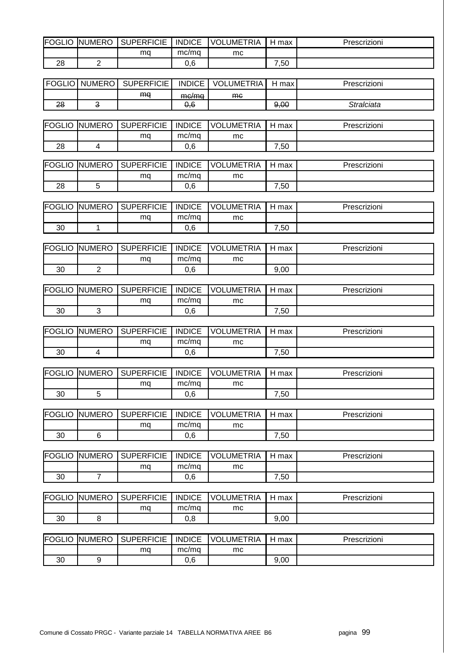| FOGLIO | UMERO<br>INl | <b>SUPERFICIE</b> | <b>INDICE</b> | _UMETRIA<br><b>VOL</b> | H<br>max       | Prescrizioni |
|--------|--------------|-------------------|---------------|------------------------|----------------|--------------|
|        |              | ma                | mc/mq         | mc                     |                |              |
| 28     | -            |                   | 0,6           |                        | $^{\prime},50$ |              |

| <b>FOGLIO</b> | <b>NUMERO</b> | <b>SUPERFICIE</b> | <b>INDICE</b>                        | LUMETRIA<br>VOL | н<br>max | <i>Prescrizioni</i> |
|---------------|---------------|-------------------|--------------------------------------|-----------------|----------|---------------------|
|               |               | ma                | $m \sim /m \sim$<br><del>monnu</del> | <b>me</b>       |          |                     |
| 28            | U             |                   | 0,6                                  |                 | 9,00     | Stralciata          |

| mc/ma<br>ma<br>mc |    | <b>FOGLIO NUMERO</b> | <b>SUPERFICIE</b> | <b>INDICE</b> | <b>VOLUMETRIA</b> | l max<br>⊣ | Prescrizioni |
|-------------------|----|----------------------|-------------------|---------------|-------------------|------------|--------------|
|                   |    |                      |                   |               |                   |            |              |
|                   | 28 |                      |                   | 0,6           |                   | ,50        |              |

| FOGLIO  | <b>UMERO</b><br>INI | <b>SUPERFICIE</b> | <b>INDICE</b> | UMETRIA.<br>-VOL | max           | Prescrizioni |
|---------|---------------------|-------------------|---------------|------------------|---------------|--------------|
|         |                     | ma                | mc/ma         | mc               |               |              |
| റ൦<br>د |                     |                   | 0.6           |                  | $^{\cdot,50}$ |              |

| <b>IFOGLIO</b> | <b>NUMERO</b> | <b>SUPERFICIE</b> | <b>INDICE</b> | UMETRIA<br><b>VOL</b> | max | Prescrizioni |
|----------------|---------------|-------------------|---------------|-----------------------|-----|--------------|
|                |               | ma                | mc/ma         | mc                    |     |              |
| 30             |               |                   | 0,6           |                       | ,50 |              |

| <b>FOGLIO</b> | <b>UMERO</b><br>INl | <b>SUPERFICIE</b> | <b>INDICE</b> | .UMETRIA<br><b>VOL</b> | max  | Prescrizioni |
|---------------|---------------------|-------------------|---------------|------------------------|------|--------------|
|               |                     | ma                | mc/ma         | mc                     |      |              |
| 30            | -                   |                   | 0,6           |                        | 9,00 |              |

| <b>FOGLIO</b> | <b>NUMERO</b> | <b>SUPERFICIE</b> | <b>INDICE</b> | <b>JMETRIA</b><br>VOL | max      | Prescrizioni |
|---------------|---------------|-------------------|---------------|-----------------------|----------|--------------|
|               |               | ma                | mc/ma         | mc                    |          |              |
| 30            |               |                   | 0,6           |                       | ,50<br>- |              |

| FOGLIO | IUMERO<br>INL | <b>SUPERFICIE</b> | <b>INDICE</b> | LUMETRIA<br>וחא | max  | Prescrizioni |
|--------|---------------|-------------------|---------------|-----------------|------|--------------|
|        |               | ma                | mc/ma         | mc              |      |              |
| 30     |               |                   | 0,6           |                 | ',50 |              |

| <b>FOGLIO</b> | <b>NUMERO</b> | <b>SUPERFICIE</b> | <b>INDICE</b> | <b>LUMETRIA</b><br><b>VOL</b> | max | Prescrizioni |
|---------------|---------------|-------------------|---------------|-------------------------------|-----|--------------|
|               |               | mq                | mc/ma         | mc                            |     |              |
| 30            |               |                   | 0,6           |                               | ,50 |              |

| <b>IFOGLIO</b> | <b>UMERO</b><br>INI | <b>SUPERFICIE</b> | <b>INDICE</b> | _UMETRIA<br><b>VOL</b> | max            | Prescrizioni |
|----------------|---------------------|-------------------|---------------|------------------------|----------------|--------------|
|                |                     | ma                | mc/ma         | mc                     |                |              |
| 30             |                     |                   | 0,6           |                        | $^{\prime},50$ |              |

| <b>FOGLIO</b> | <b>NUMERO</b> | <b>SUPERFICIE</b> | <b>INDICE</b> | <b>VOLUMETRIA</b> | max | Prescrizioni |
|---------------|---------------|-------------------|---------------|-------------------|-----|--------------|
|               |               | ma                | mc/ma         | mc                |     |              |
| 30            |               |                   | 0,6           |                   | ,50 |              |

| FOGLIO | <b>NUMERO</b> | <b>SUPERFICIE</b> | <b>INDICE</b> | <b>UMETRIA</b><br><b>VOL</b> | max  | Prescrizioni |
|--------|---------------|-------------------|---------------|------------------------------|------|--------------|
|        |               | ma                | mc/mq         | mc                           |      |              |
| 30     |               |                   | $_{0,8}$      |                              | 9,00 |              |

| <b>FOGLIO</b> | <b>UMERO</b><br>INI | <b>SUPERFICIE</b> | <b>INDICE</b> | UMETRIA<br>VOL | max  | Prescrizioni |
|---------------|---------------------|-------------------|---------------|----------------|------|--------------|
|               |                     | ma                | mc/ma         | mc             |      |              |
| 30            |                     |                   | 0,6           |                | 9,00 |              |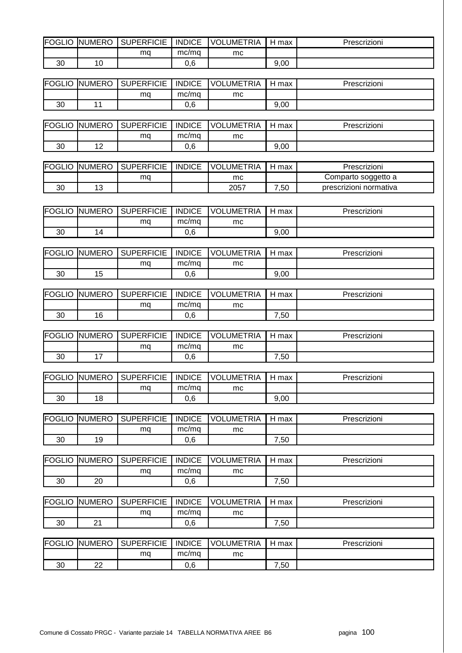| FOGLIO | <b>NUMERO</b> | <b>SUPERFICIE</b> | <b>INDICE</b> | UMETRIA. | max  | <i>'</i> rescrizioni |
|--------|---------------|-------------------|---------------|----------|------|----------------------|
|        |               | mq                | mc/ma         | mc       |      |                      |
| 30     | 10            |                   | ົ<br>U.b      |          | 9,00 |                      |

| FOGLIO | <b>INUMERO</b> | <b>SUPERFICIE</b> | <b>INDICE</b> | UMETRIA.<br>VOL | max  | Prescrizioni |
|--------|----------------|-------------------|---------------|-----------------|------|--------------|
|        |                | ma                | mc/ma         | mc              |      |              |
| 30     |                |                   | ົ<br>U.b      |                 | 9,00 |              |

| <b>IFOGLIO</b> | <b>NUMERO</b>        | <b>SUPERFICIE</b> | <b>INDICE</b> | UMETRIA.<br>VOL | max  | Prescrizioni |
|----------------|----------------------|-------------------|---------------|-----------------|------|--------------|
|                |                      | mq                | mc/ma         | mc              |      |              |
| 30             | $\sim$<br>. <u>.</u> |                   | 0,6           |                 | 9,00 |              |

| <b>FOGLIO</b> | JMERO.<br>-INI | <b>SUPERFICIE</b> | <b>INDICE</b> | LUMETRIA<br><b>VOL</b> | max | Prescrizioni           |
|---------------|----------------|-------------------|---------------|------------------------|-----|------------------------|
|               |                | ma                |               | mc                     |     | Comparto soggetto a    |
| 30            | $\sim$<br>. ب  |                   |               | 2057                   | ,50 | prescrizioni normativa |

| <b>FOGLIO</b> | UMERO<br>INI. | <b>SUPERFICIE</b> | <b>INDICE</b> | <b>JMETRIA</b><br>VOL | max  | Prescrizioni |
|---------------|---------------|-------------------|---------------|-----------------------|------|--------------|
|               |               | ma                | mc/mq         | mc                    |      |              |
| 30            | 4             |                   | 0,6           |                       | 9,00 |              |

| FOGLIO | <b>NUMERO</b>    | <b>SUPERFICIE</b> | <b>INDICE</b> | <b>UMETRIA</b><br><b>VOLI</b> | max<br>⊣ | Prescrizioni |
|--------|------------------|-------------------|---------------|-------------------------------|----------|--------------|
|        |                  | ma                | mc/ma         | mc                            |          |              |
| 30     | . .<br>1 L<br>∪י |                   | 0,6           |                               | 9,00     |              |

| <b>FOGLIO</b> | UMERO<br>INI. | <b>SUPERFICIE</b> | <b>INDICE</b> | <b>UMETRIA</b><br>VOL | max      | Prescrizioni |
|---------------|---------------|-------------------|---------------|-----------------------|----------|--------------|
|               |               | ma                | mc/ma         | mc                    |          |              |
| 30            | 16            |                   | 0,6           |                       | ,50<br>– |              |

| <b>IFOGLIO</b> | <b>NUMERO</b> | <b>SUPERFICIE</b> | <b>INDICE</b> | <b>VOLUMETRIA</b> | max            | Prescrizioni |
|----------------|---------------|-------------------|---------------|-------------------|----------------|--------------|
|                |               | mq                | mc/mq         | mc                |                |              |
| 30             |               |                   | 0,6           |                   | $^{\prime},50$ |              |

| FOGLIO | <b>INUMERO</b> | <b>SUPERFICIE</b> | <b>INDICE</b> | UMETRIA<br><b>VOL</b> | max  | Prescrizioni |
|--------|----------------|-------------------|---------------|-----------------------|------|--------------|
|        |                | ma                | mc/ma         | mc                    |      |              |
| 30     | 18             |                   | 0,6           |                       | 9,00 |              |

| <b>FOGLIO</b> | <b>NUMERO</b> | <b>SUPERFICIE</b> | <b>INDICE</b> | UMETRIA.<br>VOL | max      | Prescrizioni |
|---------------|---------------|-------------------|---------------|-----------------|----------|--------------|
|               |               | ma                | mc/ma         | mc              |          |              |
| 30            | 19            |                   | 0,6           |                 | ,50<br>- |              |

| <b>FOGLIO</b> | IUMERO<br>INL | <b>SUPERFICIE</b> | <b>INDICE</b> | UMETRIA<br>VOLI | max | Prescrizioni |
|---------------|---------------|-------------------|---------------|-----------------|-----|--------------|
|               |               | ma                | mc/mq         | mc              |     |              |
| 30            | ററ<br>∠∪      |                   | 0,6           |                 | ,50 |              |

| FOGLIO | IUMERO<br>INL | <b>SUPERFICIE</b><br>SL | <b>INDICE</b> | UMETRIA<br>VOL' | max | Prescrizioni |
|--------|---------------|-------------------------|---------------|-----------------|-----|--------------|
|        |               | mq                      | mc/mq         | mc              |     |              |
| 30     | ົ<br><u>_</u> |                         | 0,6           |                 | ,50 |              |

| FOGLIO | <b>NUMERO</b> | <b>SUPERFICIE</b><br>SI | <b>INDICE</b> | <b>UMETRIA</b><br>VOL | max | Prescrizioni |
|--------|---------------|-------------------------|---------------|-----------------------|-----|--------------|
|        |               | ma                      | mc/mq         | mc                    |     |              |
| 30     | nn<br>▵       |                         | 0,6           |                       | ,50 |              |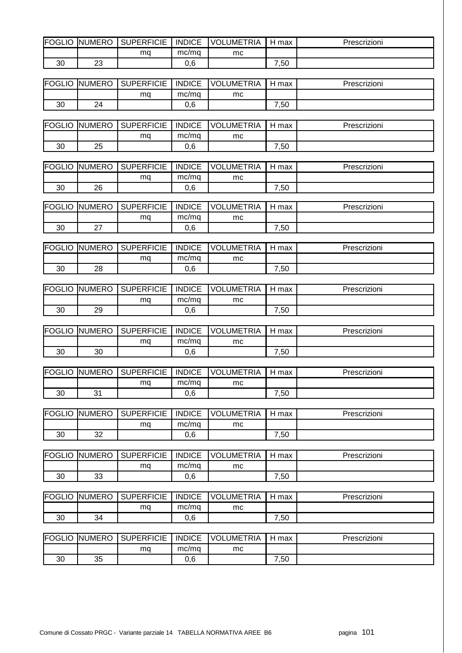| FOGLIO | UMERO<br>INI. | <b>SUPERFICIE</b> | <b>INDICE</b> | <b>UMETRIA</b><br>VC | H<br>max | Prescrizioni |
|--------|---------------|-------------------|---------------|----------------------|----------|--------------|
|        |               | ma                | mc/ma         | mc                   |          |              |
| 30     | $\sim$<br>້   |                   | ົ<br>v.v      |                      | ,50      |              |

| <b>IFOGLIO</b> | <b>NUMERO</b> | <b>SUPERFICIE</b> | <b>INDICE</b> | UMETRIA<br>VOL. | max | Prescrizioni |
|----------------|---------------|-------------------|---------------|-----------------|-----|--------------|
|                |               | ma                | mc/ma         | mc              |     |              |
| 30             | 24            |                   | $\sim$<br>v.v |                 | ,50 |              |

| <b>FOGLIO</b> | <b>NUMERO</b> | <b>SUPERFICIE</b> | <b>INDICE</b> | <b>VOLUMETRIA</b> | max      | Prescrizioni |
|---------------|---------------|-------------------|---------------|-------------------|----------|--------------|
|               |               | mq                | mc/ma         | mc                |          |              |
| 30            | つに<br>ںے      |                   | 0,6           |                   | ,50<br>– |              |

| <b>FOGLIO</b> | <b>NUMERO</b> | <b>SUPERFICIE</b> | <b>INDICE</b> | JMETRIA<br>וחורי | max           | Prescrizioni |
|---------------|---------------|-------------------|---------------|------------------|---------------|--------------|
|               |               | ma                | mc/mq         | mc               |               |              |
| 30            | 26            |                   | 0.6           |                  | $^{\cdot,50}$ |              |

| <b>IFOGL</b><br>◡└○ | UMERO<br>IN! | <b>SUPERFICIE</b> | <b>INDICE</b> | <b>JMETRIA</b><br>VOL | max                | Prescrizioni |
|---------------------|--------------|-------------------|---------------|-----------------------|--------------------|--------------|
|                     |              | ma                | mc/ma         | mc                    |                    |              |
| 30                  | $\sim$       |                   | 0.6           |                       | $^{\cdot,50}$<br>- |              |

| <b>FOGLIO</b> | <b>UMERO</b><br>INI | <b>SUPERFICIE</b> | <b>INDICE</b> | <b>UMETRIA</b><br>VOL | max      | Prescrizioni |
|---------------|---------------------|-------------------|---------------|-----------------------|----------|--------------|
|               |                     | mq                | mc/mq         | mc                    |          |              |
| 30            | 28                  |                   | 0,6           |                       | ,50<br>- |              |

| <b>IFOGLIO</b> | <b>NUMERO</b> | <b>SUPERFICIE</b> | <b>INDICE</b> | <b>UMETRIA</b><br>VOL | max      | Prescrizioni |
|----------------|---------------|-------------------|---------------|-----------------------|----------|--------------|
|                |               | ma                | mc/ma         | mc                    |          |              |
| 30             | 29            |                   | 0,6           |                       | ,50<br>– |              |

| FOGLIO | <b>NUMERO</b> | <b>SUPERFICIE</b> | <b>INDICE</b> | <b>VOLUMETRIA</b> | max       | Prescrizioni |
|--------|---------------|-------------------|---------------|-------------------|-----------|--------------|
|        |               | ma                | mc/ma         | mc                |           |              |
| 30     | 30            |                   | 0,6           |                   | -<br>7,50 |              |

| FOGLIO | <b>NUMERO</b> | <b>SUPERFICIE</b> | <b>INDICE</b> | .UMETRIA<br><b>VOL</b> | max      | Prescrizioni |
|--------|---------------|-------------------|---------------|------------------------|----------|--------------|
|        |               | ma                | mc/mg         | mc                     |          |              |
| 30     | 21<br>ັ       |                   | 0,6           |                        | ,50<br>- |              |

| <b>IFOGLIO</b> | UMERO<br>INl  | <b>SUPERFICIE</b> | <b>INDICE</b> | UMETRIA.<br><b>VOL</b> | max            | Prescrizioni |
|----------------|---------------|-------------------|---------------|------------------------|----------------|--------------|
|                |               | ma                | mc/mg         | mc                     |                |              |
| 30             | $\Omega$<br>ັ |                   | 0.6           |                        | $^{\prime},50$ |              |

| <b>FOGLIO</b> | <b>NUMERO</b> | <b>SUPERFICIE</b> | <b>INDICE</b> | <b>VOLUMETRIA</b> | max      | Prescrizioni |
|---------------|---------------|-------------------|---------------|-------------------|----------|--------------|
|               |               | ma                | mc/ma         | mc                |          |              |
| 30            | າາ<br>ບບ      |                   | 0,6           |                   | ,50<br>- |              |

| FOGLIO | <b>INUMERO</b> | <b>SUPERFICIE</b> | <b>INDICE</b> | <b>JMETRIA</b><br>VOL | max      | Prescrizioni |
|--------|----------------|-------------------|---------------|-----------------------|----------|--------------|
|        |                | ma                | mc/mq         | mc                    |          |              |
| 30     | 34             |                   | 0,6           |                       | ,50<br>- |              |

| <b>FOGLIO</b> | <b>UMERO</b><br>INI | <b>SUPERFICIE</b> | <b>INDICE</b> | LUMETRIA<br>VOL | max  | Prescrizioni |
|---------------|---------------------|-------------------|---------------|-----------------|------|--------------|
|               |                     | ma                | mc/ma         | mc              |      |              |
| 30            | つに<br>ິ             |                   | 0,6           |                 | ',50 |              |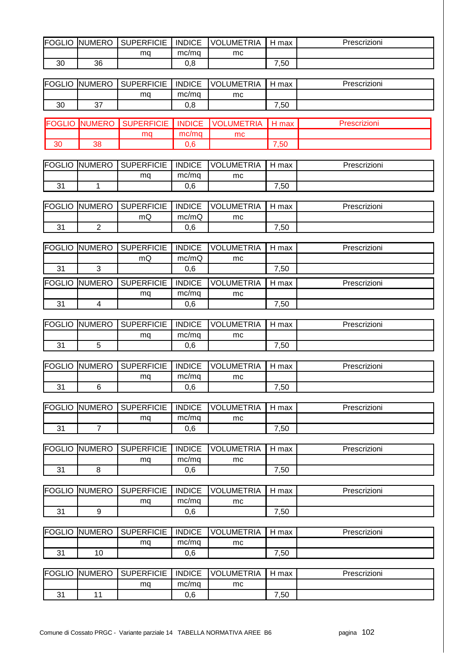| <b>FOGLIO</b> | <b>NUMERO</b>  | <b>SUPERFICIE</b> | <b>INDICE</b> | <b>VOLUMETRIA</b> | H max | Prescrizioni |
|---------------|----------------|-------------------|---------------|-------------------|-------|--------------|
|               |                | mq                | mc/mq         | mc                |       |              |
| 30            | 36             |                   | 0,8           |                   | 7,50  |              |
|               |                |                   |               |                   |       |              |
| <b>FOGLIO</b> | <b>NUMERO</b>  | <b>SUPERFICIE</b> | <b>INDICE</b> | <b>VOLUMETRIA</b> | H max | Prescrizioni |
|               |                | mq                | mc/mq         | mc                |       |              |
| 30            | 37             |                   | 0,8           |                   | 7,50  |              |
|               |                |                   |               |                   |       |              |
| <b>FOGLIO</b> | <b>NUMERO</b>  | <b>SUPERFICIE</b> | <b>INDICE</b> | <b>VOLUMETRIA</b> | H max | Prescrizioni |
|               |                | mq                | mc/mq         | mc                |       |              |
| 30            | 38             |                   | 0,6           |                   | 7,50  |              |
|               |                |                   |               |                   |       |              |
| <b>FOGLIO</b> | <b>NUMERO</b>  | <b>SUPERFICIE</b> | <b>INDICE</b> | <b>VOLUMETRIA</b> | H max | Prescrizioni |
|               |                | mq                | mc/mq         | mc                |       |              |
| 31            | 1              |                   | 0,6           |                   | 7,50  |              |
|               |                |                   |               |                   |       |              |
| <b>FOGLIO</b> | <b>NUMERO</b>  | <b>SUPERFICIE</b> | <b>INDICE</b> | <b>VOLUMETRIA</b> | H max | Prescrizioni |
|               |                | mQ                | mc/mQ         | mc                |       |              |
| 31            | $\overline{2}$ |                   | 0,6           |                   | 7,50  |              |
|               |                |                   |               |                   |       |              |
| <b>FOGLIO</b> | <b>NUMERO</b>  | <b>SUPERFICIE</b> | <b>INDICE</b> | <b>VOLUMETRIA</b> | H max | Prescrizioni |
|               |                | mQ                | mc/mQ         | mc                |       |              |
| 31            | 3              |                   | 0,6           |                   | 7,50  |              |
| <b>FOGLIO</b> | <b>NUMERO</b>  | <b>SUPERFICIE</b> | <b>INDICE</b> | <b>VOLUMETRIA</b> | H max | Prescrizioni |
|               |                | mq                | mc/mq         | mc                |       |              |
| 31            | $\overline{4}$ |                   | 0,6           |                   | 7,50  |              |
|               |                |                   |               |                   |       |              |
| <b>FOGLIO</b> | <b>NUMERO</b>  | <b>SUPERFICIE</b> | <b>INDICE</b> | <b>VOLUMETRIA</b> | H max | Prescrizioni |
|               |                | mq                | mc/mq         | mc                |       |              |
| 31            | 5              |                   | 0,6           |                   | 7,50  |              |
|               |                |                   |               |                   |       |              |
| <b>FOGLIO</b> | <b>NUMERO</b>  | <b>SUPERFICIE</b> | <b>INDICE</b> | <b>VOLUMETRIA</b> | H max | Prescrizioni |
|               |                | mq                | mc/mq         | mc                |       |              |
| 31            | 6              |                   | 0,6           |                   | 7,50  |              |
|               |                |                   |               |                   |       |              |
| <b>FOGLIO</b> |                |                   |               |                   |       |              |
|               | <b>NUMERO</b>  | <b>SUPERFICIE</b> | <b>INDICE</b> | <b>VOLUMETRIA</b> | H max | Prescrizioni |
|               |                |                   |               |                   |       |              |
| 31            | $\overline{7}$ | mq                | mc/mq         | mc                |       |              |
|               |                |                   | 0,6           |                   | 7,50  |              |
|               |                | <b>SUPERFICIE</b> | <b>INDICE</b> |                   |       |              |
| <b>FOGLIO</b> | <b>NUMERO</b>  |                   |               | <b>VOLUMETRIA</b> | H max | Prescrizioni |
|               |                | mq                | mc/mq         | mc                |       |              |
| 31            | 8              |                   | 0,6           |                   | 7,50  |              |
|               | <b>NUMERO</b>  | <b>SUPERFICIE</b> | <b>INDICE</b> | <b>VOLUMETRIA</b> |       | Prescrizioni |
| <b>FOGLIO</b> |                |                   |               |                   | H max |              |
|               | 9              | mq                | mc/mq         | mc                |       |              |
| 31            |                |                   | 0,6           |                   | 7,50  |              |
|               |                |                   |               |                   |       |              |
| <b>FOGLIO</b> | <b>NUMERO</b>  | <b>SUPERFICIE</b> | <b>INDICE</b> | <b>VOLUMETRIA</b> | H max | Prescrizioni |
|               |                | mq                | mc/mq         | mc                |       |              |
| 31            | 10             |                   | 0,6           |                   | 7,50  |              |
|               |                |                   |               |                   |       |              |
| <b>FOGLIO</b> | <b>NUMERO</b>  | <b>SUPERFICIE</b> | <b>INDICE</b> | <b>VOLUMETRIA</b> | H max | Prescrizioni |
| 31            | 11             | mq                | mc/mq<br>0,6  | mc                | 7,50  |              |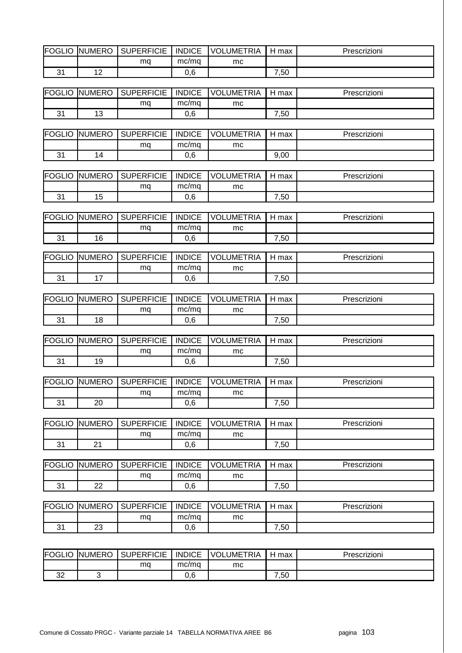| FOGLIO        | <b>NUMERO</b>        | <b>SUPERFICIE</b> | <b>INDICE</b> | <b>VOLUMETRIA</b> | H max | Prescrizioni |
|---------------|----------------------|-------------------|---------------|-------------------|-------|--------------|
|               |                      | mq                | mc/mq         | mc                |       |              |
| 31            | 12                   |                   | 0,6           |                   | 7,50  |              |
|               |                      |                   |               |                   |       |              |
| <b>FOGLIO</b> | <b>NUMERO</b>        | <b>SUPERFICIE</b> | <b>INDICE</b> | <b>VOLUMETRIA</b> | H max | Prescrizioni |
|               |                      | mq                | mc/mq         | mc                |       |              |
| 31            | 13                   |                   | 0,6           |                   | 7,50  |              |
|               |                      |                   |               |                   |       |              |
| <b>FOGLIO</b> | <b>NUMERO</b>        | <b>SUPERFICIE</b> | <b>INDICE</b> | <b>VOLUMETRIA</b> | H max | Prescrizioni |
|               |                      | mq                | mc/mq         | mc                |       |              |
| 31            | 14                   |                   | 0,6           |                   | 9,00  |              |
|               |                      |                   |               |                   |       |              |
| <b>FOGLIO</b> | <b>NUMERO</b>        | <b>SUPERFICIE</b> | <b>INDICE</b> | <b>VOLUMETRIA</b> | H max | Prescrizioni |
|               |                      | mq                | mc/mq         | mc                |       |              |
| 31            | 15                   |                   | 0,6           |                   | 7,50  |              |
|               |                      |                   |               |                   |       |              |
| <b>FOGLIO</b> | <b>NUMERO</b>        | <b>SUPERFICIE</b> | <b>INDICE</b> | <b>VOLUMETRIA</b> | H max | Prescrizioni |
|               |                      | mq                | mc/mq         | mc                |       |              |
| 31            | 16                   |                   | 0,6           |                   | 7,50  |              |
|               |                      |                   |               |                   |       |              |
| <b>FOGLIO</b> | <b>NUMERO</b>        | <b>SUPERFICIE</b> | <b>INDICE</b> | <b>VOLUMETRIA</b> | H max | Prescrizioni |
|               |                      | mq                | mc/mq         | mc                |       |              |
| 31            | 17                   |                   | 0,6           |                   | 7,50  |              |
|               |                      |                   |               |                   |       |              |
| <b>FOGLIO</b> | <b>NUMERO</b>        | <b>SUPERFICIE</b> | <b>INDICE</b> | <b>VOLUMETRIA</b> | H max | Prescrizioni |
|               |                      | mq                | mc/mq         | mc                |       |              |
| 31            | 18                   |                   | 0,6           |                   | 7,50  |              |
|               |                      |                   |               |                   |       |              |
| <b>FOGLIO</b> | <b>NUMERO</b>        | <b>SUPERFICIE</b> | <b>INDICE</b> | <b>VOLUMETRIA</b> | H max | Prescrizioni |
|               |                      | mq                | mc/mq         | mc                |       |              |
| 31            | 19                   |                   | 0,6           |                   | 7,50  |              |
| <b>FOGLIO</b> | <b>NUMERO</b>        | <b>SUPERFICIE</b> | <b>INDICE</b> | <b>VOLUMETRIA</b> | H max | Prescrizioni |
|               |                      |                   | mc/mq         |                   |       |              |
| 31            | 20                   | mq                | 0,6           | mc                | 7,50  |              |
|               |                      |                   |               |                   |       |              |
| <b>FOGLIO</b> | <b>NUMERO</b>        | <b>SUPERFICIE</b> | <b>INDICE</b> | <b>VOLUMETRIA</b> | H max | Prescrizioni |
|               |                      | mq                | mc/mq         | mc                |       |              |
| 31            | 21                   |                   | 0,6           |                   | 7,50  |              |
|               |                      |                   |               |                   |       |              |
| <b>FOGLIO</b> | <b>NUMERO</b>        | <b>SUPERFICIE</b> | <b>INDICE</b> | <b>VOLUMETRIA</b> | H max | Prescrizioni |
|               |                      | mq                | mc/mq         | mc                |       |              |
| 31            | 22                   |                   | 0,6           |                   | 7,50  |              |
|               |                      |                   |               |                   |       |              |
| <b>FOGLIO</b> | <b>NUMERO</b>        | <b>SUPERFICIE</b> | <b>INDICE</b> | <b>VOLUMETRIA</b> | H max | Prescrizioni |
|               |                      | mq                | mc/mq         | mc                |       |              |
| 31            | 23                   |                   | 0,6           |                   | 7,50  |              |
|               |                      |                   |               |                   |       |              |
|               |                      |                   |               |                   |       |              |
|               | <b>FOGLIO NUMERO</b> | <b>SUPERFICIE</b> | <b>INDICE</b> | <b>VOLUMETRIA</b> | H max | Prescrizioni |

| __<br>___   | ___ |              |    |                       | ____ |
|-------------|-----|--------------|----|-----------------------|------|
|             | ma  | mc/mq        | mc |                       |      |
| $\sim$<br>ັ |     | £<br><b></b> |    | E <sub>O</sub><br>.ou |      |
|             |     |              |    |                       |      |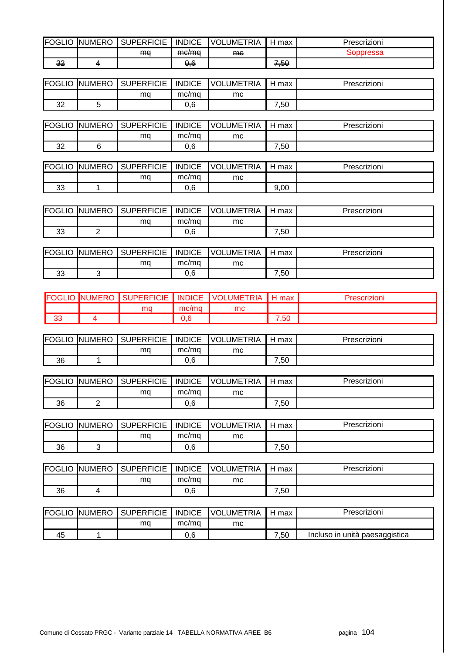| <b>IFOGLIO</b> | UMERO<br>INI | <b>SUPERFICIE</b> | <b>INDICE</b>                | UMETRIA.<br><b>VOL</b> | max         | rescrizioni |
|----------------|--------------|-------------------|------------------------------|------------------------|-------------|-------------|
|                |              | ma                | $mP$ /ma<br><del>mo/mu</del> | me                     |             | soppressa   |
| ົ<br>ᅠ         |              |                   | 0,6                          |                        | 50 '<br>᠇ᡕᡂ |             |

| <b>FOGLIO</b> | UMERO<br>INI | <b>SUPERFICIE</b> | <b>INDICE</b> | UMETRIA.<br><b>VOL</b> | max                | Prescrizioni |
|---------------|--------------|-------------------|---------------|------------------------|--------------------|--------------|
|               |              | ma                | mc/mg         | mc                     |                    |              |
| ົ<br>ັ້       |              |                   | 0,6           |                        | $^{\cdot,50}$<br>– |              |

| <b>IFOGLIO</b> | <b>NUMERO</b> | <b>SUPERFICIE</b> | <b>INDICE</b> | <b>UMETRIA</b><br>VOL | max                | Prescrizioni |
|----------------|---------------|-------------------|---------------|-----------------------|--------------------|--------------|
|                |               | mq                | mc/mq         | mc                    |                    |              |
| $\sim$<br>ےں   |               |                   | 0,6           |                       | $^{\cdot,50}$<br>- |              |

| FOGLIO   | <b>NUMERO</b> | <b>SUPERFICIE</b> | <b>INDICE</b> | UMETRIA<br><b>VOL</b> | max  | Prescrizioni |
|----------|---------------|-------------------|---------------|-----------------------|------|--------------|
|          |               | ma                | mc/mg         | mc                    |      |              |
| າດ<br>ບບ |               |                   | 0,6           |                       | 9,00 |              |

| FOGLIO  | <b>NUMERO</b> | <b>SUPERFICIE</b> | <b>INDICE</b> | <b>LUMETRIA</b><br>VOL | max  | Prescrizioni |
|---------|---------------|-------------------|---------------|------------------------|------|--------------|
|         |               | ma                | mc/mq         | mc                     |      |              |
| ົ<br>ບບ | -             |                   | ົ<br>U.b      |                        | ',50 |              |

| <b>FOGLIO</b> | UMERO<br>INI | UPERFICIE<br>ິ | <b>INDICE</b> | <b>UMETRIA</b><br>VOL | max           | Prescrizioni |
|---------------|--------------|----------------|---------------|-----------------------|---------------|--------------|
|               |              | ma             | mc/mg         | mc                    |               |              |
| າາ<br>UU      |              |                | 0,6           |                       | $^{\cdot,50}$ |              |

| IFO)         | JMERC<br>INI | <b>SUPERFICIE</b> | <b>INDICE</b> | TRIA<br><b>VOL</b><br>.UME | max |  |
|--------------|--------------|-------------------|---------------|----------------------------|-----|--|
|              |              | ma                | mc/ma         | mc                         |     |  |
| $\sim$<br>vu |              |                   | 0.6           |                            | .50 |  |

| <b>FOGLIO</b> | <b>UMERO</b><br>INt | <b>SUPERFICIE</b> | <b>INDICE</b> | <b>VOLUMETRIA</b> | H<br>max | Prescrizioni |
|---------------|---------------------|-------------------|---------------|-------------------|----------|--------------|
|               |                     | ma                | mc/ma         | mc                |          |              |
| 36            |                     |                   | ე,6           |                   | -<br>,50 |              |

| <b>FOGLIO</b> | <b>INUMERO</b> | <b>SUPERFICIE</b> | <b>INDICE</b> | UMETRIA<br><b>VOLI</b> | max | Prescrizioni |
|---------------|----------------|-------------------|---------------|------------------------|-----|--------------|
|               |                | ma                | mc/mq         | mc                     |     |              |
| 36            | -              |                   | 0,6           |                        | ,50 |              |

| FOGLIO | <b>NUMERO</b> | <b>SUPERFICIE</b> | <b>INDICE</b> | <b>UMETRIA</b><br>VOL | max<br>⊣ | Prescrizioni |
|--------|---------------|-------------------|---------------|-----------------------|----------|--------------|
|        |               | mq                | mc/mg         | mc                    |          |              |
| 36     |               |                   | 0,6           |                       | ,50      |              |

| <b>FOGLIO</b> | <b>NUMERO</b> | <b>SUPERFICIE</b> | <b>INDICE</b> | <b>JMETRIA</b><br>VOL | max      | Prescrizioni |
|---------------|---------------|-------------------|---------------|-----------------------|----------|--------------|
|               |               | ma                | mc/ma         | mc                    |          |              |
| 36            |               |                   | 0,6           |                       | ,50<br>– |              |

|    | <b>FOGLIO NUMERO</b> | <b>SUPERFICIE</b> | <b>INDICE</b> | <u>-</u> UMETRIA<br>VOLI | max      | Prescrizioni                   |
|----|----------------------|-------------------|---------------|--------------------------|----------|--------------------------------|
|    |                      | ma                | mc/ma         | mc                       |          |                                |
| 45 |                      |                   | 0.6           |                          | ,50<br>- | Incluso in unità paesaggistica |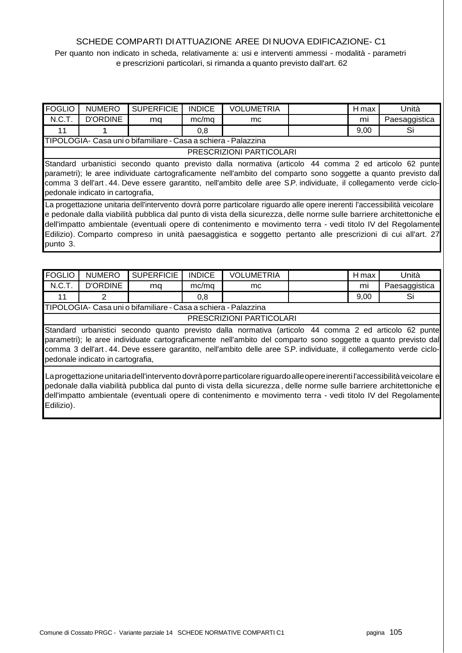# SCHEDE COMPARTI DI ATTUAZIONE AREE DI NUOVA EDIFICAZIONE- C1

Per quanto non indicato in scheda, relativamente a: usi e interventi ammessi - modalità - parametri e prescrizioni particolari, si rimanda a quanto previsto dall'art. 62

| FOGLIO                                                         | <b>NUMERO</b>                                                                                                                                                                                                                                                                                                                                                                       | <b>SUPERFICIE</b> | <b>INDICE</b> | <b>VOLUMETRIA</b>                                                                                                                                                                                                                                                                                                                                                                                                                                                               |  | H max | Unità         |  |  |  |
|----------------------------------------------------------------|-------------------------------------------------------------------------------------------------------------------------------------------------------------------------------------------------------------------------------------------------------------------------------------------------------------------------------------------------------------------------------------|-------------------|---------------|---------------------------------------------------------------------------------------------------------------------------------------------------------------------------------------------------------------------------------------------------------------------------------------------------------------------------------------------------------------------------------------------------------------------------------------------------------------------------------|--|-------|---------------|--|--|--|
| N.C.T.                                                         | <b>D'ORDINE</b>                                                                                                                                                                                                                                                                                                                                                                     | mq                | mc/mq         | mc.                                                                                                                                                                                                                                                                                                                                                                                                                                                                             |  | mi    | Paesaggistica |  |  |  |
| 11                                                             |                                                                                                                                                                                                                                                                                                                                                                                     |                   | 0,8           |                                                                                                                                                                                                                                                                                                                                                                                                                                                                                 |  | 9,00  | Si            |  |  |  |
| TIPOLOGIA- Casa uni o bifamiliare - Casa a schiera - Palazzina |                                                                                                                                                                                                                                                                                                                                                                                     |                   |               |                                                                                                                                                                                                                                                                                                                                                                                                                                                                                 |  |       |               |  |  |  |
|                                                                | PRESCRIZIONI PARTICOLARI                                                                                                                                                                                                                                                                                                                                                            |                   |               |                                                                                                                                                                                                                                                                                                                                                                                                                                                                                 |  |       |               |  |  |  |
|                                                                | Standard urbanistici secondo quanto previsto dalla normativa (articolo 44 comma 2 ed articolo 62 punte<br>parametri); le aree individuate cartograficamente nell'ambito del comparto sono soggette a quanto previsto dal<br>comma 3 dell'art. 44. Deve essere garantito, nell'ambito delle aree S.P. individuate, il collegamento verde ciclo-<br>pedonale indicato in cartografia, |                   |               |                                                                                                                                                                                                                                                                                                                                                                                                                                                                                 |  |       |               |  |  |  |
| punto 3.                                                       |                                                                                                                                                                                                                                                                                                                                                                                     |                   |               | La progettazione unitaria dell'intervento dovrà porre particolare riguardo alle opere inerenti l'accessibilità veicolare<br>e pedonale dalla viabilità pubblica dal punto di vista della sicurezza, delle norme sulle barriere architettoniche e<br>dell'impatto ambientale (eventuali opere di contenimento e movimento terra - vedi titolo IV del Regolamente<br>Edilizio). Comparto compreso in unità paesaggistica e soggetto pertanto alle prescrizioni di cui all'art. 27 |  |       |               |  |  |  |

| <b>FOGLIO</b>                                                                                                                                                                                                                                                                                                                                                                       | <b>NUMERO</b>   | <b>SUPERFICIE</b>                                              | <b>INDICE</b> | <b>VOLUMETRIA</b> |  | H max | Unità         |  |  |
|-------------------------------------------------------------------------------------------------------------------------------------------------------------------------------------------------------------------------------------------------------------------------------------------------------------------------------------------------------------------------------------|-----------------|----------------------------------------------------------------|---------------|-------------------|--|-------|---------------|--|--|
| N.C.T.                                                                                                                                                                                                                                                                                                                                                                              | <b>D'ORDINE</b> | mq                                                             | mc/mq         | mc.               |  | mi    | Paesaggistica |  |  |
| 11                                                                                                                                                                                                                                                                                                                                                                                  | 2               |                                                                | 0,8           |                   |  | 9,00  | Si            |  |  |
|                                                                                                                                                                                                                                                                                                                                                                                     |                 | TIPOLOGIA- Casa uni o bifamiliare - Casa a schiera - Palazzina |               |                   |  |       |               |  |  |
| PRESCRIZIONI PARTICOLARI                                                                                                                                                                                                                                                                                                                                                            |                 |                                                                |               |                   |  |       |               |  |  |
| Standard urbanistici secondo quanto previsto dalla normativa (articolo 44 comma 2 ed articolo 62 punte<br>parametri); le aree individuate cartograficamente nell'ambito del comparto sono soggette a quanto previsto dal<br>comma 3 dell'art. 44. Deve essere garantito, nell'ambito delle aree S.P. individuate, il collegamento verde ciclo-<br>pedonale indicato in cartografia, |                 |                                                                |               |                   |  |       |               |  |  |
| La progettazione unitaria dell'intervento dovrà porre particolare riguardo alle opere inerenti l'accessibilità veicolare e<br>pedonale dalla viabilità pubblica dal punto di vista della sicurezza, delle norme sulle barriere architettoniche e                                                                                                                                    |                 |                                                                |               |                   |  |       |               |  |  |

dell'impatto ambientale (eventuali opere di contenimento e movimento terra - vedi titolo IV del Regolamente

Edilizio).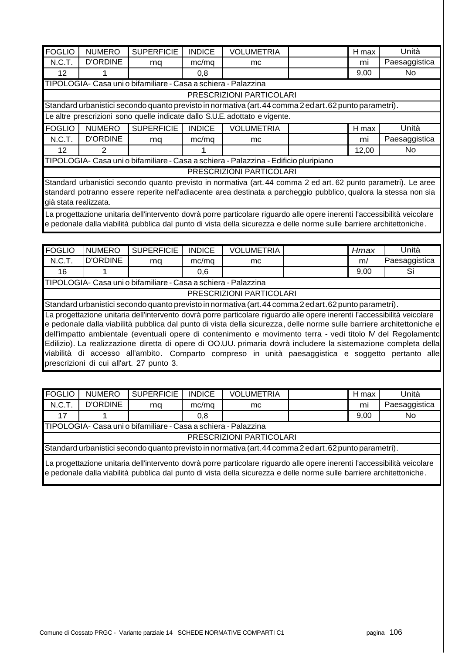| <b>FOGLIO</b>                                                                                                                             | <b>NUMERO</b>                                                                                                                                                                                                                                    | <b>SUPERFICIE</b> | <b>INDICE</b> | <b>VOLUMETRIA</b>                                                                                               |  | H max | Unità         |  |  |
|-------------------------------------------------------------------------------------------------------------------------------------------|--------------------------------------------------------------------------------------------------------------------------------------------------------------------------------------------------------------------------------------------------|-------------------|---------------|-----------------------------------------------------------------------------------------------------------------|--|-------|---------------|--|--|
| N.C.T.                                                                                                                                    | <b>D'ORDINE</b>                                                                                                                                                                                                                                  | mq                | mc/mq         | mc                                                                                                              |  | mı    | Paesaggistica |  |  |
| 12                                                                                                                                        |                                                                                                                                                                                                                                                  |                   | 0,8           |                                                                                                                 |  | 9,00  | No.           |  |  |
| TIPOLOGIA- Casa uni o bifamiliare - Casa a schiera - Palazzina                                                                            |                                                                                                                                                                                                                                                  |                   |               |                                                                                                                 |  |       |               |  |  |
| PRESCRIZIONI PARTICOLARI                                                                                                                  |                                                                                                                                                                                                                                                  |                   |               |                                                                                                                 |  |       |               |  |  |
|                                                                                                                                           |                                                                                                                                                                                                                                                  |                   |               | Standard urbanistici secondo quanto previsto in normativa (art. 44 comma 2 ed art. 62 punto parametri).         |  |       |               |  |  |
|                                                                                                                                           | Le altre prescrizioni sono quelle indicate dallo S.U.E. adottato e vigente.                                                                                                                                                                      |                   |               |                                                                                                                 |  |       |               |  |  |
| <b>FOGLIO</b>                                                                                                                             | <b>NUMERO</b>                                                                                                                                                                                                                                    | <b>SUPERFICIE</b> | <b>INDICE</b> | <b>VOLUMETRIA</b>                                                                                               |  | H max | Unità         |  |  |
| N.C.T.                                                                                                                                    | <b>D'ORDINE</b>                                                                                                                                                                                                                                  | mq                | mc/mq         | mc                                                                                                              |  | mi    | Paesaggistica |  |  |
| 12                                                                                                                                        | $\overline{2}$                                                                                                                                                                                                                                   |                   | 1             |                                                                                                                 |  | 12,00 | No.           |  |  |
|                                                                                                                                           |                                                                                                                                                                                                                                                  |                   |               | TIPOLOGIA- Casa uni o bifamiliare - Casa a schiera - Palazzina - Edificio pluripiano                            |  |       |               |  |  |
|                                                                                                                                           |                                                                                                                                                                                                                                                  |                   |               | PRESCRIZIONI PARTICOLARI                                                                                        |  |       |               |  |  |
|                                                                                                                                           |                                                                                                                                                                                                                                                  |                   |               | Standard urbanistici secondo quanto previsto in normativa (art. 44 comma 2 ed art. 62 punto parametri). Le aree |  |       |               |  |  |
|                                                                                                                                           |                                                                                                                                                                                                                                                  |                   |               |                                                                                                                 |  |       |               |  |  |
| standard potranno essere reperite nell'adiacente area destinata a parcheggio pubblico, qualora la stessa non sia<br>già stata realizzata. |                                                                                                                                                                                                                                                  |                   |               |                                                                                                                 |  |       |               |  |  |
|                                                                                                                                           | La progettazione unitaria dell'intervento dovrà porre particolare riguardo alle opere inerenti l'accessibilità veicolare<br>e pedonale dalla viabilità pubblica dal punto di vista della sicurezza e delle norme sulle barriere architettoniche. |                   |               |                                                                                                                 |  |       |               |  |  |

| <b>FOGLIO</b> | <b>NUMERO</b>            | <b>SUPERFICIE</b>                                              | <b>INDICE</b> | <b>VOLUMETRIA</b> |                                                                                                                                                                                                                                                                                                                                                                                                                                                                                                                                                                                         | Hmax | Unità         |  |  |
|---------------|--------------------------|----------------------------------------------------------------|---------------|-------------------|-----------------------------------------------------------------------------------------------------------------------------------------------------------------------------------------------------------------------------------------------------------------------------------------------------------------------------------------------------------------------------------------------------------------------------------------------------------------------------------------------------------------------------------------------------------------------------------------|------|---------------|--|--|
| N.C.T.        | <b>D'ORDINE</b>          | mq                                                             | mc/mq         | mc.               |                                                                                                                                                                                                                                                                                                                                                                                                                                                                                                                                                                                         | m/   | Paesaggistica |  |  |
| 16            |                          |                                                                | 0,6           |                   |                                                                                                                                                                                                                                                                                                                                                                                                                                                                                                                                                                                         | 9,00 | Si            |  |  |
|               |                          | TIPOLOGIA- Casa uni o bifamiliare - Casa a schiera - Palazzina |               |                   |                                                                                                                                                                                                                                                                                                                                                                                                                                                                                                                                                                                         |      |               |  |  |
|               | PRESCRIZIONI PARTICOLARI |                                                                |               |                   |                                                                                                                                                                                                                                                                                                                                                                                                                                                                                                                                                                                         |      |               |  |  |
|               |                          |                                                                |               |                   | Standard urbanistici secondo quanto previsto in normativa (art. 44 comma 2 ed art. 62 punto parametri).                                                                                                                                                                                                                                                                                                                                                                                                                                                                                 |      |               |  |  |
|               |                          | prescrizioni di cui all'art. 27 punto 3.                       |               |                   | La progettazione unitaria dell'intervento dovrà porre particolare riguardo alle opere inerenti l'accessibilità veicolare<br>e pedonale dalla viabilità pubblica dal punto di vista della sicurezza, delle norme sulle barriere architettoniche e<br>dell'impatto ambientale (eventuali opere di contenimento e movimento terra - vedi titolo IV del Regolamento<br>Edilizio). La realizzazione diretta di opere di OO.UU. primaria dovrà includere la sistemazione completa della<br>viabilità di accesso all'ambito. Comparto compreso in unità paesaggistica e soggetto pertanto alle |      |               |  |  |

| FOGLIO | <b>NUMERO</b>                                                                                                            | <b>SUPERFICIE</b> | <b>INDICE</b> | <b>VOLUMETRIA</b>        |  | H max | Unità         |  |  |
|--------|--------------------------------------------------------------------------------------------------------------------------|-------------------|---------------|--------------------------|--|-------|---------------|--|--|
| N.C.T. | <b>D'ORDINE</b>                                                                                                          | ma                | mc/mq         | mc.                      |  | mi    | Paesaggistica |  |  |
| 17     |                                                                                                                          |                   | 0.8           |                          |  | 9,00  | No.           |  |  |
|        | TIPOLOGIA- Casa uni o bifamiliare - Casa a schiera - Palazzina                                                           |                   |               |                          |  |       |               |  |  |
|        |                                                                                                                          |                   |               | PRESCRIZIONI PARTICOLARI |  |       |               |  |  |
|        | Standard urbanistici secondo quanto previsto in normativa (art. 44 comma 2 ed art. 62 punto parametri).                  |                   |               |                          |  |       |               |  |  |
|        | La progettazione unitaria dell'intervento dovrà porre particolare riguardo alle opere inerenti l'accessibilità veicolare |                   |               |                          |  |       |               |  |  |

e pedonale dalla viabilità pubblica dal punto di vista della sicurezza e delle norme sulle barriere architettoniche .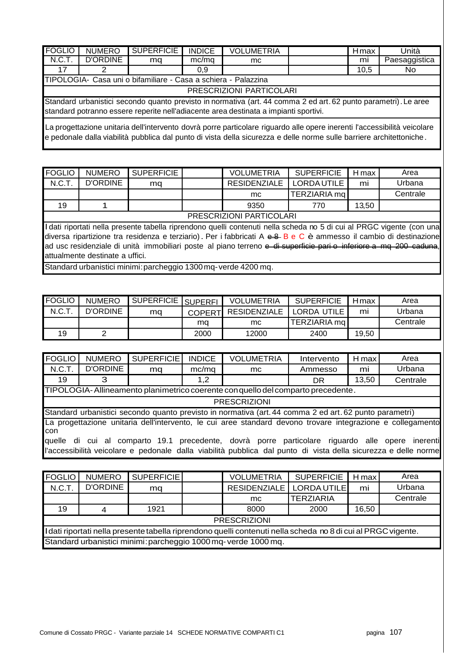| <b>FOGLIO</b>                                                                                                                                                                                                                                    | <b>NUMERO</b>                                                                                                                                                                                           | <b>SUPERFICIE</b> | <b>INDICE</b> | <b>VOLUMETRIA</b> |  | Hmax | Unità         |  |  |  |  |
|--------------------------------------------------------------------------------------------------------------------------------------------------------------------------------------------------------------------------------------------------|---------------------------------------------------------------------------------------------------------------------------------------------------------------------------------------------------------|-------------------|---------------|-------------------|--|------|---------------|--|--|--|--|
| N.C.T.                                                                                                                                                                                                                                           | <b>D'ORDINE</b>                                                                                                                                                                                         | mq                | mc/mg         | mc.               |  | mı   | Paesaggistica |  |  |  |  |
| 17                                                                                                                                                                                                                                               |                                                                                                                                                                                                         |                   | 0,9           |                   |  | 10,5 | No.           |  |  |  |  |
|                                                                                                                                                                                                                                                  | TIPOLOGIA- Casa uni o bifamiliare - Casa a schiera - Palazzina                                                                                                                                          |                   |               |                   |  |      |               |  |  |  |  |
|                                                                                                                                                                                                                                                  | PRESCRIZIONI PARTICOLARI                                                                                                                                                                                |                   |               |                   |  |      |               |  |  |  |  |
|                                                                                                                                                                                                                                                  | Standard urbanistici secondo quanto previsto in normativa (art. 44 comma 2 ed art. 62 punto parametri). Le aree<br>standard potranno essere reperite nell'adiacente area destinata a impianti sportivi. |                   |               |                   |  |      |               |  |  |  |  |
| La progettazione unitaria dell'intervento dovrà porre particolare riguardo alle opere inerenti l'accessibilità veicolare<br>e pedonale dalla viabilità pubblica dal punto di vista della sicurezza e delle norme sulle barriere architettoniche. |                                                                                                                                                                                                         |                   |               |                   |  |      |               |  |  |  |  |

| FOGLIO | <b>NUMERO</b>            | <b>SUPERFICIE</b> |  | <b>VOLUMETRIA</b>                                                                                                                   | <b>SUPERFICIE</b> | H max | Area     |  |  |  |
|--------|--------------------------|-------------------|--|-------------------------------------------------------------------------------------------------------------------------------------|-------------------|-------|----------|--|--|--|
| N.C.T. | D'ORDINE                 | ma                |  | <b>RESIDENZIALE</b>                                                                                                                 | LORDA UTILE       | mı    | Urbana   |  |  |  |
|        |                          |                   |  | mc                                                                                                                                  | TERZIARIA mg      |       | Centrale |  |  |  |
| 19     |                          |                   |  | 9350                                                                                                                                | 770               | 13,50 |          |  |  |  |
|        | PRESCRIZIONI PARTICOLARI |                   |  |                                                                                                                                     |                   |       |          |  |  |  |
|        |                          |                   |  | $\blacksquare$ Ldoti riportoti pollo procento tabello ripropdeno quelli contenuti pollo sebede pe E di qui el DDCC vigente (con una |                   |       |          |  |  |  |

l dati riportati nella presente tabella riprendono quelli contenuti nella scheda no 5 di cui al PRGC vigente (con una diversa ripartizione tra residenza e terziario). Per i fabbricati A e 8 B e C è ammesso il cambio di destinazione ad usc residenziale di unità immobiliari poste al piano terreno e di superficie pari e inferiore a mq 200 caduna, attualmente destinate a uffici.

Standard urbanistici minimi: parcheggio 1300 mq- verde 4200 mq.

| <b>FOGLIO</b> | <b>NUMERO</b> | I SUPERFICIE SUPERFI <sup>'</sup> |                | <b>VOLUMETRIA</b>   | <b>SUPERFICIE</b> | <b>H</b> max | Area     |
|---------------|---------------|-----------------------------------|----------------|---------------------|-------------------|--------------|----------|
| N.C.T.        | D'ORDINE      | ma                                | <b>COPERTI</b> | <b>RESIDENZIALE</b> | LORDA UTILE       | mi           | Urbana   |
|               |               |                                   | ma             | mc                  | TERZIARIA ma      |              | Centrale |
| 19            |               |                                   | 2000           | 12000               | 2400              | 19,50        |          |

| <b>FOGLIO</b>        | <b>NUMERO</b>                                                                                              | <b>SUPERFICIE</b> | <b>INDICE</b> | <b>VOLUMETRIA</b>                                                                                                                                                                                       | Intervento | $H$ max | Area     |  |  |
|----------------------|------------------------------------------------------------------------------------------------------------|-------------------|---------------|---------------------------------------------------------------------------------------------------------------------------------------------------------------------------------------------------------|------------|---------|----------|--|--|
| N.C.T.               | <b>D'ORDINE</b>                                                                                            | mq                | mc/mq         | mc.                                                                                                                                                                                                     | Ammesso    | mi      | Urbana   |  |  |
| 19                   | 3                                                                                                          |                   | 1,2           |                                                                                                                                                                                                         | DR         | 13,50   | Centrale |  |  |
|                      |                                                                                                            |                   |               | TIPOLOGIA-Allineamento planimetrico coerente con quello del comparto precedente.                                                                                                                        |            |         |          |  |  |
|                      |                                                                                                            |                   |               | <b>PRESCRIZIONI</b>                                                                                                                                                                                     |            |         |          |  |  |
|                      |                                                                                                            |                   |               | Standard urbanistici secondo quanto previsto in normativa (art. 44 comma 2 ed art. 62 punto parametri)                                                                                                  |            |         |          |  |  |
| <b>Icon</b>          | La progettazione unitaria dell'intervento, le cui aree standard devono trovare integrazione e collegamento |                   |               |                                                                                                                                                                                                         |            |         |          |  |  |
| <b>a</b> uelle<br>di |                                                                                                            |                   |               | cui al comparto 19.1 precedente, dovrà porre particolare riguardo alle opere inerenti<br>l'accessibilità veicolare e pedonale dalla viabilità pubblica dal punto di vista della sicurezza e delle norme |            |         |          |  |  |

| <b>FOGLIO</b>                                                                                                 | <b>NUMERO</b> | SUPERFICIE |  | <b>VOLUMETRIA</b>   | <b>SUPERFICIE</b> | H max | Area     |  |  |
|---------------------------------------------------------------------------------------------------------------|---------------|------------|--|---------------------|-------------------|-------|----------|--|--|
| N.C.T.                                                                                                        | D'ORDINE      | mq         |  | <b>RESIDENZIALE</b> | LORDA UTILE       | mi    | Urbana   |  |  |
|                                                                                                               |               |            |  | mc.                 | <b>TERZIARIA</b>  |       | Centrale |  |  |
| 19                                                                                                            |               | 1921       |  | 8000                | 2000              | 16,50 |          |  |  |
|                                                                                                               |               |            |  | <b>PRESCRIZIONI</b> |                   |       |          |  |  |
| I dati riportati nella presente tabella riprendono quelli contenuti nella scheda no 8 di cui al PRGC vigente. |               |            |  |                     |                   |       |          |  |  |
| Standard urbanistici minimi: parcheggio 1000 mq- verde 1000 mq.                                               |               |            |  |                     |                   |       |          |  |  |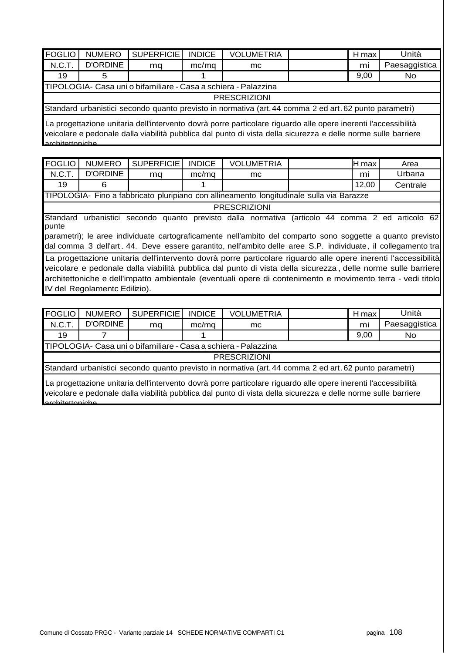| <b>FOGLIO</b>                                                                                                                                                                                                                   | <b>NUMERO</b>   | <b>SUPERFICIE</b> | <b>INDICE</b> | <b>VOLUMETRIA</b>                                                                                      |  | H max | Unità         |  |  |  |
|---------------------------------------------------------------------------------------------------------------------------------------------------------------------------------------------------------------------------------|-----------------|-------------------|---------------|--------------------------------------------------------------------------------------------------------|--|-------|---------------|--|--|--|
| N.C.T.                                                                                                                                                                                                                          | <b>D'ORDINE</b> | mq                | mc/mq         | mc.                                                                                                    |  | mi    | Paesaggistica |  |  |  |
| 19                                                                                                                                                                                                                              | 5               |                   |               |                                                                                                        |  | 9,00  | No            |  |  |  |
| TIPOLOGIA- Casa uni o bifamiliare - Casa a schiera - Palazzina                                                                                                                                                                  |                 |                   |               |                                                                                                        |  |       |               |  |  |  |
|                                                                                                                                                                                                                                 |                 |                   |               | <b>PRESCRIZIONI</b>                                                                                    |  |       |               |  |  |  |
|                                                                                                                                                                                                                                 |                 |                   |               | Standard urbanistici secondo quanto previsto in normativa (art. 44 comma 2 ed art. 62 punto parametri) |  |       |               |  |  |  |
| La progettazione unitaria dell'intervento dovrà porre particolare riguardo alle opere inerenti l'accessibilità<br>veicolare e pedonale dalla viabilità pubblica dal punto di vista della sicurezza e delle norme sulle barriere |                 |                   |               |                                                                                                        |  |       |               |  |  |  |

architettoniche .

| FOGLIO            | <b>NUMERO</b>                                                                                                                                                                                                               | <b>SUPERFICIE</b> | <b>INDICE</b> | <b>VOLUMETRIA</b>                                                                                                                                                                                                                                                                                                                            |  | H max | Area     |  |  |  |
|-------------------|-----------------------------------------------------------------------------------------------------------------------------------------------------------------------------------------------------------------------------|-------------------|---------------|----------------------------------------------------------------------------------------------------------------------------------------------------------------------------------------------------------------------------------------------------------------------------------------------------------------------------------------------|--|-------|----------|--|--|--|
| N.C.T.            | <b>D'ORDINE</b>                                                                                                                                                                                                             | ma                | mc/mq         | mc.                                                                                                                                                                                                                                                                                                                                          |  | mi    | Urbana   |  |  |  |
| 19                | 6                                                                                                                                                                                                                           |                   |               |                                                                                                                                                                                                                                                                                                                                              |  | 12,00 | Centrale |  |  |  |
|                   |                                                                                                                                                                                                                             |                   |               | TIPOLOGIA- Fino a fabbricato pluripiano con allineamento longitudinale sulla via Barazze                                                                                                                                                                                                                                                     |  |       |          |  |  |  |
|                   |                                                                                                                                                                                                                             |                   |               | <b>PRESCRIZIONI</b>                                                                                                                                                                                                                                                                                                                          |  |       |          |  |  |  |
| Standard<br>punte | urbanistici secondo quanto previsto dalla normativa (articolo 44 comma 2 ed articolo 62                                                                                                                                     |                   |               |                                                                                                                                                                                                                                                                                                                                              |  |       |          |  |  |  |
|                   | parametri); le aree individuate cartograficamente nell'ambito del comparto sono soggette a quanto previsto<br>dal comma 3 dell'art. 44. Deve essere garantito, nell'ambito delle aree S.P. individuate, il collegamento tra |                   |               |                                                                                                                                                                                                                                                                                                                                              |  |       |          |  |  |  |
|                   |                                                                                                                                                                                                                             |                   |               | La progettazione unitaria dell'intervento dovrà porre particolare riguardo alle opere inerenti l'accessibilità<br>veicolare e pedonale dalla viabilità pubblica dal punto di vista della sicurezza, delle norme sulle barriere<br>architettoniche e dell'impatto ambientale (eventuali opere di contenimento e movimento terra - vedi titolo |  |       |          |  |  |  |

IV del Regolamentc Edilizio).

architettoniche .

| <b>FOGLIO</b>                                                                                                                                                                                                                   | <b>NUMERO</b>   | <b>SUPERFICIE</b> | <b>INDICE</b> | <b>VOLUMETRIA</b>                                                                                      |  | H max | Unità         |  |  |
|---------------------------------------------------------------------------------------------------------------------------------------------------------------------------------------------------------------------------------|-----------------|-------------------|---------------|--------------------------------------------------------------------------------------------------------|--|-------|---------------|--|--|
| N.C.T.                                                                                                                                                                                                                          | <b>D'ORDINE</b> | mq                | mc/mq         | mc.                                                                                                    |  | mi    | Paesaggistica |  |  |
| 9,00<br>19<br><b>No</b>                                                                                                                                                                                                         |                 |                   |               |                                                                                                        |  |       |               |  |  |
| TIPOLOGIA- Casa uni o bifamiliare - Casa a schiera - Palazzina                                                                                                                                                                  |                 |                   |               |                                                                                                        |  |       |               |  |  |
|                                                                                                                                                                                                                                 |                 |                   |               | <b>PRESCRIZIONI</b>                                                                                    |  |       |               |  |  |
|                                                                                                                                                                                                                                 |                 |                   |               | Standard urbanistici secondo quanto previsto in normativa (art. 44 comma 2 ed art. 62 punto parametri) |  |       |               |  |  |
| La progettazione unitaria dell'intervento dovrà porre particolare riguardo alle opere inerenti l'accessibilità<br>veicolare e pedonale dalla viabilità pubblica dal punto di vista della sicurezza e delle norme sulle barriere |                 |                   |               |                                                                                                        |  |       |               |  |  |

Comune di Cossato PRGC - Variante parziale 14 SCHEDE NORMATIVE COMPARTI C1 pagina 108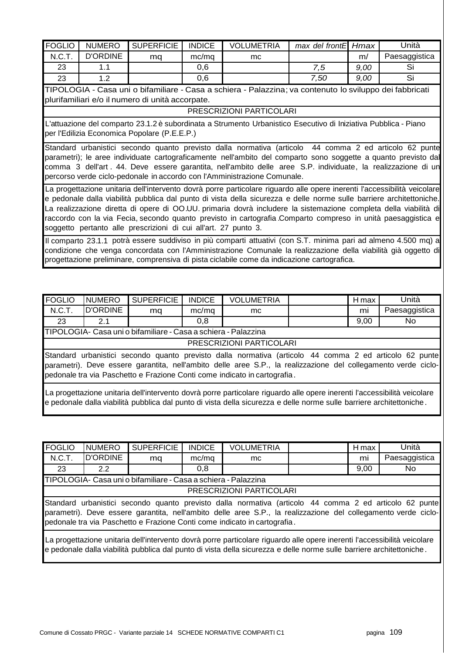| <b>FOGLIO</b>                                                                                                                                                                                                                                                                                                                                                                                                                                                                                                                                           | <b>NUMERO</b>   | <b>SUPERFICIE</b>                                | <b>INDICE</b> | <b>VOLUMETRIA</b>                                                                                        | max del frontE | Hmax | Unità         |  |  |  |
|---------------------------------------------------------------------------------------------------------------------------------------------------------------------------------------------------------------------------------------------------------------------------------------------------------------------------------------------------------------------------------------------------------------------------------------------------------------------------------------------------------------------------------------------------------|-----------------|--------------------------------------------------|---------------|----------------------------------------------------------------------------------------------------------|----------------|------|---------------|--|--|--|
| N.C.T.                                                                                                                                                                                                                                                                                                                                                                                                                                                                                                                                                  | <b>D'ORDINE</b> | ma                                               | mc/mq         | mc                                                                                                       |                | m/   | Paesaggistica |  |  |  |
| 23                                                                                                                                                                                                                                                                                                                                                                                                                                                                                                                                                      | 1.1             |                                                  | 0.6           |                                                                                                          | 7,5            | 9,00 | Si            |  |  |  |
| 23                                                                                                                                                                                                                                                                                                                                                                                                                                                                                                                                                      | 1.2             |                                                  | 0,6           |                                                                                                          | 7,50           | 9,00 | Si            |  |  |  |
|                                                                                                                                                                                                                                                                                                                                                                                                                                                                                                                                                         |                 |                                                  |               | TIPOLOGIA - Casa uni o bifamiliare - Casa a schiera - Palazzina; va contenuto lo sviluppo dei fabbricati |                |      |               |  |  |  |
|                                                                                                                                                                                                                                                                                                                                                                                                                                                                                                                                                         |                 | plurifamiliari e/o il numero di unità accorpate. |               |                                                                                                          |                |      |               |  |  |  |
|                                                                                                                                                                                                                                                                                                                                                                                                                                                                                                                                                         |                 |                                                  |               | PRESCRIZIONI PARTICOLARI                                                                                 |                |      |               |  |  |  |
| L'attuazione del comparto 23.1.2 è subordinata a Strumento Urbanistico Esecutivo di Iniziativa Pubblica - Piano<br>per l'Edilizia Economica Popolare (P.E.E.P.)                                                                                                                                                                                                                                                                                                                                                                                         |                 |                                                  |               |                                                                                                          |                |      |               |  |  |  |
| Standard urbanistici secondo quanto previsto dalla normativa (articolo 44 comma 2 ed articolo 62 punte<br>parametri); le aree individuate cartograficamente nell'ambito del comparto sono soggette a quanto previsto dal<br>comma 3 dell'art. 44. Deve essere garantita, nell'ambito delle aree S.P. individuate, la realizzazione di un<br>percorso verde ciclo-pedonale in accordo con l'Amministrazione Comunale.                                                                                                                                    |                 |                                                  |               |                                                                                                          |                |      |               |  |  |  |
| La progettazione unitaria dell'intervento dovrà porre particolare riguardo alle opere inerenti l'accessibilità veicolare<br>e pedonale dalla viabilità pubblica dal punto di vista della sicurezza e delle norme sulle barriere architettoniche.<br>La realizzazione diretta di opere di OO.UU. primaria dovrà includere la sistemazione completa della viabilità di<br>raccordo con la via Fecia, secondo quanto previsto in cartografia Comparto compreso in unità paesaggistica e<br>soggetto pertanto alle prescrizioni di cui all'art. 27 punto 3. |                 |                                                  |               |                                                                                                          |                |      |               |  |  |  |
| Il comparto 23.1.1 potrà essere suddiviso in più comparti attuativi (con S.T. minima pari ad almeno 4.500 mq) a<br>condizione che venga concordata con l'Amministrazione Comunale la realizzazione della viabilità già oggetto di<br>progettazione preliminare, comprensiva di pista ciclabile come da indicazione cartografica.                                                                                                                                                                                                                        |                 |                                                  |               |                                                                                                          |                |      |               |  |  |  |

| <b>FOGLIO</b>                                                                                                                                                                                                                                                                                         | <b>INUMERO</b>           | <b>SUPERFICIE</b>                                              | <b>INDICE</b> | <b>VOLUMETRIA</b> |  | H max | Unità         |  |  |  |
|-------------------------------------------------------------------------------------------------------------------------------------------------------------------------------------------------------------------------------------------------------------------------------------------------------|--------------------------|----------------------------------------------------------------|---------------|-------------------|--|-------|---------------|--|--|--|
| N.C.T.                                                                                                                                                                                                                                                                                                | D'ORDINE                 | ma                                                             | mc/mq         | mc.               |  | mi    | Paesaggistica |  |  |  |
| 23                                                                                                                                                                                                                                                                                                    | 2.1                      |                                                                | 0,8           |                   |  | 9,00  | No.           |  |  |  |
|                                                                                                                                                                                                                                                                                                       |                          | TIPOLOGIA- Casa uni o bifamiliare - Casa a schiera - Palazzina |               |                   |  |       |               |  |  |  |
|                                                                                                                                                                                                                                                                                                       | PRESCRIZIONI PARTICOLARI |                                                                |               |                   |  |       |               |  |  |  |
| Standard urbanistici secondo quanto previsto dalla normativa (articolo 44 comma 2 ed articolo 62 punte<br>parametri). Deve essere garantita, nell'ambito delle aree S.P., la realizzazione del collegamento verde ciclo-<br>pedonale tra via Paschetto e Frazione Conti come indicato in cartografia. |                          |                                                                |               |                   |  |       |               |  |  |  |
| La progettazione unitaria dell'intervento dovrà porre particolare riguardo alle opere inerenti l'accessibilità veicolare<br>e pedonale dalla viabilità pubblica dal punto di vista della sicurezza e delle norme sulle barriere architettoniche.                                                      |                          |                                                                |               |                   |  |       |               |  |  |  |

| <b>FOGLIO</b>                                                                                                                                                                                                                                                                                         | <b>NUMERO</b>            | <b>SUPERFICIE</b>                                              | <b>INDICE</b> | <b>VOLUMETRIA</b> |  | H max | Unità         |  |  |  |
|-------------------------------------------------------------------------------------------------------------------------------------------------------------------------------------------------------------------------------------------------------------------------------------------------------|--------------------------|----------------------------------------------------------------|---------------|-------------------|--|-------|---------------|--|--|--|
| N.C.T.                                                                                                                                                                                                                                                                                                | D'ORDINE                 | mq                                                             | mc/mq         | mc.               |  | mi    | Paesaggistica |  |  |  |
| 23                                                                                                                                                                                                                                                                                                    | 2.2                      |                                                                | 0,8           |                   |  | 9,00  | No.           |  |  |  |
|                                                                                                                                                                                                                                                                                                       |                          | TIPOLOGIA- Casa uni o bifamiliare - Casa a schiera - Palazzina |               |                   |  |       |               |  |  |  |
|                                                                                                                                                                                                                                                                                                       | PRESCRIZIONI PARTICOLARI |                                                                |               |                   |  |       |               |  |  |  |
| Standard urbanistici secondo quanto previsto dalla normativa (articolo 44 comma 2 ed articolo 62 punte<br>parametri). Deve essere garantita, nell'ambito delle aree S.P., la realizzazione del collegamento verde ciclo-<br>pedonale tra via Paschetto e Frazione Conti come indicato in cartografia. |                          |                                                                |               |                   |  |       |               |  |  |  |
| La progettazione unitaria dell'intervento dovrà porre particolare riguardo alle opere inerenti l'accessibilità veicolare<br>e pedonale dalla viabilità pubblica dal punto di vista della sicurezza e delle norme sulle barriere architettoniche.                                                      |                          |                                                                |               |                   |  |       |               |  |  |  |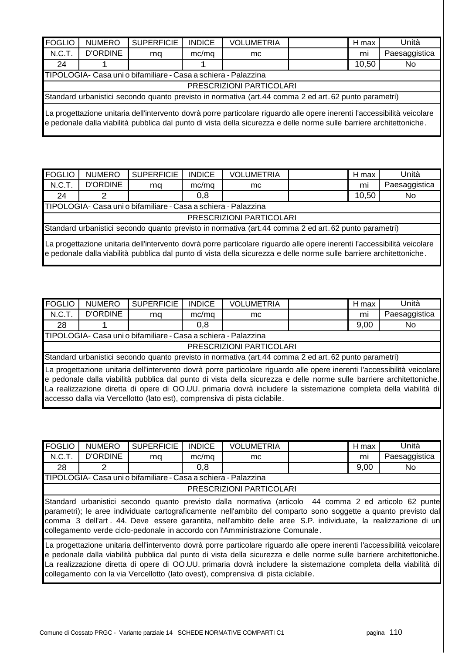| <b>FOGLIO</b>                                                                                                                                                                                                                                    | <b>NUMERO</b>                                                  | <b>SUPERFICIE</b> | <b>INDICE</b> | <b>VOLUMETRIA</b>                                                                                    |  | H max | Unità         |  |  |  |
|--------------------------------------------------------------------------------------------------------------------------------------------------------------------------------------------------------------------------------------------------|----------------------------------------------------------------|-------------------|---------------|------------------------------------------------------------------------------------------------------|--|-------|---------------|--|--|--|
| N.C.T.                                                                                                                                                                                                                                           | <b>D'ORDINE</b>                                                | ma                | mc/mq         | mc                                                                                                   |  | mi    | Paesaggistica |  |  |  |
| 24                                                                                                                                                                                                                                               |                                                                |                   |               |                                                                                                      |  | 10,50 | No.           |  |  |  |
|                                                                                                                                                                                                                                                  | TIPOLOGIA- Casa uni o bifamiliare - Casa a schiera - Palazzina |                   |               |                                                                                                      |  |       |               |  |  |  |
|                                                                                                                                                                                                                                                  | PRESCRIZIONI PARTICOLARI                                       |                   |               |                                                                                                      |  |       |               |  |  |  |
|                                                                                                                                                                                                                                                  |                                                                |                   |               | Standard urbanistici secondo quanto previsto in normativa (art.44 comma 2 ed art.62 punto parametri) |  |       |               |  |  |  |
| La progettazione unitaria dell'intervento dovrà porre particolare riguardo alle opere inerenti l'accessibilità veicolare<br>e pedonale dalla viabilità pubblica dal punto di vista della sicurezza e delle norme sulle barriere architettoniche. |                                                                |                   |               |                                                                                                      |  |       |               |  |  |  |

| <b>FOGLIO</b>                                                                                                                                                                                                                                    | <b>NUMERO</b>            | <b>SUPERFICIE</b> | <b>INDICE</b> | <b>VOLUMETRIA</b>                                                                                    |  | H max | Unità         |  |  |
|--------------------------------------------------------------------------------------------------------------------------------------------------------------------------------------------------------------------------------------------------|--------------------------|-------------------|---------------|------------------------------------------------------------------------------------------------------|--|-------|---------------|--|--|
| N.C.T.                                                                                                                                                                                                                                           | <b>D'ORDINE</b>          | mq                | mc/mq         | mc.                                                                                                  |  | mi    | Paesaggistica |  |  |
| 24                                                                                                                                                                                                                                               | 2                        |                   | 0,8           |                                                                                                      |  | 10,50 | No.           |  |  |
| TIPOLOGIA- Casa uni o bifamiliare - Casa a schiera - Palazzina                                                                                                                                                                                   |                          |                   |               |                                                                                                      |  |       |               |  |  |
|                                                                                                                                                                                                                                                  | PRESCRIZIONI PARTICOLARI |                   |               |                                                                                                      |  |       |               |  |  |
|                                                                                                                                                                                                                                                  |                          |                   |               | Standard urbanistici secondo quanto previsto in normativa (art.44 comma 2 ed art.62 punto parametri) |  |       |               |  |  |
| La progettazione unitaria dell'intervento dovrà porre particolare riguardo alle opere inerenti l'accessibilità veicolare<br>e pedonale dalla viabilità pubblica dal punto di vista della sicurezza e delle norme sulle barriere architettoniche. |                          |                   |               |                                                                                                      |  |       |               |  |  |

| <b>FOGLIO</b>                                                                                                                                                                                                                                                                                                                                                                                                                                     | <b>NUMERO</b>                                                  | <b>SUPERFICIE</b> | <b>INDICE</b> | <b>VOLUMETRIA</b>                                                                                    |  | H max | Unità         |  |  |  |
|---------------------------------------------------------------------------------------------------------------------------------------------------------------------------------------------------------------------------------------------------------------------------------------------------------------------------------------------------------------------------------------------------------------------------------------------------|----------------------------------------------------------------|-------------------|---------------|------------------------------------------------------------------------------------------------------|--|-------|---------------|--|--|--|
| N.C.T.                                                                                                                                                                                                                                                                                                                                                                                                                                            | <b>D'ORDINE</b>                                                | mq                | mc/mq         | mc.                                                                                                  |  | mi    | Paesaggistica |  |  |  |
| 28                                                                                                                                                                                                                                                                                                                                                                                                                                                |                                                                |                   | 0,8           |                                                                                                      |  | 9,00  | No.           |  |  |  |
|                                                                                                                                                                                                                                                                                                                                                                                                                                                   | TIPOLOGIA- Casa uni o bifamiliare - Casa a schiera - Palazzina |                   |               |                                                                                                      |  |       |               |  |  |  |
|                                                                                                                                                                                                                                                                                                                                                                                                                                                   | PRESCRIZIONI PARTICOLARI                                       |                   |               |                                                                                                      |  |       |               |  |  |  |
|                                                                                                                                                                                                                                                                                                                                                                                                                                                   |                                                                |                   |               | Standard urbanistici secondo quanto previsto in normativa (art.44 comma 2 ed art.62 punto parametri) |  |       |               |  |  |  |
| La progettazione unitaria dell'intervento dovrà porre particolare riguardo alle opere inerenti l'accessibilità veicolare<br>e pedonale dalla viabilità pubblica dal punto di vista della sicurezza e delle norme sulle barriere architettoniche.<br>La realizzazione diretta di opere di OO.UU. primaria dovrà includere la sistemazione completa della viabilità di<br>accesso dalla via Vercellotto (lato est), comprensiva di pista ciclabile. |                                                                |                   |               |                                                                                                      |  |       |               |  |  |  |

| FOGLIO                                                                                                                                                                                                                                                                                                                                                                                                                   | <b>NUMERO</b>                                                                                                            | <b>SUPERFICIE</b> | <b>INDICE</b> | <b>VOLUMETRIA</b> |  | H max | Unità         |  |  |
|--------------------------------------------------------------------------------------------------------------------------------------------------------------------------------------------------------------------------------------------------------------------------------------------------------------------------------------------------------------------------------------------------------------------------|--------------------------------------------------------------------------------------------------------------------------|-------------------|---------------|-------------------|--|-------|---------------|--|--|
| N.C.T.                                                                                                                                                                                                                                                                                                                                                                                                                   | <b>D'ORDINE</b>                                                                                                          | ma                | mc/mq         | mc.               |  | mi    | Paesaggistica |  |  |
| 28                                                                                                                                                                                                                                                                                                                                                                                                                       |                                                                                                                          |                   | 0,8           |                   |  | 9,00  | No.           |  |  |
| TIPOLOGIA- Casa uni o bifamiliare - Casa a schiera - Palazzina                                                                                                                                                                                                                                                                                                                                                           |                                                                                                                          |                   |               |                   |  |       |               |  |  |
| PRESCRIZIONI PARTICOLARI                                                                                                                                                                                                                                                                                                                                                                                                 |                                                                                                                          |                   |               |                   |  |       |               |  |  |
| Standard urbanistici secondo quanto previsto dalla normativa (articolo 44 comma 2 ed articolo 62 punte<br>parametri); le aree individuate cartograficamente nell'ambito del comparto sono soggette a quanto previsto dal<br>comma 3 dell'art. 44. Deve essere garantita, nell'ambito delle aree S.P. individuate, la realizzazione di un<br>collegamento verde ciclo-pedonale in accordo con l'Amministrazione Comunale. |                                                                                                                          |                   |               |                   |  |       |               |  |  |
|                                                                                                                                                                                                                                                                                                                                                                                                                          | La progettazione unitaria dell'intervento dovrà porre particolare riguardo alle opere inerenti l'accessibilità veicolare |                   |               |                   |  |       |               |  |  |

e pedonale dalla viabilità pubblica dal punto di vista della sicurezza e delle norme sulle barriere architettoniche. La realizzazione diretta di opere di OO.UU. primaria dovrà includere la sistemazione completa della viabilità di collegamento con la via Vercellotto (lato ovest), comprensiva di pista ciclabile.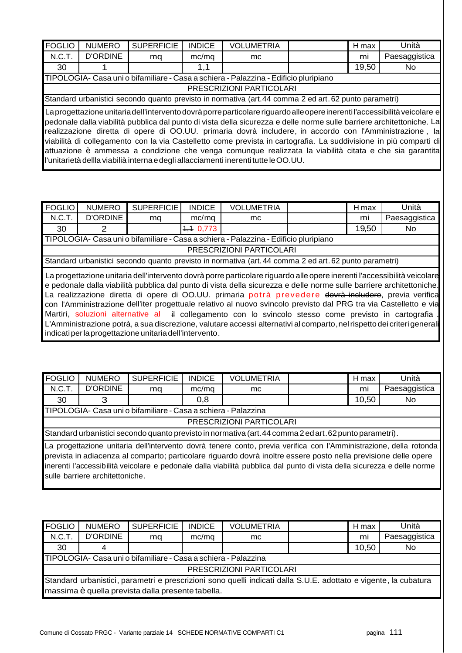| <b>FOGLIO</b> | <b>NUMERO</b>                                                                        | <b>SUPERFICIE</b> | <b>INDICE</b> | <b>VOLUMETRIA</b>                                                                                                                                                                                                                                                                                                                                                                                                                                                                                                                                                                                                                                                                    |  | H max | Unità         |  |  |
|---------------|--------------------------------------------------------------------------------------|-------------------|---------------|--------------------------------------------------------------------------------------------------------------------------------------------------------------------------------------------------------------------------------------------------------------------------------------------------------------------------------------------------------------------------------------------------------------------------------------------------------------------------------------------------------------------------------------------------------------------------------------------------------------------------------------------------------------------------------------|--|-------|---------------|--|--|
| N.C.T.        | <b>D'ORDINE</b>                                                                      | ma                | mc/mq         | mc                                                                                                                                                                                                                                                                                                                                                                                                                                                                                                                                                                                                                                                                                   |  | mi    | Paesaggistica |  |  |
| 30            |                                                                                      |                   | 1,1           |                                                                                                                                                                                                                                                                                                                                                                                                                                                                                                                                                                                                                                                                                      |  | 19,50 | No.           |  |  |
|               | TIPOLOGIA- Casa uni o bifamiliare - Casa a schiera - Palazzina - Edificio pluripiano |                   |               |                                                                                                                                                                                                                                                                                                                                                                                                                                                                                                                                                                                                                                                                                      |  |       |               |  |  |
|               | PRESCRIZIONI PARTICOLARI                                                             |                   |               |                                                                                                                                                                                                                                                                                                                                                                                                                                                                                                                                                                                                                                                                                      |  |       |               |  |  |
|               |                                                                                      |                   |               | Standard urbanistici secondo quanto previsto in normativa (art.44 comma 2 ed art.62 punto parametri)                                                                                                                                                                                                                                                                                                                                                                                                                                                                                                                                                                                 |  |       |               |  |  |
|               |                                                                                      |                   |               | La progettazione unitaria dell'intervento dovrà porreparticolare riguardo alle opere inerenti l'accessibilità veicolare e<br>pedonale dalla viabilità pubblica dal punto di vista della sicurezza e delle norme sulle barriere architettoniche. La<br>realizzazione diretta di opere di OO.UU. primaria dovrà includere, in accordo con l'Amministrazione, la<br>viabilità di collegamento con la via Castelletto come prevista in cartografia. La suddivisione in più comparti di<br>attuazione è ammessa a condizione che venga comunque realizzata la viabilità citata e che sia garantita<br>l'unitarietà dellla viabilià interna e degli allacciamenti inerenti tutte le OO.UU. |  |       |               |  |  |

| <b>FOGLIO</b> | <b>NUMERO</b>                                                                                                                                                                                                                                                                                                                                                                                                                                                                                                                                                                                                                                                       | SUPERFICIE | <b>INDICE</b> | <b>VOLUMETRIA</b>                                                                    |  | H max | Unità         |  |  |
|---------------|---------------------------------------------------------------------------------------------------------------------------------------------------------------------------------------------------------------------------------------------------------------------------------------------------------------------------------------------------------------------------------------------------------------------------------------------------------------------------------------------------------------------------------------------------------------------------------------------------------------------------------------------------------------------|------------|---------------|--------------------------------------------------------------------------------------|--|-------|---------------|--|--|
| N.C.T.        | <b>D'ORDINE</b>                                                                                                                                                                                                                                                                                                                                                                                                                                                                                                                                                                                                                                                     | ma         | mc/mq         | mc.                                                                                  |  | mi    | Paesaggistica |  |  |
| 30            | 2                                                                                                                                                                                                                                                                                                                                                                                                                                                                                                                                                                                                                                                                   |            | 4, 10, 773    |                                                                                      |  | 19,50 | No.           |  |  |
|               |                                                                                                                                                                                                                                                                                                                                                                                                                                                                                                                                                                                                                                                                     |            |               | TIPOLOGIA- Casa uni o bifamiliare - Casa a schiera - Palazzina - Edificio pluripiano |  |       |               |  |  |
|               | PRESCRIZIONI PARTICOLARI                                                                                                                                                                                                                                                                                                                                                                                                                                                                                                                                                                                                                                            |            |               |                                                                                      |  |       |               |  |  |
|               | Standard urbanistici secondo quanto previsto in normativa (art. 44 comma 2 ed art. 62 punto parametri)                                                                                                                                                                                                                                                                                                                                                                                                                                                                                                                                                              |            |               |                                                                                      |  |       |               |  |  |
|               | La progettazione unitaria dell'intervento dovrà porre particolare riguardo alle opere inerenti l'accessibilità veicolare<br>e pedonale dalla viabilità pubblica dal punto di vista della sicurezza e delle norme sulle barriere architettoniche.<br>La realizzazione diretta di opere di OO.UU. primaria potrà prevedere devrà includere, previa verifica<br>con l'Amministrazione dell'iter progettuale relativo al nuovo svincolo previsto dal PRG tra via Castelletto e via<br>L'Amministrazione potrà, a sua discrezione, valutare accessi alternativi al comparto, nel rispetto dei criteri general<br>indicati per la progettazione unitaria dell'intervento. |            |               |                                                                                      |  |       |               |  |  |

| <b>FOGLIO</b>                                                  | <b>NUMERO</b>                                                                                                                                                                                                                                                                                                                                                                                       | <b>SUPERFICIE</b> | <b>INDICE</b> | <b>VOLUMETRIA</b>                                                                                       |  | H max | Unità         |  |  |  |
|----------------------------------------------------------------|-----------------------------------------------------------------------------------------------------------------------------------------------------------------------------------------------------------------------------------------------------------------------------------------------------------------------------------------------------------------------------------------------------|-------------------|---------------|---------------------------------------------------------------------------------------------------------|--|-------|---------------|--|--|--|
| N.C.T.                                                         | <b>D'ORDINE</b>                                                                                                                                                                                                                                                                                                                                                                                     | mq                | mc/mq         | mc.                                                                                                     |  | mi    | Paesaggistica |  |  |  |
| 30                                                             | З                                                                                                                                                                                                                                                                                                                                                                                                   |                   | 0,8           |                                                                                                         |  | 10,50 | No.           |  |  |  |
| TIPOLOGIA- Casa uni o bifamiliare - Casa a schiera - Palazzina |                                                                                                                                                                                                                                                                                                                                                                                                     |                   |               |                                                                                                         |  |       |               |  |  |  |
|                                                                | PRESCRIZIONI PARTICOLARI                                                                                                                                                                                                                                                                                                                                                                            |                   |               |                                                                                                         |  |       |               |  |  |  |
|                                                                |                                                                                                                                                                                                                                                                                                                                                                                                     |                   |               | Standard urbanistici secondo quanto previsto in normativa (art. 44 comma 2 ed art. 62 punto parametri). |  |       |               |  |  |  |
|                                                                | La progettazione unitaria dell'intervento dovrà tenere conto, previa verifica con l'Amministrazione, della rotonda<br>prevista in adiacenza al comparto; particolare riguardo dovrà inoltre essere posto nella previsione delle opere<br>inerenti l'accessibilità veicolare e pedonale dalla viabilità pubblica dal punto di vista della sicurezza e delle norme<br>sulle barriere architettoniche. |                   |               |                                                                                                         |  |       |               |  |  |  |

| <b>FOGLIO</b>                                                                                                    | <b>NUMERO</b>                                                  | <b>SUPERFICIE</b> | <b>INDICE</b> | <b>VOLUMETRIA</b>        |  | H max | Unità         |  |  |
|------------------------------------------------------------------------------------------------------------------|----------------------------------------------------------------|-------------------|---------------|--------------------------|--|-------|---------------|--|--|
| N.C.T.                                                                                                           | <b>D'ORDINE</b>                                                | ma                | mc/ma         | mc.                      |  | mi    | Paesaggistica |  |  |
| 30                                                                                                               |                                                                |                   |               |                          |  | 10,50 | No            |  |  |
|                                                                                                                  | TIPOLOGIA- Casa uni o bifamiliare - Casa a schiera - Palazzina |                   |               |                          |  |       |               |  |  |
|                                                                                                                  |                                                                |                   |               | PRESCRIZIONI PARTICOLARI |  |       |               |  |  |
| Standard urbanistici, parametri e prescrizioni sono quelli indicati dalla S.U.E. adottato e vigente, la cubatura |                                                                |                   |               |                          |  |       |               |  |  |
| massima è quella prevista dalla presente tabella.                                                                |                                                                |                   |               |                          |  |       |               |  |  |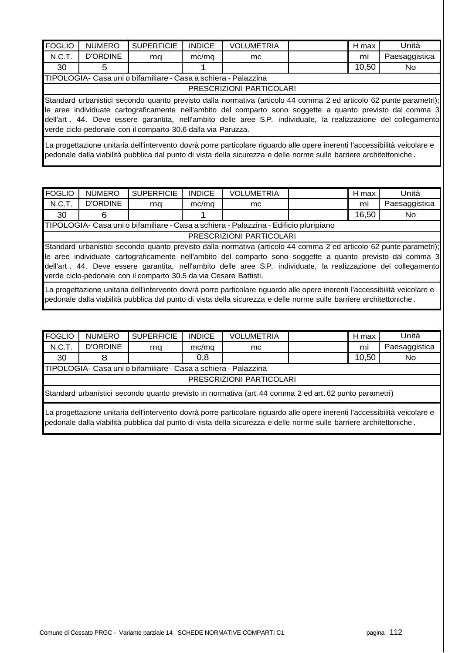| <b>FOGLIO</b>                                                                                                                                                                                                                                                                                                                                                                                                        | <b>NUMERO</b>   | <b>SUPERFICIE</b>                                              | <b>INDICE</b> | <b>VOLUMETRIA</b> |  | H max | Unità         |  |
|----------------------------------------------------------------------------------------------------------------------------------------------------------------------------------------------------------------------------------------------------------------------------------------------------------------------------------------------------------------------------------------------------------------------|-----------------|----------------------------------------------------------------|---------------|-------------------|--|-------|---------------|--|
| N.C.T.                                                                                                                                                                                                                                                                                                                                                                                                               | <b>D'ORDINE</b> | mq                                                             | mc/mq         | mc                |  | mi    | Paesaggistica |  |
| 30                                                                                                                                                                                                                                                                                                                                                                                                                   | 5               |                                                                |               |                   |  | 10,50 | No.           |  |
|                                                                                                                                                                                                                                                                                                                                                                                                                      |                 | TIPOLOGIA- Casa uni o bifamiliare - Casa a schiera - Palazzina |               |                   |  |       |               |  |
| PRESCRIZIONI PARTICOLARI                                                                                                                                                                                                                                                                                                                                                                                             |                 |                                                                |               |                   |  |       |               |  |
| Standard urbanistici secondo quanto previsto dalla normativa (articolo 44 comma 2 ed articolo 62 punte parametri);<br>le aree individuate cartograficamente nell'ambito del comparto sono soggette a quanto previsto dal comma 3<br>dell'art . 44. Deve essere garantita, nell'ambito delle aree S.P. individuate, la realizzazione del collegamento<br>verde ciclo-pedonale con il comparto 30.6 dalla via Paruzza. |                 |                                                                |               |                   |  |       |               |  |
| La progettazione unitaria dell'intervento dovrà porre particolare riguardo alle opere inerenti l'accessibilità veicolare e<br>pedonale dalla viabilità pubblica dal punto di vista della sicurezza e delle norme sulle barriere architettoniche.                                                                                                                                                                     |                 |                                                                |               |                   |  |       |               |  |

| <b>FOGLIO</b> | <b>NUMERO</b>                                                                        | <b>SUPERFICIE</b>                                                 | <b>INDICE</b> | <b>VOLUMETRIA</b>                                                                                                  |  | H max | Unità         |  |  |
|---------------|--------------------------------------------------------------------------------------|-------------------------------------------------------------------|---------------|--------------------------------------------------------------------------------------------------------------------|--|-------|---------------|--|--|
| N.C.T.        | <b>D'ORDINE</b>                                                                      | mq                                                                | mc/mq         | mc                                                                                                                 |  | mi    | Paesaggistica |  |  |
| 30            | 6                                                                                    |                                                                   |               |                                                                                                                    |  | 16,50 | No.           |  |  |
|               | TIPOLOGIA- Casa uni o bifamiliare - Casa a schiera - Palazzina - Edificio pluripiano |                                                                   |               |                                                                                                                    |  |       |               |  |  |
|               |                                                                                      |                                                                   |               | PRESCRIZIONI PARTICOLARI                                                                                           |  |       |               |  |  |
|               |                                                                                      |                                                                   |               | Standard urbanistici secondo quanto previsto dalla normativa (articolo 44 comma 2 ed articolo 62 punte parametri); |  |       |               |  |  |
|               |                                                                                      |                                                                   |               | le aree individuate cartograficamente nell'ambito del comparto sono soggette a quanto previsto dal comma 3         |  |       |               |  |  |
|               |                                                                                      |                                                                   |               | dell'art . 44. Deve essere garantita, nell'ambito delle aree S.P. individuate, la realizzazione del collegamento   |  |       |               |  |  |
|               |                                                                                      | verde ciclo-pedonale con il comparto 30.5 da via Cesare Battisti. |               |                                                                                                                    |  |       |               |  |  |

La progettazione unitaria dell'intervento dovrà porre particolare riguardo alle opere inerenti l'accessibilità veicolare e pedonale dalla viabilità pubblica dal punto di vista della sicurezza e delle norme sulle barriere architettoniche .

| <b>FOGLIO</b>                                                                                          | <b>NUMERO</b>                                                                                                              | <b>SUPERFICIE</b> | <b>INDICE</b> | <b>VOLUMETRIA</b>        |  | H max | Unità         |  |  |
|--------------------------------------------------------------------------------------------------------|----------------------------------------------------------------------------------------------------------------------------|-------------------|---------------|--------------------------|--|-------|---------------|--|--|
| N.C.T.                                                                                                 | D'ORDINE                                                                                                                   | mq                | mc/mq         | mc.                      |  | mi    | Paesaggistica |  |  |
| 30                                                                                                     | 8                                                                                                                          |                   | 0,8           |                          |  | 10,50 | No.           |  |  |
| TIPOLOGIA- Casa uni o bifamiliare - Casa a schiera - Palazzina                                         |                                                                                                                            |                   |               |                          |  |       |               |  |  |
|                                                                                                        |                                                                                                                            |                   |               | PRESCRIZIONI PARTICOLARI |  |       |               |  |  |
| Standard urbanistici secondo quanto previsto in normativa (art. 44 comma 2 ed art. 62 punto parametri) |                                                                                                                            |                   |               |                          |  |       |               |  |  |
|                                                                                                        | La progettazione unitaria dell'intervento dovrà porre particolare riguardo alle opere inerenti l'accessibilità veicolare e |                   |               |                          |  |       |               |  |  |

pedonale dalla viabilità pubblica dal punto di vista della sicurezza e delle norme sulle barriere architettoniche .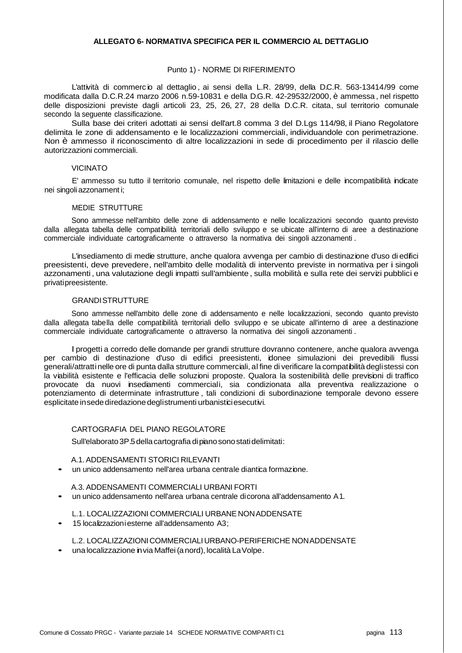#### **ALLEGATO 6- NORMATIVA SPECIFICA PER IL COMMERCIO AL DETTAGLIO**

## Punto 1) - NORME DI RIFERIMENTO

L'attività di commerc io al dettaglio, ai sensi della L.R. 28/99, della D.C.R. 563-13414/99 come modificata dalla D.C.R.24 marzo 2006 n.59-10831 e della D.G.R. 42-29532/2000, è ammessa , nel rispetto delle disposizioni previste dagli articoli 23, 25, 26, 27, 28 della D.C.R. citata, sul territorio comunale secondo la seguente classificazione.

Sulla base dei criteri adottati ai sensi dell'art.8 comma 3 del D.Lgs 114/98, il Piano Regolatore delimita le zone di addensamento e le localizzazioni commerciali, individuandole con perimetrazione. Non è ammesso il riconoscimento di altre localizzazioni in sede di procedimento per il rilascio delle autorizzazioni commerciali.

## VICINATO

E' ammesso su tutto il territorio comunale, nel rispetto delle limitazioni e delle incompatibilità indicate nei singoli azzonament i;

## MEDIE STRUTTURE

Sono ammesse nell'ambito delle zone di addensamento e nelle localizzazioni secondo quanto previsto dalla allegata tabella delle compatibilità territoriali dello sviluppo e se ubicate all'interno di aree a destinazione commerciale individuate cartograficamente o attraverso la normativa dei singoli azzonamenti .

L'insediamento di medie strutture, anche qualora avvenga per cambio di destinazione d'uso di edifici preesistenti, deve prevedere, nell'ambito delle modalità di intervento previste in normativa per i singoli azzonamenti, una valutazione degli impatti sull'ambiente, sulla mobilità e sulla rete dei servizi pubblici e privati preesistente.

#### GRANDI STRUTTURE

Sono ammesse nell'ambito delle zone di addensamento e nelle localizzazioni, secondo quanto previsto dalla allegata tabella delle compatibilità territoriali dello sviluppo e se ubicate all'interno di aree a destinazione commerciale individuate cartograficamente o attraverso la normativa dei singoli azzonamenti .

l progetti a corredo delle domande per grandi strutture dovranno contenere, anche qualora avvenga per cambio di destinazione d'uso di edifici preesistenti, idonee simulazioni dei prevedibili flussi generali/attratti nelle ore di punta dalla strutture commerciali, al fine di verificare la compatibilità degli stessi con la viabilità esistente e l'efficacia delle soluzioni proposte. Qualora la sostenibilità delle previsioni di traffico provocate da nuovi insediamenti commerciali, sia condizionata alla preventiva realizzazione o potenziamento di determinate infrastrutture , tali condizioni di subordinazione temporale devono essere esplicitate in sede diredazione degli strumenti urbanistici esecutivi.

## CARTOGRAFIA DEL PIANO REGOLATORE

Sull'elaborato 3P.5 della cartografia di piano sono stati delimitati :

#### A.1. ADDENSAMENTI STORICI RILEVANTI

• un unico addensamento nell'area urbana centrale diantica formazione.

## A.3. ADDENSAMENTI COMMERCIALI URBANI FORTI

• un unico addensamento nell'area urbana centrale di corona all'addensamento A 1.

## L.1. LOCALIZZAZIONI COMMERCIALI URBANE NON ADDENSATE

• 15 localizzazioni esterne all'addensamento A3;

## L.2. LOCALIZZAZIONI COMMERCIALI URBANO-PERIFERICHE NON ADDENSATE

• una localizzazione in via Maffei (a nord), località La Volpe .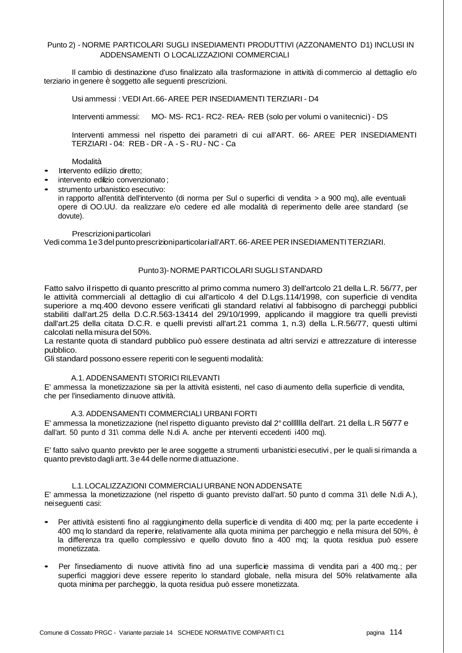## Punto 2) - NORME PARTICOLARI SUGLI INSEDIAMENTI PRODUTTIVI (AZZONAMENTO D1) INCLUSI IN ADDENSAMENTI O LOCALIZZAZIONI COMMERCIALI

Il cambio di destinazione d'uso finalizzato alla trasformazione in attività di commercio al dettaglio e/o terziario in genere è soggetto alle seguenti prescrizioni.

Usi ammessi : VEDI Art .66- AREE PER INSEDIAMENTI TERZIARI - D4

Interventi ammessi: MO- MS- RC1- RC2- REA- REB (solo per volumi o vanitecnici) - DS

Interventi ammessi nel rispetto dei parametri di cui all'ART. 66- AREE PER INSEDIAMENTI TERZIARI - 04: REB - DR - A - S - RU - NC - Ca

#### Modalità

- Intervento edilizio diretto;
- intervento edilizio convenzionato ;
- strumento urbanistico esecutivo:

in rapporto all'entità dell'intervento (di norma per Sul o superfici di vendita > a 900 mq), alle eventuali opere di OO.UU. da realizzare e/o cedere ed alle modalità di reperimento delle aree standard (se dovute).

Prescrizioni particolari

Vedi comma 1e 3 del punto prescrizioni particolari all'ART. 66-AREE PER INSEDIAMENTI TERZIARI.

# Punto 3)- NORME PARTICOLARI SUGLI STANDARD

Fatto salvo il rispetto di quanto prescritto al primo comma numero 3) dell'artcolo 21 della L.R. 56/77, per le attività commerciali al dettaglio di cui all'articolo 4 del D.Lgs.114/1998, con superficie di vendita superiore a mq.400 devono essere verificati gli standard relativi al fabbisogno di parcheggi pubblici stabiliti dall'art.25 della D.C.R.563-13414 del 29/10/1999, applicando il maggiore tra quelli previsti dall'art.25 della citata D.C.R. e quelli previsti all'art.21 comma 1, n.3) della L.R.56/77, questi ultimi calcolati nella misura del 50%.

La restante quota di standard pubblico può essere destinata ad altri servizi e attrezzature di interesse pubblico.

Gli standard possono essere reperiti con le seguenti modalità:

#### A.1. ADDENSAMENTI STORICI RILEVANTI

E' ammessa la monetizzazione sia per la attività esistenti, nel caso di aumento della superficie di vendita, che per l'insediamento di nuove attività.

#### A.3. ADDENSAMENTI COMMERCIALI URBANI FORTI

E' ammessa la monetizzazione (nel rispetto di guanto previsto dal 2° colllllla dell'art. 21 della L.R 56/77 e dall'art. 50 punto d 31\ comma delle N.di A. anche per interventi eccedenti i400 mq).

E' fatto salvo quanto previsto per le aree soggette a strumenti urbanistici esecutivi , per le quali si rimanda a quanto previsto dagli artt. 3 e 44 delle norme di attuazione .

#### L.1. LOCALIZZAZIONI COMMERCIALI URBANE NON ADDENSATE

E' ammessa la monetizzazione (nel rispetto di guanto previsto dall'art. 50 punto d comma 31\ delle N.di A.), nei seguenti casi:

- Per attività esistenti fino al raggiungimento della superficie di vendita di 400 mq; per la parte eccedente i 400 mq lo standard da reperire, relativamente alla quota minima per parcheggio e nella misura del 50%, è la differenza tra quello complessivo e quello dovuto fino a 400 mq; la quota residua può essere monetizzata.
- Per l'insediamento di nuove attività fino ad una superficie massima di vendita pari a 400 mq.; per superfici maggiori deve essere reperito lo standard globale, nella misura del 50% relativamente alla quota minima per parcheggio, la quota residua può essere monetizzata.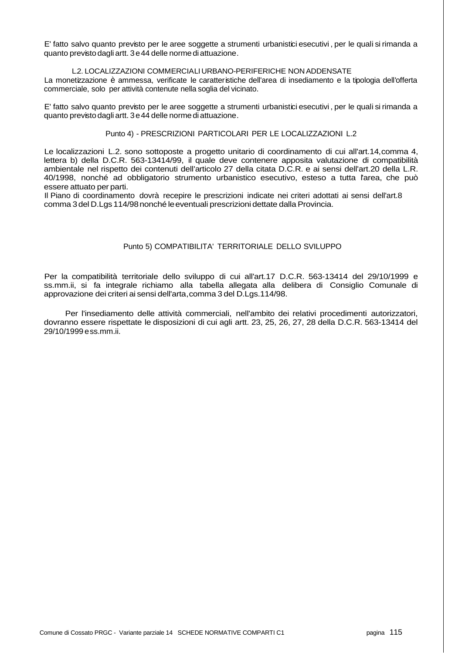E' fatto salvo quanto previsto per le aree soggette a strumenti urbanistici esecutivi , per le quali si rimanda a quanto previsto dagli artt. 3 e 44 delle norme di attuazione .

#### L.2. LOCALIZZAZIONI COMMERCIALI URBANO-PERIFERICHE NON ADDENSATE

La monetizzazione è ammessa, verificate le caratteristiche dell'area di insediamento e la tipologia dell'offerta commerciale, solo per attività contenute nella soglia del vicinato.

E' fatto salvo quanto previsto per le aree soggette a strumenti urbanistici esecutivi , per le quali si rimanda a quanto previsto dagli artt. 3 e 44 delle norme di attuazione .

## Punto 4) - PRESCRIZIONI PARTICOLARI PER LE LOCALIZZAZIONI L.2

Le localizzazioni L.2. sono sottoposte a progetto unitario di coordinamento di cui all'art.14,comma 4, lettera b) della D.C.R. 563-13414/99, il quale deve contenere apposita valutazione di compatibilità ambientale nel rispetto dei contenuti dell'articolo 27 della citata D.C.R. e ai sensi dell'art.20 della L.R. 40/1998, nonché ad obbligatorio strumento urbanistico esecutivo, esteso a tutta l'area, che può essere attuato per parti.

Il Piano di coordinamento dovrà recepire le prescrizioni indicate nei criteri adottati ai sensi dell'art.8 comma 3 del D.Lgs 114/98 nonché le eventuali prescrizioni dettate dalla Provincia.

## Punto 5) COMPATIBILITA' TERRITORIALE DELLO SVILUPPO

Per la compatibilità territoriale dello sviluppo di cui all'art.17 D.C.R. 563-13414 del 29/10/1999 e ss.mm.ii, si fa integrale richiamo alla tabella allegata alla delibera di Consiglio Comunale di approvazione dei criteri ai sensi dell'arta,comma 3 del D.Lgs.114/98.

Per l'insediamento delle attività commerciali, nell'ambito dei relativi procedimenti autorizzatori, dovranno essere rispettate le disposizioni di cui agli artt. 23, 25, 26, 27, 28 della D.C.R. 563-13414 del 29/10/1999 e ss.mm.ii.